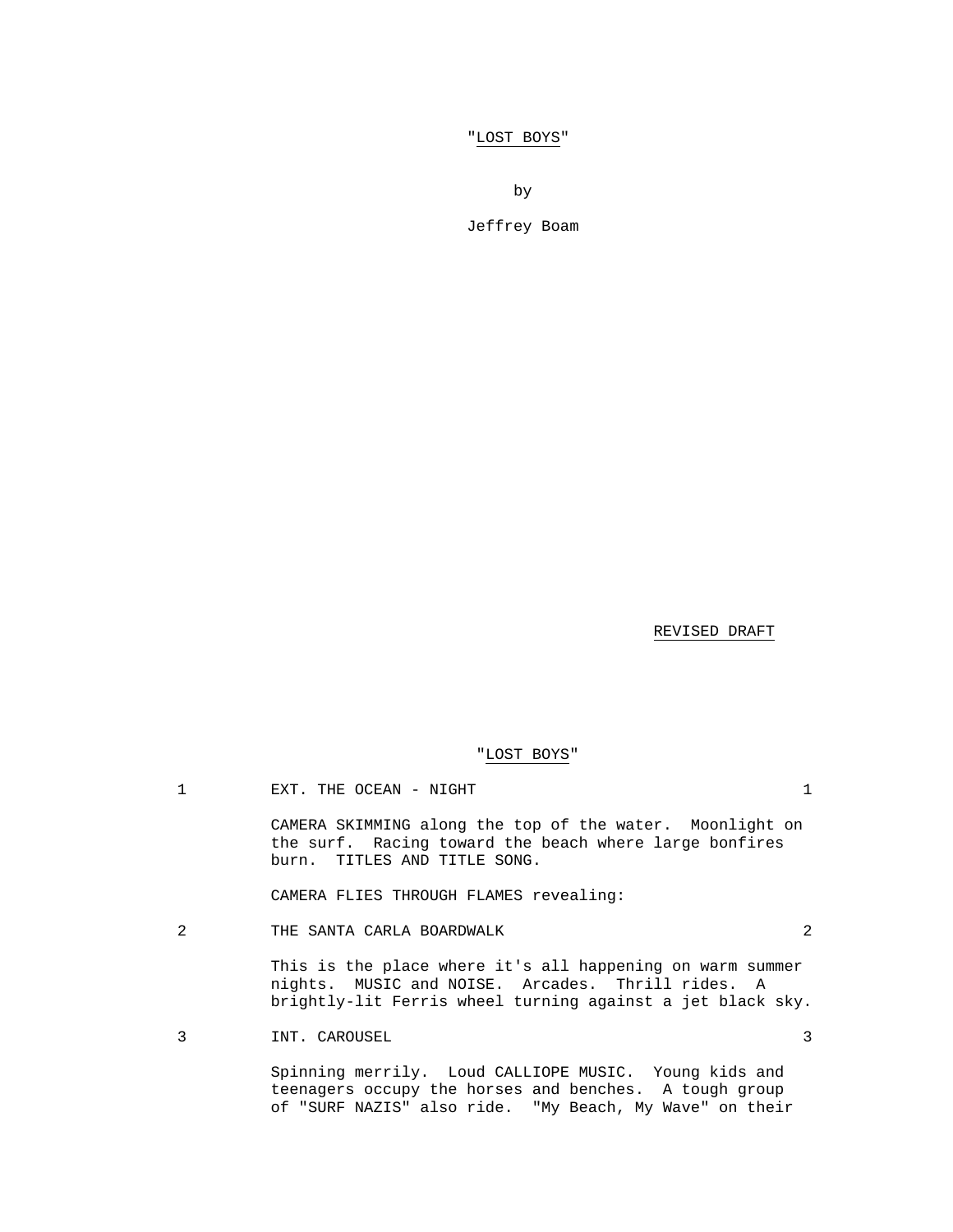"LOST BOYS"

by

Jeffrey Boam

REVISED DRAFT

# "LOST BOYS"

1 EXT. THE OCEAN - NIGHT 1

 CAMERA SKIMMING along the top of the water. Moonlight on the surf. Racing toward the beach where large bonfires burn. TITLES AND TITLE SONG.

CAMERA FLIES THROUGH FLAMES revealing:

2 THE SANTA CARLA BOARDWALK 2

 This is the place where it's all happening on warm summer nights. MUSIC and NOISE. Arcades. Thrill rides. A brightly-lit Ferris wheel turning against a jet black sky.

3 INT. CAROUSEL 3

 Spinning merrily. Loud CALLIOPE MUSIC. Young kids and teenagers occupy the horses and benches. A tough group of "SURF NAZIS" also ride. "My Beach, My Wave" on their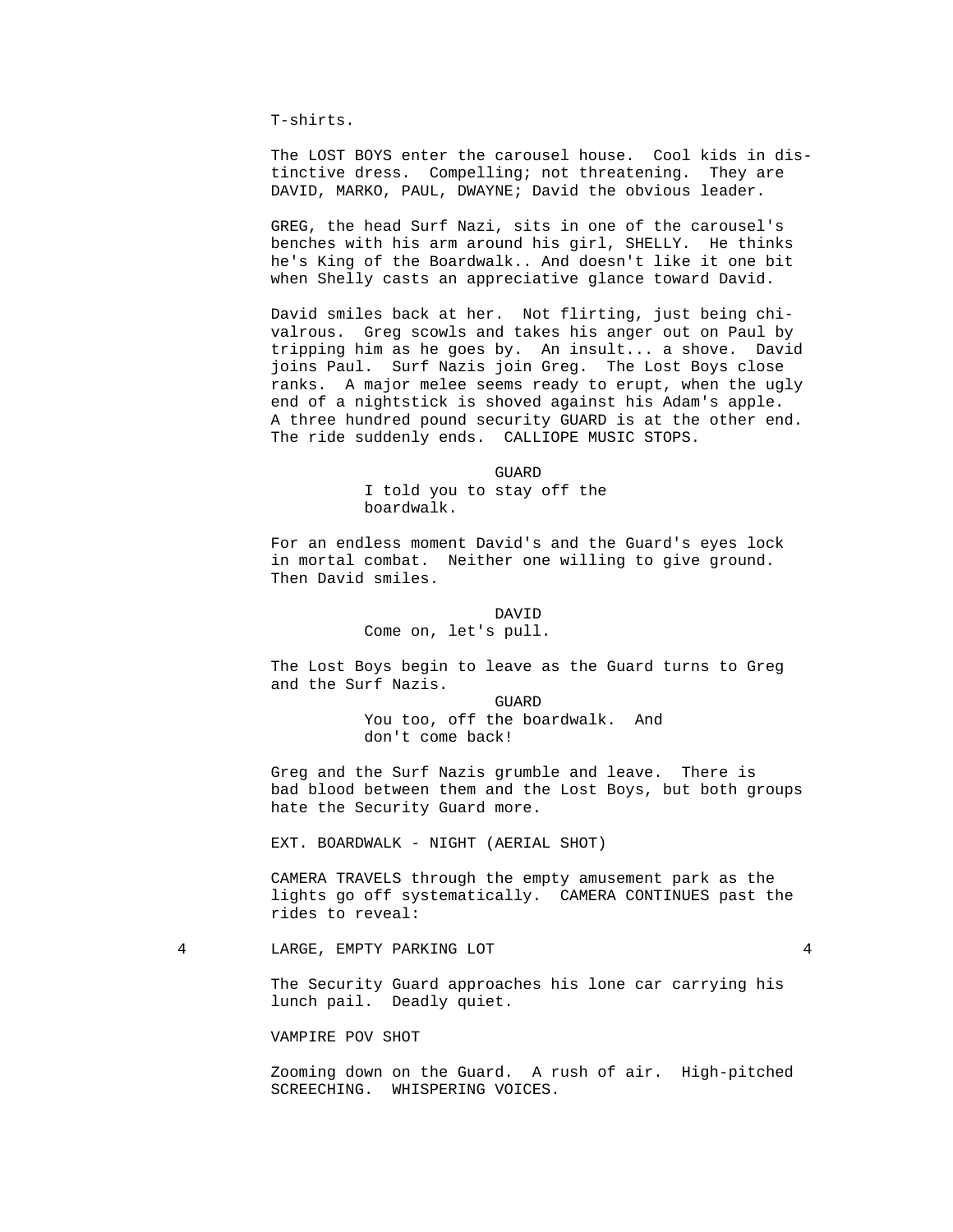T-shirts.

 The LOST BOYS enter the carousel house. Cool kids in distinctive dress. Compelling; not threatening. They are DAVID, MARKO, PAUL, DWAYNE; David the obvious leader.

 GREG, the head Surf Nazi, sits in one of the carousel's benches with his arm around his girl, SHELLY. He thinks he's King of the Boardwalk.. And doesn't like it one bit when Shelly casts an appreciative glance toward David.

 David smiles back at her. Not flirting, just being chivalrous. Greg scowls and takes his anger out on Paul by tripping him as he goes by. An insult... a shove. David joins Paul. Surf Nazis join Greg. The Lost Boys close ranks. A major melee seems ready to erupt, when the ugly end of a nightstick is shoved against his Adam's apple. A three hundred pound security GUARD is at the other end. The ride suddenly ends. CALLIOPE MUSIC STOPS.

**GUARD GUARD** 

 I told you to stay off the boardwalk.

 For an endless moment David's and the Guard's eyes lock in mortal combat. Neither one willing to give ground. Then David smiles.

### DAVID

Come on, let's pull.

 The Lost Boys begin to leave as the Guard turns to Greg and the Surf Nazis.

**GUARD GUARD**  You too, off the boardwalk. And don't come back!

> Greg and the Surf Nazis grumble and leave. There is bad blood between them and the Lost Boys, but both groups hate the Security Guard more.

EXT. BOARDWALK - NIGHT (AERIAL SHOT)

 CAMERA TRAVELS through the empty amusement park as the lights go off systematically. CAMERA CONTINUES past the rides to reveal:

4 LARGE, EMPTY PARKING LOT 4

 The Security Guard approaches his lone car carrying his lunch pail. Deadly quiet.

VAMPIRE POV SHOT

 Zooming down on the Guard. A rush of air. High-pitched SCREECHING. WHISPERING VOICES.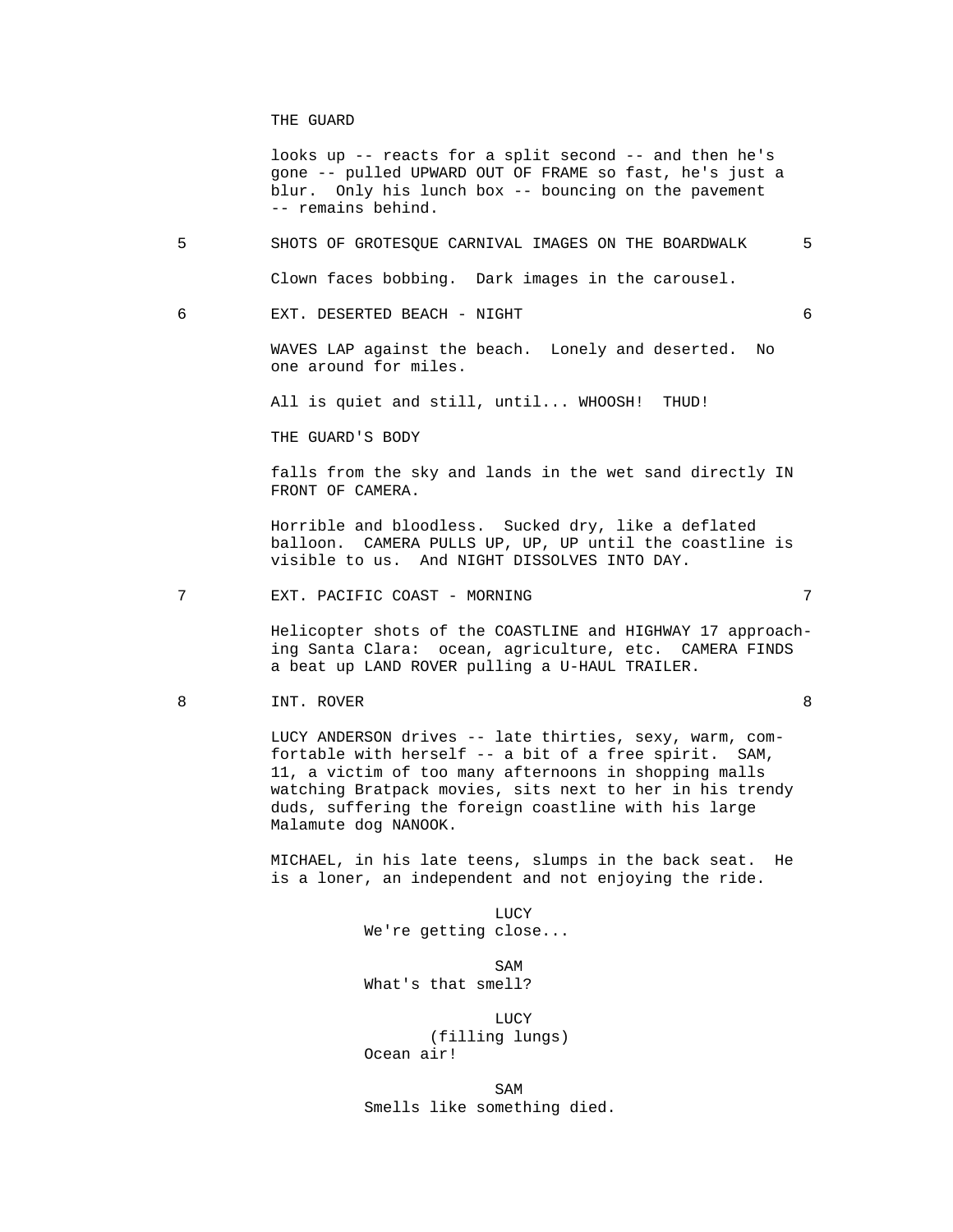#### THE GUARD

 looks up -- reacts for a split second -- and then he's gone -- pulled UPWARD OUT OF FRAME so fast, he's just a blur. Only his lunch box -- bouncing on the pavement -- remains behind.

 5 SHOTS OF GROTESQUE CARNIVAL IMAGES ON THE BOARDWALK 5 Clown faces bobbing. Dark images in the carousel.

6 EXT. DESERTED BEACH - NIGHT 6

 WAVES LAP against the beach. Lonely and deserted. No one around for miles.

All is quiet and still, until... WHOOSH! THUD!

THE GUARD'S BODY

 falls from the sky and lands in the wet sand directly IN FRONT OF CAMERA.

 Horrible and bloodless. Sucked dry, like a deflated balloon. CAMERA PULLS UP, UP, UP until the coastline is visible to us. And NIGHT DISSOLVES INTO DAY.

7 EXT. PACIFIC COAST - MORNING 7

 Helicopter shots of the COASTLINE and HIGHWAY 17 approaching Santa Clara: ocean, agriculture, etc. CAMERA FINDS a beat up LAND ROVER pulling a U-HAUL TRAILER.

8 INT. ROVER 3

 LUCY ANDERSON drives -- late thirties, sexy, warm, com fortable with herself -- a bit of a free spirit. SAM, 11, a victim of too many afternoons in shopping malls watching Bratpack movies, sits next to her in his trendy duds, suffering the foreign coastline with his large Malamute dog NANOOK.

 MICHAEL, in his late teens, slumps in the back seat. He is a loner, an independent and not enjoying the ride.

**LUCY** We're getting close...

SAM SAME SAME SAME SAMPLE SAMPLE SAMPLE SAMPLE SAMPLE SAMPLE SAMPLE SAMPLE SAMPLE SAMPLE SAMPLE SAMPLE SAMPLE SAMPLE SAMPLE SAMPLE SAMPLE SAMPLE SAMPLE SAMPLE SAMPLE SAMPLE SAMPLE SAMPLE SAMPLE SAMPLE SAMPLE SAMPLE SAMPLE What's that smell?

**LUCY**  (filling lungs) Ocean air!

SAM SAME SAME SAME SAMPLE SAMPLE SAMPLE SAMPLE SAMPLE SAMPLE SAMPLE SAMPLE SAMPLE SAMPLE SAMPLE SAMPLE SAMPLE Smells like something died.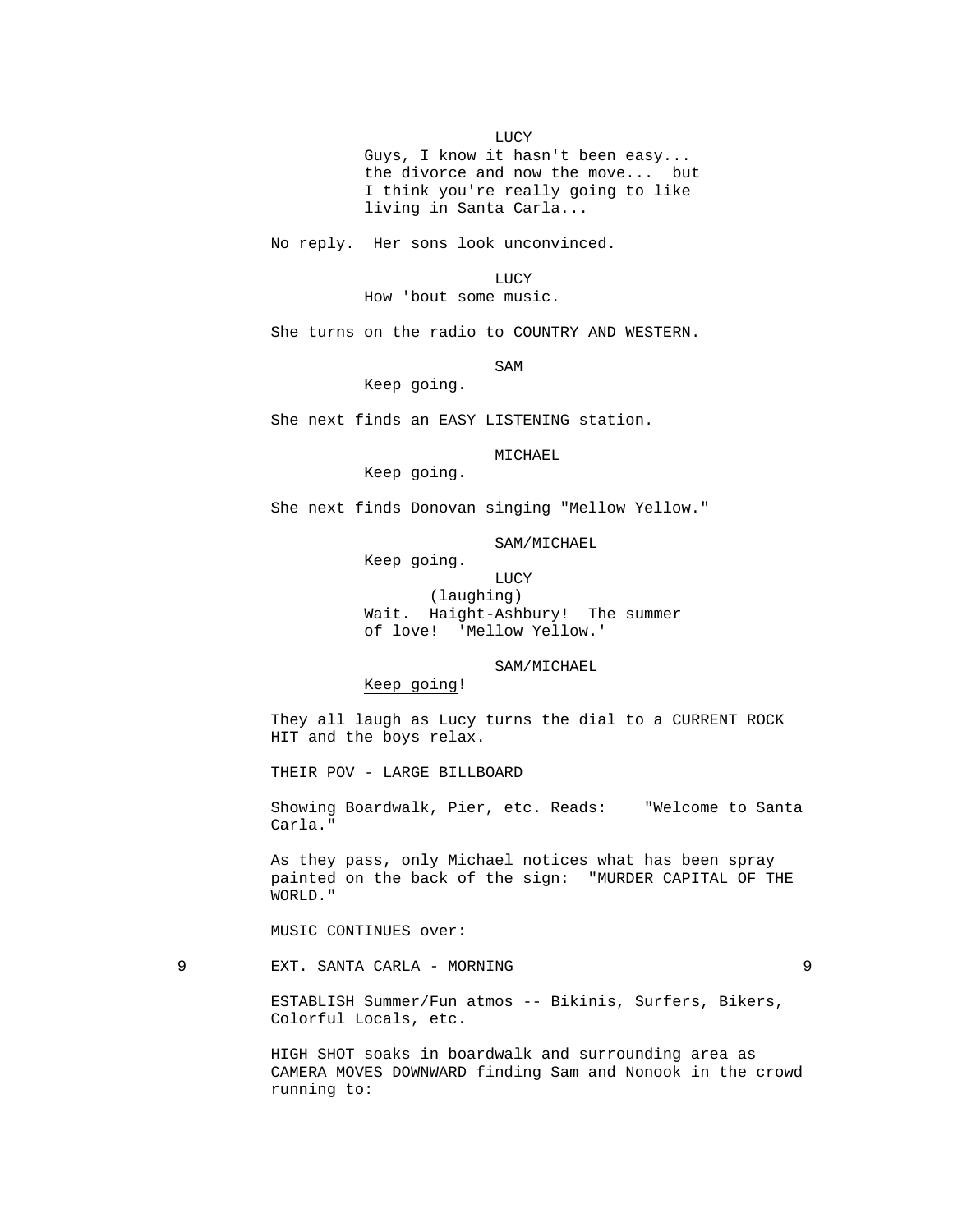LUCY

 Guys, I know it hasn't been easy... the divorce and now the move... but I think you're really going to like living in Santa Carla...

No reply. Her sons look unconvinced.

 LUCY How 'bout some music.

She turns on the radio to COUNTRY AND WESTERN.

SAM SAME SAME SAME SAMPLE SAMPLE SAMPLE SAMPLE SAMPLE SAMPLE SAMPLE SAMPLE SAMPLE SAMPLE SAMPLE SAMPLE SAMPLE SAMPLE SAMPLE SAMPLE SAMPLE SAMPLE SAMPLE SAMPLE SAMPLE SAMPLE SAMPLE SAMPLE SAMPLE SAMPLE SAMPLE SAMPLE SAMPLE

Keep going.

She next finds an EASY LISTENING station.

MICHAEL

Keep going.

She next finds Donovan singing "Mellow Yellow."

SAM/MICHAEL

 Keep going. **LUCY**  (laughing) Wait. Haight-Ashbury! The summer of love! 'Mellow Yellow.'

SAM/MICHAEL

Keep going!

 They all laugh as Lucy turns the dial to a CURRENT ROCK HIT and the boys relax.

THEIR POV - LARGE BILLBOARD

 Showing Boardwalk, Pier, etc. Reads: "Welcome to Santa Carla."

 As they pass, only Michael notices what has been spray painted on the back of the sign: "MURDER CAPITAL OF THE WORLD."

MUSIC CONTINUES over:

9 EXT. SANTA CARLA - MORNING 9

 ESTABLISH Summer/Fun atmos -- Bikinis, Surfers, Bikers, Colorful Locals, etc.

 HIGH SHOT soaks in boardwalk and surrounding area as CAMERA MOVES DOWNWARD finding Sam and Nonook in the crowd running to: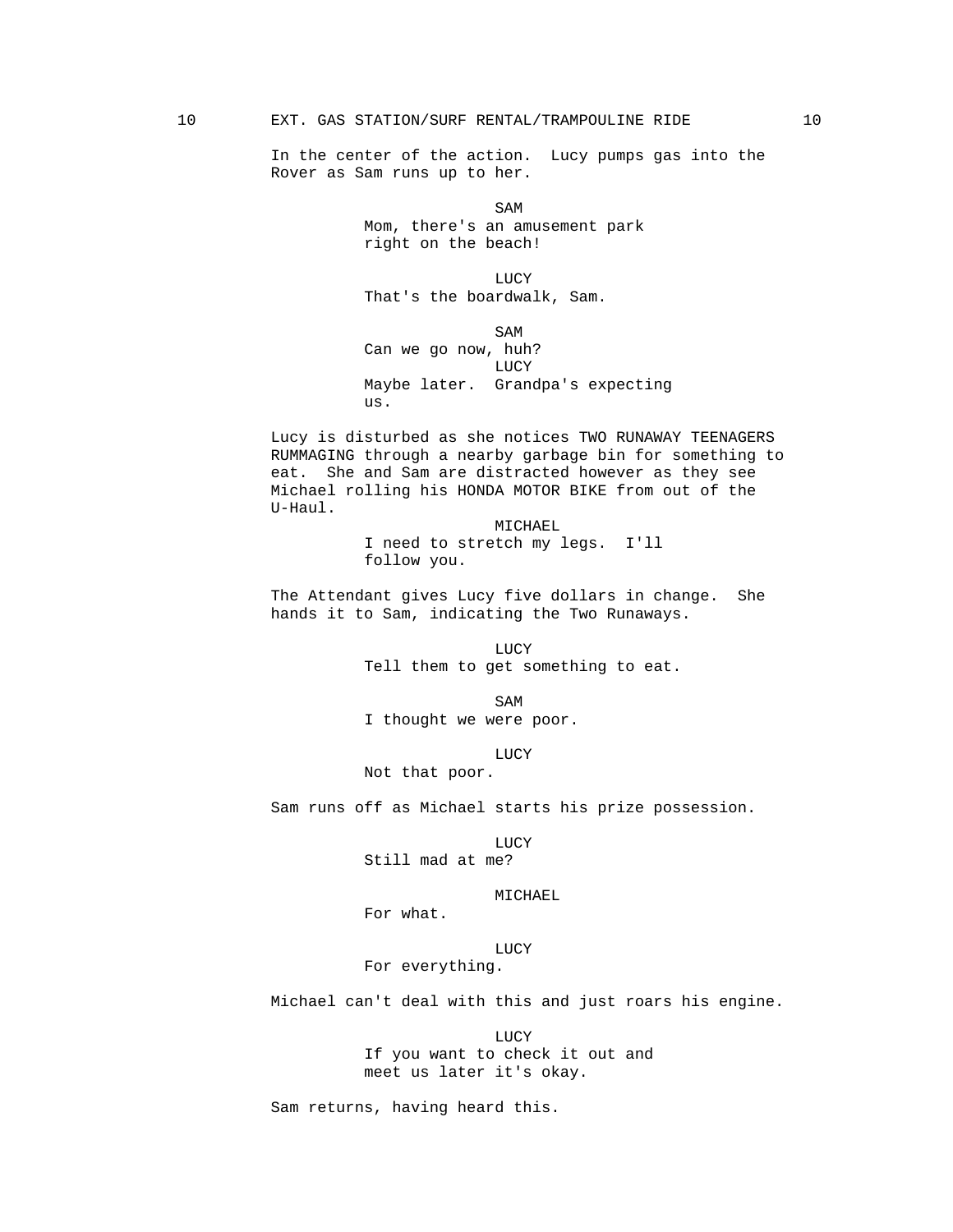In the center of the action. Lucy pumps gas into the Rover as Sam runs up to her.

SAM SAME SAME SAME SAMPLE SAMPLE SAMPLE SAMPLE SAMPLE SAMPLE SAMPLE SAMPLE SAMPLE SAMPLE SAMPLE SAMPLE SAMPLE SAMPLE SAMPLE SAMPLE SAMPLE SAMPLE SAMPLE SAMPLE SAMPLE SAMPLE SAMPLE SAMPLE SAMPLE SAMPLE SAMPLE SAMPLE SAMPLE Mom, there's an amusement park right on the beach!

 LUCY That's the boardwalk, Sam.

SAM SAME SAME SAME SAMPLE SAMPLE SAMPLE SAMPLE SAMPLE SAMPLE SAMPLE SAMPLE SAMPLE SAMPLE SAMPLE SAMPLE SAMPLE Can we go now, huh? LUCY Maybe later. Grandpa's expecting us.

> Lucy is disturbed as she notices TWO RUNAWAY TEENAGERS RUMMAGING through a nearby garbage bin for something to eat. She and Sam are distracted however as they see Michael rolling his HONDA MOTOR BIKE from out of the U-Haul.

> > MICHAEL I need to stretch my legs. I'll follow you.

 The Attendant gives Lucy five dollars in change. She hands it to Sam, indicating the Two Runaways.

**LUCY** Tell them to get something to eat.

SAM SAME SAME SAME SAMPLE SAMPLE SAMPLE SAMPLE SAMPLE SAMPLE SAMPLE SAMPLE SAMPLE SAMPLE SAMPLE SAMPLE SAMPLE SAMPLE SAMPLE SAMPLE SAMPLE SAMPLE SAMPLE SAMPLE SAMPLE SAMPLE SAMPLE SAMPLE SAMPLE SAMPLE SAMPLE SAMPLE SAMPLE I thought we were poor.

**LUCY** 

Not that poor.

Sam runs off as Michael starts his prize possession.

**LUCY** Still mad at me?

#### MICHAEL

For what.

LUCY

For everything.

Michael can't deal with this and just roars his engine.

 LUCY If you want to check it out and meet us later it's okay.

Sam returns, having heard this.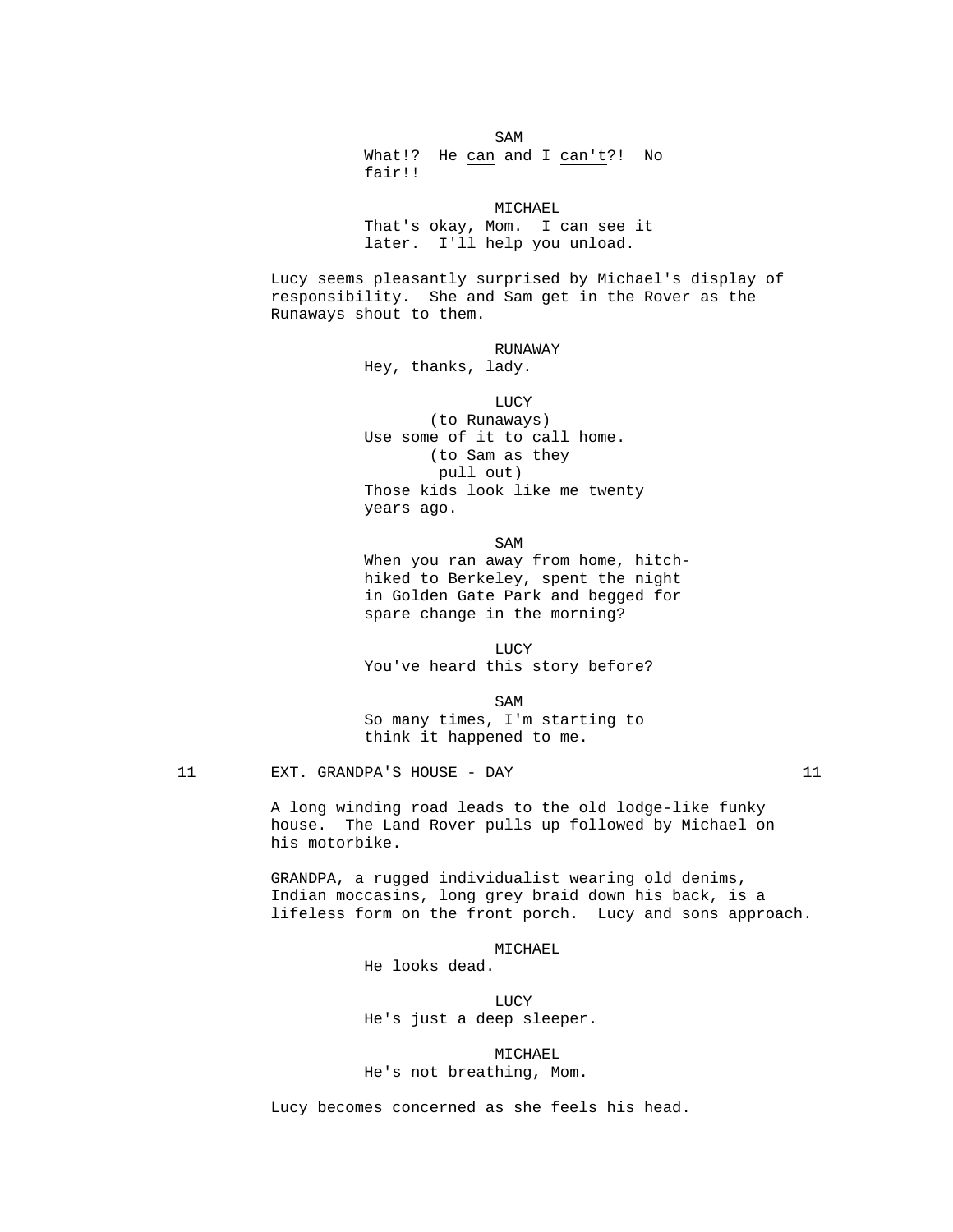SAM SAME SAME SAME SAMPLE SAMPLE SAMPLE SAMPLE SAMPLE SAMPLE SAMPLE SAMPLE SAMPLE SAMPLE SAMPLE SAMPLE SAMPLE SAMPLE SAMPLE SAMPLE SAMPLE SAMPLE SAMPLE SAMPLE SAMPLE SAMPLE SAMPLE SAMPLE SAMPLE SAMPLE SAMPLE SAMPLE SAMPLE What!? He can and I can't?! No fair!!

> MICHAEL That's okay, Mom. I can see it later. I'll help you unload.

 Lucy seems pleasantly surprised by Michael's display of responsibility. She and Sam get in the Rover as the Runaways shout to them.

RUNAWAY

Hey, thanks, lady.

 LUCY (to Runaways) Use some of it to call home. (to Sam as they pull out) Those kids look like me twenty years ago.

SAM SAME SAME SAME SAMPLE SAMPLE SAMPLE SAMPLE SAMPLE SAMPLE SAMPLE SAMPLE SAMPLE SAMPLE SAMPLE SAMPLE SAMPLE SAMPLE SAMPLE SAMPLE SAMPLE SAMPLE SAMPLE SAMPLE SAMPLE SAMPLE SAMPLE SAMPLE SAMPLE SAMPLE SAMPLE SAMPLE SAMPLE When you ran away from home, hitch hiked to Berkeley, spent the night in Golden Gate Park and begged for spare change in the morning?

**LUCY** You've heard this story before?

SAM SAME SAME SAME SAMPLE SAMPLE SAMPLE SAMPLE SAMPLE SAMPLE SAMPLE SAMPLE SAMPLE SAMPLE SAMPLE SAMPLE SAMPLE SAMPLE SAMPLE SAMPLE SAMPLE SAMPLE SAMPLE SAMPLE SAMPLE SAMPLE SAMPLE SAMPLE SAMPLE SAMPLE SAMPLE SAMPLE SAMPLE So many times, I'm starting to think it happened to me.

11 EXT. GRANDPA'S HOUSE - DAY 11

 A long winding road leads to the old lodge-like funky house. The Land Rover pulls up followed by Michael on his motorbike.

 GRANDPA, a rugged individualist wearing old denims, Indian moccasins, long grey braid down his back, is a lifeless form on the front porch. Lucy and sons approach.

MICHAEL

He looks dead.

**LUCY** He's just a deep sleeper.

> MICHAEL He's not breathing, Mom.

Lucy becomes concerned as she feels his head.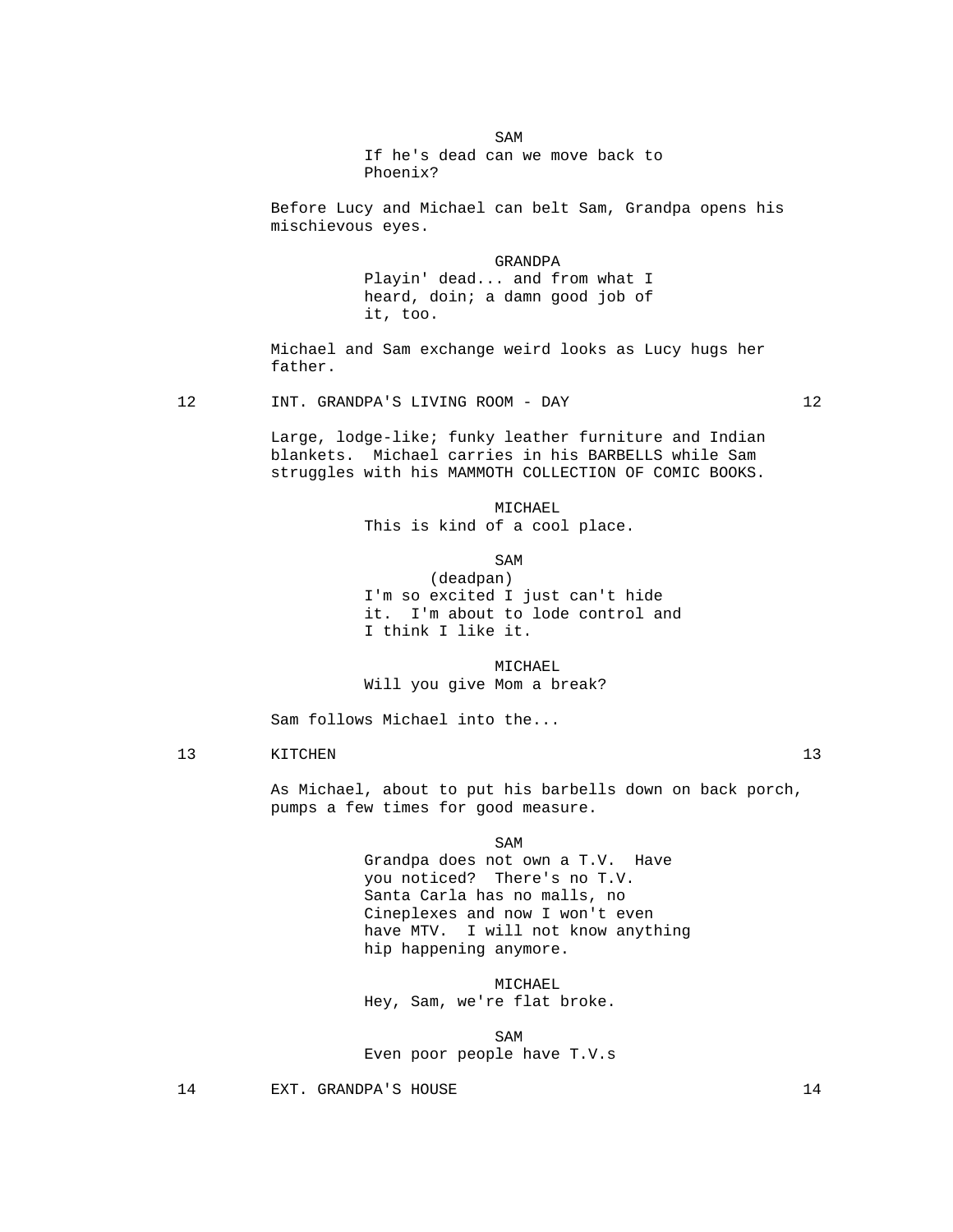SAM SAME SAME SAME SAMPLE SAMPLE SAMPLE SAMPLE SAMPLE SAMPLE SAMPLE SAMPLE SAMPLE SAMPLE SAMPLE SAMPLE SAMPLE SAMPLE SAMPLE SAMPLE SAMPLE SAMPLE SAMPLE SAMPLE SAMPLE SAMPLE SAMPLE SAMPLE SAMPLE SAMPLE SAMPLE SAMPLE SAMPLE If he's dead can we move back to Phoenix?

> Before Lucy and Michael can belt Sam, Grandpa opens his mischievous eyes.

> > GRANDPA Playin' dead... and from what I heard, doin; a damn good job of it, too.

 Michael and Sam exchange weird looks as Lucy hugs her father.

12 INT. GRANDPA'S LIVING ROOM - DAY 12

 Large, lodge-like; funky leather furniture and Indian blankets. Michael carries in his BARBELLS while Sam struggles with his MAMMOTH COLLECTION OF COMIC BOOKS.

> MICHAEL This is kind of a cool place.

SAM SAME SAME SAME SAMPLE SAMPLE SAMPLE SAMPLE SAMPLE SAMPLE SAMPLE SAMPLE SAMPLE SAMPLE SAMPLE SAMPLE SAMPLE SAMPLE SAMPLE SAMPLE SAMPLE SAMPLE SAMPLE SAMPLE SAMPLE SAMPLE SAMPLE SAMPLE SAMPLE SAMPLE SAMPLE SAMPLE SAMPLE

 (deadpan) I'm so excited I just can't hide it. I'm about to lode control and I think I like it.

 MICHAEL Will you give Mom a break?

Sam follows Michael into the...

13 KITCHEN 13

 As Michael, about to put his barbells down on back porch, pumps a few times for good measure.

SAM SAME SAME SAME SAMPLE SAMPLE SAMPLE SAMPLE SAMPLE SAMPLE SAMPLE SAMPLE SAMPLE SAMPLE SAMPLE SAMPLE SAMPLE

 Grandpa does not own a T.V. Have you noticed? There's no T.V. Santa Carla has no malls, no Cineplexes and now I won't even have MTV. I will not know anything hip happening anymore.

 MICHAEL Hey, Sam, we're flat broke.

SAM SAME SAME SAME SAMPLE SAMPLE SAMPLE SAMPLE SAMPLE SAMPLE SAMPLE SAMPLE SAMPLE SAMPLE SAMPLE SAMPLE SAMPLE SAMPLE SAMPLE SAMPLE SAMPLE SAMPLE SAMPLE SAMPLE SAMPLE SAMPLE SAMPLE SAMPLE SAMPLE SAMPLE SAMPLE SAMPLE SAMPLE Even poor people have T.V.s

14 EXT. GRANDPA'S HOUSE 14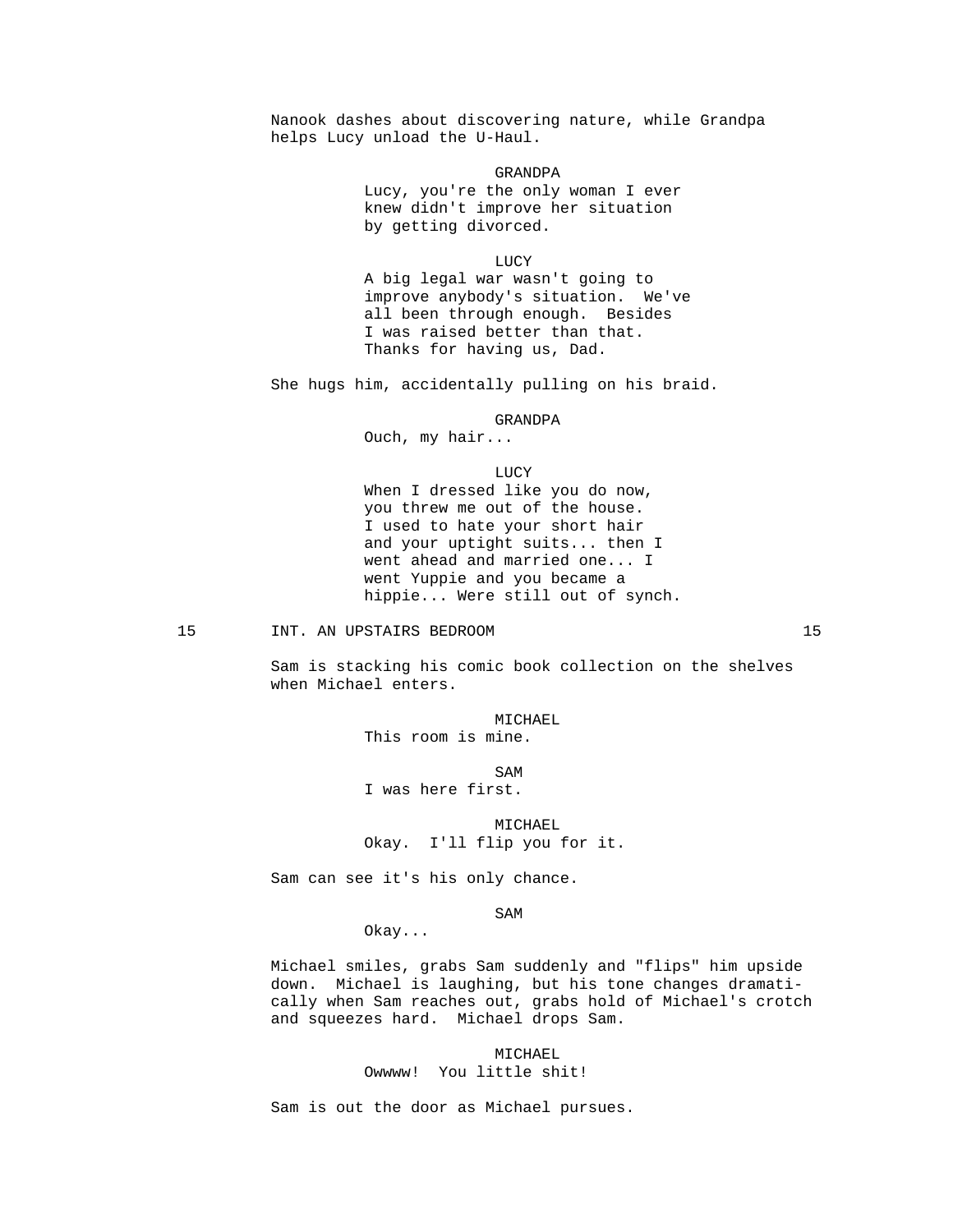Nanook dashes about discovering nature, while Grandpa helps Lucy unload the U-Haul.

> GRANDPA Lucy, you're the only woman I ever knew didn't improve her situation by getting divorced.

**LUCY**  A big legal war wasn't going to improve anybody's situation. We've all been through enough. Besides I was raised better than that. Thanks for having us, Dad.

She hugs him, accidentally pulling on his braid.

# GRANDPA

Ouch, my hair...

LUCY

 When I dressed like you do now, you threw me out of the house. I used to hate your short hair and your uptight suits... then I went ahead and married one... I went Yuppie and you became a hippie... Were still out of synch.

#### 15 INT. AN UPSTAIRS BEDROOM 15

 Sam is stacking his comic book collection on the shelves when Michael enters.

> MICHAEL This room is mine.

SAM SAME SAME SAMPLE SAMPLE SAMPLE SAMPLE SAMPLE SAMPLE SAMPLE SAMPLE SAMPLE SAMPLE SAMPLE SAMPLE SAMPLE SAMPL I was here first.

> MICHAEL Okay. I'll flip you for it.

Sam can see it's his only chance.

SAM SAME SAME SAME SAMPLE SAMPLE SAMPLE SAMPLE SAMPLE SAMPLE SAMPLE SAMPLE SAMPLE SAMPLE SAMPLE SAMPLE SAMPLE

Okay...

 Michael smiles, grabs Sam suddenly and "flips" him upside down. Michael is laughing, but his tone changes dramatically when Sam reaches out, grabs hold of Michael's crotch and squeezes hard. Michael drops Sam.

> MICHAEL Owwww! You little shit!

Sam is out the door as Michael pursues.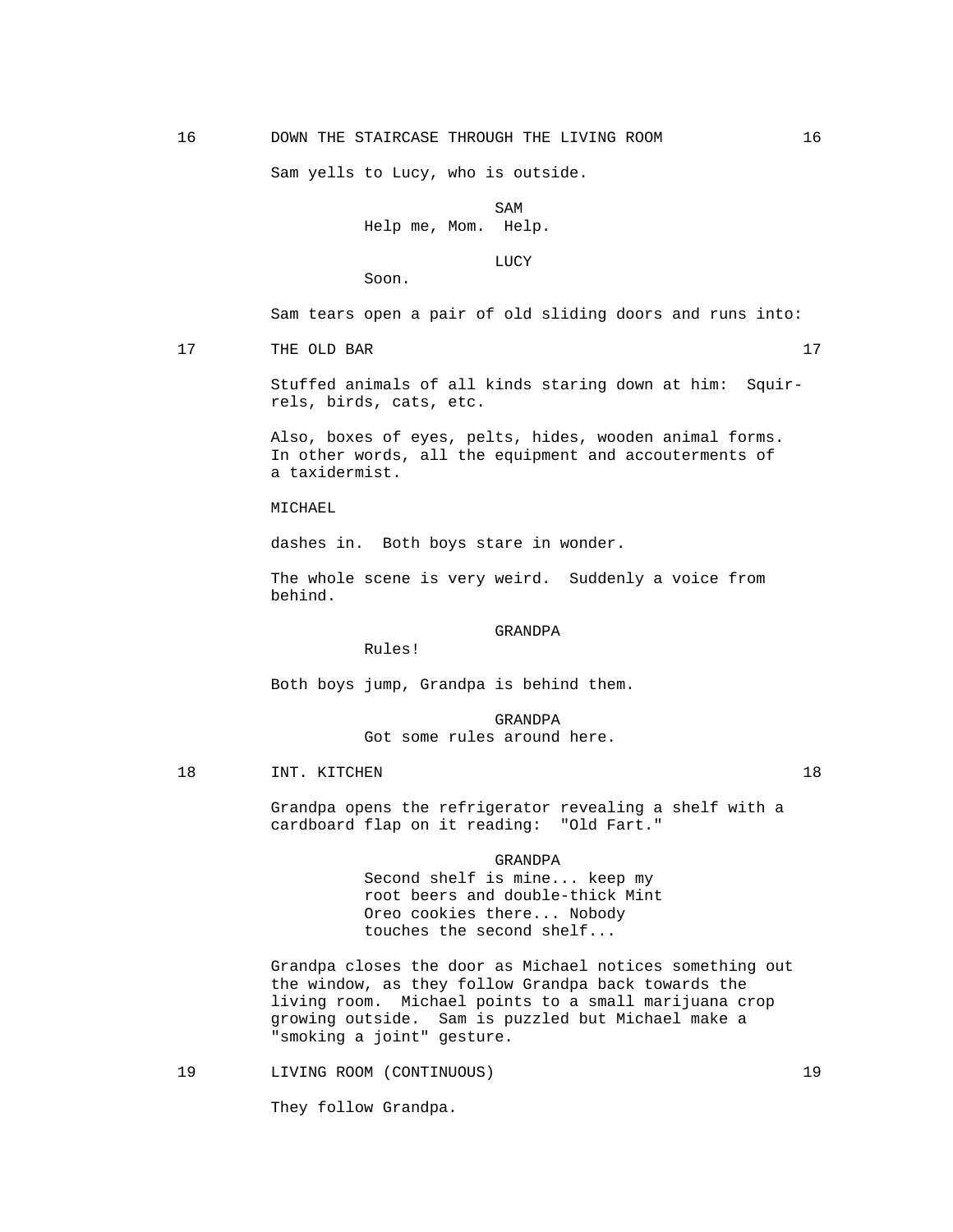Sam yells to Lucy, who is outside.

SAM SAME SAME SAME SAMPLE SAMPLE SAMPLE SAMPLE SAMPLE SAMPLE SAMPLE SAMPLE SAMPLE SAMPLE SAMPLE SAMPLE SAMPLE SAMPLE SAMPLE SAMPLE SAMPLE SAMPLE SAMPLE SAMPLE SAMPLE SAMPLE SAMPLE SAMPLE SAMPLE SAMPLE SAMPLE SAMPLE SAMPLE Help me, Mom. Help.

**LUCY** 

Soon.

Sam tears open a pair of old sliding doors and runs into:

17 THE OLD BAR 17

 Stuffed animals of all kinds staring down at him: Squirrels, birds, cats, etc.

 Also, boxes of eyes, pelts, hides, wooden animal forms. In other words, all the equipment and accouterments of a taxidermist.

MICHAEL

dashes in. Both boys stare in wonder.

 The whole scene is very weird. Suddenly a voice from behind.

#### GRANDPA

Rules!

Both boys jump, Grandpa is behind them.

 GRANDPA Got some rules around here.

18 INT. KITCHEN 18

 Grandpa opens the refrigerator revealing a shelf with a cardboard flap on it reading: "Old Fart."

#### GRANDPA

 Second shelf is mine... keep my root beers and double-thick Mint Oreo cookies there... Nobody touches the second shelf...

 Grandpa closes the door as Michael notices something out the window, as they follow Grandpa back towards the living room. Michael points to a small marijuana crop growing outside. Sam is puzzled but Michael make a "smoking a joint" gesture.

19 LIVING ROOM (CONTINUOUS) 19

They follow Grandpa.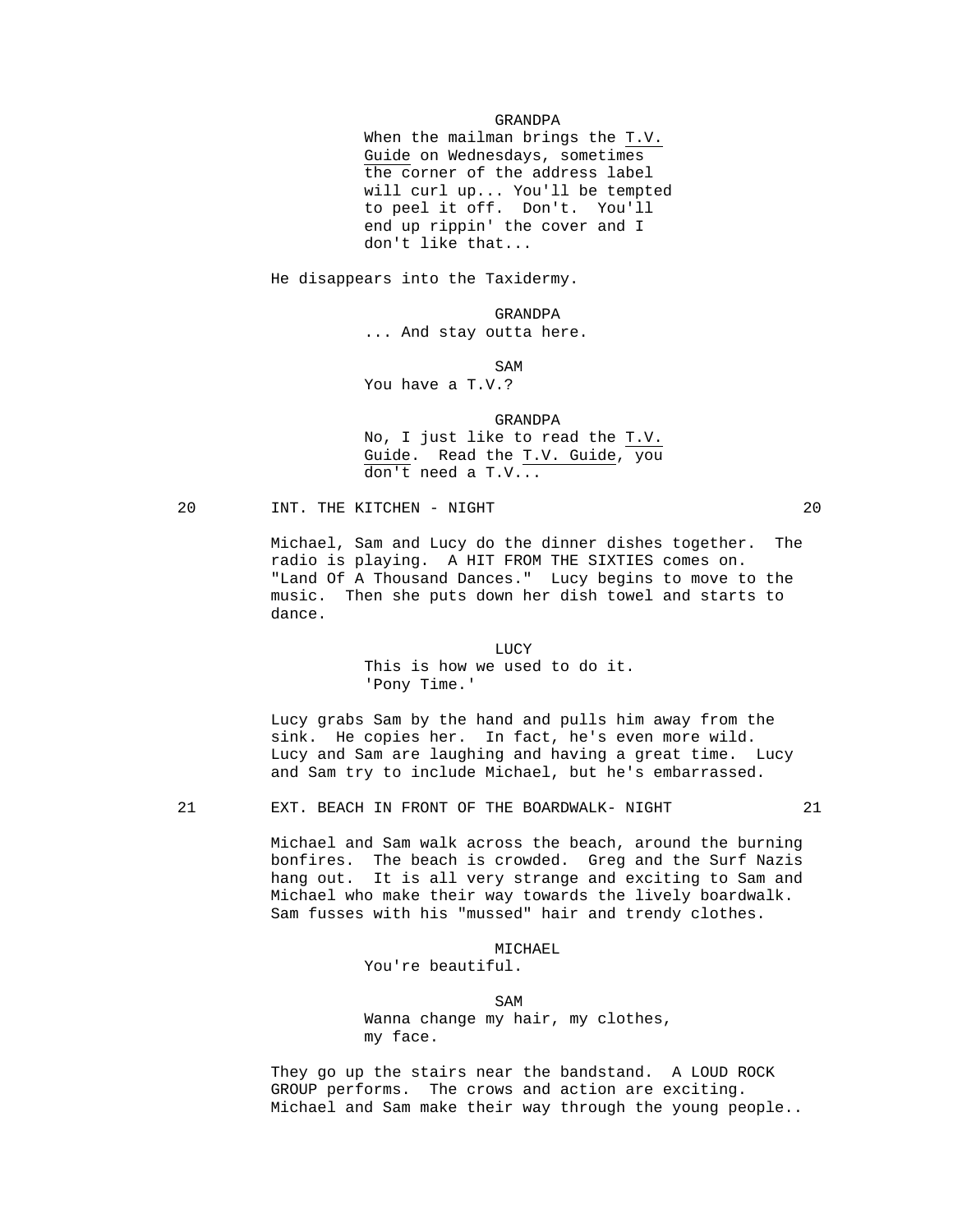GRANDPA

 When the mailman brings the T.V. Guide on Wednesdays, sometimes the corner of the address label will curl up... You'll be tempted to peel it off. Don't. You'll end up rippin' the cover and I don't like that...

He disappears into the Taxidermy.

GRANDPA

... And stay outta here.

SAM SAME SAME SAME SAMPLE SAMPLE SAMPLE SAMPLE SAMPLE SAMPLE SAMPLE SAMPLE SAMPLE SAMPLE SAMPLE SAMPLE SAMPLE SAMPLE SAMPLE SAMPLE SAMPLE SAMPLE SAMPLE SAMPLE SAMPLE SAMPLE SAMPLE SAMPLE SAMPLE SAMPLE SAMPLE SAMPLE SAMPLE

You have a T.V.?

GRANDPA

 No, I just like to read the T.V. Guide. Read the T.V. Guide, you don't need a T.V...

# 20 INT. THE KITCHEN - NIGHT 20 20

 Michael, Sam and Lucy do the dinner dishes together. The radio is playing. A HIT FROM THE SIXTIES comes on. "Land Of A Thousand Dances." Lucy begins to move to the music. Then she puts down her dish towel and starts to dance.

### **LUCY**

 This is how we used to do it. 'Pony Time.'

 Lucy grabs Sam by the hand and pulls him away from the sink. He copies her. In fact, he's even more wild. Lucy and Sam are laughing and having a great time. Lucy and Sam try to include Michael, but he's embarrassed.

# 21 EXT. BEACH IN FRONT OF THE BOARDWALK- NIGHT 21

 Michael and Sam walk across the beach, around the burning bonfires. The beach is crowded. Greg and the Surf Nazis hang out. It is all very strange and exciting to Sam and Michael who make their way towards the lively boardwalk. Sam fusses with his "mussed" hair and trendy clothes.

# MICHAEL

You're beautiful.

SAM SAME SAME SAME SAMPLE SAMPLE SAMPLE SAMPLE SAMPLE SAMPLE SAMPLE SAMPLE SAMPLE SAMPLE SAMPLE SAMPLE SAMPLE Wanna change my hair, my clothes, my face.

> They go up the stairs near the bandstand. A LOUD ROCK GROUP performs. The crows and action are exciting. Michael and Sam make their way through the young people..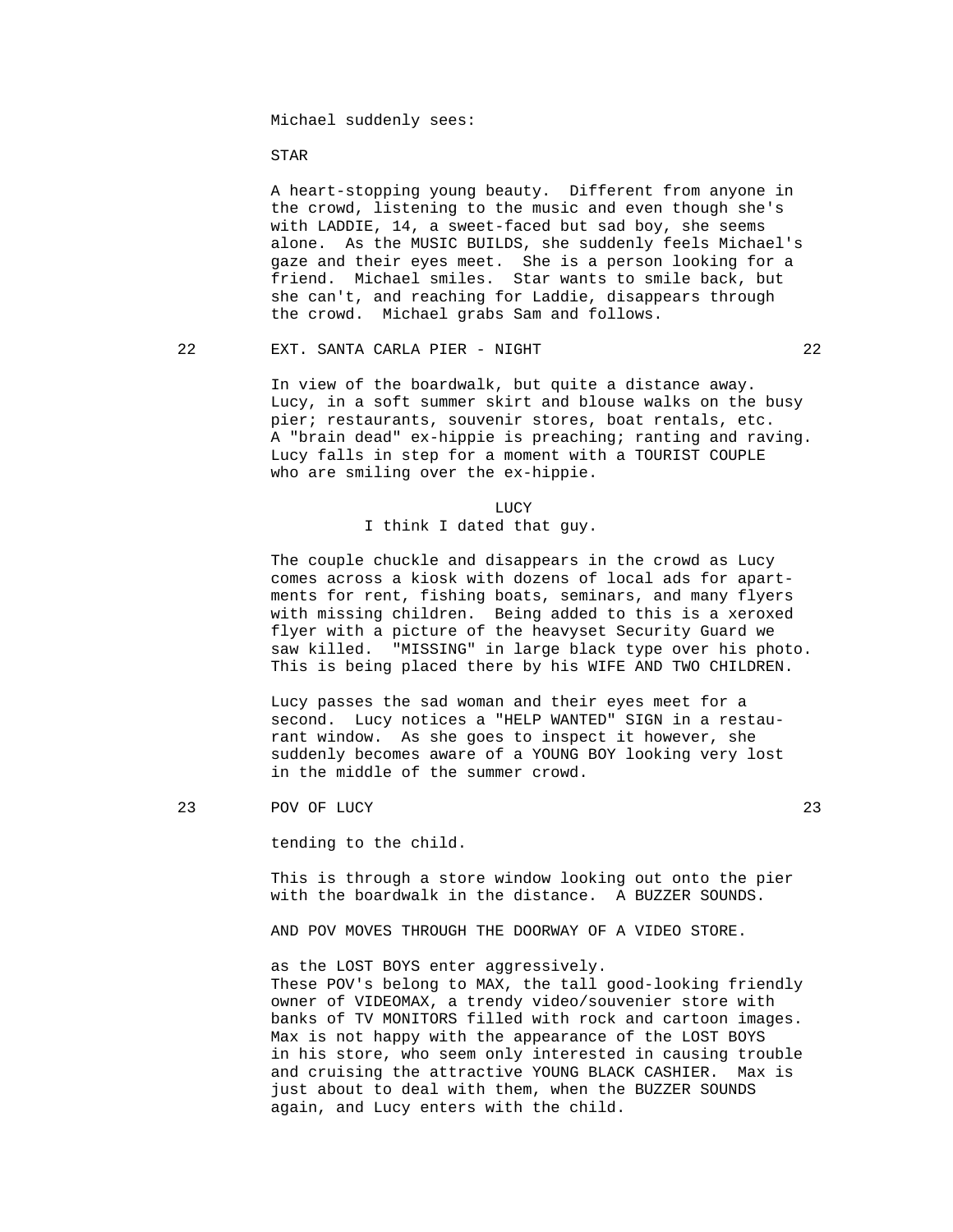Michael suddenly sees:

STAR

 A heart-stopping young beauty. Different from anyone in the crowd, listening to the music and even though she's with LADDIE, 14, a sweet-faced but sad boy, she seems alone. As the MUSIC BUILDS, she suddenly feels Michael's gaze and their eyes meet. She is a person looking for a friend. Michael smiles. Star wants to smile back, but she can't, and reaching for Laddie, disappears through the crowd. Michael grabs Sam and follows.

#### 22 EXT. SANTA CARLA PIER - NIGHT 22

 In view of the boardwalk, but quite a distance away. Lucy, in a soft summer skirt and blouse walks on the busy pier; restaurants, souvenir stores, boat rentals, etc. A "brain dead" ex-hippie is preaching; ranting and raving. Lucy falls in step for a moment with a TOURIST COUPLE who are smiling over the ex-hippie.

**LUCY** 

# I think I dated that guy.

 The couple chuckle and disappears in the crowd as Lucy comes across a kiosk with dozens of local ads for apartments for rent, fishing boats, seminars, and many flyers with missing children. Being added to this is a xeroxed flyer with a picture of the heavyset Security Guard we saw killed. "MISSING" in large black type over his photo. This is being placed there by his WIFE AND TWO CHILDREN.

 Lucy passes the sad woman and their eyes meet for a second. Lucy notices a "HELP WANTED" SIGN in a restau rant window. As she goes to inspect it however, she suddenly becomes aware of a YOUNG BOY looking very lost in the middle of the summer crowd.

#### 23 POV OF LUCY 23

tending to the child.

 This is through a store window looking out onto the pier with the boardwalk in the distance. A BUZZER SOUNDS.

AND POV MOVES THROUGH THE DOORWAY OF A VIDEO STORE.

 as the LOST BOYS enter aggressively. These POV's belong to MAX, the tall good-looking friendly owner of VIDEOMAX, a trendy video/souvenier store with banks of TV MONITORS filled with rock and cartoon images. Max is not happy with the appearance of the LOST BOYS in his store, who seem only interested in causing trouble and cruising the attractive YOUNG BLACK CASHIER. Max is just about to deal with them, when the BUZZER SOUNDS again, and Lucy enters with the child.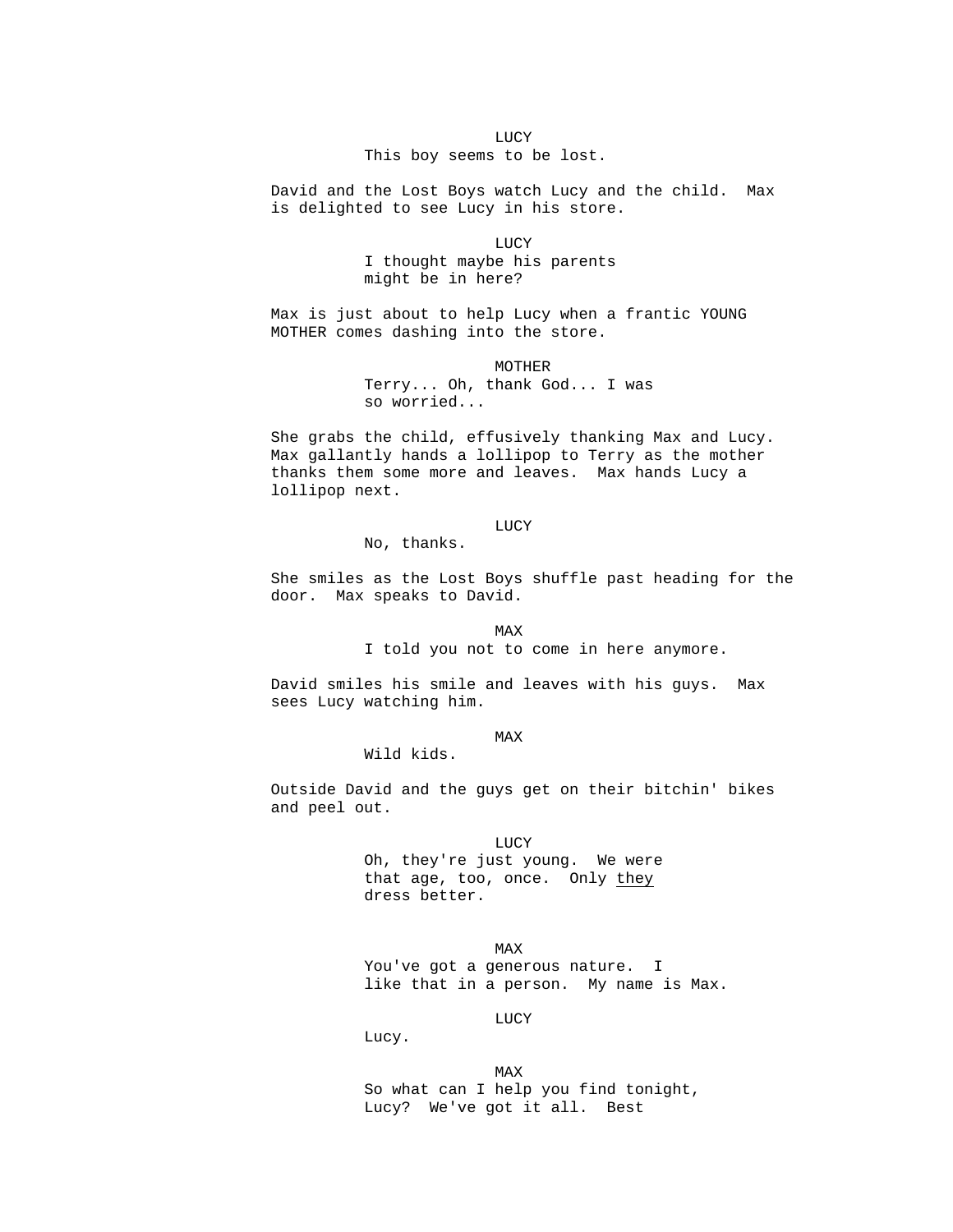LUCY This boy seems to be lost.

> David and the Lost Boys watch Lucy and the child. Max is delighted to see Lucy in his store.

**LUCY**  I thought maybe his parents might be in here?

> Max is just about to help Lucy when a frantic YOUNG MOTHER comes dashing into the store.

> > MOTHER Terry... Oh, thank God... I was so worried...

 She grabs the child, effusively thanking Max and Lucy. Max gallantly hands a lollipop to Terry as the mother thanks them some more and leaves. Max hands Lucy a lollipop next.

# **LUCY**

No, thanks.

 She smiles as the Lost Boys shuffle past heading for the door. Max speaks to David.

**MAX** 

I told you not to come in here anymore.

 David smiles his smile and leaves with his guys. Max sees Lucy watching him.

**MAX** 

Wild kids.

 Outside David and the guys get on their bitchin' bikes and peel out.

**LUCY**  Oh, they're just young. We were that age, too, once. Only they dress better.

**MAX**  You've got a generous nature. I like that in a person. My name is Max.

**LUCY** 

Lucy.

**MAX**  So what can I help you find tonight, Lucy? We've got it all. Best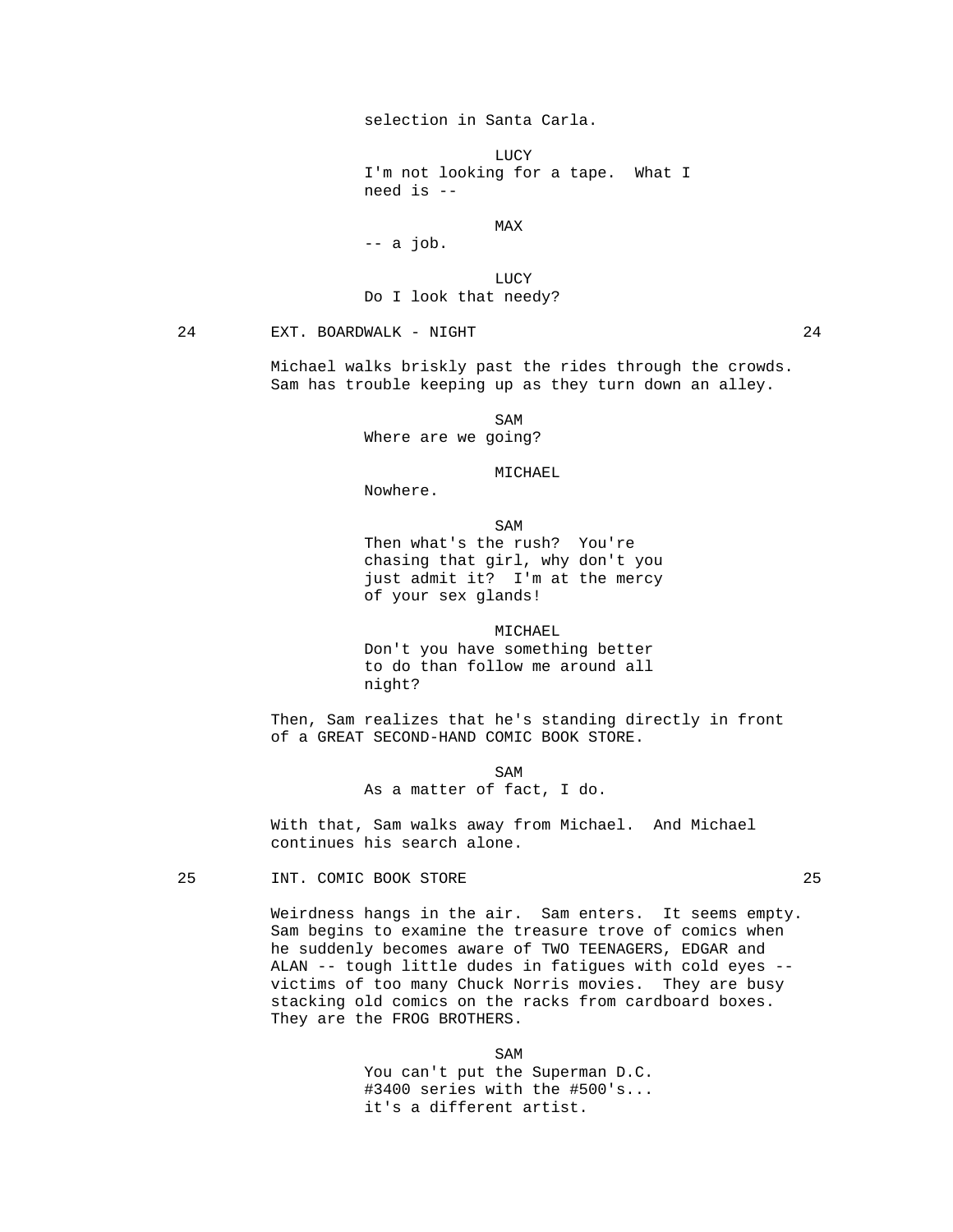# selection in Santa Carla.

**LUCY**  I'm not looking for a tape. What I need is --

**MAX** 

-- a job.

 LUCY Do I look that needy?

# 24 EXT. BOARDWALK - NIGHT 24

 Michael walks briskly past the rides through the crowds. Sam has trouble keeping up as they turn down an alley.

SAM SAME SAME SAME SAMPLE SAMPLE SAMPLE SAMPLE SAMPLE SAMPLE SAMPLE SAMPLE SAMPLE SAMPLE SAMPLE SAMPLE SAMPLE Where are we going?

MICHAEL

Nowhere.

SAM SAME SAME SAMPLE SAMPLE SAMPLE SAMPLE SAMPLE SAMPLE SAMPLE SAMPLE SAMPLE SAMPLE SAMPLE SAMPLE SAMPLE SAMPL

 Then what's the rush? You're chasing that girl, why don't you just admit it? I'm at the mercy of your sex glands!

 MICHAEL Don't you have something better to do than follow me around all night?

 Then, Sam realizes that he's standing directly in front of a GREAT SECOND-HAND COMIC BOOK STORE.

SAM SAME SAME SAMPLE SAMPLE SAMPLE SAMPLE SAMPLE SAMPLE SAMPLE SAMPLE SAMPLE SAMPLE SAMPLE SAMPLE SAMPLE SAMPL As a matter of fact, I do.

> With that, Sam walks away from Michael. And Michael continues his search alone.

#### 25 INT. COMIC BOOK STORE 25

 Weirdness hangs in the air. Sam enters. It seems empty. Sam begins to examine the treasure trove of comics when he suddenly becomes aware of TWO TEENAGERS, EDGAR and ALAN -- tough little dudes in fatigues with cold eyes - victims of too many Chuck Norris movies. They are busy stacking old comics on the racks from cardboard boxes. They are the FROG BROTHERS.

SAM SAME SAME SAME SAMPLE SAMPLE SAMPLE SAMPLE SAMPLE SAMPLE SAMPLE SAMPLE SAMPLE SAMPLE SAMPLE SAMPLE SAMPLE SAMPLE SAMPLE SAMPLE SAMPLE SAMPLE SAMPLE SAMPLE SAMPLE SAMPLE SAMPLE SAMPLE SAMPLE SAMPLE SAMPLE SAMPLE SAMPLE You can't put the Superman D.C. #3400 series with the #500's... it's a different artist.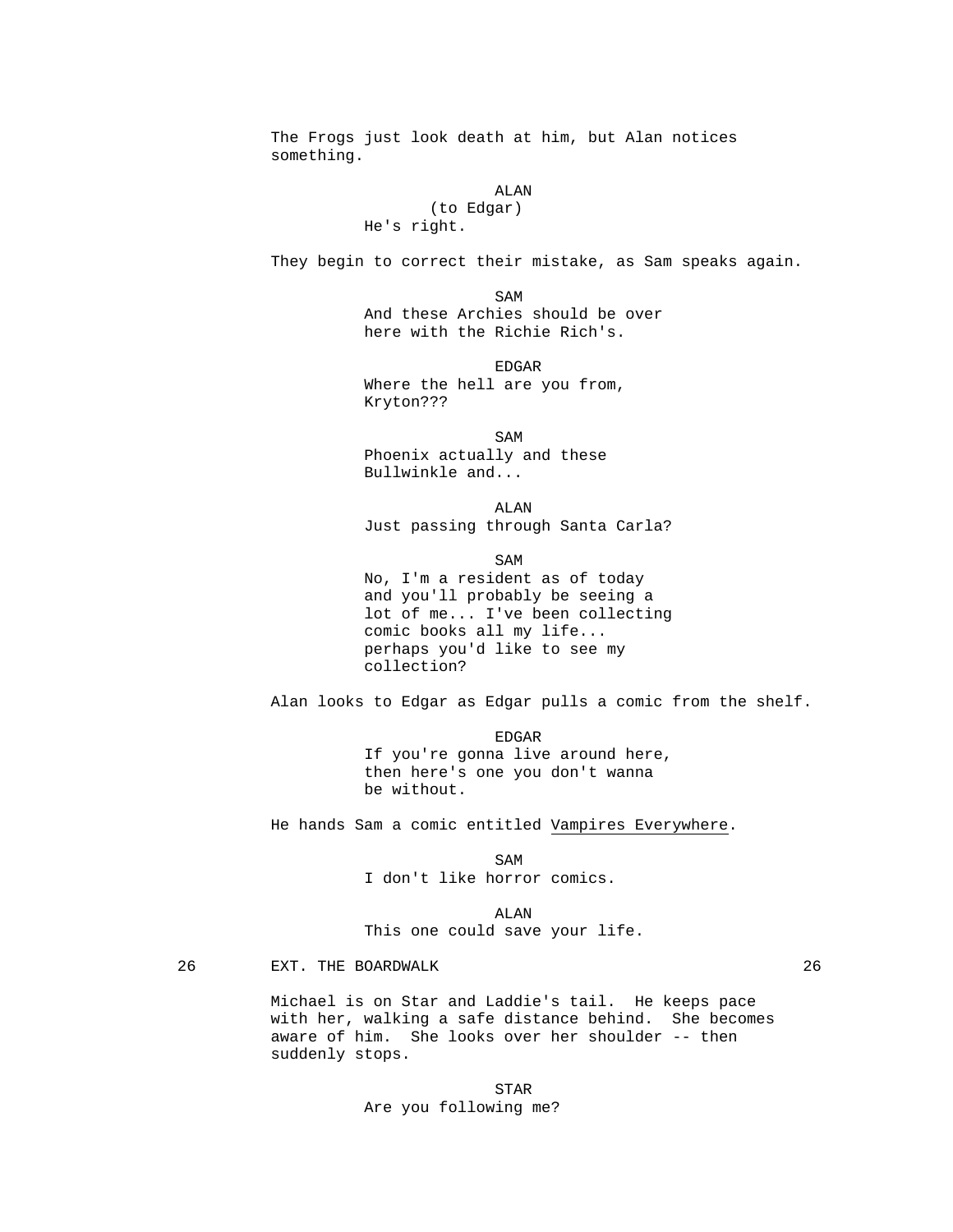The Frogs just look death at him, but Alan notices something. ALAN (to Edgar) He's right. They begin to correct their mistake, as Sam speaks again. SAM SAME SAME SAME SAMPLE SAMPLE SAMPLE SAMPLE SAMPLE SAMPLE SAMPLE SAMPLE SAMPLE SAMPLE SAMPLE SAMPLE SAMPLE SAMPLE SAMPLE SAMPLE SAMPLE SAMPLE SAMPLE SAMPLE SAMPLE SAMPLE SAMPLE SAMPLE SAMPLE SAMPLE SAMPLE SAMPLE SAMPLE And these Archies should be over here with the Richie Rich's. en de la contradición de la contradición de la contradición de la contradición de la contradición de la contradición de la contradición de la contradición de la contradición de la contradición de la contradición de la cont Where the hell are you from, Kryton??? SAM SAME SAME SAMPLE SAMPLE SAMPLE SAMPLE SAMPLE SAMPLE SAMPLE SAMPLE SAMPLE SAMPLE SAMPLE SAMPLE SAMPLE SAMPL Phoenix actually and these Bullwinkle and... ALAN Just passing through Santa Carla? SAM SAME SAME SAME SAMPLE SAMPLE SAMPLE SAMPLE SAMPLE SAMPLE SAMPLE SAMPLE SAMPLE SAMPLE SAMPLE SAMPLE SAMPLE SAMPLE SAMPLE SAMPLE SAMPLE SAMPLE SAMPLE SAMPLE SAMPLE SAMPLE SAMPLE SAMPLE SAMPLE SAMPLE SAMPLE SAMPLE SAMPLE No, I'm a resident as of today and you'll probably be seeing a lot of me... I've been collecting comic books all my life... perhaps you'd like to see my collection? Alan looks to Edgar as Edgar pulls a comic from the shelf. EDGAR If you're gonna live around here, then here's one you don't wanna be without. He hands Sam a comic entitled Vampires Everywhere. SAM SAME SAME SAME SAMPLE SAMPLE SAMPLE SAMPLE SAMPLE SAMPLE SAMPLE SAMPLE SAMPLE SAMPLE SAMPLE SAMPLE SAMPLE SAMPLE SAMPLE SAMPLE SAMPLE SAMPLE SAMPLE SAMPLE SAMPLE SAMPLE SAMPLE SAMPLE SAMPLE SAMPLE SAMPLE SAMPLE SAMPLE I don't like horror comics. ALAN This one could save your life. 26 EXT. THE BOARDWALK 26

 Michael is on Star and Laddie's tail. He keeps pace with her, walking a safe distance behind. She becomes aware of him. She looks over her shoulder -- then suddenly stops.

 STAR Are you following me?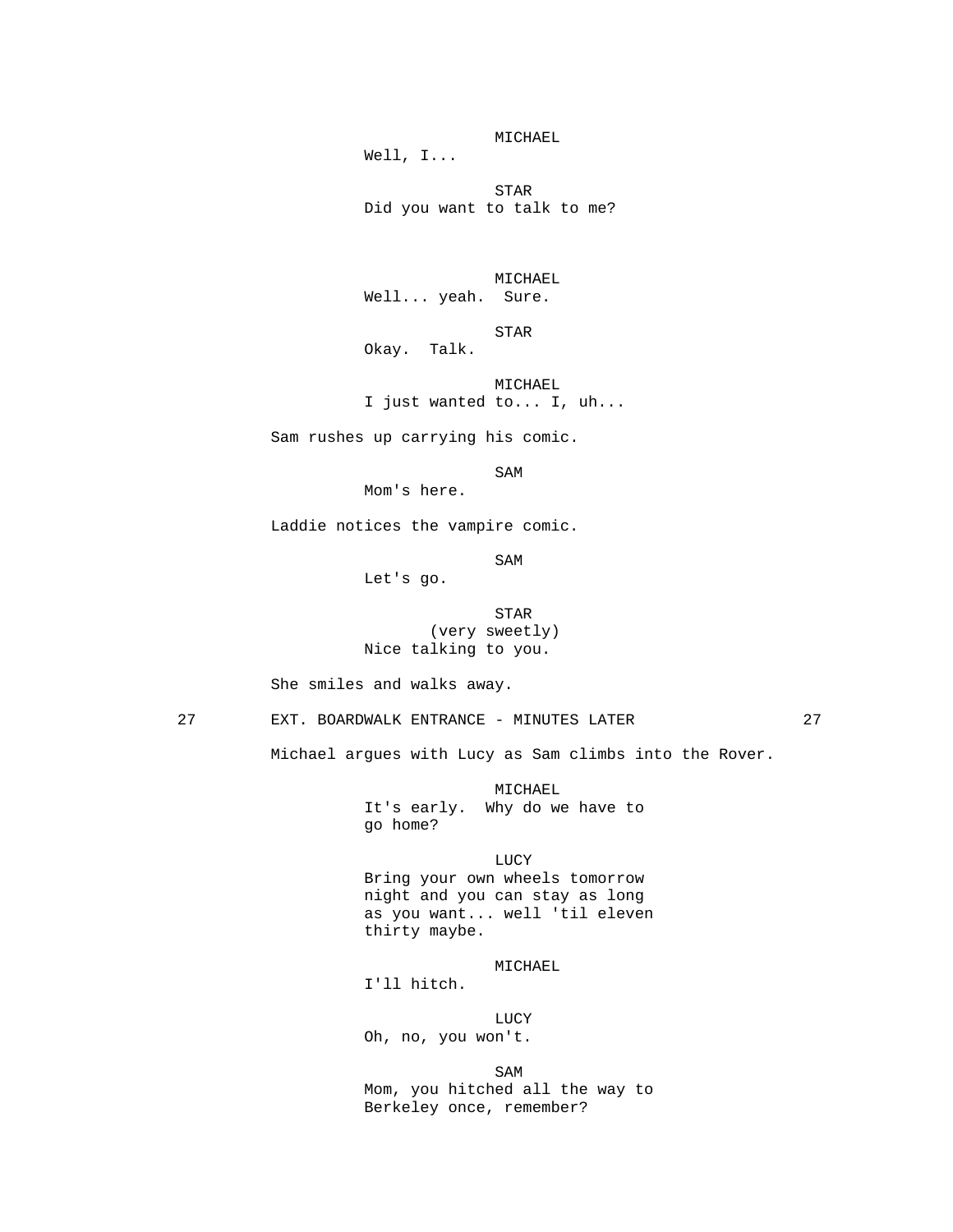MICHAEL Well, I...

**STAR** Did you want to talk to me?

> MICHAEL Well... yeah. Sure.

 STAR Okay. Talk.

> MICHAEL I just wanted to... I, uh...

Sam rushes up carrying his comic.

SAM SAME SAME SAME SAMPLE SAMPLE SAMPLE SAMPLE SAMPLE SAMPLE SAMPLE SAMPLE SAMPLE SAMPLE SAMPLE SAMPLE SAMPLE SAMPLE SAMPLE SAMPLE SAMPLE SAMPLE SAMPLE SAMPLE SAMPLE SAMPLE SAMPLE SAMPLE SAMPLE SAMPLE SAMPLE SAMPLE SAMPLE

Mom's here.

Laddie notices the vampire comic.

SAM SAME SAME SAME SAMPLE SAMPLE SAMPLE SAMPLE SAMPLE SAMPLE SAMPLE SAMPLE SAMPLE SAMPLE SAMPLE SAMPLE SAMPLE SAMPLE SAMPLE SAMPLE SAMPLE SAMPLE SAMPLE SAMPLE SAMPLE SAMPLE SAMPLE SAMPLE SAMPLE SAMPLE SAMPLE SAMPLE SAMPLE

Let's go.

**STAR**  (very sweetly) Nice talking to you.

She smiles and walks away.

27 EXT. BOARDWALK ENTRANCE - MINUTES LATER 27

Michael argues with Lucy as Sam climbs into the Rover.

 MICHAEL It's early. Why do we have to go home?

 LUCY Bring your own wheels tomorrow night and you can stay as long as you want... well 'til eleven thirty maybe.

# MICHAEL

I'll hitch.

**LUCY** Oh, no, you won't.

SAM SAME SAME SAME SAMPLE SAMPLE SAMPLE SAMPLE SAMPLE SAMPLE SAMPLE SAMPLE SAMPLE SAMPLE SAMPLE SAMPLE SAMPLE Mom, you hitched all the way to Berkeley once, remember?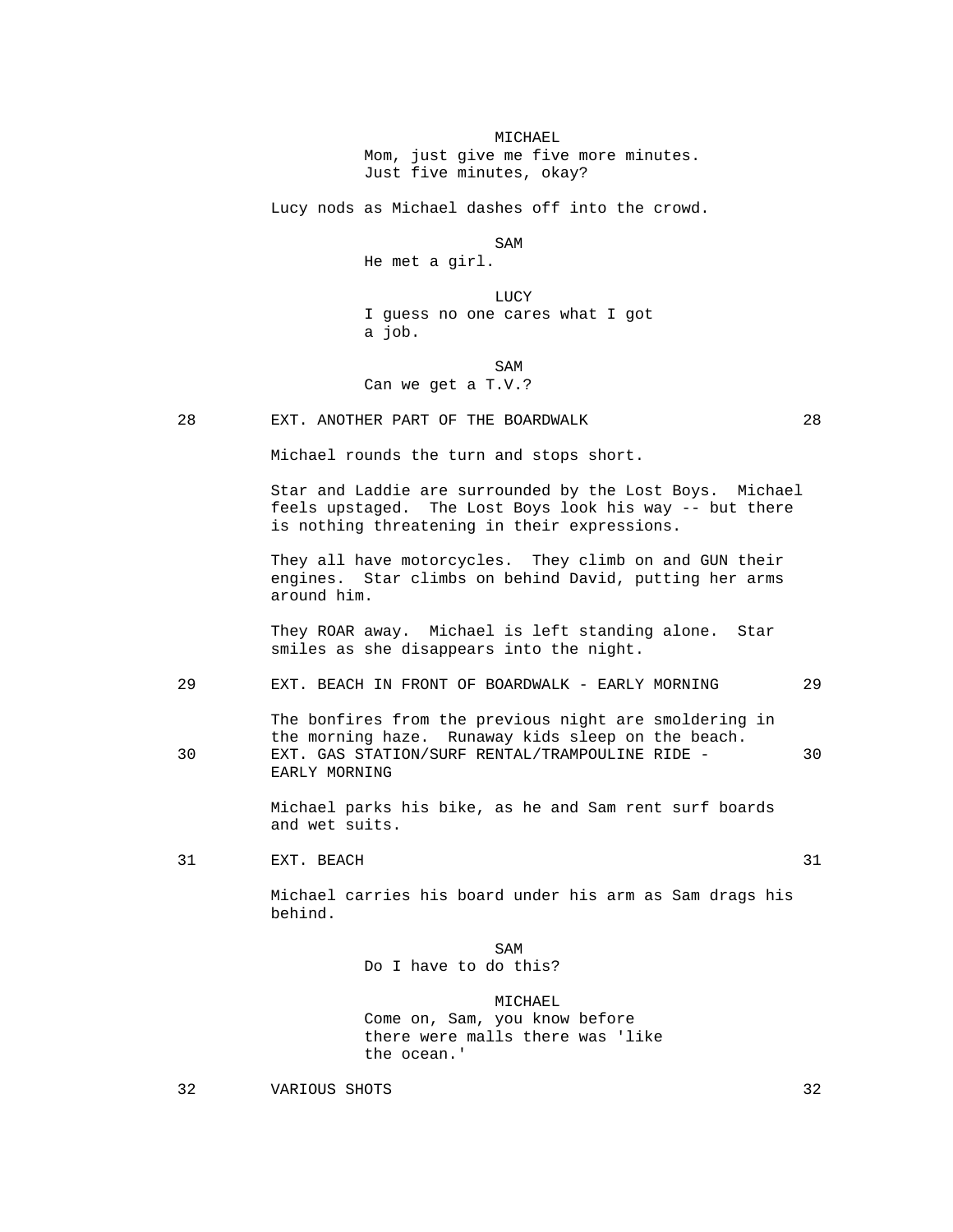MICHAEL

 Mom, just give me five more minutes. Just five minutes, okay?

Lucy nods as Michael dashes off into the crowd.

SAM SAME SAME SAME SAMPLE SAMPLE SAMPLE SAMPLE SAMPLE SAMPLE SAMPLE SAMPLE SAMPLE SAMPLE SAMPLE SAMPLE SAMPLE

He met a girl.

 LUCY I guess no one cares what I got a job.

SAM SAME SAME SAME SAMPLE SAMPLE SAMPLE SAMPLE SAMPLE SAMPLE SAMPLE SAMPLE SAMPLE SAMPLE SAMPLE SAMPLE SAMPLE SAMPLE SAMPLE SAMPLE SAMPLE SAMPLE SAMPLE SAMPLE SAMPLE SAMPLE SAMPLE SAMPLE SAMPLE SAMPLE SAMPLE SAMPLE SAMPLE Can we get a T.V.?

28 EXT. ANOTHER PART OF THE BOARDWALK 28

Michael rounds the turn and stops short.

 Star and Laddie are surrounded by the Lost Boys. Michael feels upstaged. The Lost Boys look his way -- but there is nothing threatening in their expressions.

 They all have motorcycles. They climb on and GUN their engines. Star climbs on behind David, putting her arms around him.

 They ROAR away. Michael is left standing alone. Star smiles as she disappears into the night.

# 29 EXT. BEACH IN FRONT OF BOARDWALK - EARLY MORNING 29

 The bonfires from the previous night are smoldering in the morning haze. Runaway kids sleep on the beach. 30 EXT. GAS STATION/SURF RENTAL/TRAMPOULINE RIDE - 30 EARLY MORNING

> Michael parks his bike, as he and Sam rent surf boards and wet suits.

31 EXT. BEACH 31

 Michael carries his board under his arm as Sam drags his behind.

# SAM SAME SAME SAME SAMPLE SAMPLE SAMPLE SAMPLE SAMPLE SAMPLE SAMPLE SAMPLE SAMPLE SAMPLE SAMPLE SAMPLE SAMPLE SAMPLE SAMPLE SAMPLE SAMPLE SAMPLE SAMPLE SAMPLE SAMPLE SAMPLE SAMPLE SAMPLE SAMPLE SAMPLE SAMPLE SAMPLE SAMPLE

Do I have to do this?

 MICHAEL Come on, Sam, you know before there were malls there was 'like the ocean.'

32 VARIOUS SHOTS 32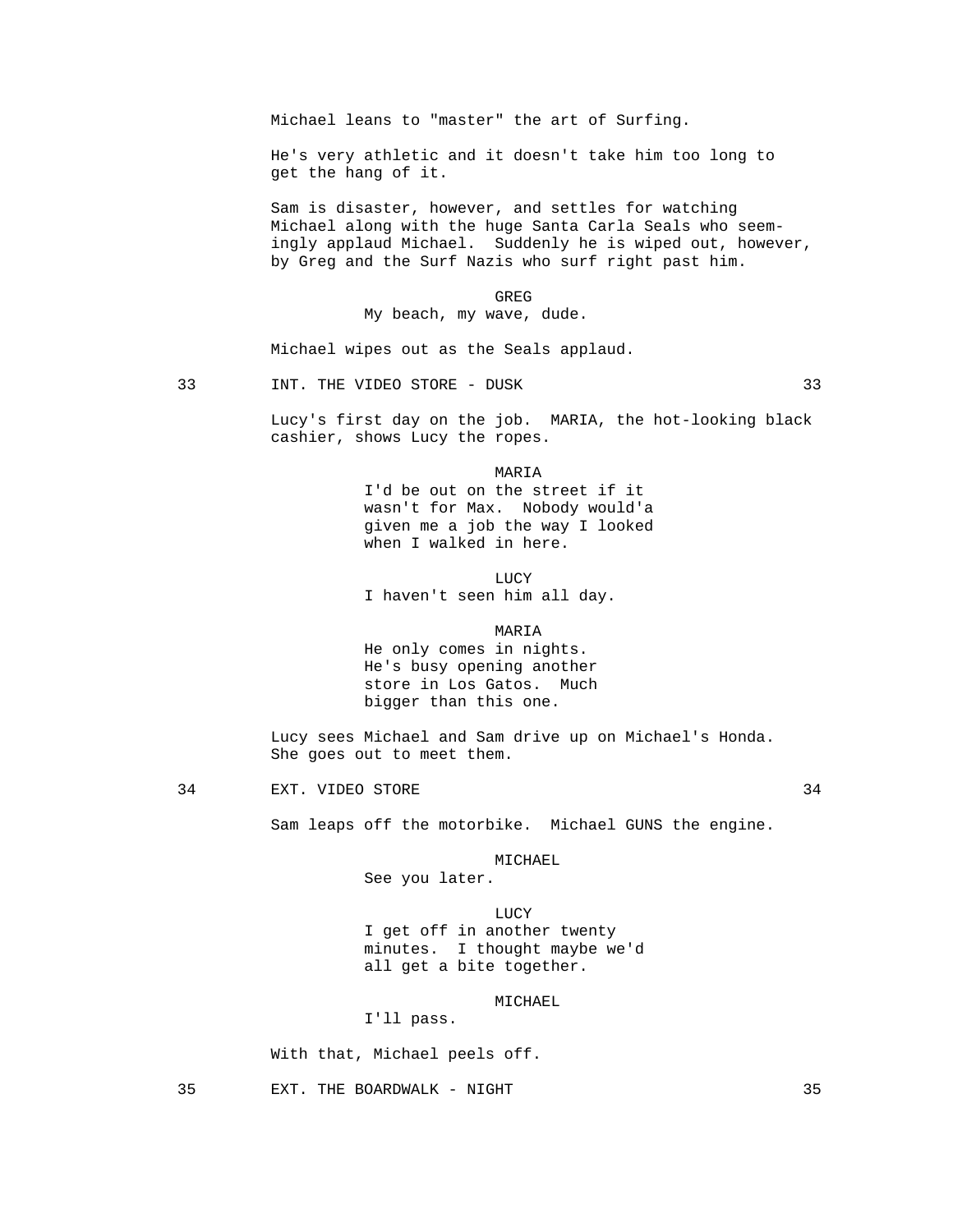Michael leans to "master" the art of Surfing.

 He's very athletic and it doesn't take him too long to get the hang of it.

 Sam is disaster, however, and settles for watching Michael along with the huge Santa Carla Seals who seemingly applaud Michael. Suddenly he is wiped out, however, by Greg and the Surf Nazis who surf right past him.

**GREG** My beach, my wave, dude.

Michael wipes out as the Seals applaud.

33 INT. THE VIDEO STORE - DUSK 33

 Lucy's first day on the job. MARIA, the hot-looking black cashier, shows Lucy the ropes.

MARIA I'd be out on the street if it wasn't for Max. Nobody would'a given me a job the way I looked when I walked in here.

**LUCY** I haven't seen him all day.

MARIA

 He only comes in nights. He's busy opening another store in Los Gatos. Much bigger than this one.

 Lucy sees Michael and Sam drive up on Michael's Honda. She goes out to meet them.

34 EXT. VIDEO STORE 34

Sam leaps off the motorbike. Michael GUNS the engine.

MICHAEL

See you later.

**LUCY**  I get off in another twenty minutes. I thought maybe we'd all get a bite together.

MICHAEL

I'll pass.

With that, Michael peels off.

35 EXT. THE BOARDWALK - NIGHT 35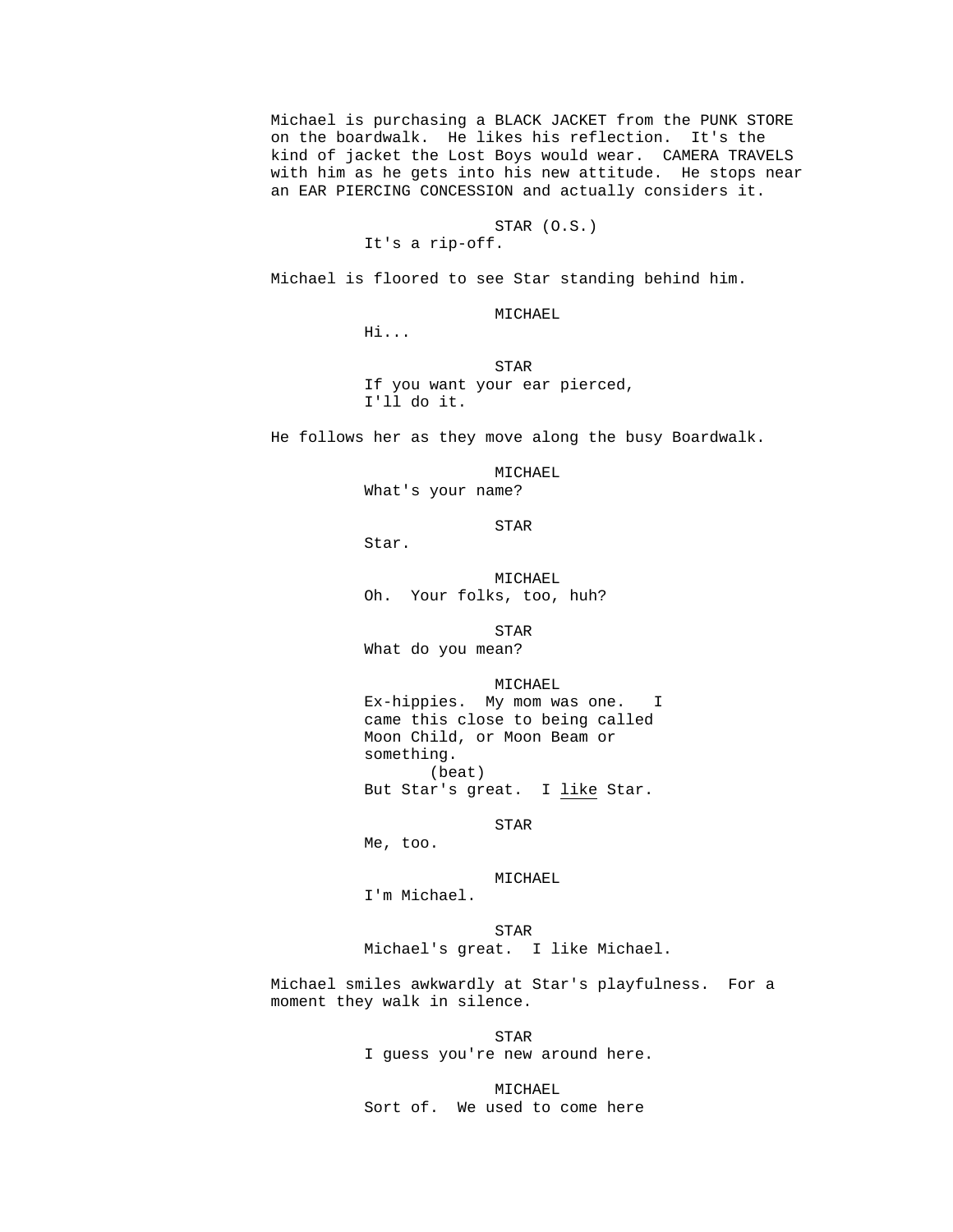Michael is purchasing a BLACK JACKET from the PUNK STORE on the boardwalk. He likes his reflection. It's the kind of jacket the Lost Boys would wear. CAMERA TRAVELS with him as he gets into his new attitude. He stops near an EAR PIERCING CONCESSION and actually considers it.

# STAR (O.S.)

Michael is floored to see Star standing behind him.

MICHAEL

Hi...

It's a rip-off.

**STAR**  If you want your ear pierced, I'll do it.

He follows her as they move along the busy Boardwalk.

 MICHAEL What's your name?

**STAR** 

Star.

 MICHAEL Oh. Your folks, too, huh?

**STAR** 

What do you mean?

MICHAEL

 Ex-hippies. My mom was one. I came this close to being called Moon Child, or Moon Beam or something. (beat) But Star's great. I like Star.

STAR

Me, too.

MICHAEL

I'm Michael.

 STAR Michael's great. I like Michael.

> Michael smiles awkwardly at Star's playfulness. For a moment they walk in silence.

**STAR** I guess you're new around here.

> MICHAEL Sort of. We used to come here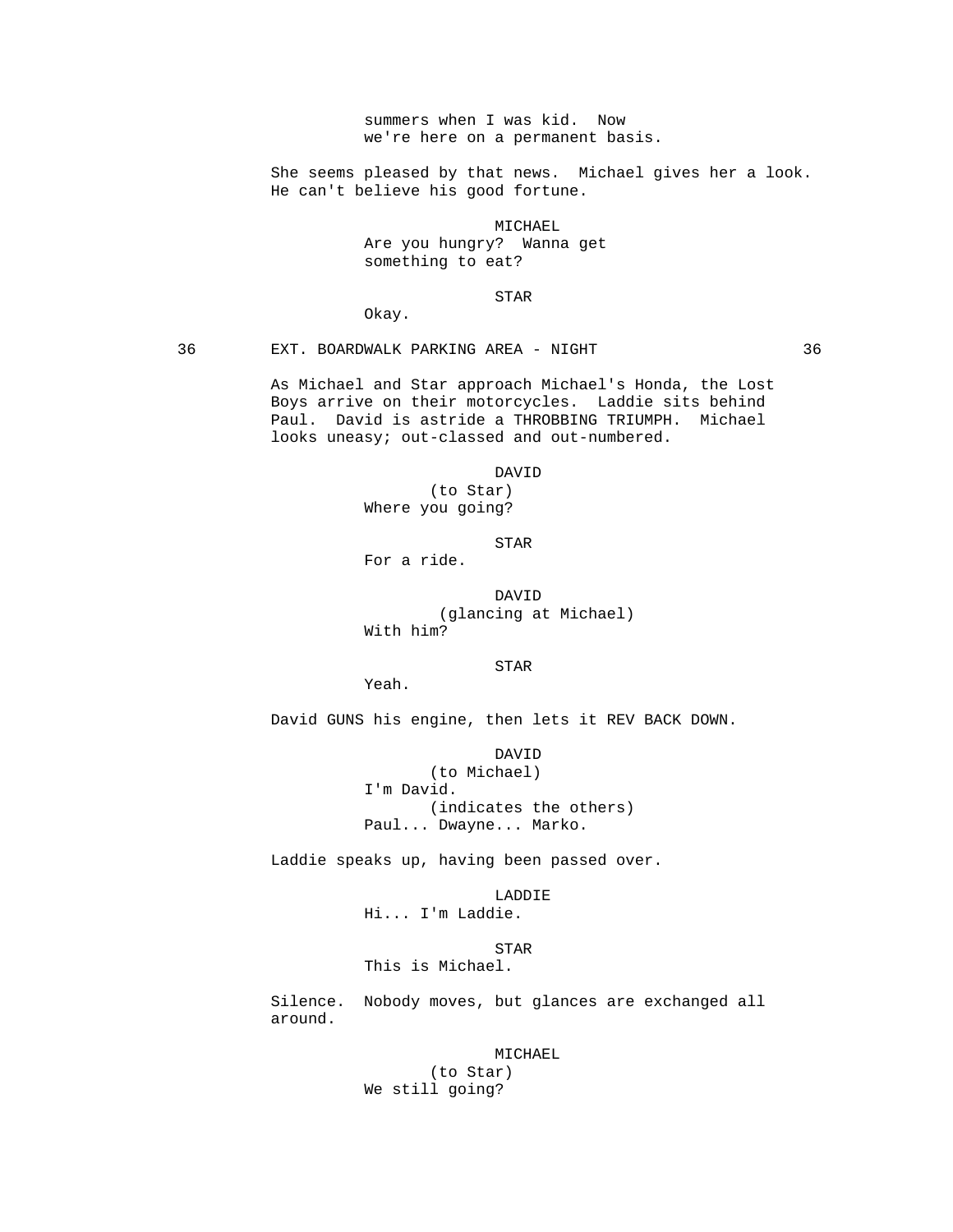summers when I was kid. Now we're here on a permanent basis.

 She seems pleased by that news. Michael gives her a look. He can't believe his good fortune.

MICHAEL

 Are you hungry? Wanna get something to eat?

### **STAR**

Okay.

36 EXT. BOARDWALK PARKING AREA - NIGHT 36

 As Michael and Star approach Michael's Honda, the Lost Boys arrive on their motorcycles. Laddie sits behind Paul. David is astride a THROBBING TRIUMPH. Michael looks uneasy; out-classed and out-numbered.

> DAVID (to Star) Where you going?

**STAR** 

For a ride.

 DAVID (glancing at Michael) With him?

Yeah.

STAR

David GUNS his engine, then lets it REV BACK DOWN.

 DAVID (to Michael) I'm David. (indicates the others) Paul... Dwayne... Marko.

Laddie speaks up, having been passed over.

 LADDIE Hi... I'm Laddie.

**STAR** This is Michael.

> Silence. Nobody moves, but glances are exchanged all around.

> > MICHAEL (to Star) We still going?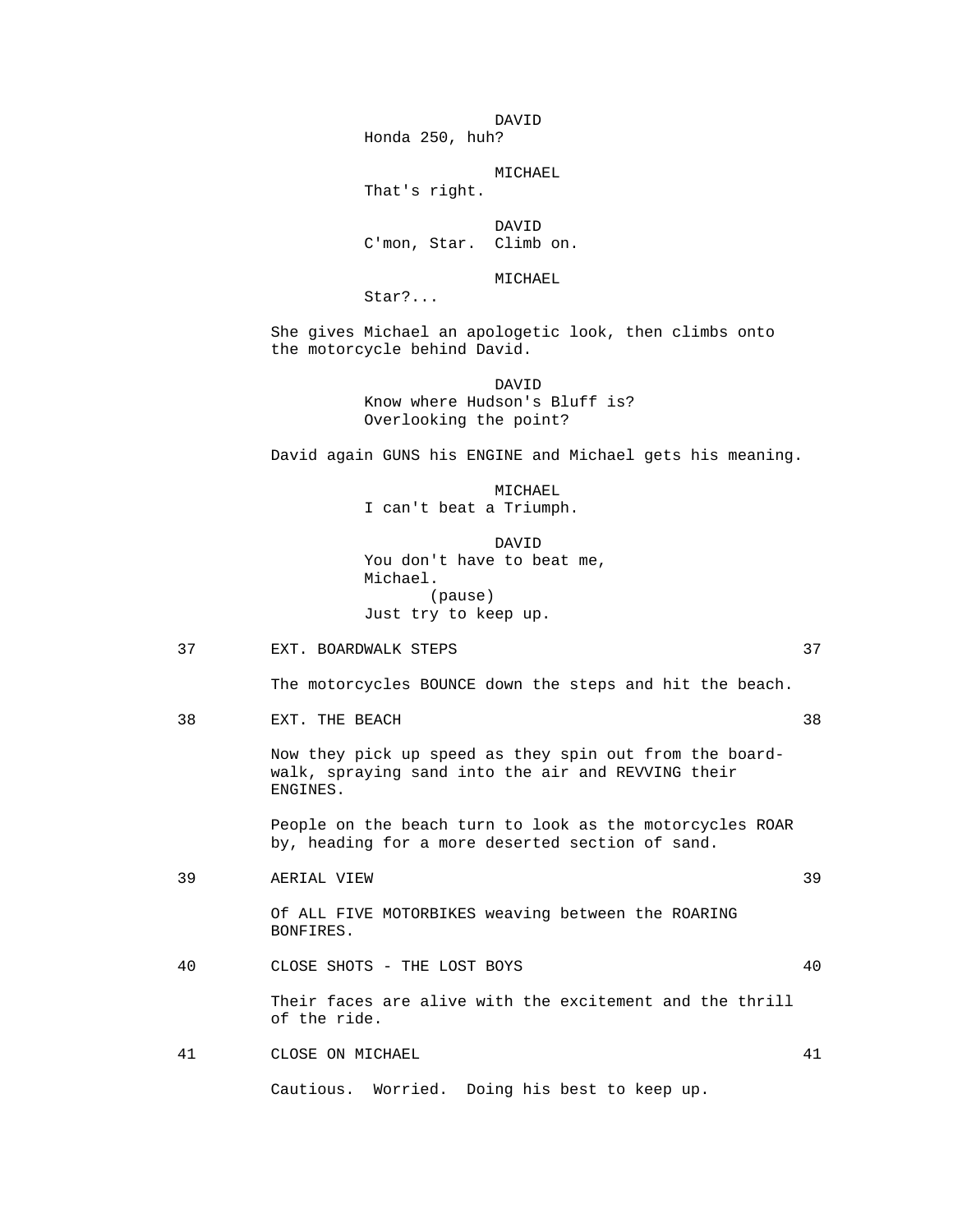DAVID Honda 250, huh?

MICHAEL

That's right.

 DAVID C'mon, Star. Climb on.

MICHAEL

Star?...

 She gives Michael an apologetic look, then climbs onto the motorcycle behind David.

 DAVID Know where Hudson's Bluff is? Overlooking the point?

David again GUNS his ENGINE and Michael gets his meaning.

 MICHAEL I can't beat a Triumph.

 DAVID You don't have to beat me, Michael. (pause) Just try to keep up.

37 EXT. BOARDWALK STEPS 37

The motorcycles BOUNCE down the steps and hit the beach.

38 EXT. THE BEACH 38

 Now they pick up speed as they spin out from the boardwalk, spraying sand into the air and REVVING their ENGINES.

 People on the beach turn to look as the motorcycles ROAR by, heading for a more deserted section of sand.

39 AERIAL VIEW 39

- Of ALL FIVE MOTORBIKES weaving between the ROARING BONFIRES.
- 40 CLOSE SHOTS THE LOST BOYS 40

 Their faces are alive with the excitement and the thrill of the ride.

41 CLOSE ON MICHAEL 41

Cautious. Worried. Doing his best to keep up.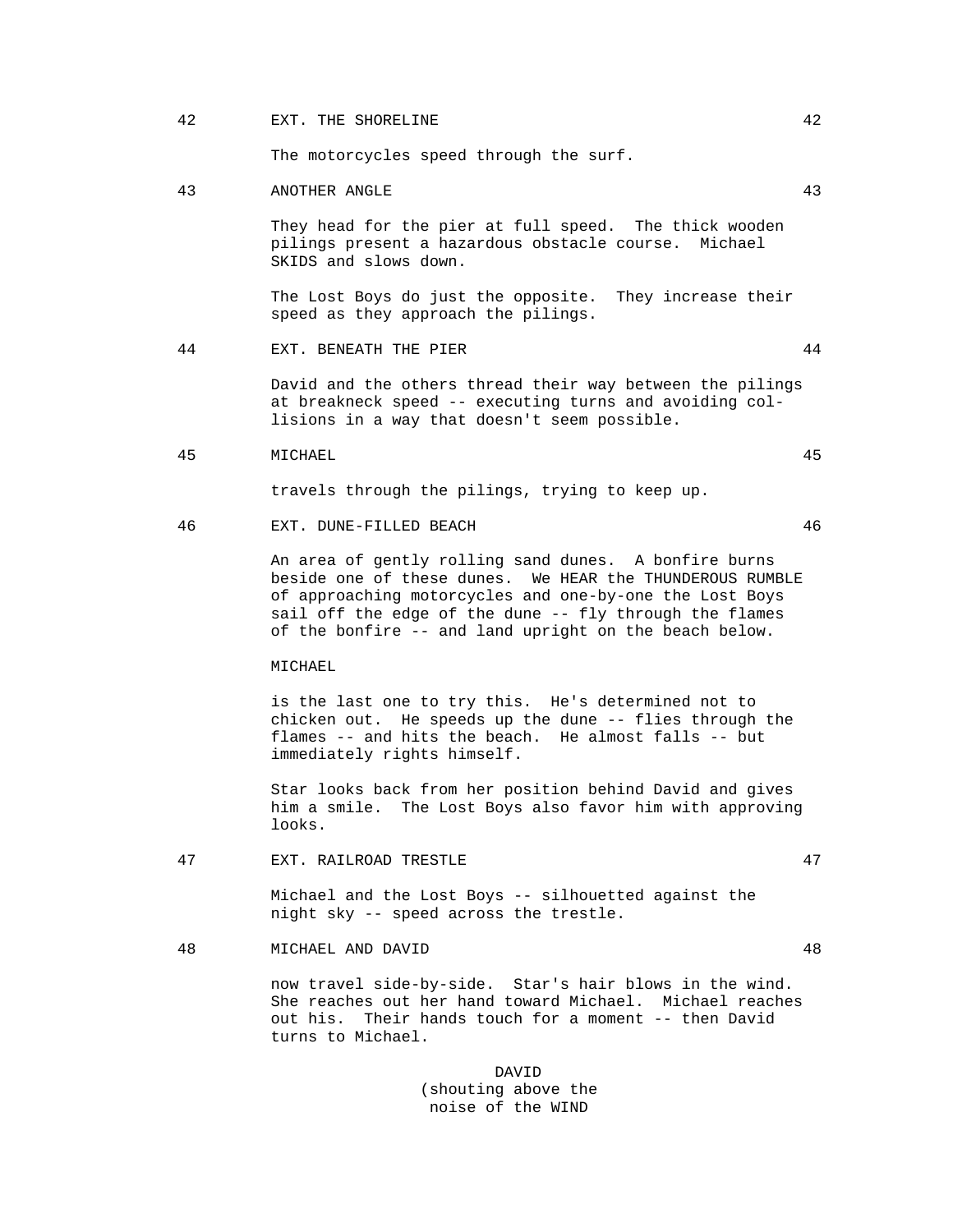# 42 EXT. THE SHORELINE 42

The motorcycles speed through the surf.

#### 43 ANOTHER ANGLE 43

 They head for the pier at full speed. The thick wooden pilings present a hazardous obstacle course. Michael SKIDS and slows down.

 The Lost Boys do just the opposite. They increase their speed as they approach the pilings.

44 EXT. BENEATH THE PIER 44

 David and the others thread their way between the pilings at breakneck speed -- executing turns and avoiding col lisions in a way that doesn't seem possible.

### 45 MICHAEL 45

travels through the pilings, trying to keep up.

46 EXT. DUNE-FILLED BEACH 46

 An area of gently rolling sand dunes. A bonfire burns beside one of these dunes. We HEAR the THUNDEROUS RUMBLE of approaching motorcycles and one-by-one the Lost Boys sail off the edge of the dune -- fly through the flames of the bonfire -- and land upright on the beach below.

MICHAEL

 is the last one to try this. He's determined not to chicken out. He speeds up the dune -- flies through the flames -- and hits the beach. He almost falls -- but immediately rights himself.

 Star looks back from her position behind David and gives him a smile. The Lost Boys also favor him with approving looks.

47 EXT. RAILROAD TRESTLE 47

 Michael and the Lost Boys -- silhouetted against the night sky -- speed across the trestle.

48 MICHAEL AND DAVID 48

 now travel side-by-side. Star's hair blows in the wind. She reaches out her hand toward Michael. Michael reaches out his. Their hands touch for a moment -- then David turns to Michael.

 DAVID (shouting above the noise of the WIND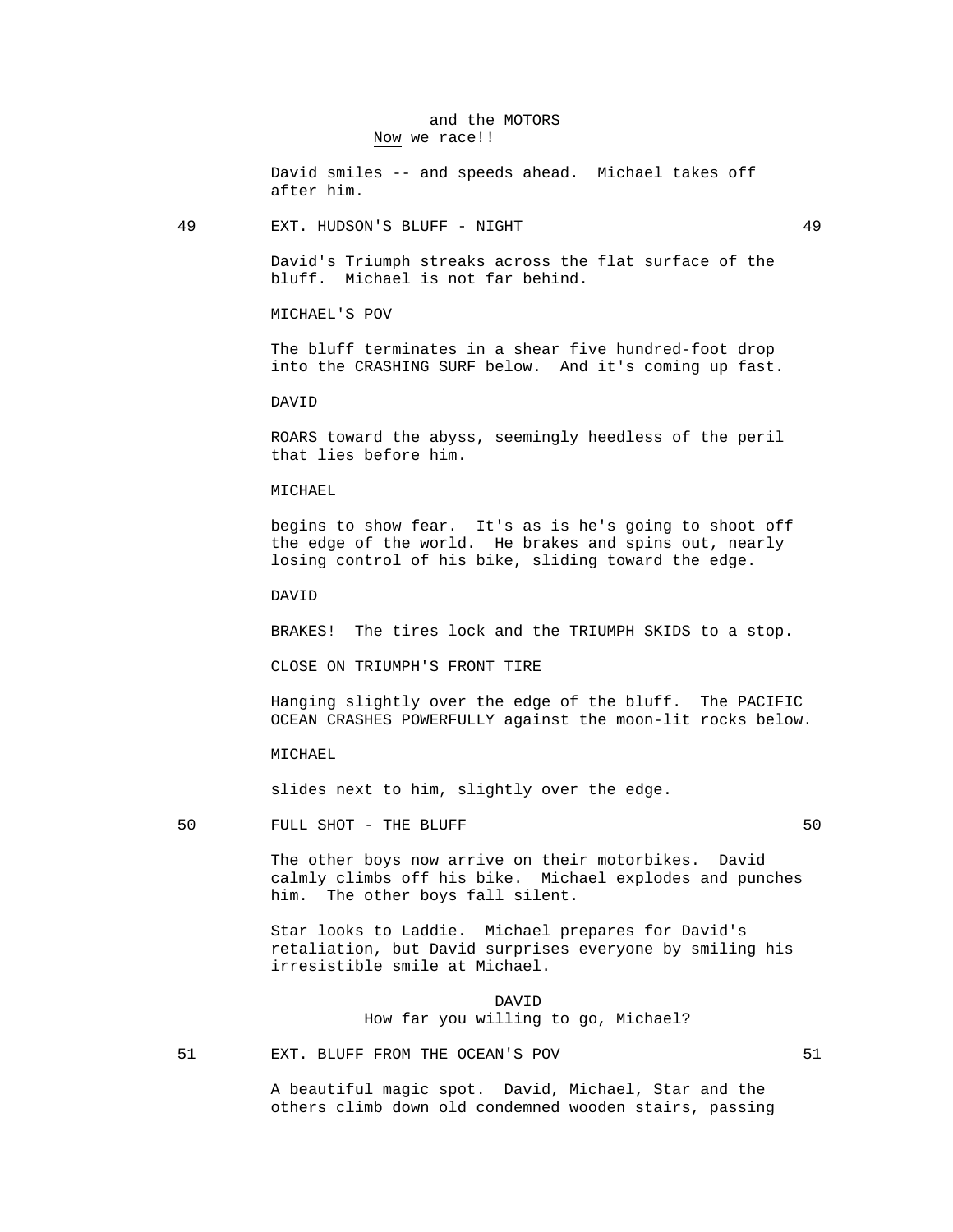# and the MOTORS Now we race!!

 David smiles -- and speeds ahead. Michael takes off after him.

49 EXT. HUDSON'S BLUFF - NIGHT 49

 David's Triumph streaks across the flat surface of the bluff. Michael is not far behind.

MICHAEL'S POV

 The bluff terminates in a shear five hundred-foot drop into the CRASHING SURF below. And it's coming up fast.

DAVID

 ROARS toward the abyss, seemingly heedless of the peril that lies before him.

MICHAEL

 begins to show fear. It's as is he's going to shoot off the edge of the world. He brakes and spins out, nearly losing control of his bike, sliding toward the edge.

DAVID

BRAKES! The tires lock and the TRIUMPH SKIDS to a stop.

CLOSE ON TRIUMPH'S FRONT TIRE

 Hanging slightly over the edge of the bluff. The PACIFIC OCEAN CRASHES POWERFULLY against the moon-lit rocks below.

MICHAEL

slides next to him, slightly over the edge.

50 FULL SHOT - THE BLUFF 50 SOLUME 50 SOLUME 50 SOLUME 50 SOLUME 50 SOLUME 50 SOLUME 50 SOLUME 50 SOLUME 50 SOLUME 50 SOLUME 50 SOLUME 50 SOLUME 50 SOLUME 50 SOLUME 50 SOLUME 50 SOLUME 50 SOLUME 50 SOLUME 50 SOLUME 50 SOLU

 The other boys now arrive on their motorbikes. David calmly climbs off his bike. Michael explodes and punches him. The other boys fall silent.

 Star looks to Laddie. Michael prepares for David's retaliation, but David surprises everyone by smiling his irresistible smile at Michael.

 DAVID How far you willing to go, Michael?

51 EXT. BLUFF FROM THE OCEAN'S POV 51

 A beautiful magic spot. David, Michael, Star and the others climb down old condemned wooden stairs, passing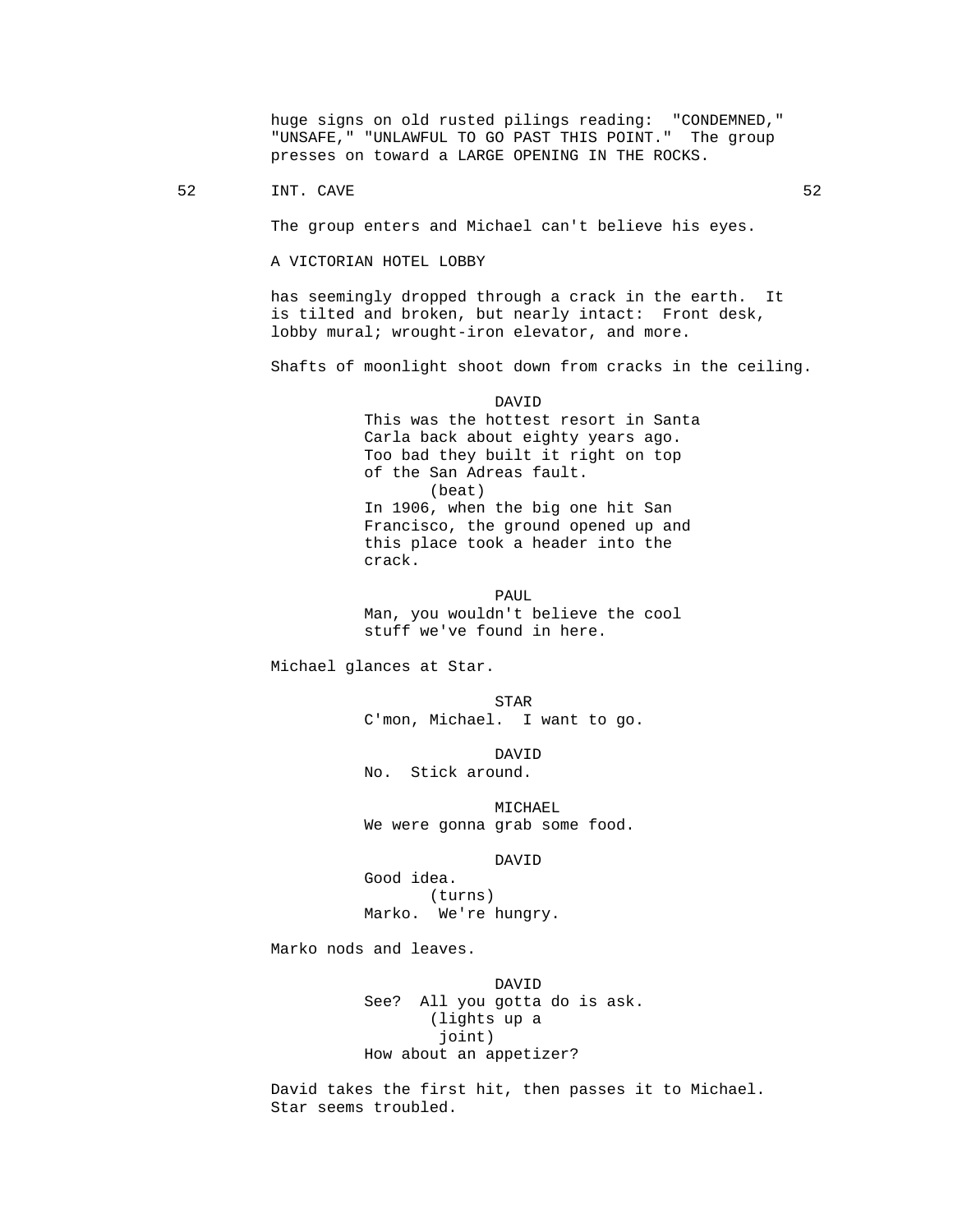huge signs on old rusted pilings reading: "CONDEMNED," "UNSAFE," "UNLAWFUL TO GO PAST THIS POINT." The group presses on toward a LARGE OPENING IN THE ROCKS.

52 INT. CAVE 52

The group enters and Michael can't believe his eyes.

A VICTORIAN HOTEL LOBBY

 has seemingly dropped through a crack in the earth. It is tilted and broken, but nearly intact: Front desk, lobby mural; wrought-iron elevator, and more.

Shafts of moonlight shoot down from cracks in the ceiling.

 DAVID This was the hottest resort in Santa Carla back about eighty years ago. Too bad they built it right on top of the San Adreas fault. (beat) In 1906, when the big one hit San Francisco, the ground opened up and this place took a header into the crack.

**PAUL**  Man, you wouldn't believe the cool stuff we've found in here.

Michael glances at Star.

**STAR** C'mon, Michael. I want to go.

 DAVID No. Stick around.

> MICHAEL We were gonna grab some food.

DAVID

 Good idea. (turns) Marko. We're hungry.

Marko nods and leaves.

 DAVID See? All you gotta do is ask. (lights up a joint) How about an appetizer?

> David takes the first hit, then passes it to Michael. Star seems troubled.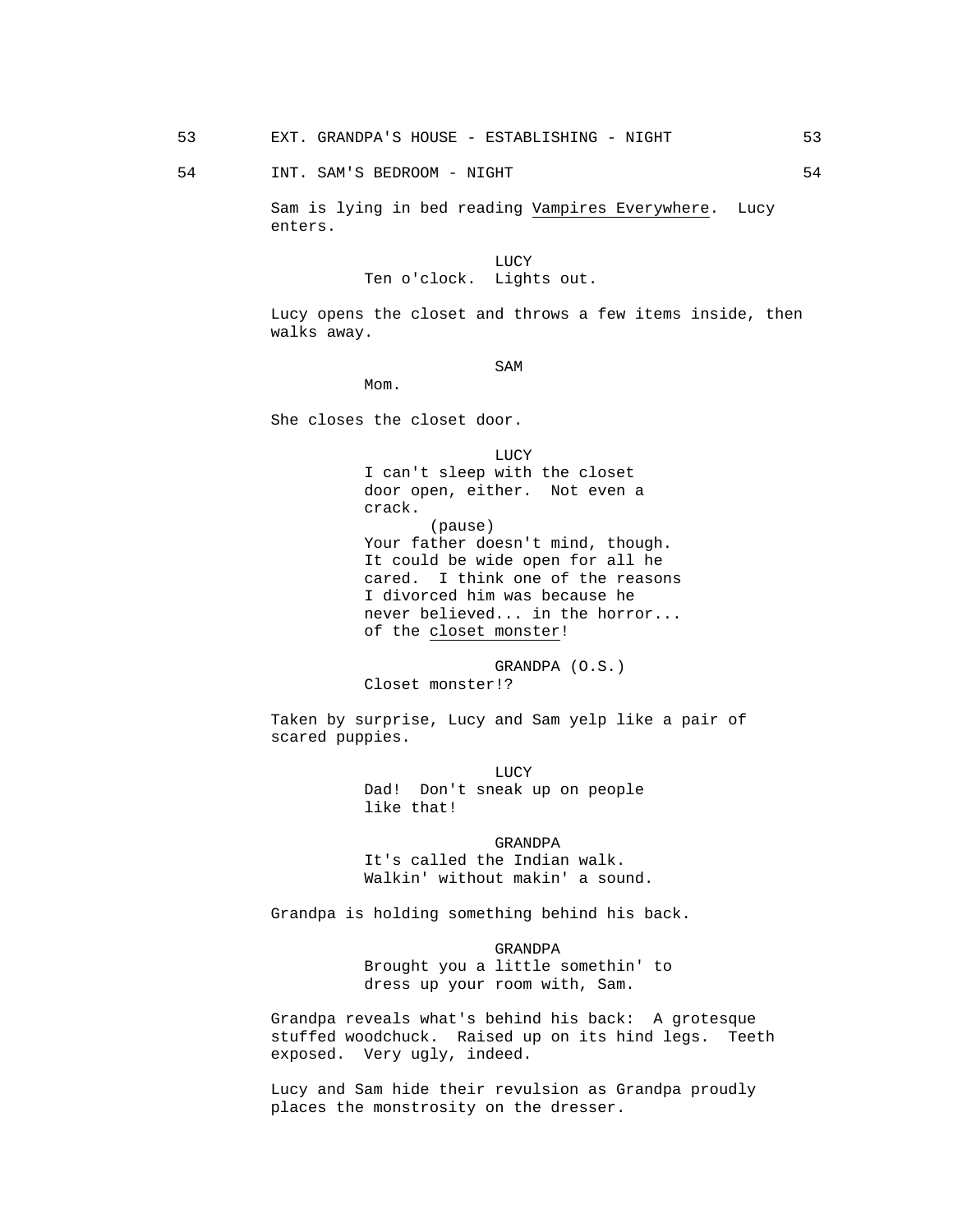54 INT. SAM'S BEDROOM - NIGHT 54 SAME 54

 Sam is lying in bed reading Vampires Everywhere. Lucy enters.

**LUCY** Ten o'clock. Lights out.

> Lucy opens the closet and throws a few items inside, then walks away.

SAM SAME SAME SAME SAMPLE SAMPLE SAMPLE SAMPLE SAMPLE SAMPLE SAMPLE SAMPLE SAMPLE SAMPLE SAMPLE SAMPLE SAMPLE SAMPLE SAMPLE SAMPLE SAMPLE SAMPLE SAMPLE SAMPLE SAMPLE SAMPLE SAMPLE SAMPLE SAMPLE SAMPLE SAMPLE SAMPLE SAMPLE

Mom.

She closes the closet door.

 LUCY I can't sleep with the closet door open, either. Not even a crack. (pause) Your father doesn't mind, though. It could be wide open for all he cared. I think one of the reasons I divorced him was because he never believed... in the horror... of the closet monster!

> GRANDPA (O.S.) Closet monster!?

 Taken by surprise, Lucy and Sam yelp like a pair of scared puppies.

**LUCY**  Dad! Don't sneak up on people like that!

> GRANDPA It's called the Indian walk. Walkin' without makin' a sound.

Grandpa is holding something behind his back.

 GRANDPA Brought you a little somethin' to dress up your room with, Sam.

 Grandpa reveals what's behind his back: A grotesque stuffed woodchuck. Raised up on its hind legs. Teeth exposed. Very ugly, indeed.

 Lucy and Sam hide their revulsion as Grandpa proudly places the monstrosity on the dresser.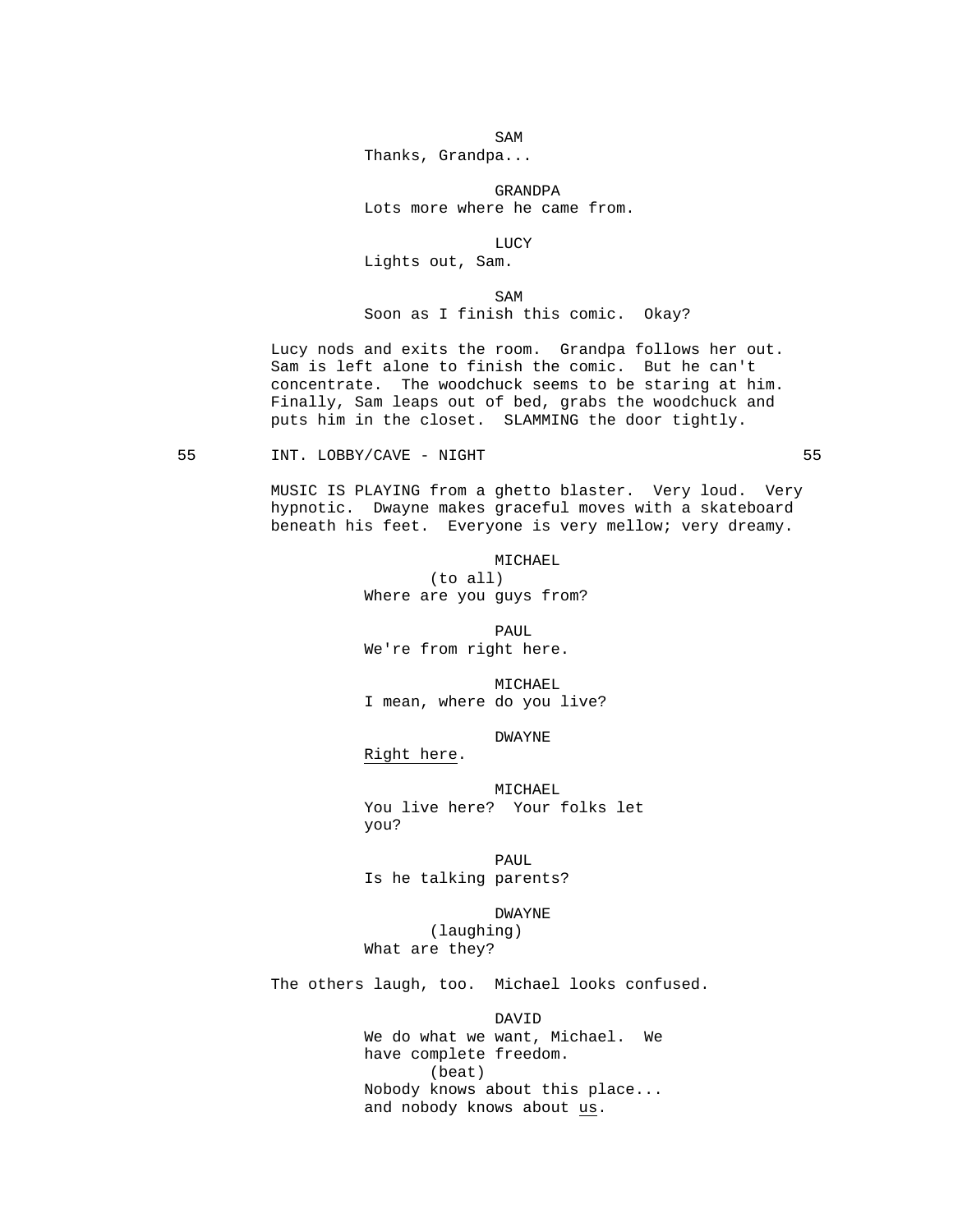SAM SAME SAME SAME SAMPLE SAMPLE SAMPLE SAMPLE SAMPLE SAMPLE SAMPLE SAMPLE SAMPLE SAMPLE SAMPLE SAMPLE SAMPLE SAMPLE SAMPLE SAMPLE SAMPLE SAMPLE SAMPLE SAMPLE SAMPLE SAMPLE SAMPLE SAMPLE SAMPLE SAMPLE SAMPLE SAMPLE SAMPLE Thanks, Grandpa...

GRANDPA

Lots more where he came from.

**LUCY** 

Lights out, Sam.

SAM SAME SAME SAME SAMPLE SAMPLE SAMPLE SAMPLE SAMPLE SAMPLE SAMPLE SAMPLE SAMPLE SAMPLE SAMPLE SAMPLE SAMPLE SAMPLE SAMPLE SAMPLE SAMPLE SAMPLE SAMPLE SAMPLE SAMPLE SAMPLE SAMPLE SAMPLE SAMPLE SAMPLE SAMPLE SAMPLE SAMPLE Soon as I finish this comic. Okay?

> Lucy nods and exits the room. Grandpa follows her out. Sam is left alone to finish the comic. But he can't concentrate. The woodchuck seems to be staring at him. Finally, Sam leaps out of bed, grabs the woodchuck and puts him in the closet. SLAMMING the door tightly.

55 INT. LOBBY/CAVE - NIGHT 55

 MUSIC IS PLAYING from a ghetto blaster. Very loud. Very hypnotic. Dwayne makes graceful moves with a skateboard beneath his feet. Everyone is very mellow; very dreamy.

> MICHAEL (to all) Where are you guys from?

**PAUL** 

We're from right here.

 MICHAEL I mean, where do you live?

DWAYNE

Right here.

 MICHAEL You live here? Your folks let you?

**PAUL** Is he talking parents?

> DWAYNE (laughing)

What are they?

The others laugh, too. Michael looks confused.

DAVID

 We do what we want, Michael. We have complete freedom. (beat) Nobody knows about this place... and nobody knows about us.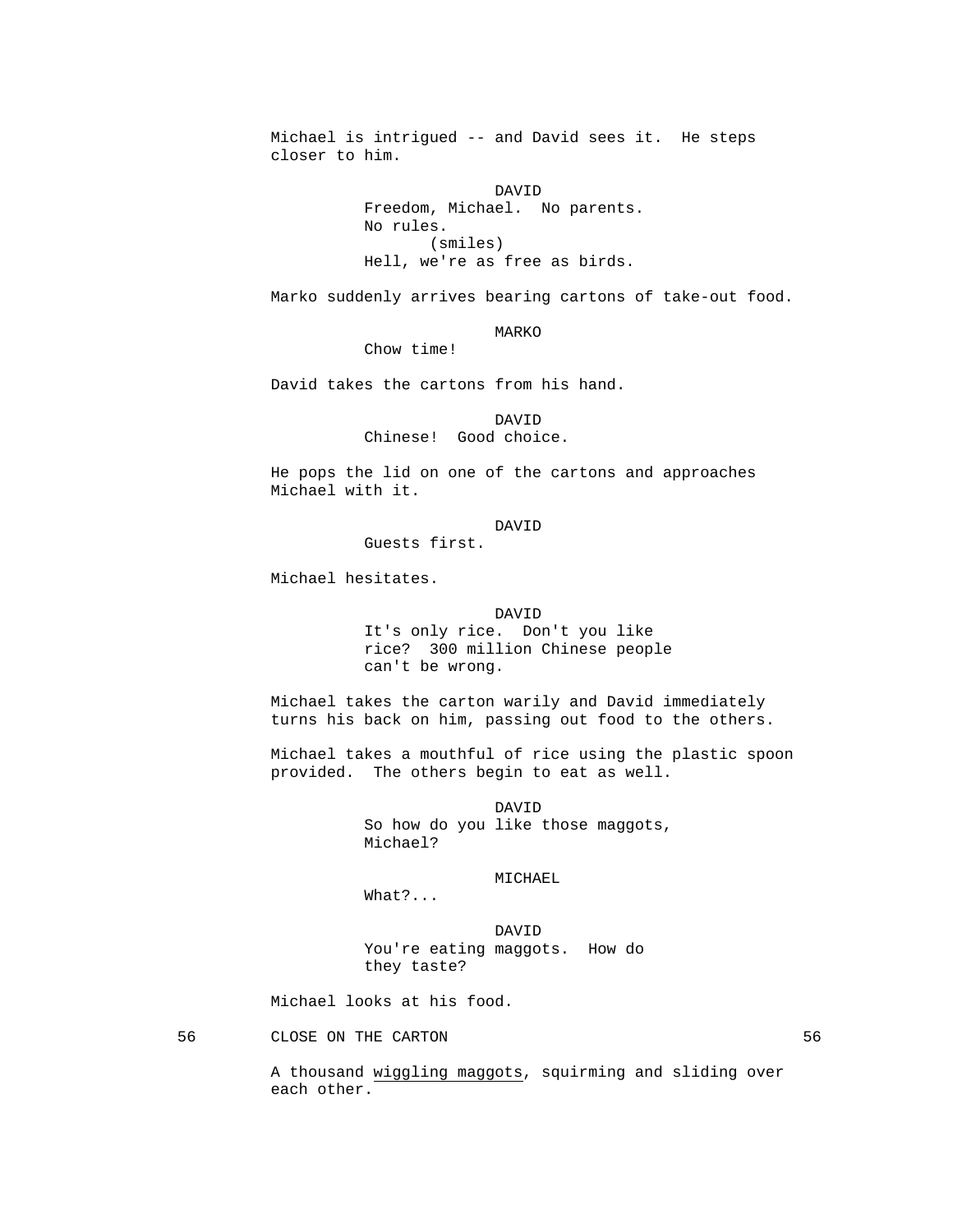Michael is intrigued -- and David sees it. He steps closer to him.

 DAVID Freedom, Michael. No parents. No rules. (smiles) Hell, we're as free as birds.

Marko suddenly arrives bearing cartons of take-out food.

MARKO

Chow time!

David takes the cartons from his hand.

 DAVID Chinese! Good choice.

> He pops the lid on one of the cartons and approaches Michael with it.

# DAVID

Guests first.

Michael hesitates.

 DAVID It's only rice. Don't you like rice? 300 million Chinese people can't be wrong.

> Michael takes the carton warily and David immediately turns his back on him, passing out food to the others.

 Michael takes a mouthful of rice using the plastic spoon provided. The others begin to eat as well.

 DAVID So how do you like those maggots, Michael?

MICHAEL

What?...

 DAVID You're eating maggots. How do they taste?

Michael looks at his food.

56 CLOSE ON THE CARTON 56

 A thousand wiggling maggots, squirming and sliding over each other.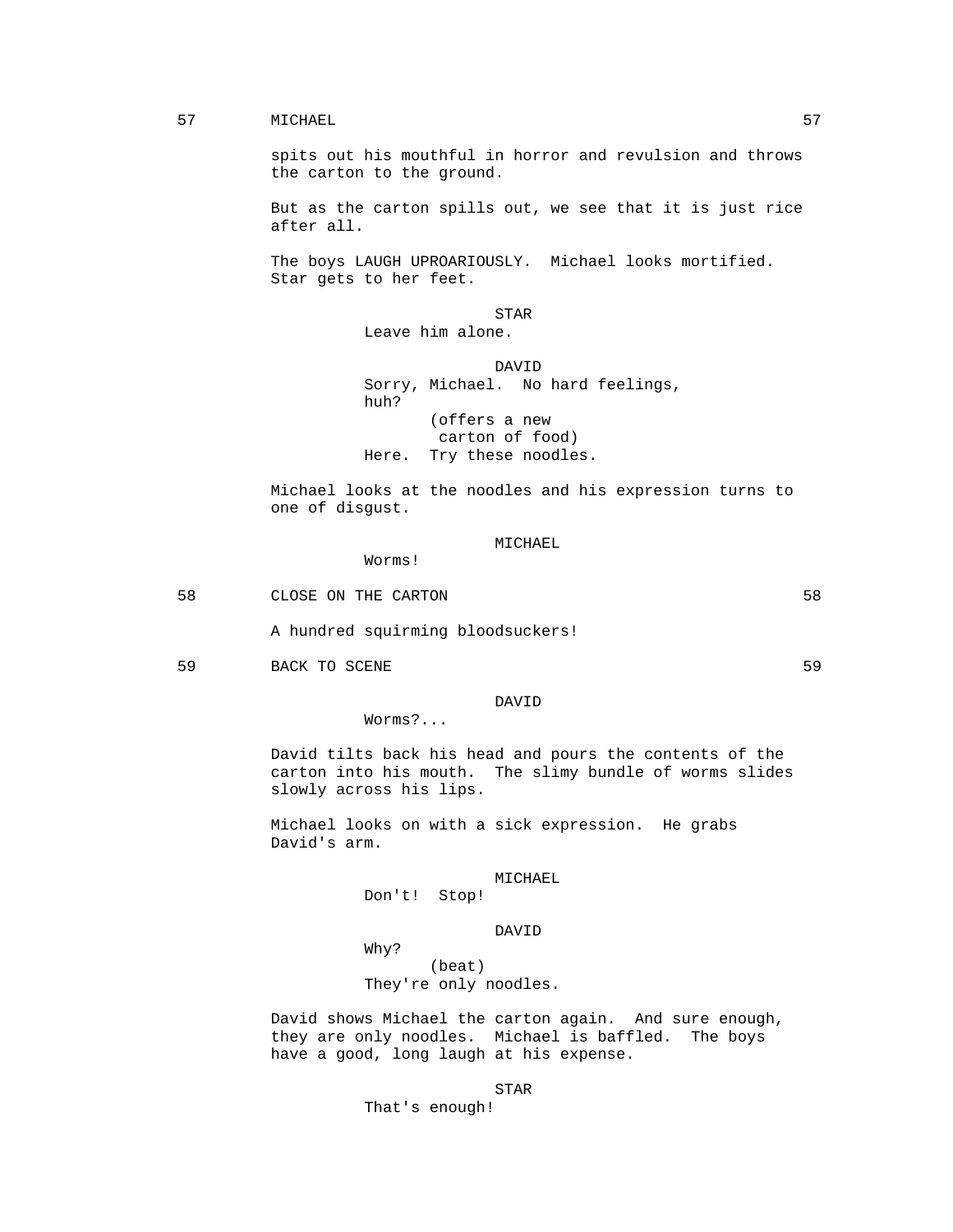### 57 MICHAEL 57

 spits out his mouthful in horror and revulsion and throws the carton to the ground.

 But as the carton spills out, we see that it is just rice after all.

 The boys LAUGH UPROARIOUSLY. Michael looks mortified. Star gets to her feet.

**STAR** Leave him alone.

 DAVID Sorry, Michael. No hard feelings, huh? (offers a new carton of food) Here. Try these noodles.

> Michael looks at the noodles and his expression turns to one of disgust.

# MICHAEL

58 CLOSE ON THE CARTON 58

Worms!

A hundred squirming bloodsuckers!

59 BACK TO SCENE 59 SP SACK TO SCENE 59

# DAVID

Worms?...

 David tilts back his head and pours the contents of the carton into his mouth. The slimy bundle of worms slides slowly across his lips.

 Michael looks on with a sick expression. He grabs David's arm.

#### MICHAEL

Don't! Stop!

DAVID

Why?

 (beat) They're only noodles.

 David shows Michael the carton again. And sure enough, they are only noodles. Michael is baffled. The boys have a good, long laugh at his expense.

STAR

That's enough!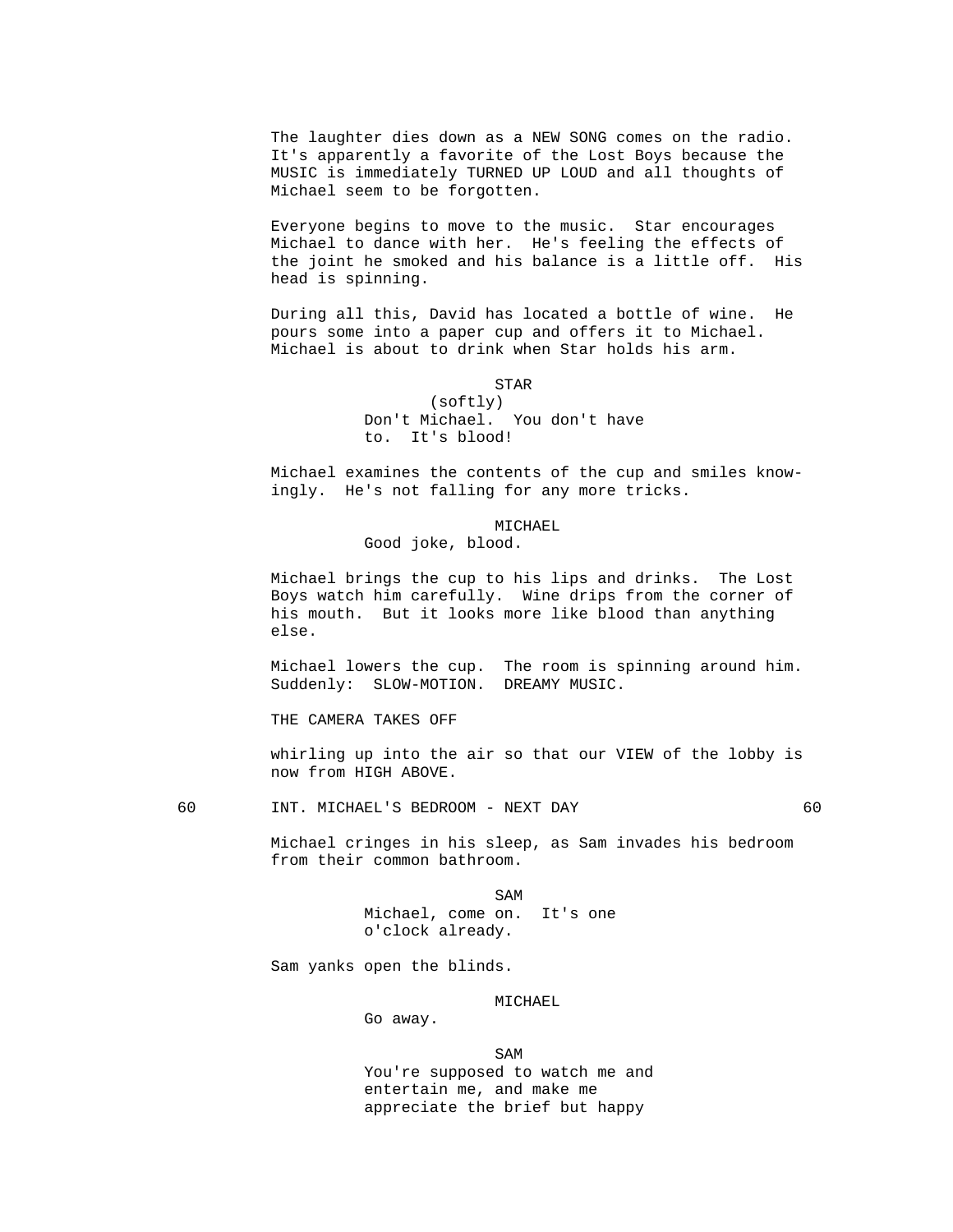The laughter dies down as a NEW SONG comes on the radio. It's apparently a favorite of the Lost Boys because the MUSIC is immediately TURNED UP LOUD and all thoughts of Michael seem to be forgotten.

 Everyone begins to move to the music. Star encourages Michael to dance with her. He's feeling the effects of the joint he smoked and his balance is a little off. His head is spinning.

 During all this, David has located a bottle of wine. He pours some into a paper cup and offers it to Michael. Michael is about to drink when Star holds his arm.

### **STAR**

 (softly) Don't Michael. You don't have to. It's blood!

 Michael examines the contents of the cup and smiles knowingly. He's not falling for any more tricks.

# MICHAEL

Good joke, blood.

 Michael brings the cup to his lips and drinks. The Lost Boys watch him carefully. Wine drips from the corner of his mouth. But it looks more like blood than anything else.

 Michael lowers the cup. The room is spinning around him. Suddenly: SLOW-MOTION. DREAMY MUSIC.

THE CAMERA TAKES OFF

 whirling up into the air so that our VIEW of the lobby is now from HIGH ABOVE.

60 INT. MICHAEL'S BEDROOM - NEXT DAY 60

 Michael cringes in his sleep, as Sam invades his bedroom from their common bathroom.

SAM SAME SAME SAME SAMPLE SAMPLE SAMPLE SAMPLE SAMPLE SAMPLE SAMPLE SAMPLE SAMPLE SAMPLE SAMPLE SAMPLE SAMPLE Michael, come on. It's one o'clock already.

Sam yanks open the blinds.

Go away.

# MICHAEL

SAM SAME SAME SAME SAMPLE SAMPLE SAMPLE SAMPLE SAMPLE SAMPLE SAMPLE SAMPLE SAMPLE SAMPLE SAMPLE SAMPLE SAMPLE SAMPLE SAMPLE SAMPLE SAMPLE SAMPLE SAMPLE SAMPLE SAMPLE SAMPLE SAMPLE SAMPLE SAMPLE SAMPLE SAMPLE SAMPLE SAMPLE You're supposed to watch me and entertain me, and make me appreciate the brief but happy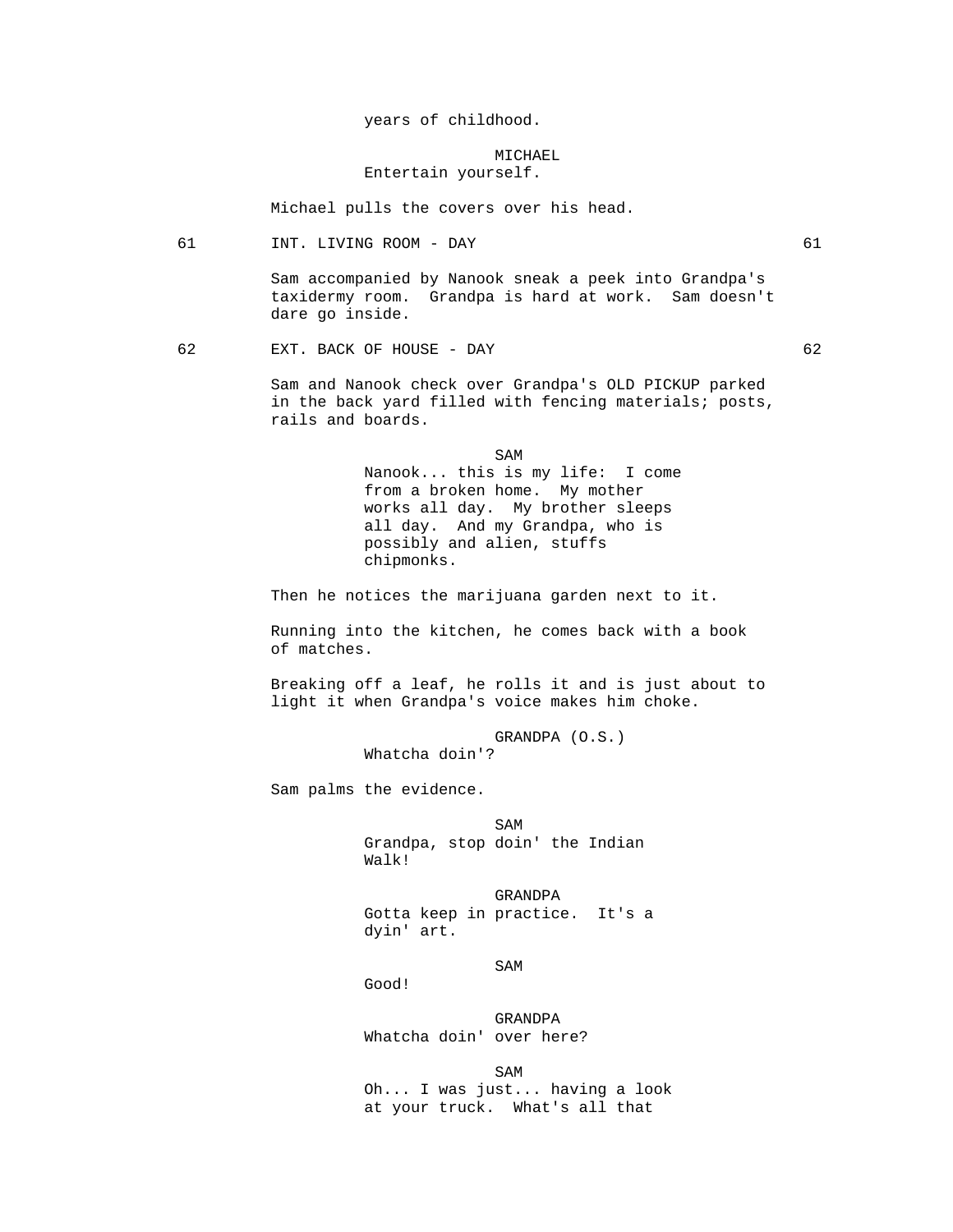years of childhood.

# MICHAEL Entertain yourself.

Michael pulls the covers over his head.

61 INT. LIVING ROOM - DAY 61

 Sam accompanied by Nanook sneak a peek into Grandpa's taxidermy room. Grandpa is hard at work. Sam doesn't dare go inside.

62 EXT. BACK OF HOUSE - DAY 62

 Sam and Nanook check over Grandpa's OLD PICKUP parked in the back yard filled with fencing materials; posts, rails and boards.

SAM SAME SAME SAME SAMPLE SAMPLE SAMPLE SAMPLE SAMPLE SAMPLE SAMPLE SAMPLE SAMPLE SAMPLE SAMPLE SAMPLE SAMPLE SAMPLE SAMPLE SAMPLE SAMPLE SAMPLE SAMPLE SAMPLE SAMPLE SAMPLE SAMPLE SAMPLE SAMPLE SAMPLE SAMPLE SAMPLE SAMPLE Nanook... this is my life: I come from a broken home. My mother works all day. My brother sleeps all day. And my Grandpa, who is possibly and alien, stuffs chipmonks.

Then he notices the marijuana garden next to it.

 Running into the kitchen, he comes back with a book of matches.

 Breaking off a leaf, he rolls it and is just about to light it when Grandpa's voice makes him choke.

GRANDPA (O.S.)

Whatcha doin'?

Sam palms the evidence.

SAM SAME SAME SAME SAMPLE SAMPLE SAMPLE SAMPLE SAMPLE SAMPLE SAMPLE SAMPLE SAMPLE SAMPLE SAMPLE SAMPLE SAMPLE Grandpa, stop doin' the Indian Walk!

> GRANDPA Gotta keep in practice. It's a dyin' art.

SAM SAME SAME SAME SAMPLE SAMPLE SAMPLE SAMPLE SAMPLE SAMPLE SAMPLE SAMPLE SAMPLE SAMPLE SAMPLE SAMPLE SAMPLE SAMPLE SAMPLE SAMPLE SAMPLE SAMPLE SAMPLE SAMPLE SAMPLE SAMPLE SAMPLE SAMPLE SAMPLE SAMPLE SAMPLE SAMPLE SAMPLE

Good!

 GRANDPA Whatcha doin' over here?

SAM SAME SAME SAME SAMPLE SAMPLE SAMPLE SAMPLE SAMPLE SAMPLE SAMPLE SAMPLE SAMPLE SAMPLE SAMPLE SAMPLE SAMPLE Oh... I was just... having a look at your truck. What's all that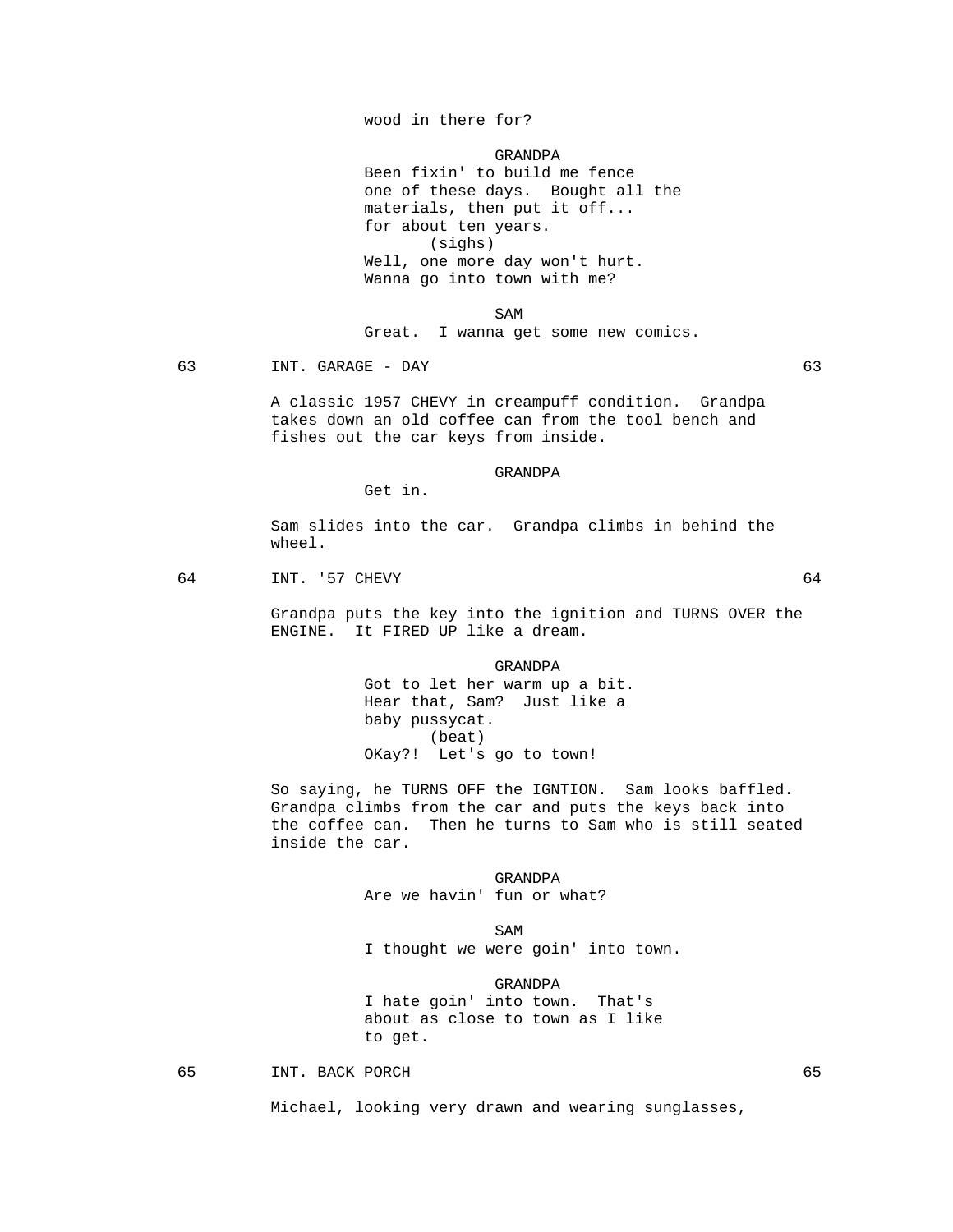wood in there for?

GRANDPA

 Been fixin' to build me fence one of these days. Bought all the materials, then put it off... for about ten years. (sighs) Well, one more day won't hurt. Wanna go into town with me?

SAM SAME SAME SAME SAMPLE SAMPLE SAMPLE SAMPLE SAMPLE SAMPLE SAMPLE SAMPLE SAMPLE SAMPLE SAMPLE SAMPLE SAMPLE SAMPLE SAMPLE SAMPLE SAMPLE SAMPLE SAMPLE SAMPLE SAMPLE SAMPLE SAMPLE SAMPLE SAMPLE SAMPLE SAMPLE SAMPLE SAMPLE Great. I wanna get some new comics.

63 INT. GARAGE - DAY 63

 A classic 1957 CHEVY in creampuff condition. Grandpa takes down an old coffee can from the tool bench and fishes out the car keys from inside.

GRANDPA

Get in.

 Sam slides into the car. Grandpa climbs in behind the wheel.

### 64 INT. '57 CHEVY 64

 Grandpa puts the key into the ignition and TURNS OVER the ENGINE. It FIRED UP like a dream.

> GRANDPA Got to let her warm up a bit. Hear that, Sam? Just like a baby pussycat. (beat) OKay?! Let's go to town!

 So saying, he TURNS OFF the IGNTION. Sam looks baffled. Grandpa climbs from the car and puts the keys back into the coffee can. Then he turns to Sam who is still seated inside the car.

> GRANDPA Are we havin' fun or what?

SAM SAME SAME SAME SAMPLE SAMPLE SAMPLE SAMPLE SAMPLE SAMPLE SAMPLE SAMPLE SAMPLE SAMPLE SAMPLE SAMPLE SAMPLE I thought we were goin' into town.

> GRANDPA I hate goin' into town. That's about as close to town as I like to get.

65 INT. BACK PORCH 65

Michael, looking very drawn and wearing sunglasses,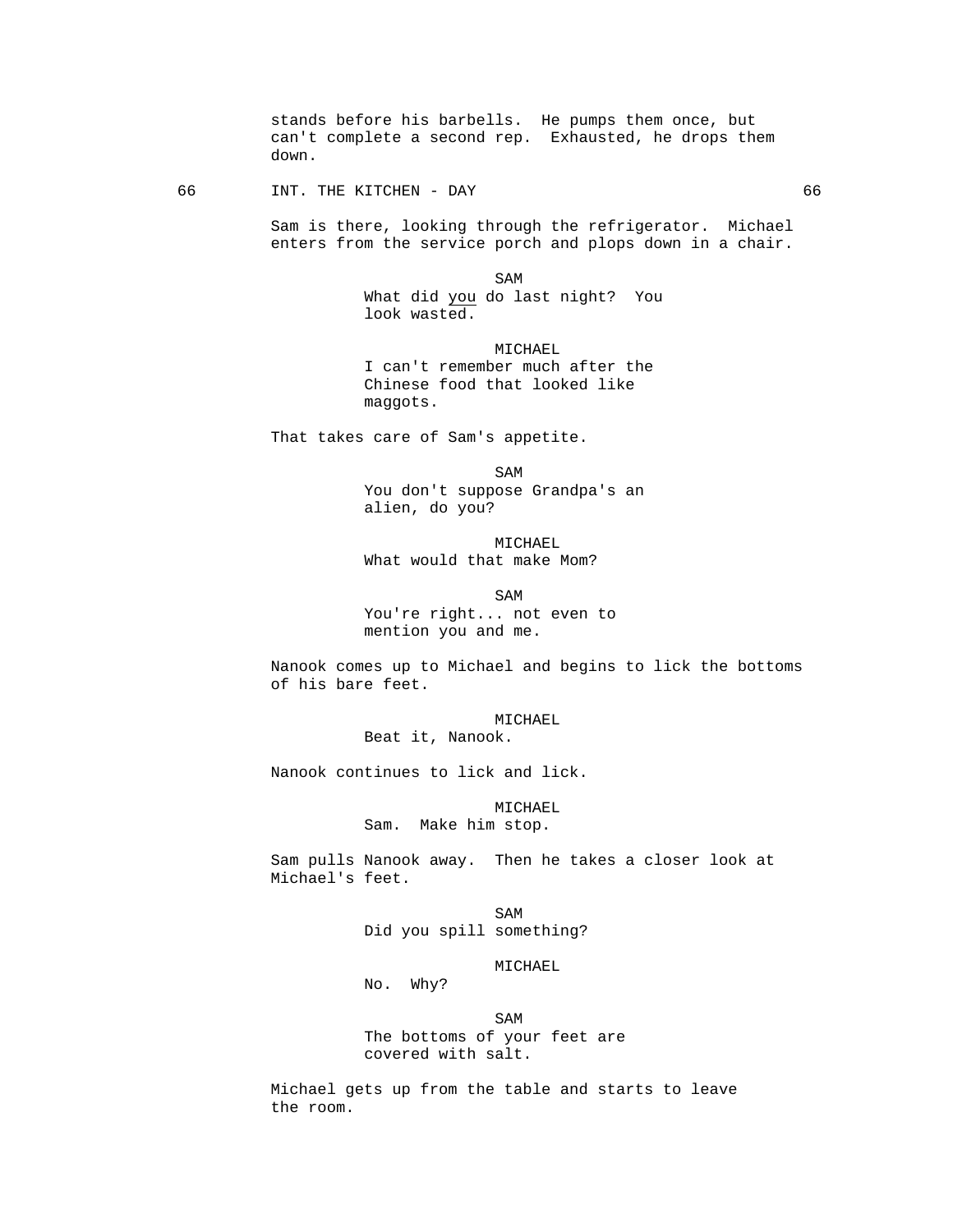stands before his barbells. He pumps them once, but can't complete a second rep. Exhausted, he drops them down.

66 INT. THE KITCHEN - DAY 66

 Sam is there, looking through the refrigerator. Michael enters from the service porch and plops down in a chair.

SAM SAME SAME SAME SAMPLE SAMPLE SAMPLE SAMPLE SAMPLE SAMPLE SAMPLE SAMPLE SAMPLE SAMPLE SAMPLE SAMPLE SAMPLE SAMPLE SAMPLE SAMPLE SAMPLE SAMPLE SAMPLE SAMPLE SAMPLE SAMPLE SAMPLE SAMPLE SAMPLE SAMPLE SAMPLE SAMPLE SAMPLE What did you do last night? You look wasted.

> MICHAEL I can't remember much after the Chinese food that looked like maggots.

That takes care of Sam's appetite.

SAM SAME SAME SAME SAMPLE SAMPLE SAMPLE SAMPLE SAMPLE SAMPLE SAMPLE SAMPLE SAMPLE SAMPLE SAMPLE SAMPLE SAMPLE SAMPLE SAMPLE SAMPLE SAMPLE SAMPLE SAMPLE SAMPLE SAMPLE SAMPLE SAMPLE SAMPLE SAMPLE SAMPLE SAMPLE SAMPLE SAMPLE You don't suppose Grandpa's an alien, do you?

> MICHAEL What would that make Mom?

SAM SAME SAME SAMPLE SAMPLE SAMPLE SAMPLE SAMPLE SAMPLE SAMPLE SAMPLE SAMPLE SAMPLE SAMPLE SAMPLE SAMPLE SAMPL You're right... not even to mention you and me.

> Nanook comes up to Michael and begins to lick the bottoms of his bare feet.

> > MICHAEL Beat it, Nanook.

Nanook continues to lick and lick.

 MICHAEL Sam. Make him stop.

 Sam pulls Nanook away. Then he takes a closer look at Michael's feet.

SAM SAME SAME SAME SAMPLE SAMPLE SAMPLE SAMPLE SAMPLE SAMPLE SAMPLE SAMPLE SAMPLE SAMPLE SAMPLE SAMPLE SAMPLE Did you spill something?

### MICHAEL

No. Why?

SAM SAME SAME SAME SAMPLE SAMPLE SAMPLE SAMPLE SAMPLE SAMPLE SAMPLE SAMPLE SAMPLE SAMPLE SAMPLE SAMPLE SAMPLE The bottoms of your feet are covered with salt.

> Michael gets up from the table and starts to leave the room.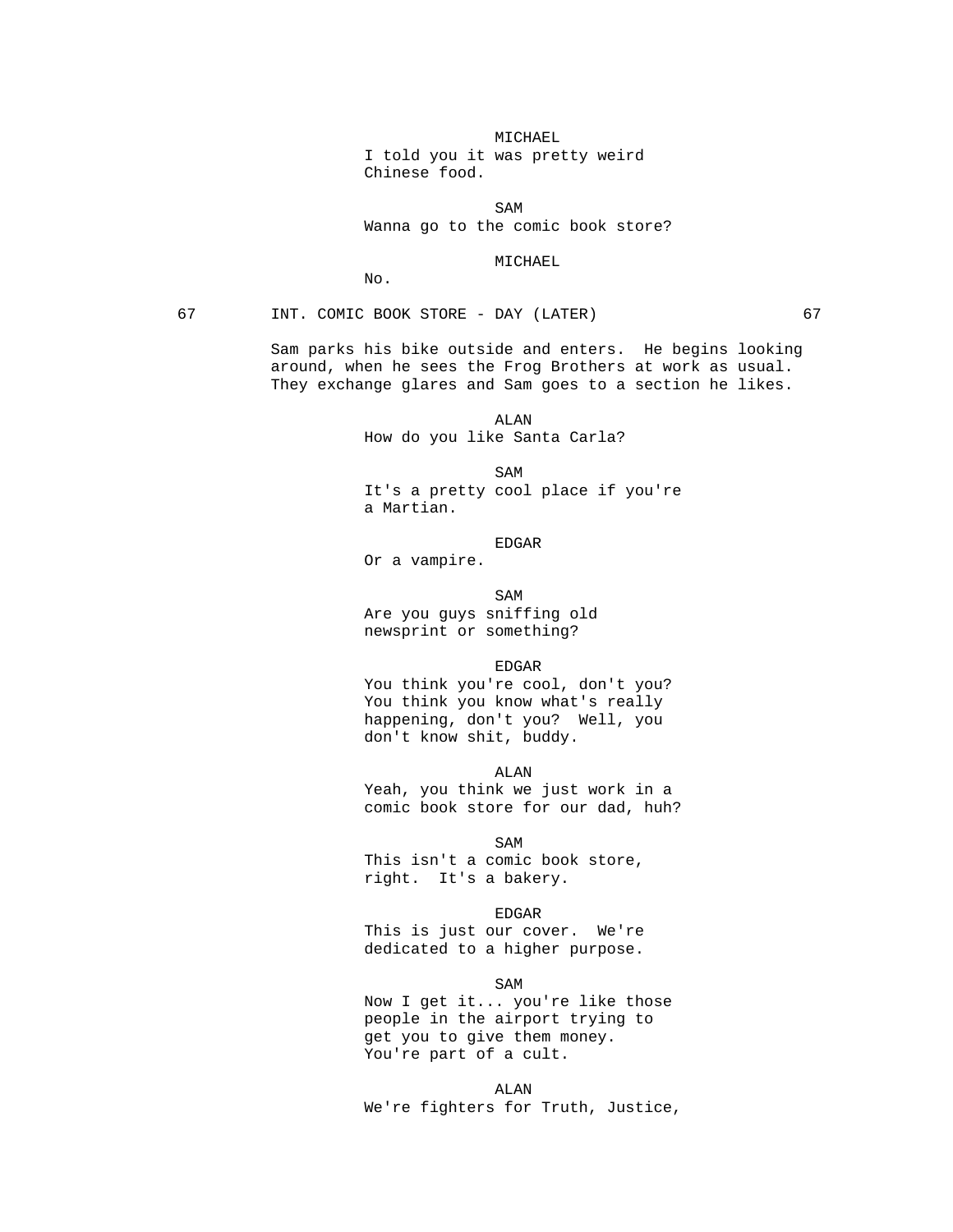# MICHAEL I told you it was pretty weird Chinese food.

SAM SAME SAME SAME SAMPLE SAMPLE SAMPLE SAMPLE SAMPLE SAMPLE SAMPLE SAMPLE SAMPLE SAMPLE SAMPLE SAMPLE SAMPLE SAMPLE SAMPLE SAMPLE SAMPLE SAMPLE SAMPLE SAMPLE SAMPLE SAMPLE SAMPLE SAMPLE SAMPLE SAMPLE SAMPLE SAMPLE SAMPLE Wanna go to the comic book store?

# MICHAEL

No.

# 67 INT. COMIC BOOK STORE - DAY (LATER) 67

 Sam parks his bike outside and enters. He begins looking around, when he sees the Frog Brothers at work as usual. They exchange glares and Sam goes to a section he likes.

 ALAN How do you like Santa Carla?

SAM SAME SAME SAME SAMPLE SAMPLE SAMPLE SAMPLE SAMPLE SAMPLE SAMPLE SAMPLE SAMPLE SAMPLE SAMPLE SAMPLE SAMPLE SAMPLE SAMPLE SAMPLE SAMPLE SAMPLE SAMPLE SAMPLE SAMPLE SAMPLE SAMPLE SAMPLE SAMPLE SAMPLE SAMPLE SAMPLE SAMPLE It's a pretty cool place if you're a Martian.

en de la contradición de la contradición de la contradición de la contradición de la contradición de la contradición de la contradición de la contradición de la contradición de la contradición de la contradición de la cont Or a vampire.

SAM SAME SAME SAMPLE SAMPLE SAMPLE SAMPLE SAMPLE SAMPLE SAMPLE SAMPLE SAMPLE SAMPLE SAMPLE SAMPLE SAMPLE SAMPL

 Are you guys sniffing old newsprint or something?

EDGAR

 You think you're cool, don't you? You think you know what's really happening, don't you? Well, you don't know shit, buddy.

ALAN

 Yeah, you think we just work in a comic book store for our dad, huh?

SAM SAME SAME SAME SAMPLE SAMPLE SAMPLE SAMPLE SAMPLE SAMPLE SAMPLE SAMPLE SAMPLE SAMPLE SAMPLE SAMPLE SAMPLE This isn't a comic book store, right. It's a bakery.

> EDGAR This is just our cover. We're dedicated to a higher purpose.

SAM SAME SAME SAME SAMPLE SAMPLE SAMPLE SAMPLE SAMPLE SAMPLE SAMPLE SAMPLE SAMPLE SAMPLE SAMPLE SAMPLE SAMPLE Now I get it... you're like those people in the airport trying to get you to give them money. You're part of a cult.

 ALAN We're fighters for Truth, Justice,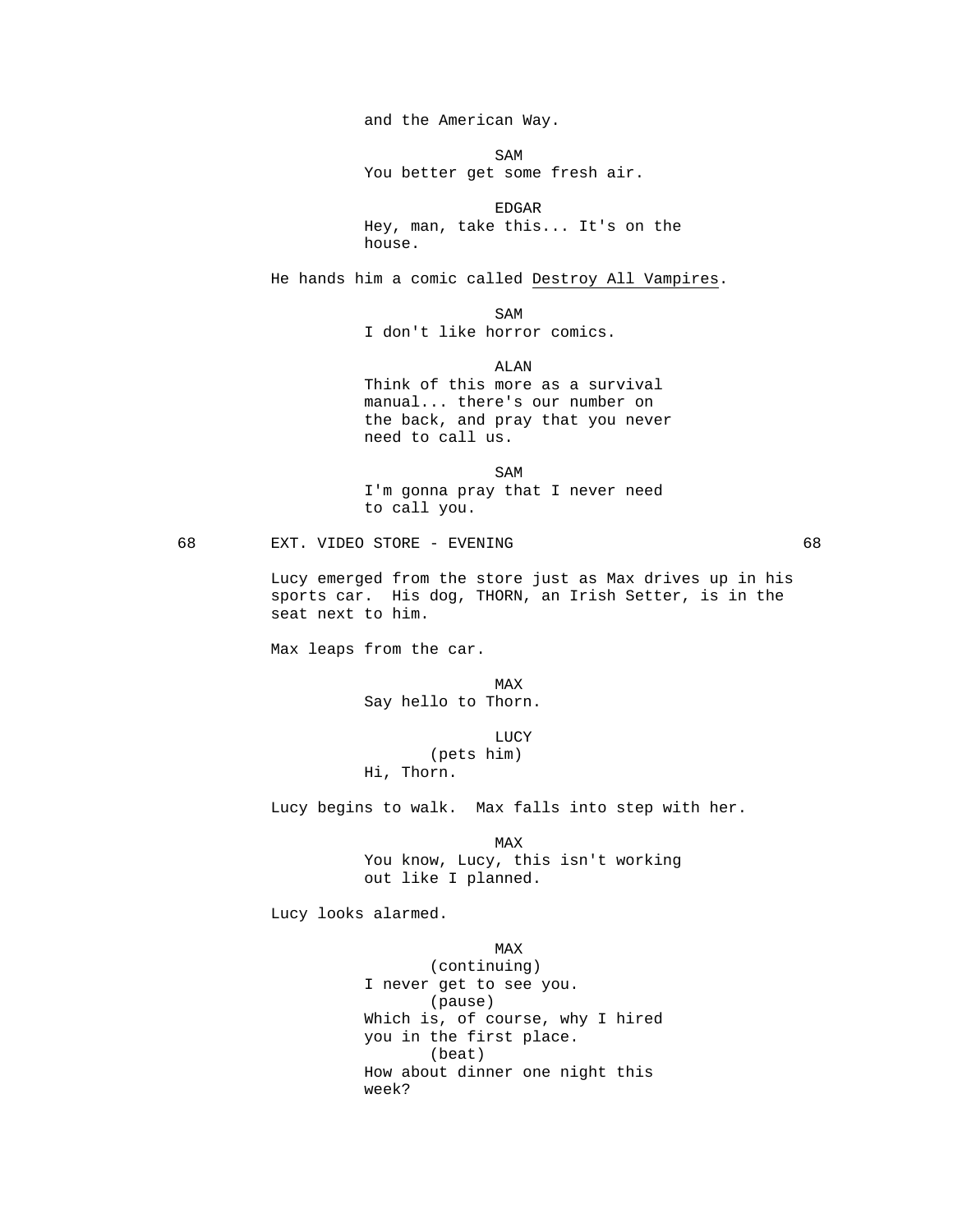and the American Way.

SAM SAME SAME SAME SAMPLE SAMPLE SAMPLE SAMPLE SAMPLE SAMPLE SAMPLE SAMPLE SAMPLE SAMPLE SAMPLE SAMPLE SAMPLE

You better get some fresh air.

en de la contradición de la contradición de la contradición de la contradición de la contradición de la contradición de la contradición de la contradición de la contradición de la contradición de la contradición de la cont Hey, man, take this... It's on the house.

He hands him a comic called Destroy All Vampires.

SAM SAME SAME SAME SAMPLE SAMPLE SAMPLE SAMPLE SAMPLE SAMPLE SAMPLE SAMPLE SAMPLE SAMPLE SAMPLE SAMPLE SAMPLE SAMPLE SAMPLE SAMPLE SAMPLE SAMPLE SAMPLE SAMPLE SAMPLE SAMPLE SAMPLE SAMPLE SAMPLE SAMPLE SAMPLE SAMPLE SAMPLE I don't like horror comics.

 ALAN Think of this more as a survival manual... there's our number on the back, and pray that you never need to call us.

SAM SAME SAME SAME SAMPLE SAMPLE SAMPLE SAMPLE SAMPLE SAMPLE SAMPLE SAMPLE SAMPLE SAMPLE SAMPLE SAMPLE SAMPLE SAMPLE SAMPLE SAMPLE SAMPLE SAMPLE SAMPLE SAMPLE SAMPLE SAMPLE SAMPLE SAMPLE SAMPLE SAMPLE SAMPLE SAMPLE SAMPLE I'm gonna pray that I never need to call you.

68 EXT. VIDEO STORE - EVENING 68

 Lucy emerged from the store just as Max drives up in his sports car. His dog, THORN, an Irish Setter, is in the seat next to him.

Max leaps from the car.

MAX NEWSFILM CONTROL IN THE MAX Say hello to Thorn.

**LUCY**  (pets him) Hi, Thorn.

Lucy begins to walk. Max falls into step with her.

**MAX**  You know, Lucy, this isn't working out like I planned.

Lucy looks alarmed.

**MAX**  (continuing) I never get to see you. (pause) Which is, of course, why I hired you in the first place. (beat) How about dinner one night this week?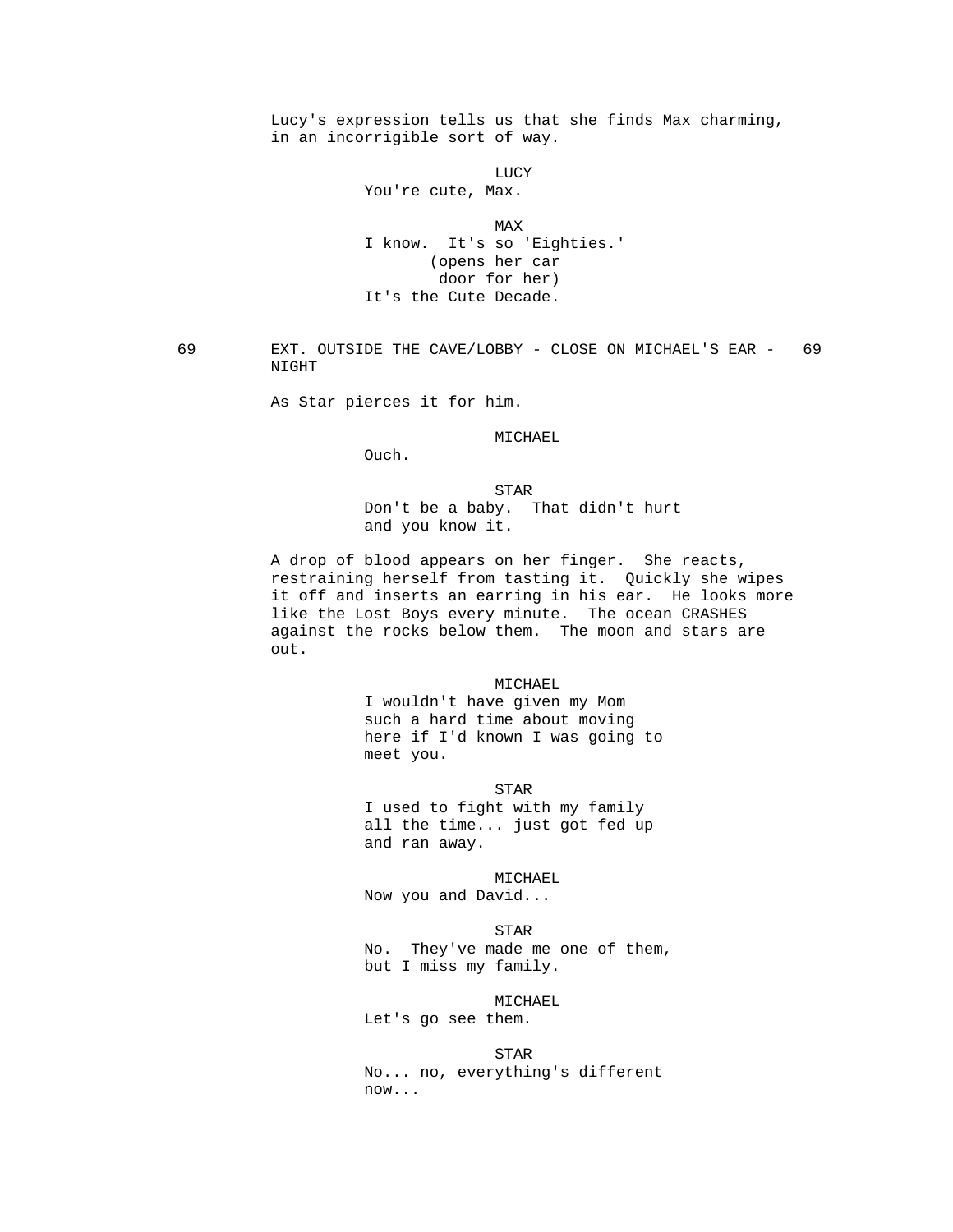Lucy's expression tells us that she finds Max charming, in an incorrigible sort of way.

**LUCY** 

You're cute, Max.

**MAX** 

 I know. It's so 'Eighties.' (opens her car door for her) It's the Cute Decade.

 69 EXT. OUTSIDE THE CAVE/LOBBY - CLOSE ON MICHAEL'S EAR - 69 NIGHT

As Star pierces it for him.

MICHAEL

Ouch.

**STAR**  Don't be a baby. That didn't hurt and you know it.

> A drop of blood appears on her finger. She reacts, restraining herself from tasting it. Quickly she wipes it off and inserts an earring in his ear. He looks more like the Lost Boys every minute. The ocean CRASHES against the rocks below them. The moon and stars are out.

> > MICHAEL

 I wouldn't have given my Mom such a hard time about moving here if I'd known I was going to meet you.

**STAR** 

 I used to fight with my family all the time... just got fed up and ran away.

MICHAEL

Now you and David...

STAR

 No. They've made me one of them, but I miss my family.

 MICHAEL Let's go see them.

**STAR**  No... no, everything's different now...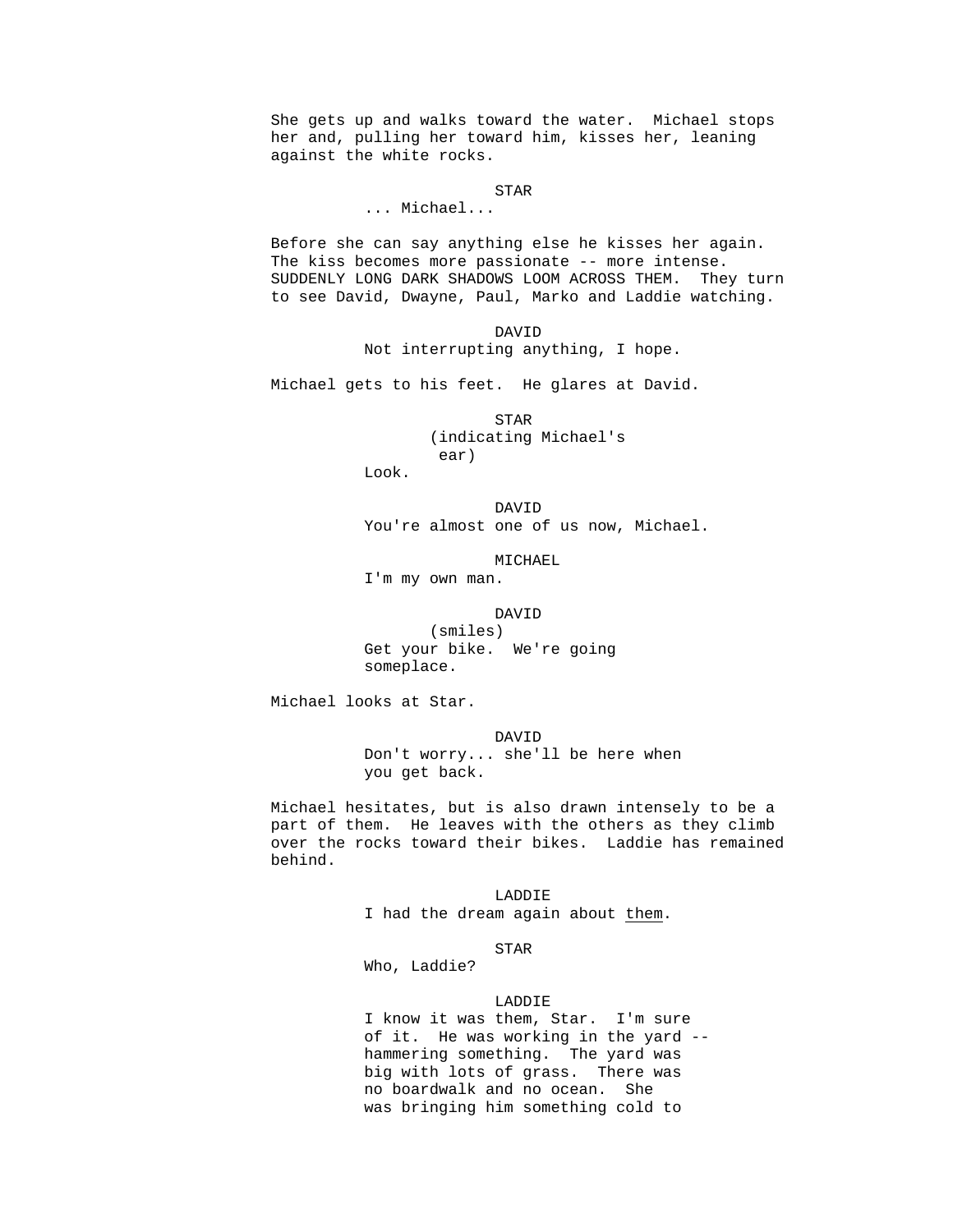She gets up and walks toward the water. Michael stops her and, pulling her toward him, kisses her, leaning against the white rocks.

**STAR** 

... Michael...

 Before she can say anything else he kisses her again. The kiss becomes more passionate -- more intense. SUDDENLY LONG DARK SHADOWS LOOM ACROSS THEM. They turn to see David, Dwayne, Paul, Marko and Laddie watching.

> DAVID Not interrupting anything, I hope.

Michael gets to his feet. He glares at David.

 STAR (indicating Michael's ear)

Look.

 DAVID You're almost one of us now, Michael.

MICHAEL

I'm my own man.

DAVID

 (smiles) Get your bike. We're going someplace.

Michael looks at Star.

 DAVID Don't worry... she'll be here when you get back.

 Michael hesitates, but is also drawn intensely to be a part of them. He leaves with the others as they climb over the rocks toward their bikes. Laddie has remained behind.

> LADDIE I had the dream again about them.

**STAR** 

Who, Laddie?

# LADDIE

 I know it was them, Star. I'm sure of it. He was working in the yard - hammering something. The yard was big with lots of grass. There was no boardwalk and no ocean. She was bringing him something cold to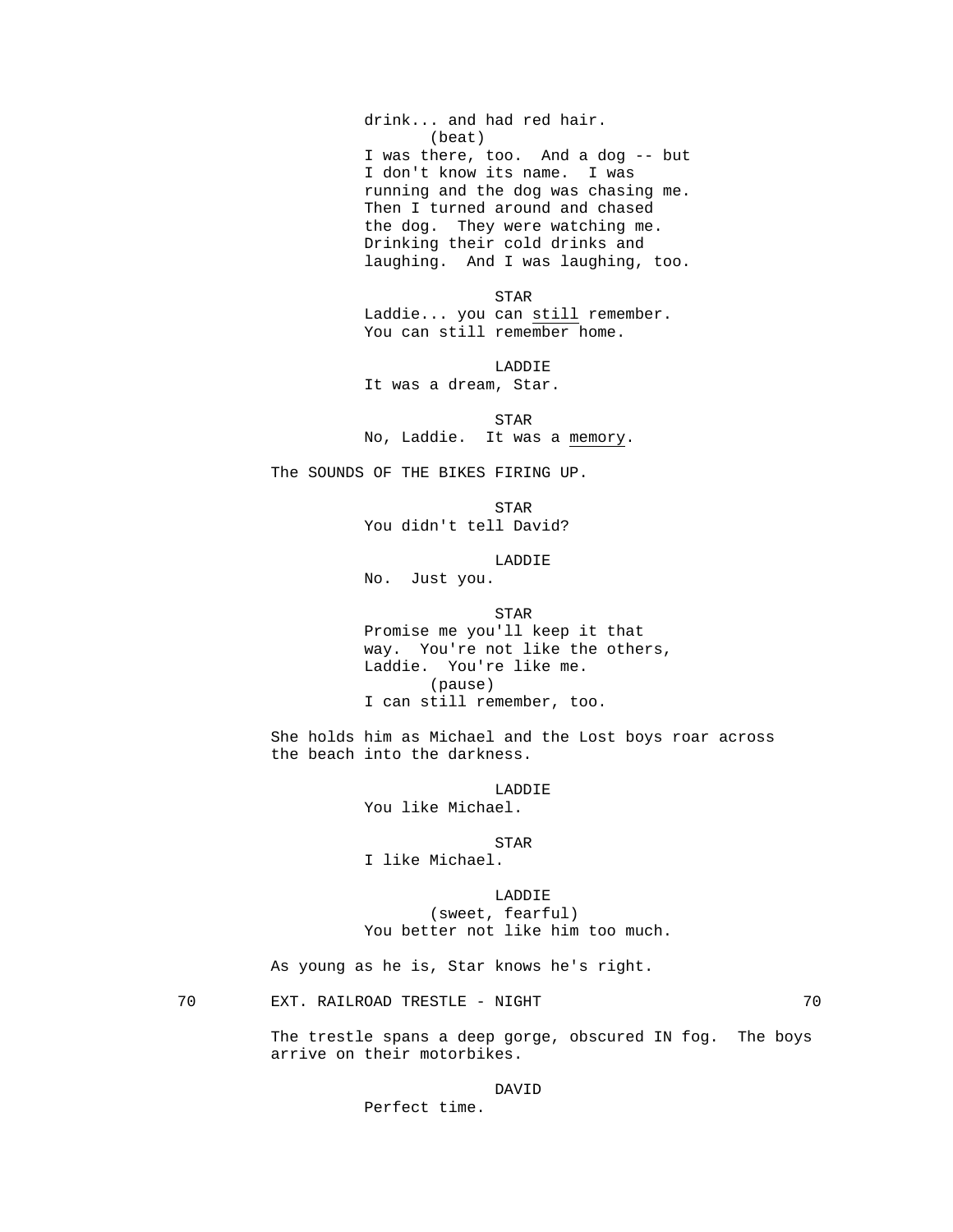drink... and had red hair. (beat) I was there, too. And a dog -- but I don't know its name. I was running and the dog was chasing me. Then I turned around and chased the dog. They were watching me. Drinking their cold drinks and laughing. And I was laughing, too.

**STAR**  Laddie... you can still remember. You can still remember home.

LADDIE

It was a dream, Star.

 STAR No, Laddie. It was a memory.

The SOUNDS OF THE BIKES FIRING UP.

 STAR You didn't tell David?

LADDIE

No. Just you.

**STAR**  Promise me you'll keep it that way. You're not like the others, Laddie. You're like me. (pause) I can still remember, too.

> She holds him as Michael and the Lost boys roar across the beach into the darkness.

> > LADDIE

You like Michael.

STAR

I like Michael.

 LADDIE (sweet, fearful) You better not like him too much.

As young as he is, Star knows he's right.

70 EXT. RAILROAD TRESTLE - NIGHT 70

The trestle spans a deep gorge, obscured IN fog. The boys arrive on their motorbikes.

DAVID

Perfect time.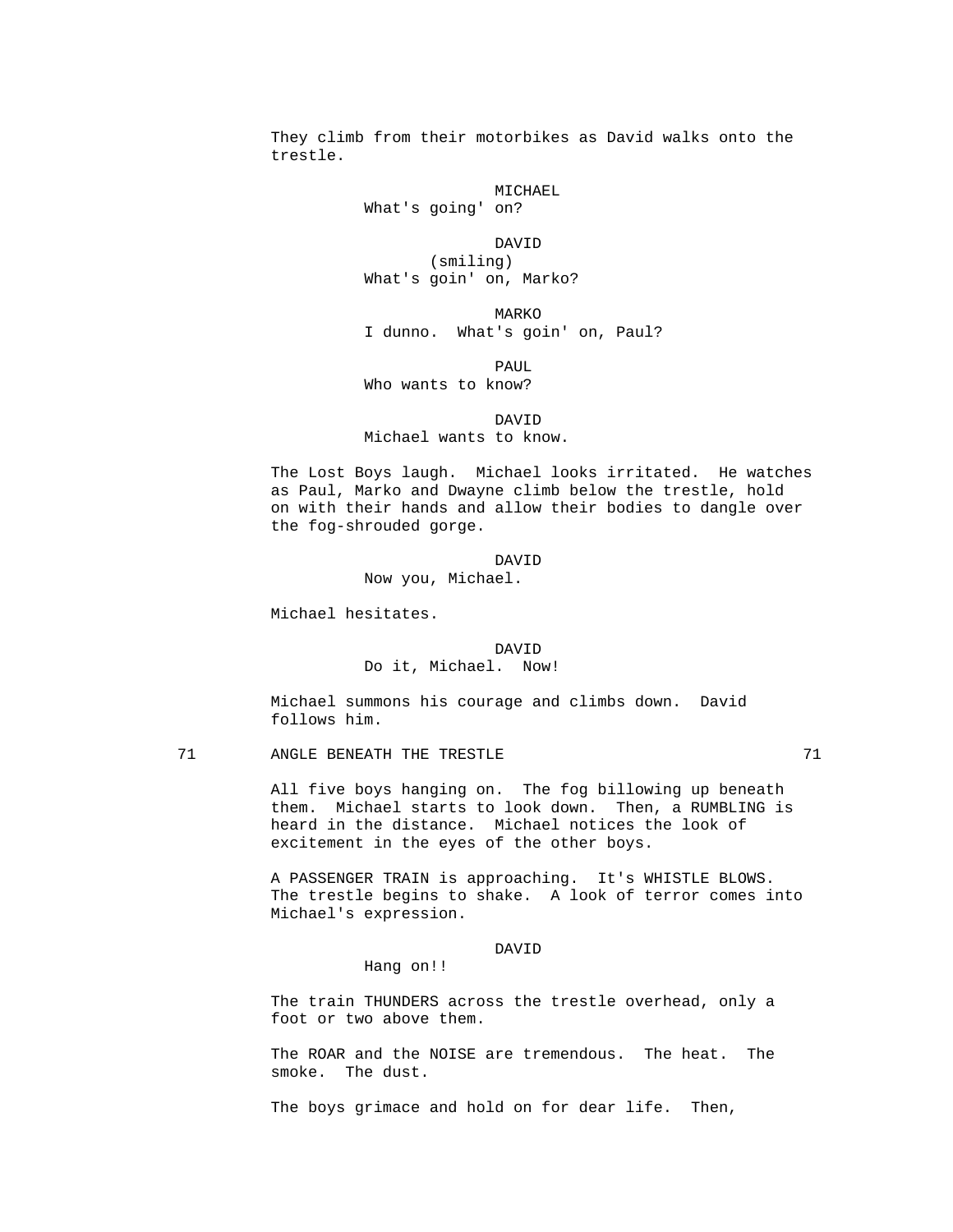They climb from their motorbikes as David walks onto the trestle.

> MICHAEL What's going' on?

 DAVID (smiling) What's goin' on, Marko?

**MARKO** I dunno. What's goin' on, Paul?

**PAUL** 

Who wants to know?

 DAVID Michael wants to know.

> The Lost Boys laugh. Michael looks irritated. He watches as Paul, Marko and Dwayne climb below the trestle, hold on with their hands and allow their bodies to dangle over the fog-shrouded gorge.

 DAVID Now you, Michael.

Michael hesitates.

 DAVID Do it, Michael. Now!

 Michael summons his courage and climbs down. David follows him.

71 ANGLE BENEATH THE TRESTLE **FOUR 1** 71

 All five boys hanging on. The fog billowing up beneath them. Michael starts to look down. Then, a RUMBLING is heard in the distance. Michael notices the look of excitement in the eyes of the other boys.

 A PASSENGER TRAIN is approaching. It's WHISTLE BLOWS. The trestle begins to shake. A look of terror comes into Michael's expression.

DAVID

Hang on!!

 The train THUNDERS across the trestle overhead, only a foot or two above them.

 The ROAR and the NOISE are tremendous. The heat. The smoke. The dust.

The boys grimace and hold on for dear life. Then,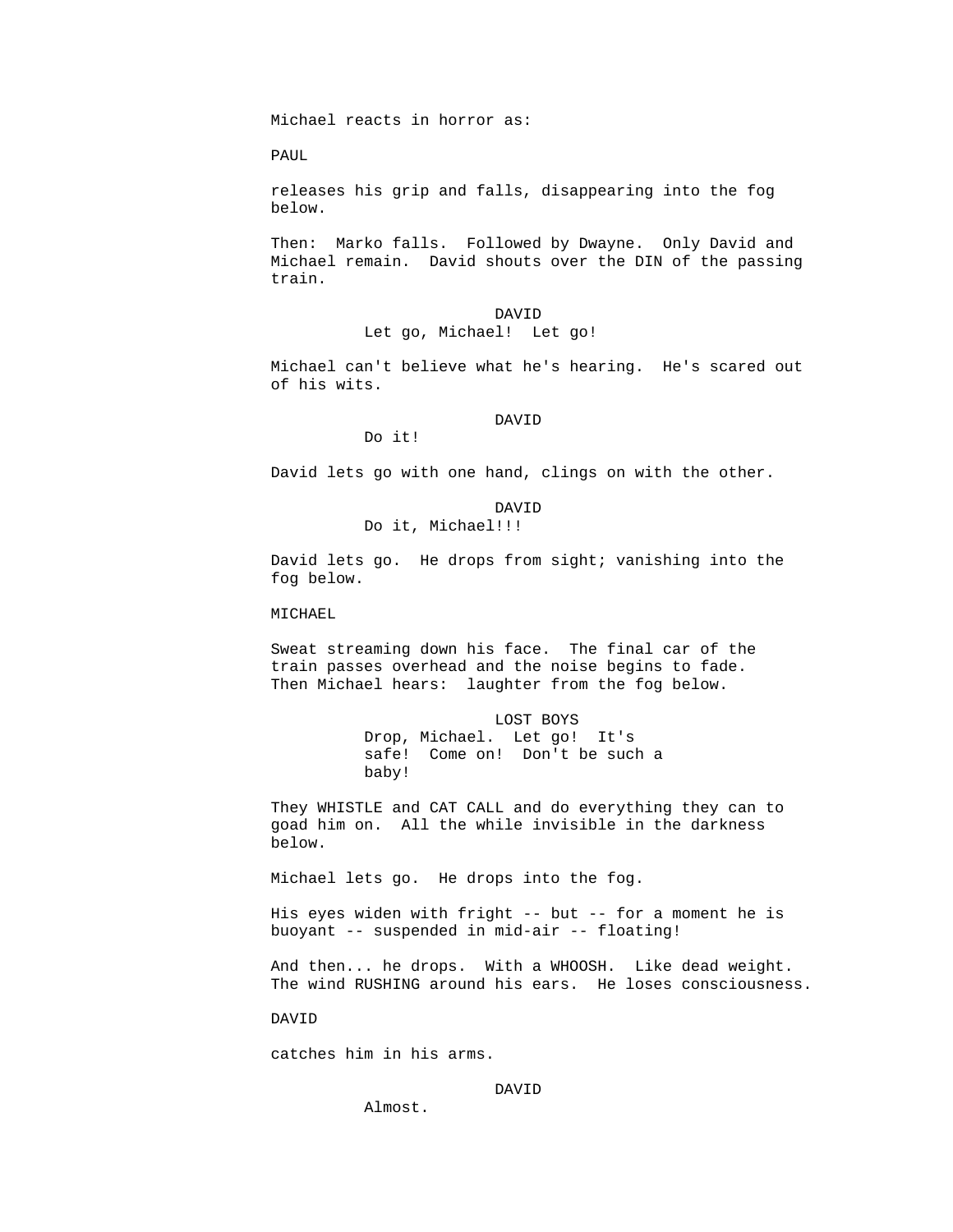Michael reacts in horror as:

PAUL

 releases his grip and falls, disappearing into the fog below.

 Then: Marko falls. Followed by Dwayne. Only David and Michael remain. David shouts over the DIN of the passing train.

 DAVID Let go, Michael! Let go!

> Michael can't believe what he's hearing. He's scared out of his wits.

DAVID

Do it!

David lets go with one hand, clings on with the other.

 DAVID Do it, Michael!!!

> David lets go. He drops from sight; vanishing into the fog below.

MICHAEL

 Sweat streaming down his face. The final car of the train passes overhead and the noise begins to fade. Then Michael hears: laughter from the fog below.

> LOST BOYS Drop, Michael. Let go! It's safe! Come on! Don't be such a baby!

 They WHISTLE and CAT CALL and do everything they can to goad him on. All the while invisible in the darkness below.

Michael lets go. He drops into the fog.

 His eyes widen with fright -- but -- for a moment he is buoyant -- suspended in mid-air -- floating!

 And then... he drops. With a WHOOSH. Like dead weight. The wind RUSHING around his ears. He loses consciousness.

DAVID

catches him in his arms.

DAVID

Almost.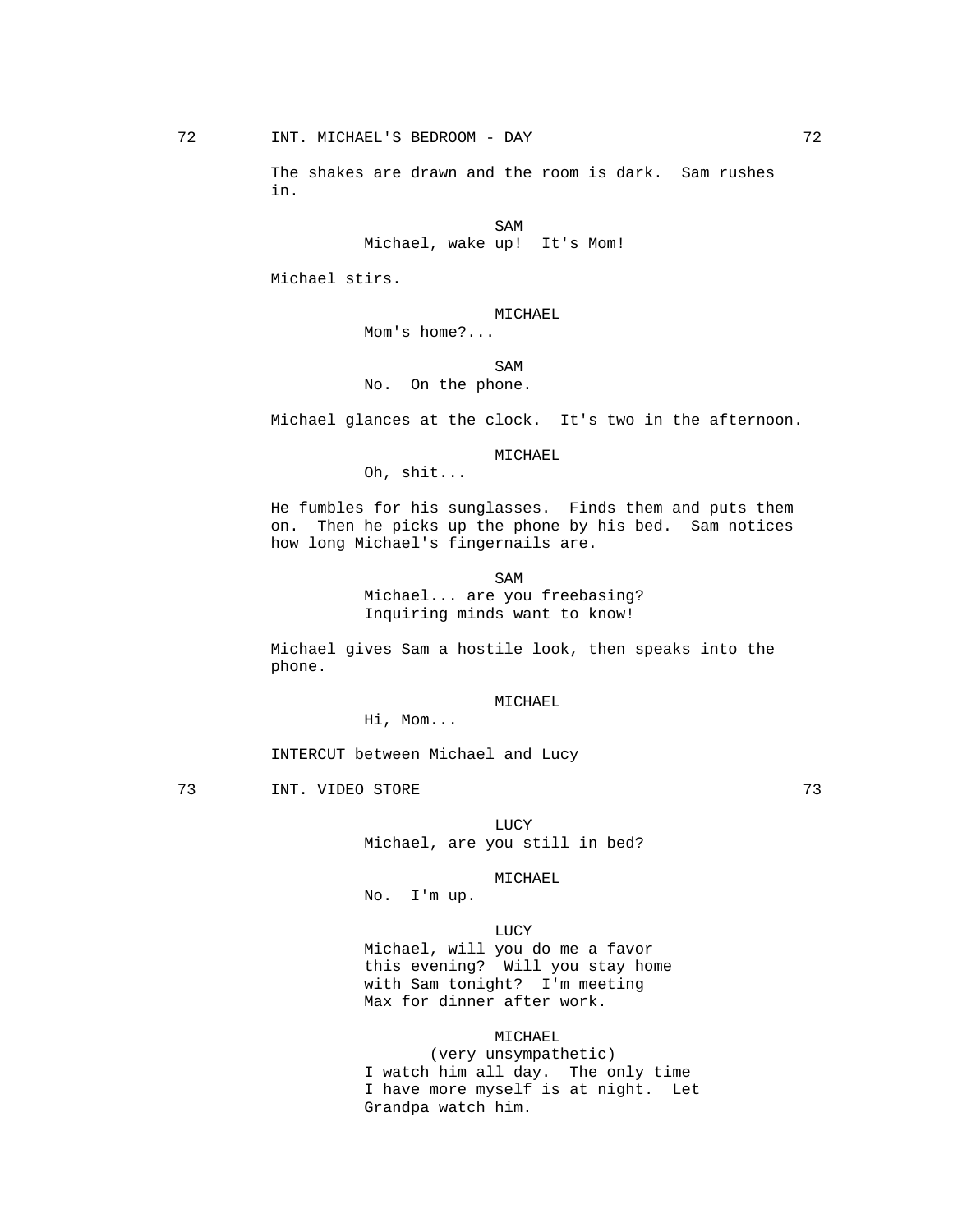The shakes are drawn and the room is dark. Sam rushes in.

SAM SAME SAME SAME SAMPLE SAMPLE SAMPLE SAMPLE SAMPLE SAMPLE SAMPLE SAMPLE SAMPLE SAMPLE SAMPLE SAMPLE SAMPLE SAMPLE SAMPLE SAMPLE SAMPLE SAMPLE SAMPLE SAMPLE SAMPLE SAMPLE SAMPLE SAMPLE SAMPLE SAMPLE SAMPLE SAMPLE SAMPLE Michael, wake up! It's Mom!

Michael stirs.

# MICHAEL

Mom's home?...

SAM SAME SAME SAME SAMPLE SAMPLE SAMPLE SAMPLE SAMPLE SAMPLE SAMPLE SAMPLE SAMPLE SAMPLE SAMPLE SAMPLE SAMPLE SAMPLE SAMPLE SAMPLE SAMPLE SAMPLE SAMPLE SAMPLE SAMPLE SAMPLE SAMPLE SAMPLE SAMPLE SAMPLE SAMPLE SAMPLE SAMPLE No. On the phone.

Michael glances at the clock. It's two in the afternoon.

### MICHAEL

Oh, shit...

 He fumbles for his sunglasses. Finds them and puts them on. Then he picks up the phone by his bed. Sam notices how long Michael's fingernails are.

SAM SAME SAME SAME SAMPLE SAMPLE SAMPLE SAMPLE SAMPLE SAMPLE SAMPLE SAMPLE SAMPLE SAMPLE SAMPLE SAMPLE SAMPLE Michael... are you freebasing? Inquiring minds want to know!

> Michael gives Sam a hostile look, then speaks into the phone.

### MICHAEL

Hi, Mom...

INTERCUT between Michael and Lucy

The Terms of the STORE of the STORE of the STORE of the STORE of the STORE of the STORE of the STORE of the STORE of the STORE of the STORE of the STORE of the STORE of the STORE of the STORE of the STORE of the STORE of t

**LUCY** Michael, are you still in bed?

#### MICHAEL

No. I'm up.

### **LUCY**

Michael, will you do me a favor this evening? Will you stay home with Sam tonight? I'm meeting Max for dinner after work.

# MICHAEL

 (very unsympathetic) I watch him all day. The only time I have more myself is at night. Let Grandpa watch him.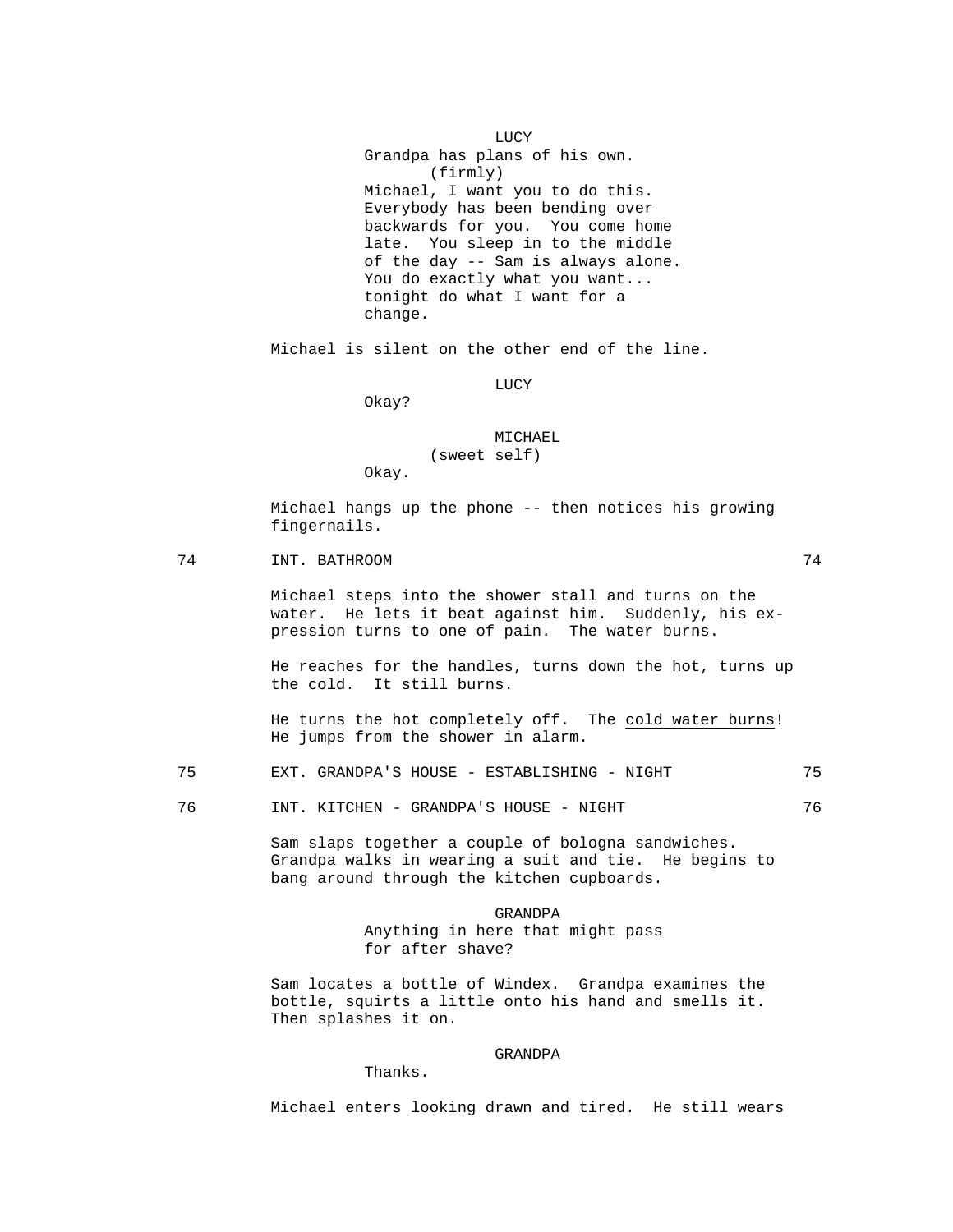LUCY Grandpa has plans of his own. (firmly) Michael, I want you to do this. Everybody has been bending over backwards for you. You come home late. You sleep in to the middle of the day -- Sam is always alone. You do exactly what you want... tonight do what I want for a change.

Michael is silent on the other end of the line.

LUCY

Okay?

 MICHAEL (sweet self) Okay.

 Michael hangs up the phone -- then notices his growing fingernails.

74 INT. BATHROOM 74

 Michael steps into the shower stall and turns on the water. He lets it beat against him. Suddenly, his expression turns to one of pain. The water burns.

 He reaches for the handles, turns down the hot, turns up the cold. It still burns.

 He turns the hot completely off. The cold water burns! He jumps from the shower in alarm.

75 EXT. GRANDPA'S HOUSE - ESTABLISHING - NIGHT 75

76 INT. KITCHEN - GRANDPA'S HOUSE - NIGHT 76

 Sam slaps together a couple of bologna sandwiches. Grandpa walks in wearing a suit and tie. He begins to bang around through the kitchen cupboards.

> GRANDPA Anything in here that might pass for after shave?

 Sam locates a bottle of Windex. Grandpa examines the bottle, squirts a little onto his hand and smells it. Then splashes it on.

### GRANDPA Thanks.

Michael enters looking drawn and tired. He still wears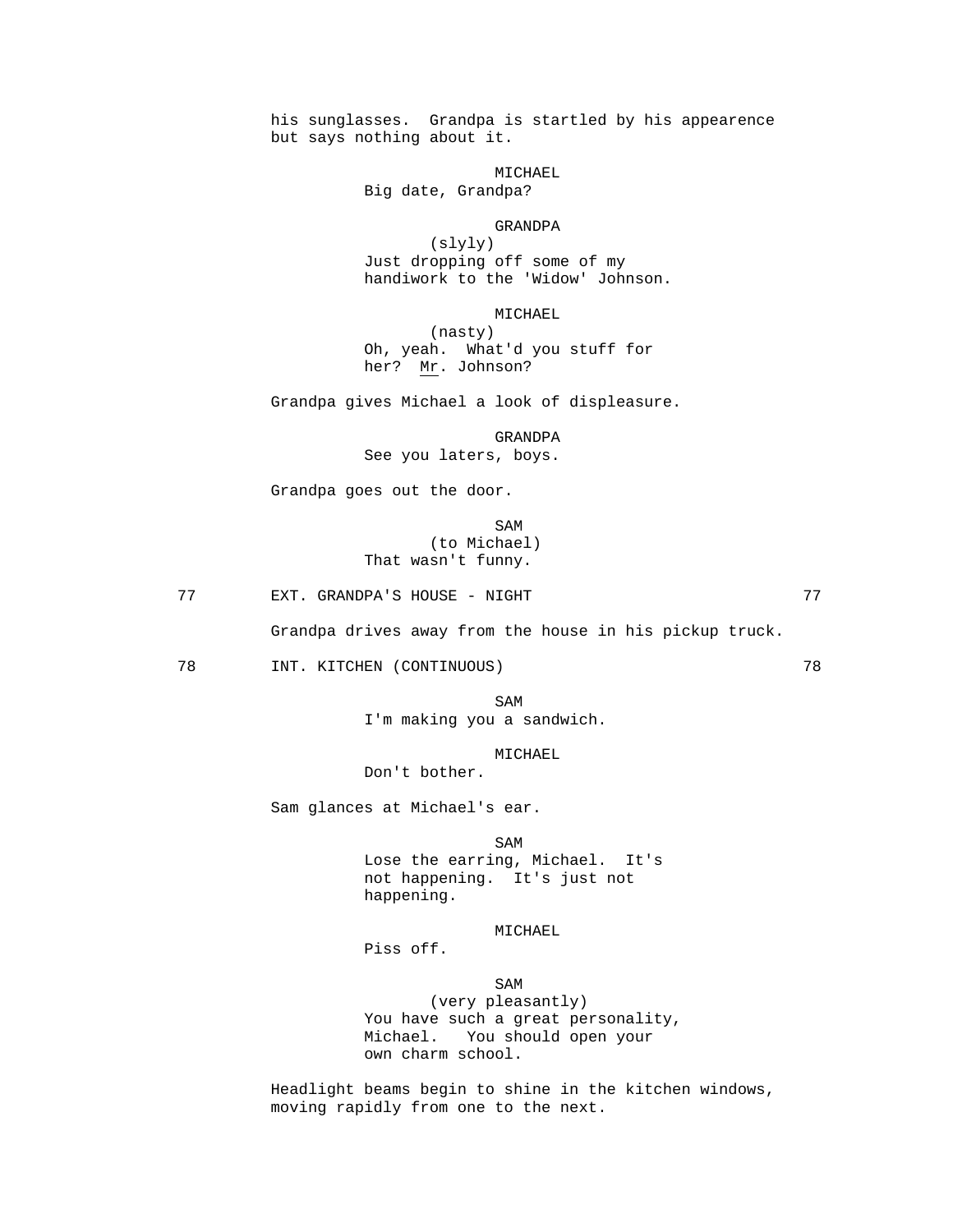his sunglasses. Grandpa is startled by his appearence but says nothing about it.

MICHAEL

Big date, Grandpa?

#### GRANDPA

 (slyly) Just dropping off some of my handiwork to the 'Widow' Johnson.

MICHAEL

 (nasty) Oh, yeah. What'd you stuff for her? Mr. Johnson?

Grandpa gives Michael a look of displeasure.

 GRANDPA See you laters, boys.

Grandpa goes out the door.

SAM SAME SAME SAMPLE SAMPLE SAMPLE SAMPLE SAMPLE SAMPLE SAMPLE SAMPLE SAMPLE SAMPLE SAMPLE SAMPLE SAMPLE SAMPL (to Michael) That wasn't funny.

77 EXT. GRANDPA'S HOUSE - NIGHT 77

Grandpa drives away from the house in his pickup truck.

78 INT. KITCHEN (CONTINUOUS) 78

SAM SAME SAME SAME SAMPLE SAMPLE SAMPLE SAMPLE SAMPLE SAMPLE SAMPLE SAMPLE SAMPLE SAMPLE SAMPLE SAMPLE SAMPLE SAMPLE SAMPLE SAMPLE SAMPLE SAMPLE SAMPLE SAMPLE SAMPLE SAMPLE SAMPLE SAMPLE SAMPLE SAMPLE SAMPLE SAMPLE SAMPLE I'm making you a sandwich.

MICHAEL

Don't bother.

Sam glances at Michael's ear.

SAM SAME SAME SAME SAMPLE SAMPLE SAMPLE SAMPLE SAMPLE SAMPLE SAMPLE SAMPLE SAMPLE SAMPLE SAMPLE SAMPLE SAMPLE Lose the earring, Michael. It's not happening. It's just not happening.

MICHAEL

Piss off.

SAM SAME SAME SAME SAMPLE SAMPLE SAMPLE SAMPLE SAMPLE SAMPLE SAMPLE SAMPLE SAMPLE SAMPLE SAMPLE SAMPLE SAMPLE (very pleasantly) You have such a great personality, Michael. You should open your own charm school.

> Headlight beams begin to shine in the kitchen windows, moving rapidly from one to the next.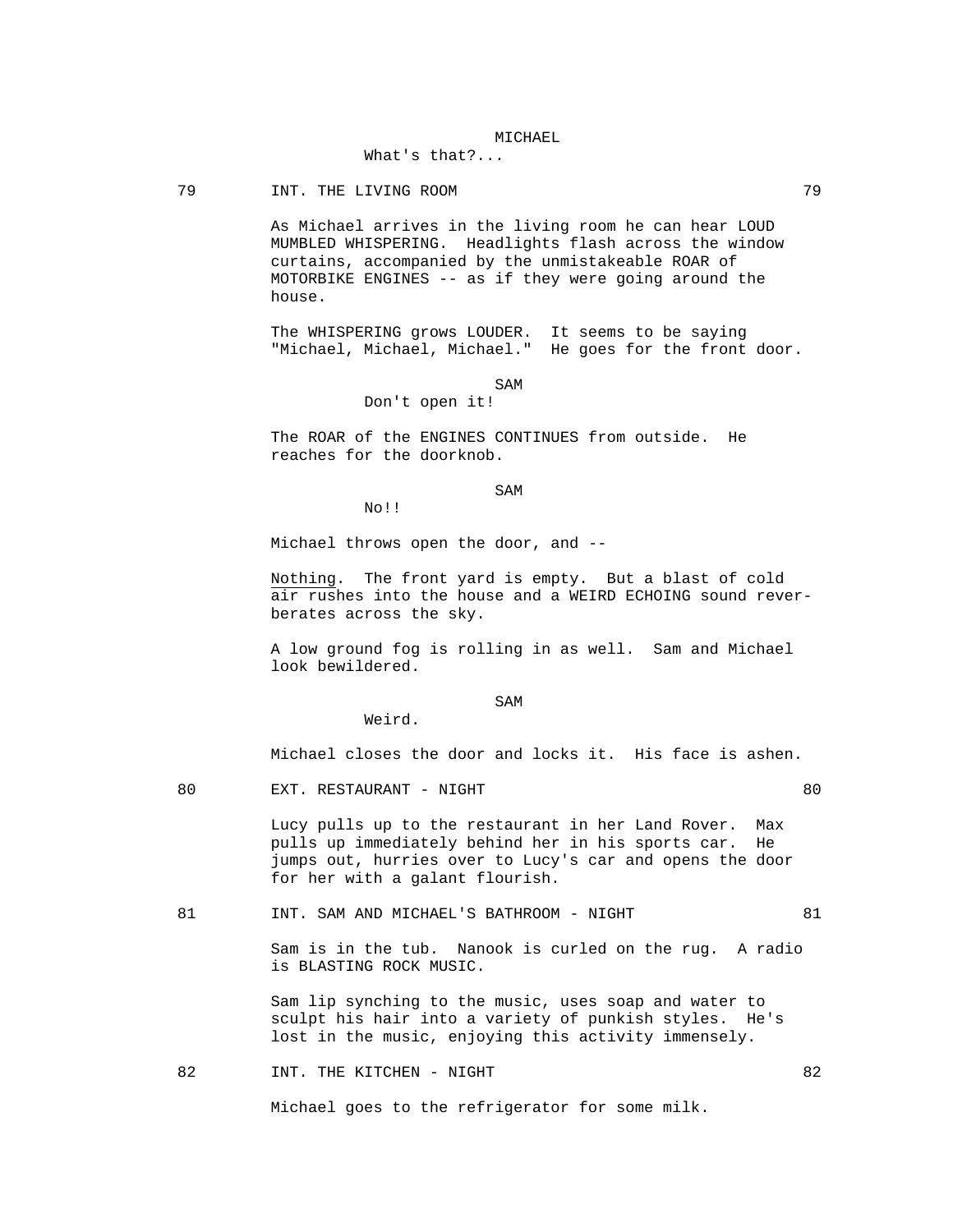### MICHAEL

# What's that?...

79 INT. THE LIVING ROOM 79

 As Michael arrives in the living room he can hear LOUD MUMBLED WHISPERING. Headlights flash across the window curtains, accompanied by the unmistakeable ROAR of MOTORBIKE ENGINES -- as if they were going around the house.

 The WHISPERING grows LOUDER. It seems to be saying "Michael, Michael, Michael." He goes for the front door.

### SAM SAME SAME SAME SAMPLE SAMPLE SAMPLE SAMPLE SAMPLE SAMPLE SAMPLE SAMPLE SAMPLE SAMPLE SAMPLE SAMPLE SAMPLE SAMPLE SAMPLE SAMPLE SAMPLE SAMPLE SAMPLE SAMPLE SAMPLE SAMPLE SAMPLE SAMPLE SAMPLE SAMPLE SAMPLE SAMPLE SAMPLE

Don't open it!

 The ROAR of the ENGINES CONTINUES from outside. He reaches for the doorknob.

SAM SAME SAME SAME SAMPLE SAMPLE SAMPLE SAMPLE SAMPLE SAMPLE SAMPLE SAMPLE SAMPLE SAMPLE SAMPLE SAMPLE SAMPLE SAMPLE SAMPLE SAMPLE SAMPLE SAMPLE SAMPLE SAMPLE SAMPLE SAMPLE SAMPLE SAMPLE SAMPLE SAMPLE SAMPLE SAMPLE SAMPLE

No!!

Michael throws open the door, and --

 Nothing. The front yard is empty. But a blast of cold air rushes into the house and a WEIRD ECHOING sound reverberates across the sky.

 A low ground fog is rolling in as well. Sam and Michael look bewildered.

### SAM SAME SAME SAME SAMPLE SAMPLE SAMPLE SAMPLE SAMPLE SAMPLE SAMPLE SAMPLE SAMPLE SAMPLE SAMPLE SAMPLE SAMPLE SAMPLE SAMPLE SAMPLE SAMPLE SAMPLE SAMPLE SAMPLE SAMPLE SAMPLE SAMPLE SAMPLE SAMPLE SAMPLE SAMPLE SAMPLE SAMPLE

Weird.

Michael closes the door and locks it. His face is ashen.

80 EXT. RESTAURANT - NIGHT 80

 Lucy pulls up to the restaurant in her Land Rover. Max pulls up immediately behind her in his sports car. He jumps out, hurries over to Lucy's car and opens the door for her with a galant flourish.

81 INT. SAM AND MICHAEL'S BATHROOM - NIGHT 81

 Sam is in the tub. Nanook is curled on the rug. A radio is BLASTING ROCK MUSIC.

 Sam lip synching to the music, uses soap and water to sculpt his hair into a variety of punkish styles. He's lost in the music, enjoying this activity immensely.

82 INT. THE KITCHEN - NIGHT 82

Michael goes to the refrigerator for some milk.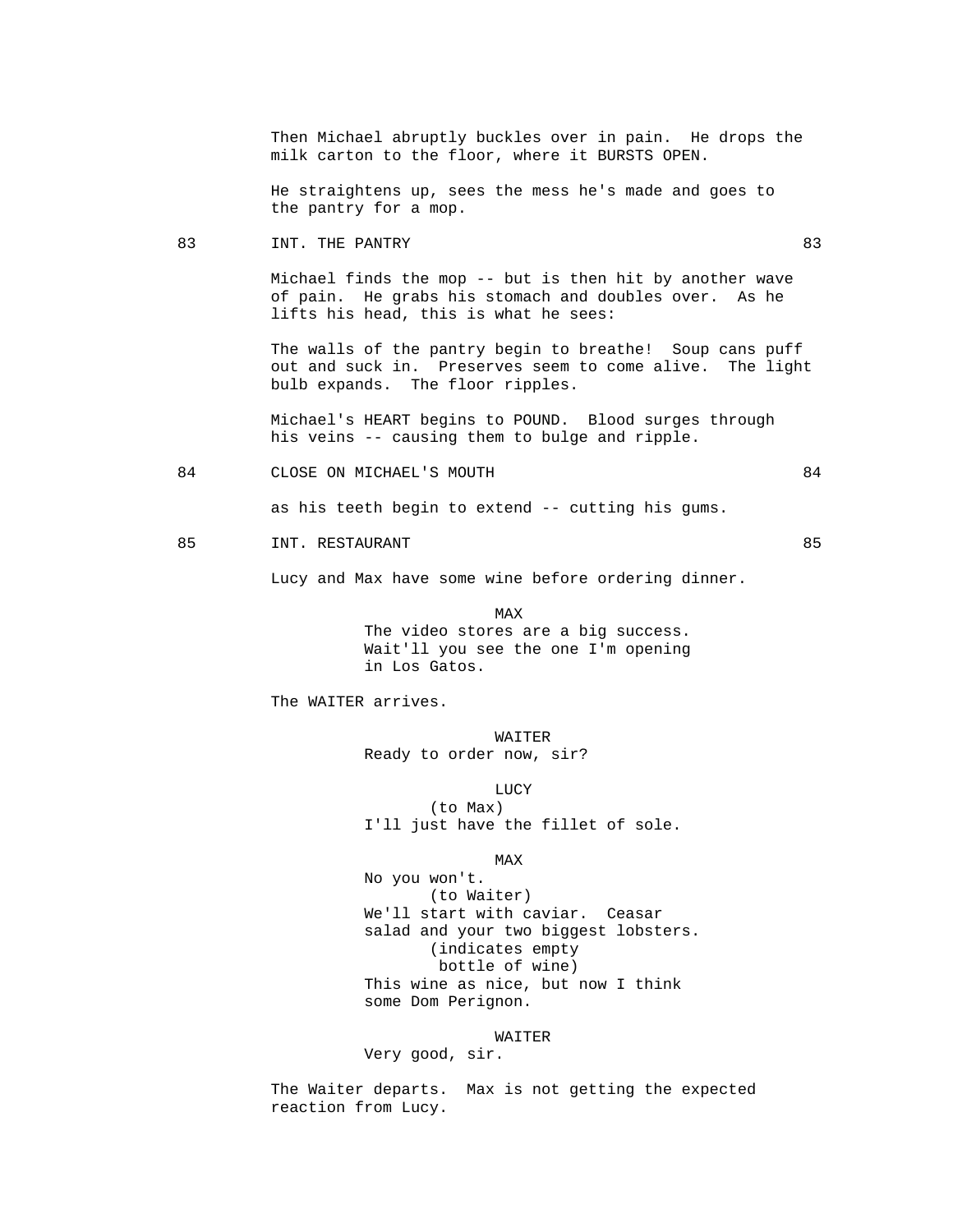Then Michael abruptly buckles over in pain. He drops the milk carton to the floor, where it BURSTS OPEN.

 He straightens up, sees the mess he's made and goes to the pantry for a mop.

83 INT. THE PANTRY 63

 Michael finds the mop -- but is then hit by another wave of pain. He grabs his stomach and doubles over. As he lifts his head, this is what he sees:

 The walls of the pantry begin to breathe! Soup cans puff out and suck in. Preserves seem to come alive. The light bulb expands. The floor ripples.

 Michael's HEART begins to POUND. Blood surges through his veins -- causing them to bulge and ripple.

84 CLOSE ON MICHAEL'S MOUTH 64

as his teeth begin to extend -- cutting his gums.

#### 85 INT. RESTAURANT 85

Lucy and Max have some wine before ordering dinner.

MAX NEWSFILM CONTROL IN THE MAX The video stores are a big success. Wait'll you see the one I'm opening in Los Gatos.

The WAITER arrives.

WAITER WALLER Ready to order now, sir?

LUCY

 (to Max) I'll just have the fillet of sole.

**MAX** 

 No you won't. (to Waiter) We'll start with caviar. Ceasar salad and your two biggest lobsters. (indicates empty bottle of wine) This wine as nice, but now I think some Dom Perignon.

# WAITER

Very good, sir.

 The Waiter departs. Max is not getting the expected reaction from Lucy.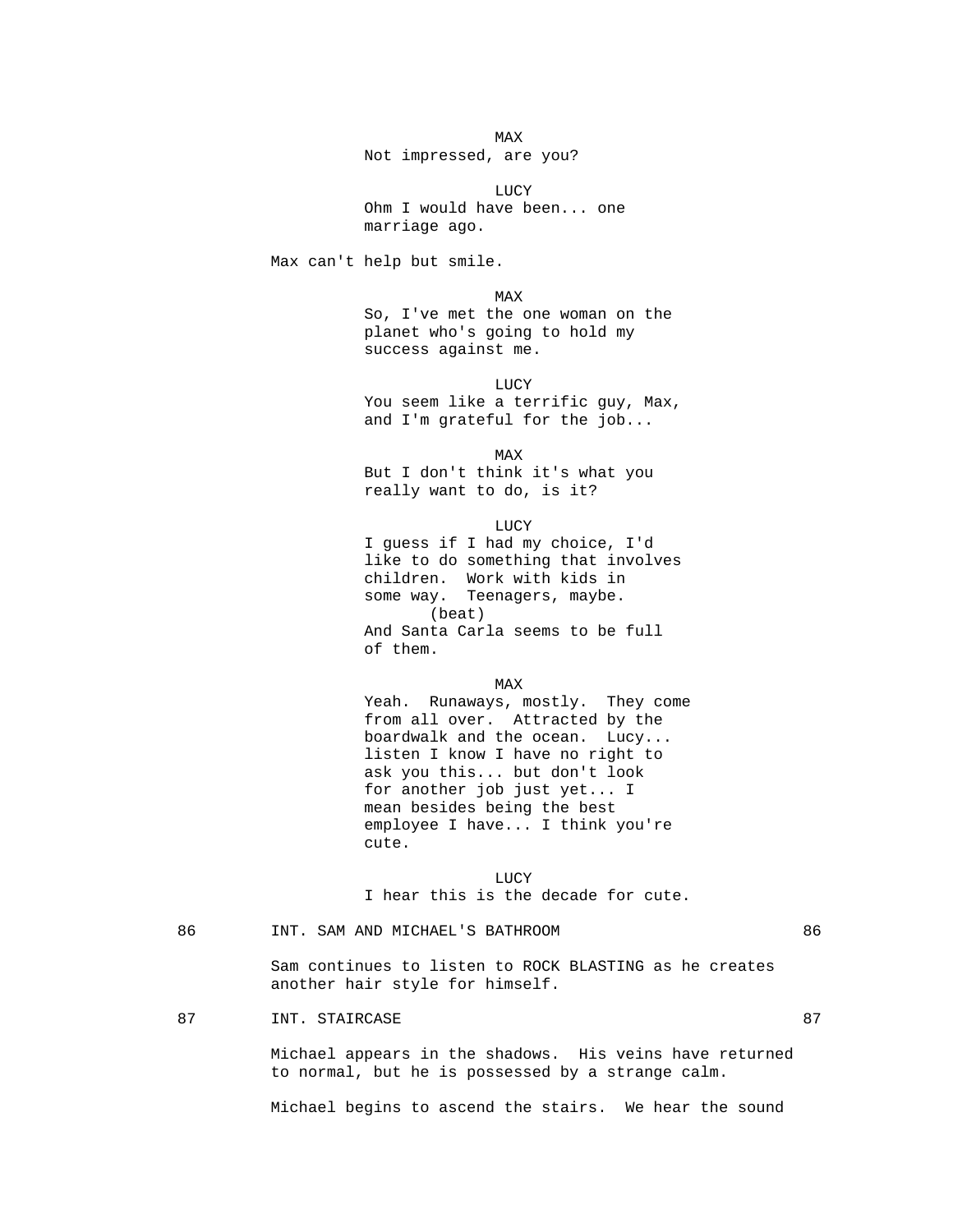**MAX** Not impressed, are you?

 LUCY Ohm I would have been... one marriage ago.

Max can't help but smile.

**MAX**  So, I've met the one woman on the planet who's going to hold my success against me.

 LUCY You seem like a terrific guy, Max, and I'm grateful for the job...

**MAX**  But I don't think it's what you really want to do, is it?

**LUCY**  I guess if I had my choice, I'd like to do something that involves children. Work with kids in some way. Teenagers, maybe. (beat) And Santa Carla seems to be full of them.

MAX NEWSFILM CONTROL IN THE MAX Yeah. Runaways, mostly. They come from all over. Attracted by the boardwalk and the ocean. Lucy... listen I know I have no right to ask you this... but don't look for another job just yet... I mean besides being the best employee I have... I think you're cute.

 LUCY I hear this is the decade for cute.

### 86 INT. SAM AND MICHAEL'S BATHROOM 86

 Sam continues to listen to ROCK BLASTING as he creates another hair style for himself.

### 87 INT. STAIRCASE 87 87

 Michael appears in the shadows. His veins have returned to normal, but he is possessed by a strange calm.

Michael begins to ascend the stairs. We hear the sound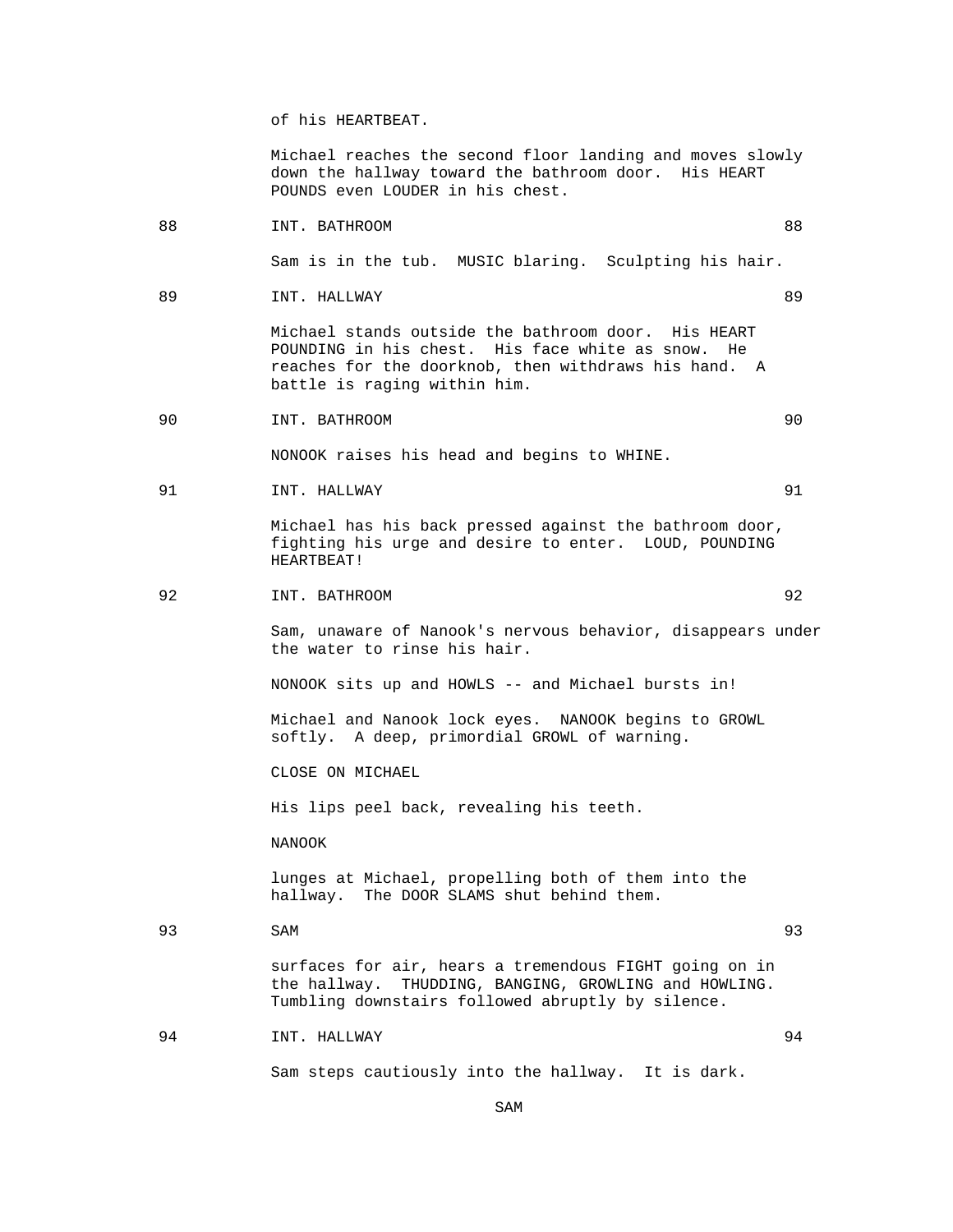of his HEARTBEAT.

 Michael reaches the second floor landing and moves slowly down the hallway toward the bathroom door. His HEART POUNDS even LOUDER in his chest.

88 INT. BATHROOM 88

Sam is in the tub. MUSIC blaring. Sculpting his hair.

89 INT. HALLWAY 89

 Michael stands outside the bathroom door. His HEART POUNDING in his chest. His face white as snow. He reaches for the doorknob, then withdraws his hand. A battle is raging within him.

90 INT. BATHROOM 90

NONOOK raises his head and begins to WHINE.

91 INT. HALLWAY 91

 Michael has his back pressed against the bathroom door, fighting his urge and desire to enter. LOUD, POUNDING HEARTBEAT!

92 INT. BATHROOM 92

 Sam, unaware of Nanook's nervous behavior, disappears under the water to rinse his hair.

NONOOK sits up and HOWLS -- and Michael bursts in!

 Michael and Nanook lock eyes. NANOOK begins to GROWL softly. A deep, primordial GROWL of warning.

CLOSE ON MICHAEL

His lips peel back, revealing his teeth.

NANOOK

 lunges at Michael, propelling both of them into the hallway. The DOOR SLAMS shut behind them.

93 SAM 93

 surfaces for air, hears a tremendous FIGHT going on in the hallway. THUDDING, BANGING, GROWLING and HOWLING. Tumbling downstairs followed abruptly by silence.

94 INT. HALLWAY 94

Sam steps cautiously into the hallway. It is dark.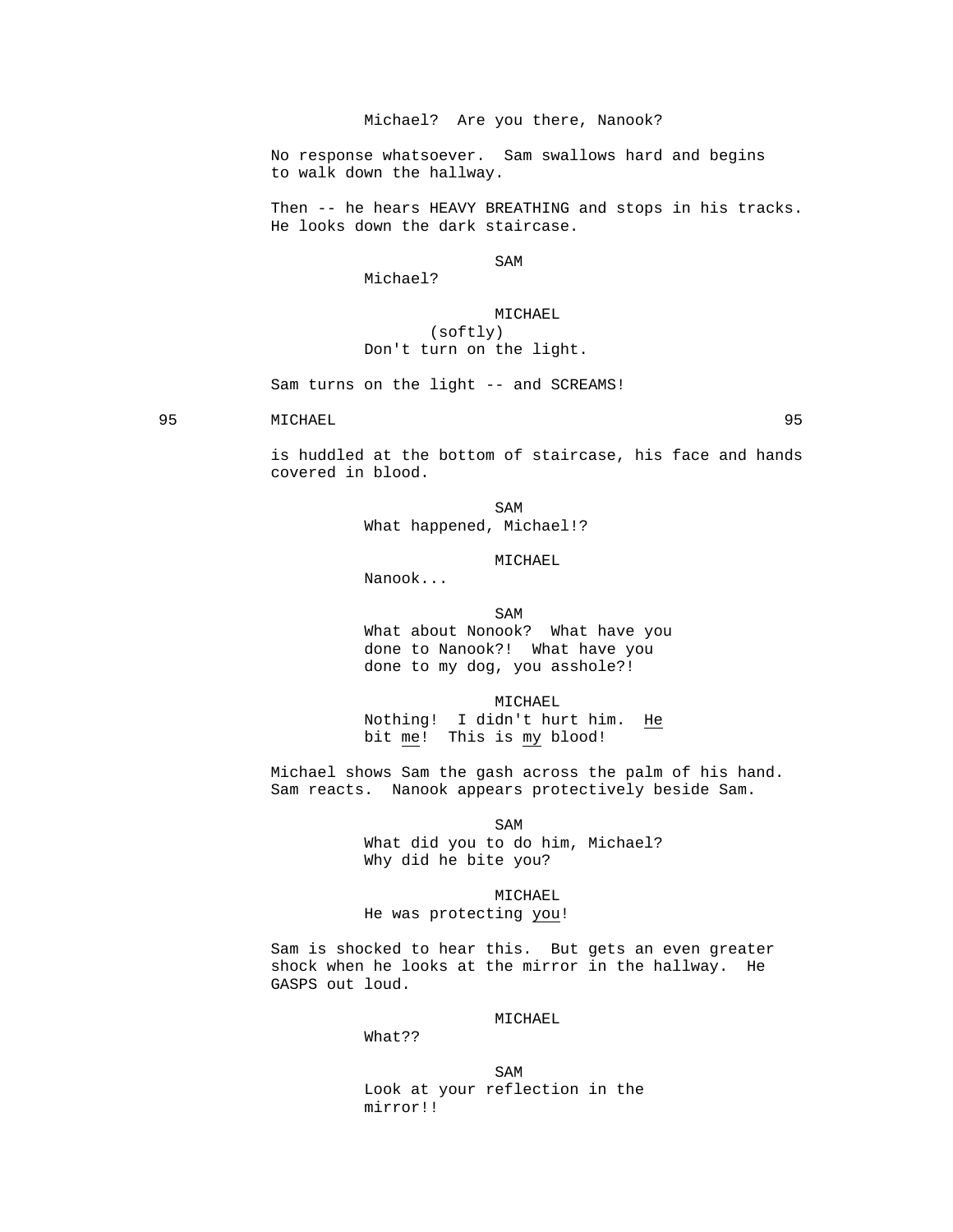# Michael? Are you there, Nanook?

 No response whatsoever. Sam swallows hard and begins to walk down the hallway.

 Then -- he hears HEAVY BREATHING and stops in his tracks. He looks down the dark staircase.

SAM SAME SAME SAME SAMPLE SAMPLE SAMPLE SAMPLE SAMPLE SAMPLE SAMPLE SAMPLE SAMPLE SAMPLE SAMPLE SAMPLE SAMPLE

### Michael?

# MICHAEL (softly) Don't turn on the light.

Sam turns on the light -- and SCREAMS!

95 MICHAEL 95

 is huddled at the bottom of staircase, his face and hands covered in blood.

SAM SAME SAME SAME SAMPLE SAMPLE SAMPLE SAMPLE SAMPLE SAMPLE SAMPLE SAMPLE SAMPLE SAMPLE SAMPLE SAMPLE SAMPLE What happened, Michael!?

### MICHAEL

Nanook...

SAM SAME SAME SAMPLE SAMPLE SAMPLE SAMPLE SAMPLE SAMPLE SAMPLE SAMPLE SAMPLE SAMPLE SAMPLE SAMPLE SAMPLE SAMPL

 What about Nonook? What have you done to Nanook?! What have you done to my dog, you asshole?!

 MICHAEL Nothing! I didn't hurt him. He bit me! This is my blood!

 Michael shows Sam the gash across the palm of his hand. Sam reacts. Nanook appears protectively beside Sam.

SAM SAME SAME SAME SAMPLE SAMPLE SAMPLE SAMPLE SAMPLE SAMPLE SAMPLE SAMPLE SAMPLE SAMPLE SAMPLE SAMPLE SAMPLE What did you to do him, Michael? Why did he bite you?

# MICHAEL

He was protecting you!

 Sam is shocked to hear this. But gets an even greater shock when he looks at the mirror in the hallway. He GASPS out loud.

# MICHAEL

What??

SAM SAME SAME SAME SAMPLE SAMPLE SAMPLE SAMPLE SAMPLE SAMPLE SAMPLE SAMPLE SAMPLE SAMPLE SAMPLE SAMPLE SAMPLE Look at your reflection in the mirror!!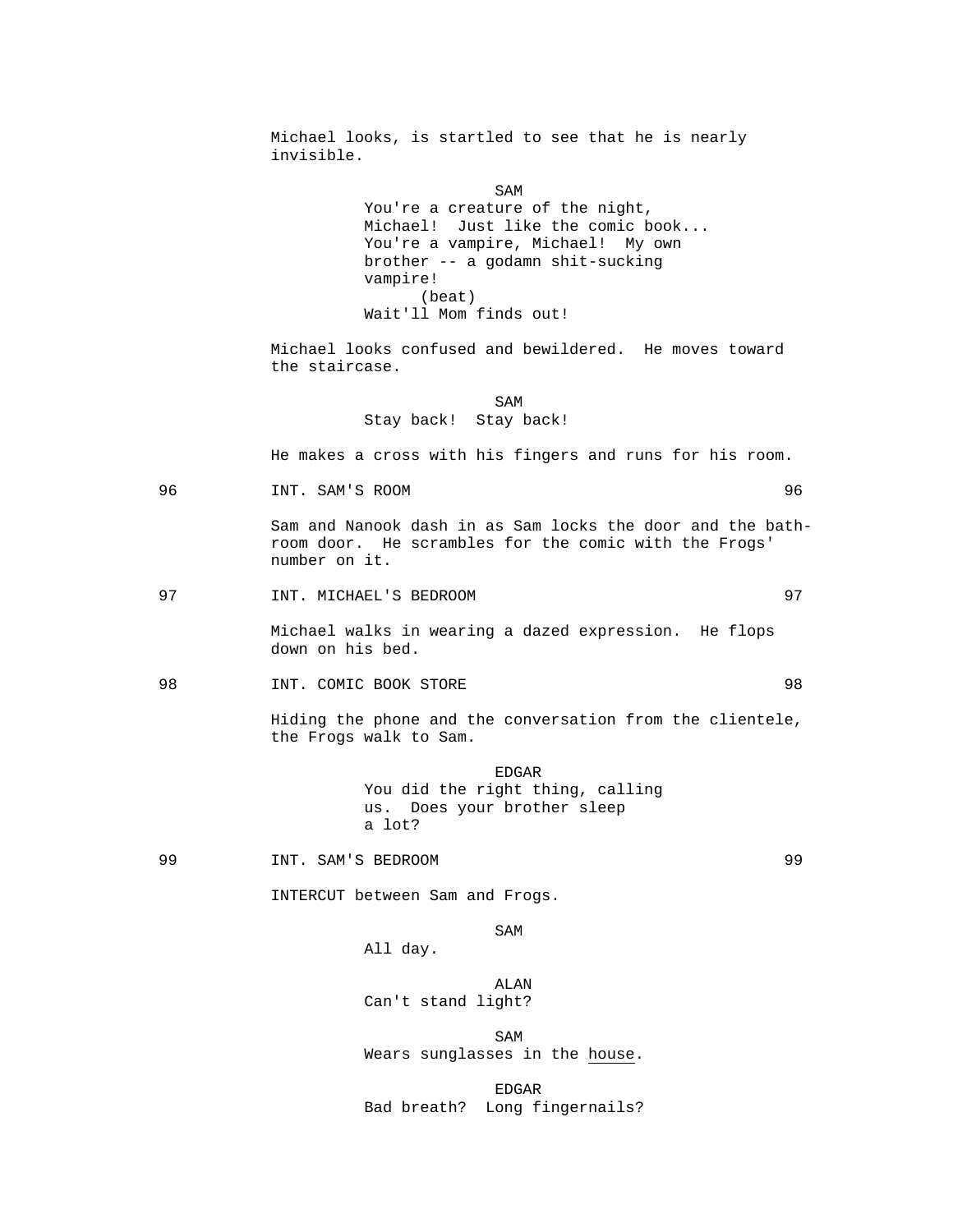Michael looks, is startled to see that he is nearly invisible.

SAM SAME SAME SAME SAMPLE SAMPLE SAMPLE SAMPLE SAMPLE SAMPLE SAMPLE SAMPLE SAMPLE SAMPLE SAMPLE SAMPLE SAMPLE SAMPLE SAMPLE SAMPLE SAMPLE SAMPLE SAMPLE SAMPLE SAMPLE SAMPLE SAMPLE SAMPLE SAMPLE SAMPLE SAMPLE SAMPLE SAMPLE You're a creature of the night, Michael! Just like the comic book... You're a vampire, Michael! My own brother -- a godamn shit-sucking vampire! (beat) Wait'll Mom finds out!

> Michael looks confused and bewildered. He moves toward the staircase.

SAM SAME SAME SAME SAMPLE SAMPLE SAMPLE SAMPLE SAMPLE SAMPLE SAMPLE SAMPLE SAMPLE SAMPLE SAMPLE SAMPLE SAMPLE SAMPLE SAMPLE SAMPLE SAMPLE SAMPLE SAMPLE SAMPLE SAMPLE SAMPLE SAMPLE SAMPLE SAMPLE SAMPLE SAMPLE SAMPLE SAMPLE Stay back! Stay back!

He makes a cross with his fingers and runs for his room.

96 INT. SAM'S ROOM 96

 Sam and Nanook dash in as Sam locks the door and the bathroom door. He scrambles for the comic with the Frogs' number on it.

#### 97 INT. MICHAEL'S BEDROOM 97

 Michael walks in wearing a dazed expression. He flops down on his bed.

98 INT. COMIC BOOK STORE 98

 Hiding the phone and the conversation from the clientele, the Frogs walk to Sam.

> EDGAR You did the right thing, calling us. Does your brother sleep a lot?

99 INT. SAM'S BEDROOM 99

INTERCUT between Sam and Frogs.

SAM SAME SAME SAME SAMPLE SAMPLE SAMPLE SAMPLE SAMPLE SAMPLE SAMPLE SAMPLE SAMPLE SAMPLE SAMPLE SAMPLE SAMPLE

All day.

 ALAN Can't stand light?

SAM SAME SAME SAME SAMPLE SAMPLE SAMPLE SAMPLE SAMPLE SAMPLE SAMPLE SAMPLE SAMPLE SAMPLE SAMPLE SAMPLE SAMPLE SAMPLE SAMPLE SAMPLE SAMPLE SAMPLE SAMPLE SAMPLE SAMPLE SAMPLE SAMPLE SAMPLE SAMPLE SAMPLE SAMPLE SAMPLE SAMPLE Wears sunglasses in the house.

en de la contradición de la contradición de la contradición de la contradición de la contradición de la contradición de la contradición de la contradición de la contradición de la contradición de la contradición de la cont Bad breath? Long fingernails?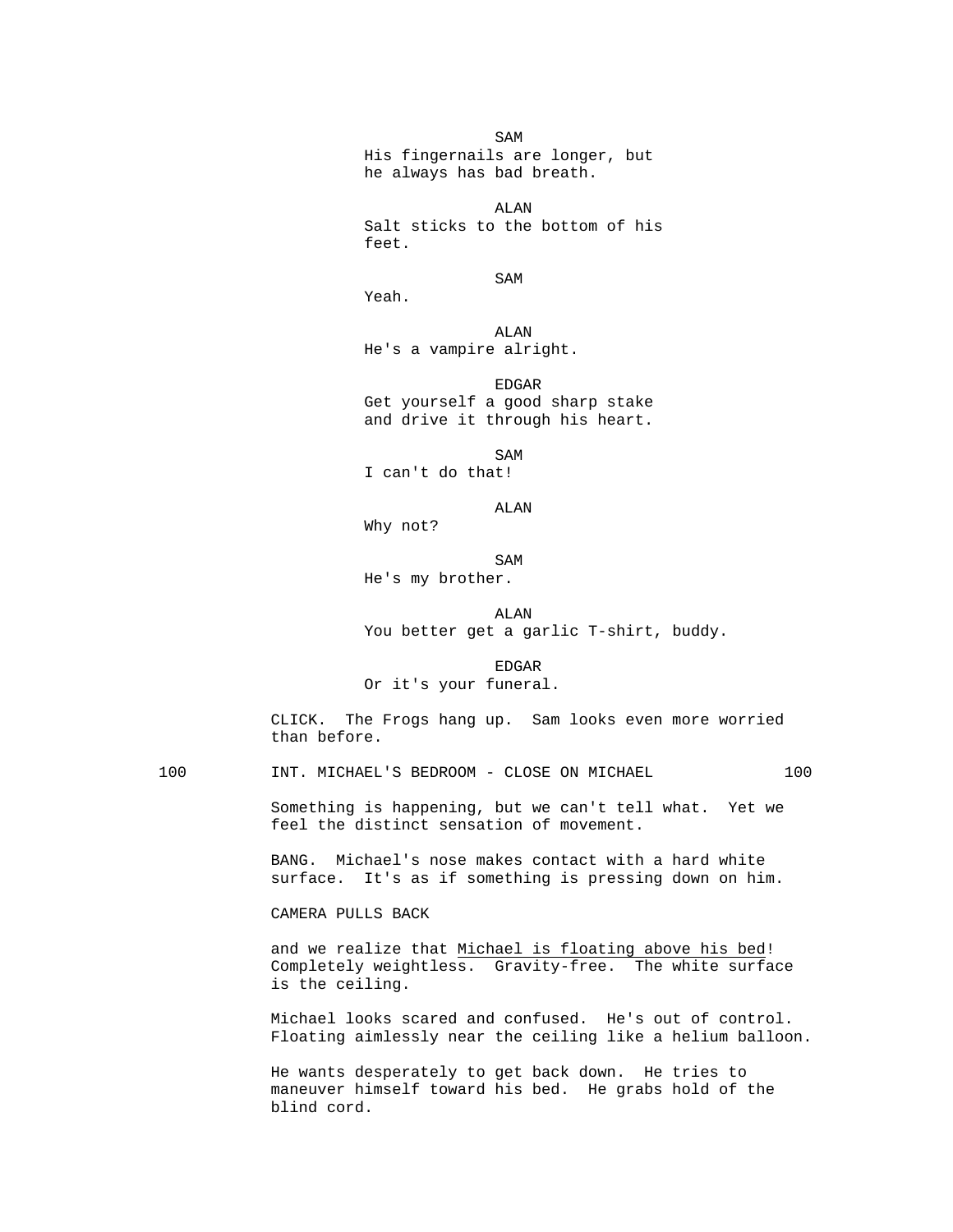SAM SAME SAME SAME SAMPLE SAMPLE SAMPLE SAMPLE SAMPLE SAMPLE SAMPLE SAMPLE SAMPLE SAMPLE SAMPLE SAMPLE SAMPLE SAMPLE SAMPLE SAMPLE SAMPLE SAMPLE SAMPLE SAMPLE SAMPLE SAMPLE SAMPLE SAMPLE SAMPLE SAMPLE SAMPLE SAMPLE SAMPLE His fingernails are longer, but he always has bad breath.

 ALAN Salt sticks to the bottom of his feet.

SAM SAME SAME SAME SAMPLE SAMPLE SAMPLE SAMPLE SAMPLE SAMPLE SAMPLE SAMPLE SAMPLE SAMPLE SAMPLE SAMPLE SAMPLE SAMPLE SAMPLE SAMPLE SAMPLE SAMPLE SAMPLE SAMPLE SAMPLE SAMPLE SAMPLE SAMPLE SAMPLE SAMPLE SAMPLE SAMPLE SAMPLE

Yeah.

 ALAN He's a vampire alright.

> EDGAR Get yourself a good sharp stake and drive it through his heart.

SAM SAME SAME SAME SAMPLE SAMPLE SAMPLE SAMPLE SAMPLE SAMPLE SAMPLE SAMPLE SAMPLE SAMPLE SAMPLE SAMPLE SAMPLE SAMPLE SAMPLE SAMPLE SAMPLE SAMPLE SAMPLE SAMPLE SAMPLE SAMPLE SAMPLE SAMPLE SAMPLE SAMPLE SAMPLE SAMPLE SAMPLE

I can't do that!

ALAN

Why not?

SAM SAME SAME SAME SAMPLE SAMPLE SAMPLE SAMPLE SAMPLE SAMPLE SAMPLE SAMPLE SAMPLE SAMPLE SAMPLE SAMPLE SAMPLE SAMPLE SAMPLE SAMPLE SAMPLE SAMPLE SAMPLE SAMPLE SAMPLE SAMPLE SAMPLE SAMPLE SAMPLE SAMPLE SAMPLE SAMPLE SAMPLE

He's my brother.

# ALAN

You better get a garlic T-shirt, buddy.

en de la contradición de la contradición de la contradición de la contradición de la contradición de la contradición de la contradición de la contradición de la contradición de la contradición de la contradición de la cont

Or it's your funeral.

 CLICK. The Frogs hang up. Sam looks even more worried than before.

100 INT. MICHAEL'S BEDROOM - CLOSE ON MICHAEL 100

 Something is happening, but we can't tell what. Yet we feel the distinct sensation of movement.

 BANG. Michael's nose makes contact with a hard white surface. It's as if something is pressing down on him.

CAMERA PULLS BACK

 and we realize that Michael is floating above his bed! Completely weightless. Gravity-free. The white surface is the ceiling.

 Michael looks scared and confused. He's out of control. Floating aimlessly near the ceiling like a helium balloon.

 He wants desperately to get back down. He tries to maneuver himself toward his bed. He grabs hold of the blind cord.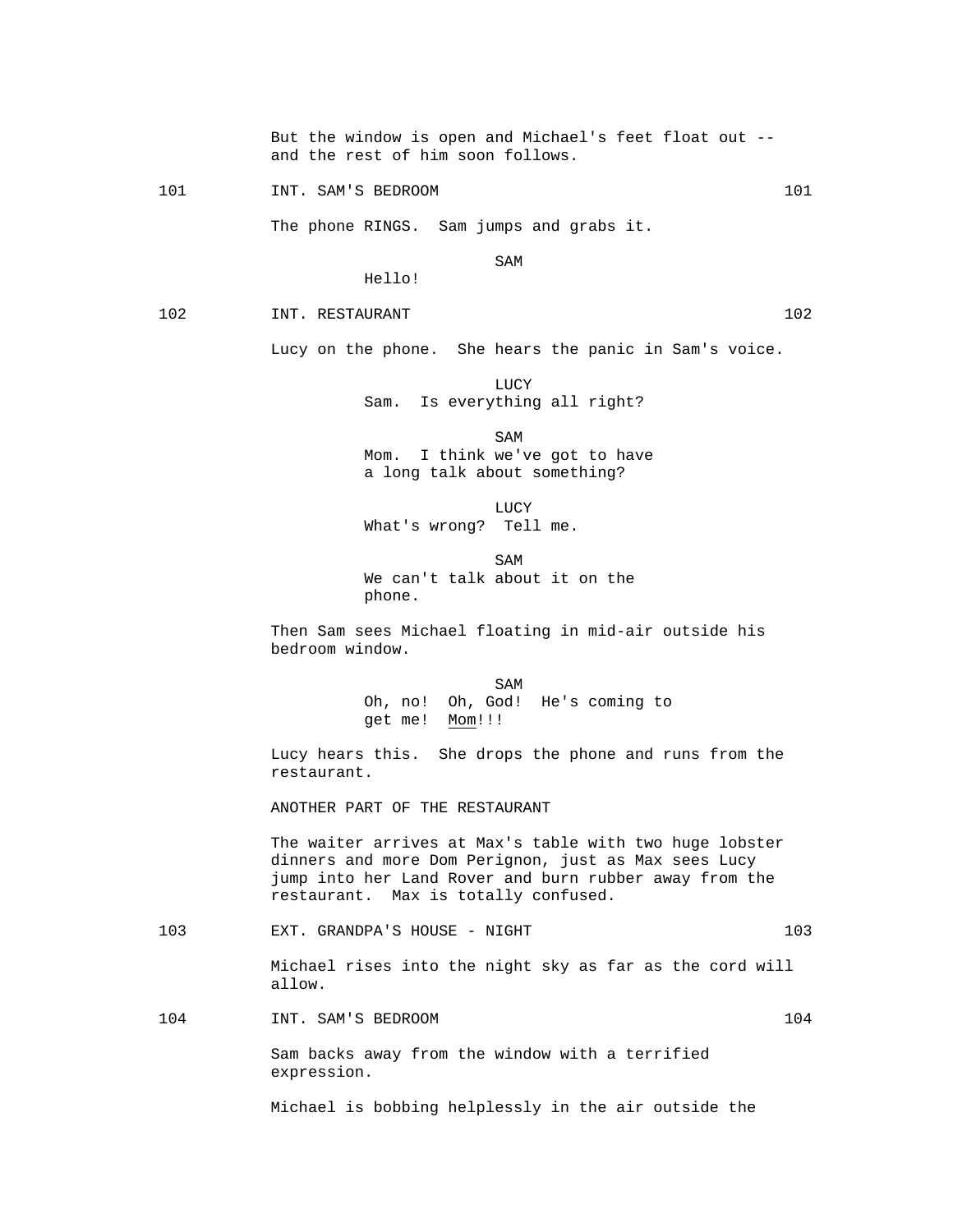But the window is open and Michael's feet float out - and the rest of him soon follows.

101 101 INT. SAM'S BEDROOM 101

The phone RINGS. Sam jumps and grabs it.

SAM SAME SAME SAME SAMPLE SAMPLE SAMPLE SAMPLE SAMPLE SAMPLE SAMPLE SAMPLE SAMPLE SAMPLE SAMPLE SAMPLE SAMPLE

Hello!

102 INT. RESTAURANT 102

Lucy on the phone. She hears the panic in Sam's voice.

 LUCY Sam. Is everything all right?

SAM SAME SAME SAMPLE SAMPLE SAMPLE SAMPLE SAMPLE SAMPLE SAMPLE SAMPLE SAMPLE SAMPLE SAMPLE SAMPLE SAMPLE SAMPL Mom. I think we've got to have a long talk about something?

**LUCY** What's wrong? Tell me.

SAM SAME SAME SAME SAMPLE SAMPLE SAMPLE SAMPLE SAMPLE SAMPLE SAMPLE SAMPLE SAMPLE SAMPLE SAMPLE SAMPLE SAMPLE SAMPLE SAMPLE SAMPLE SAMPLE SAMPLE SAMPLE SAMPLE SAMPLE SAMPLE SAMPLE SAMPLE SAMPLE SAMPLE SAMPLE SAMPLE SAMPLE We can't talk about it on the phone.

> Then Sam sees Michael floating in mid-air outside his bedroom window.

SAM SAME SAME SAMPLE SAMPLE SAMPLE SAMPLE SAMPLE SAMPLE SAMPLE SAMPLE SAMPLE SAMPLE SAMPLE SAMPLE SAMPLE SAMPL Oh, no! Oh, God! He's coming to get me! Mom!!!

> Lucy hears this. She drops the phone and runs from the restaurant.

ANOTHER PART OF THE RESTAURANT

 The waiter arrives at Max's table with two huge lobster dinners and more Dom Perignon, just as Max sees Lucy jump into her Land Rover and burn rubber away from the restaurant. Max is totally confused.

103 EXT. GRANDPA'S HOUSE - NIGHT 103

 Michael rises into the night sky as far as the cord will allow.

104 INT. SAM'S BEDROOM 104 104

 Sam backs away from the window with a terrified expression.

Michael is bobbing helplessly in the air outside the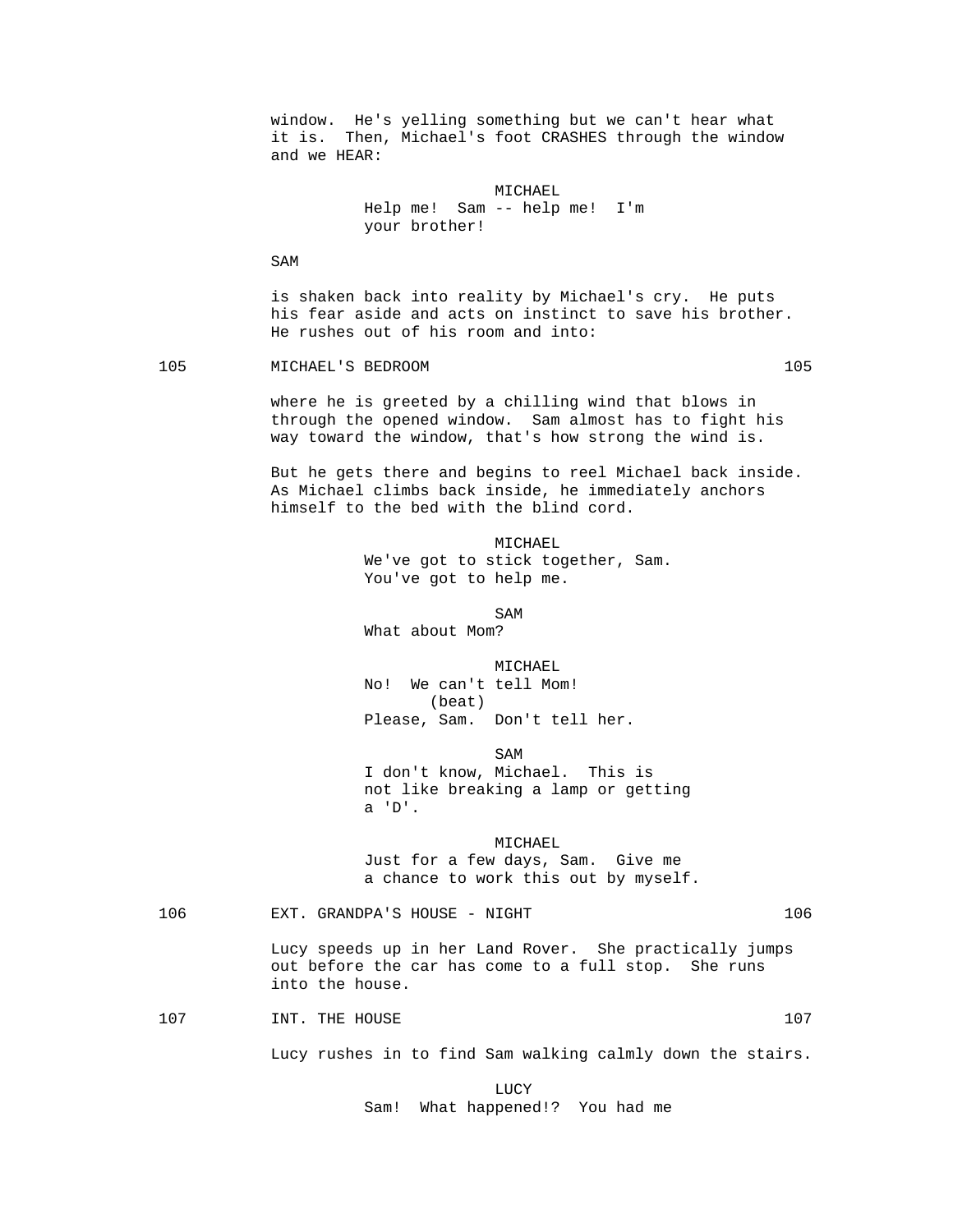window. He's yelling something but we can't hear what it is. Then, Michael's foot CRASHES through the window and we HEAR: MICHAEL Help me! Sam -- help me! I'm your brother! SAM is shaken back into reality by Michael's cry. He puts his fear aside and acts on instinct to save his brother. He rushes out of his room and into: 105 MICHAEL'S BEDROOM 105 105 where he is greeted by a chilling wind that blows in through the opened window. Sam almost has to fight his way toward the window, that's how strong the wind is. But he gets there and begins to reel Michael back inside. As Michael climbs back inside, he immediately anchors himself to the bed with the blind cord. MICHAEL We've got to stick together, Sam. You've got to help me. SAM SAME SAME SAMPLE SAMPLE SAMPLE SAMPLE SAMPLE SAMPLE SAMPLE SAMPLE SAMPLE SAMPLE SAMPLE SAMPLE SAMPLE SAMPL What about Mom? MICHAEL No! We can't tell Mom! (beat) Please, Sam. Don't tell her. SAM SAME SAME SAME SAMPLE SAMPLE SAMPLE SAMPLE SAMPLE SAMPLE SAMPLE SAMPLE SAMPLE SAMPLE SAMPLE SAMPLE SAMPLE I don't know, Michael. This is not like breaking a lamp or getting a 'D'. MICHAEL Just for a few days, Sam. Give me a chance to work this out by myself. 106 EXT. GRANDPA'S HOUSE - NIGHT 106 Lucy speeds up in her Land Rover. She practically jumps out before the car has come to a full stop. She runs into the house. 107 1NT. THE HOUSE 107 107 Lucy rushes in to find Sam walking calmly down the stairs. **LUCY** Sam! What happened!? You had me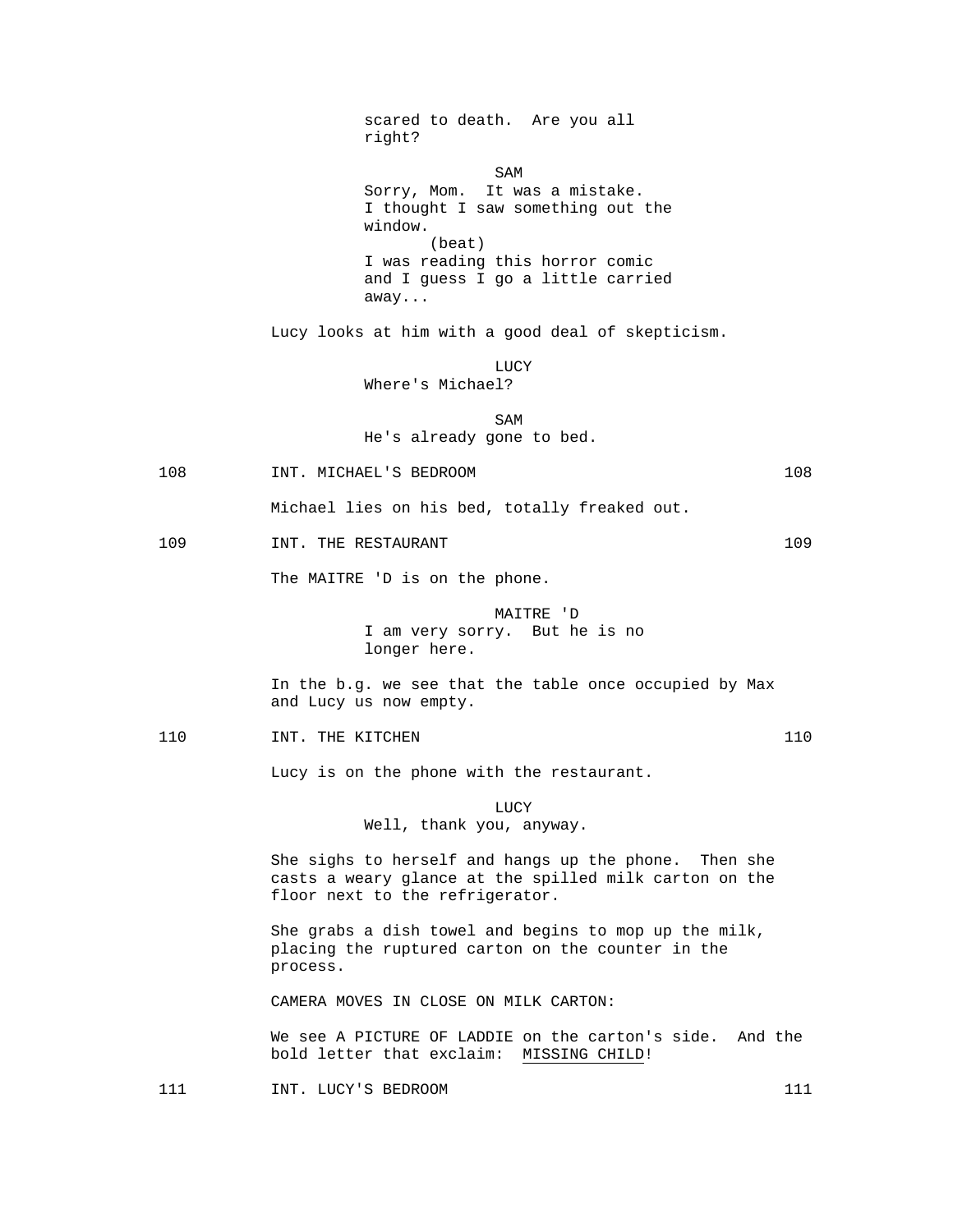scared to death. Are you all right? SAM SAME SAME SAME SAMPLE SAMPLE SAMPLE SAMPLE SAMPLE SAMPLE SAMPLE SAMPLE SAMPLE SAMPLE SAMPLE SAMPLE SAMPLE Sorry, Mom. It was a mistake. I thought I saw something out the window. (beat) I was reading this horror comic and I guess I go a little carried away... Lucy looks at him with a good deal of skepticism. LUCY Where's Michael? SAM SAME SAME SAME SAMPLE SAMPLE SAMPLE SAMPLE SAMPLE SAMPLE SAMPLE SAMPLE SAMPLE SAMPLE SAMPLE SAMPLE SAMPLE He's already gone to bed. 108 INT. MICHAEL'S BEDROOM 108 Michael lies on his bed, totally freaked out. 109 INT. THE RESTAURANT 109 109 The MAITRE 'D is on the phone. MAITRE 'D I am very sorry. But he is no longer here. In the b.g. we see that the table once occupied by Max and Lucy us now empty. 110 INT. THE KITCHEN 110 110 Lucy is on the phone with the restaurant. **LUCY**  Well, thank you, anyway. She sighs to herself and hangs up the phone. Then she casts a weary glance at the spilled milk carton on the floor next to the refrigerator. She grabs a dish towel and begins to mop up the milk, placing the ruptured carton on the counter in the process. CAMERA MOVES IN CLOSE ON MILK CARTON: We see A PICTURE OF LADDIE on the carton's side. And the bold letter that exclaim: MISSING CHILD!

111 INT. LUCY'S BEDROOM 111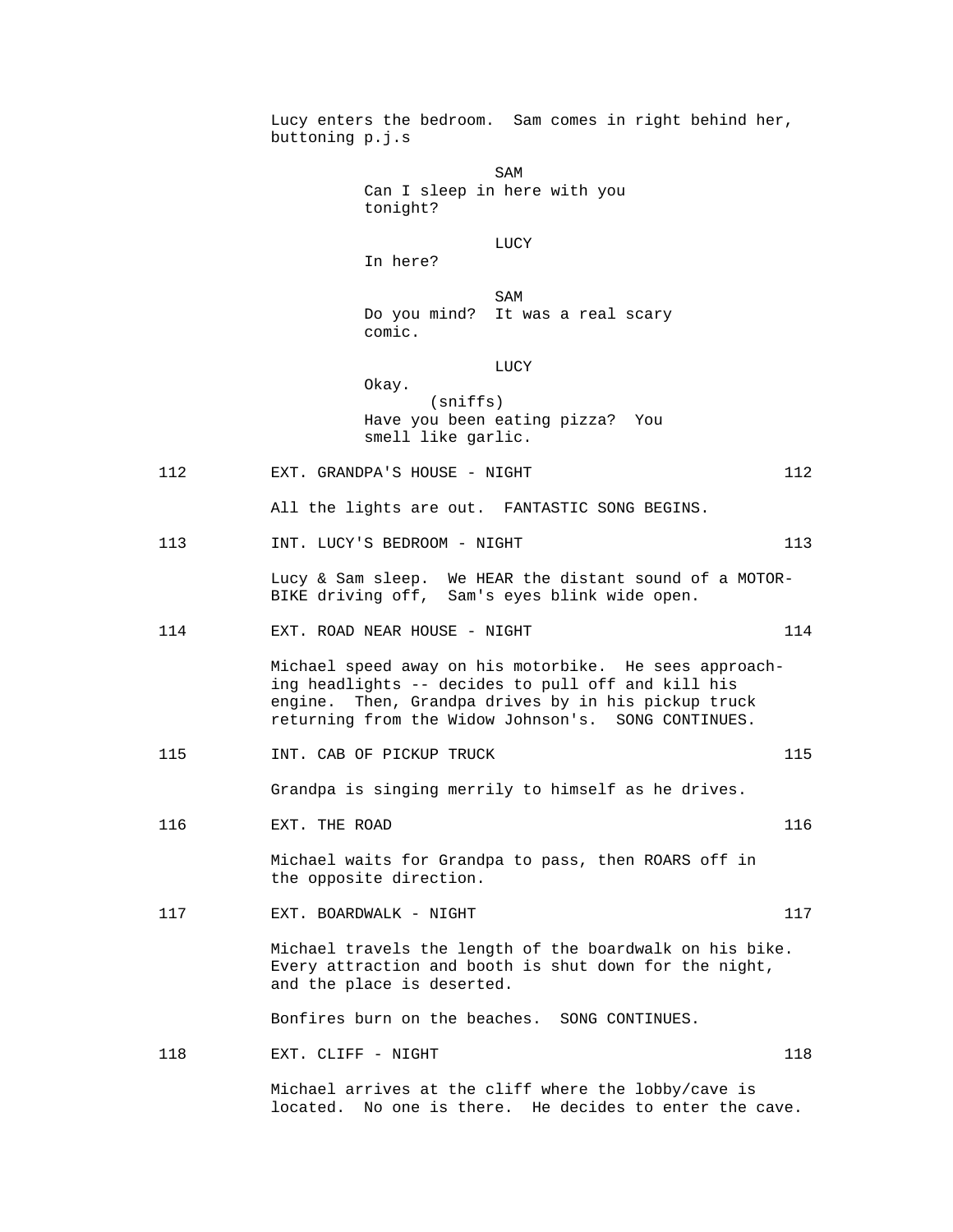Lucy enters the bedroom. Sam comes in right behind her, buttoning p.j.s SAM SAME SAME SAME SAMPLE SAMPLE SAMPLE SAMPLE SAMPLE SAMPLE SAMPLE SAMPLE SAMPLE SAMPLE SAMPLE SAMPLE SAMPLE Can I sleep in here with you tonight? **LUCY**  In here? SAM SAME SAME SAME SAMPLE SAMPLE SAMPLE SAMPLE SAMPLE SAMPLE SAMPLE SAMPLE SAMPLE SAMPLE SAMPLE SAMPLE SAMPLE SAMPLE SAMPLE SAMPLE SAMPLE SAMPLE SAMPLE SAMPLE SAMPLE SAMPLE SAMPLE SAMPLE SAMPLE SAMPLE SAMPLE SAMPLE SAMPLE Do you mind? It was a real scary comic. LUCY Okay. (sniffs) Have you been eating pizza? You smell like garlic. 112 EXT. GRANDPA'S HOUSE - NIGHT 112 All the lights are out. FANTASTIC SONG BEGINS. 113 INT. LUCY'S BEDROOM - NIGHT 113 113 Lucy & Sam sleep. We HEAR the distant sound of a MOTOR- BIKE driving off, Sam's eyes blink wide open. 114 EXT. ROAD NEAR HOUSE - NIGHT 114 114 Michael speed away on his motorbike. He sees approaching headlights -- decides to pull off and kill his engine. Then, Grandpa drives by in his pickup truck returning from the Widow Johnson's. SONG CONTINUES. 115 1NT. CAB OF PICKUP TRUCK 115 Grandpa is singing merrily to himself as he drives. 116 EXT. THE ROAD 116 Michael waits for Grandpa to pass, then ROARS off in the opposite direction. 117 EXT. BOARDWALK - NIGHT 117 117 Michael travels the length of the boardwalk on his bike. Every attraction and booth is shut down for the night, and the place is deserted. Bonfires burn on the beaches. SONG CONTINUES. 118 EXT. CLIFF - NIGHT 118 118 Michael arrives at the cliff where the lobby/cave is located. No one is there. He decides to enter the cave.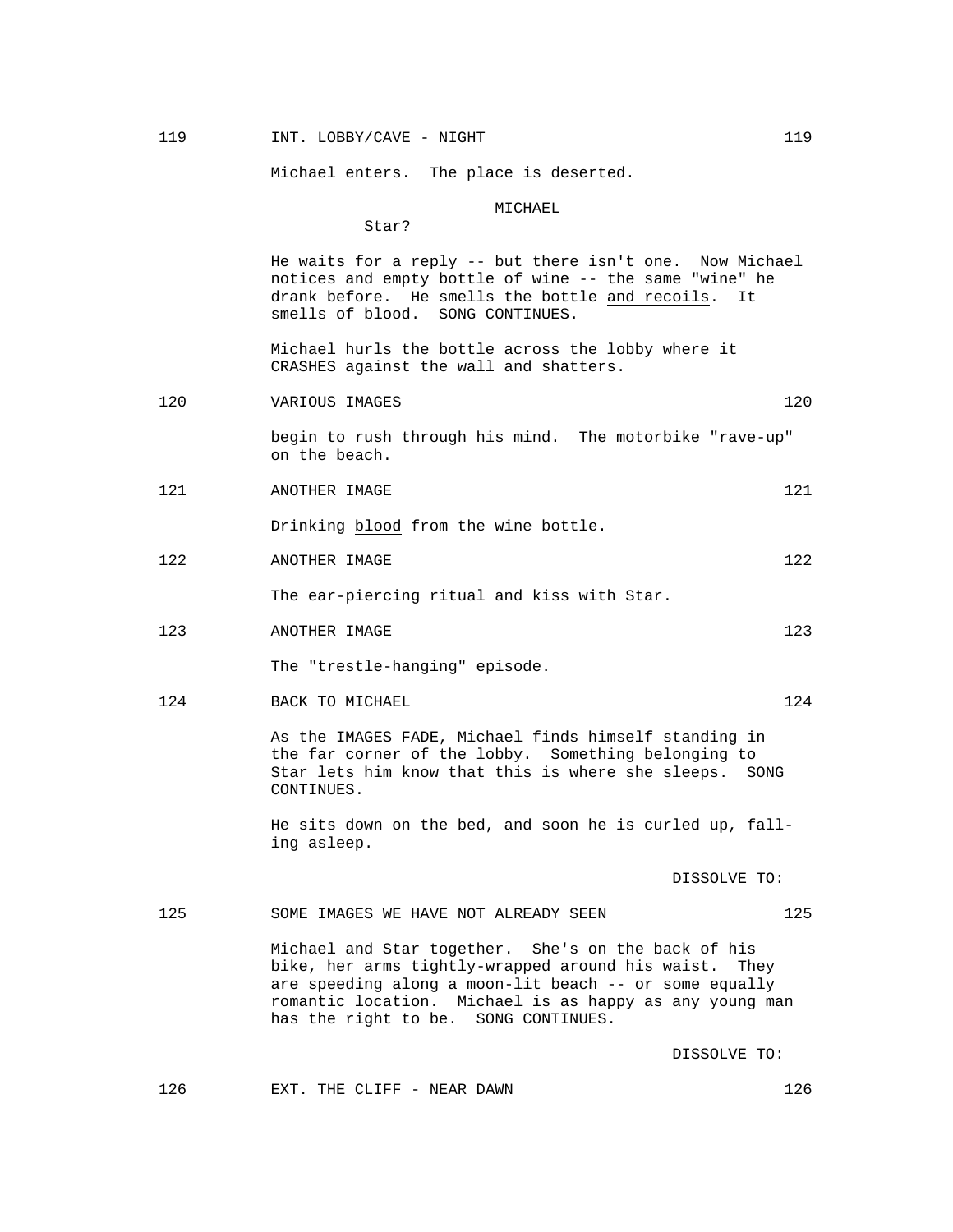# 119 119 INT. LOBBY/CAVE - NIGHT 119 119

Michael enters. The place is deserted.

MICHAEL

Star?

 He waits for a reply -- but there isn't one. Now Michael notices and empty bottle of wine -- the same "wine" he drank before. He smells the bottle and recoils. It smells of blood. SONG CONTINUES.

 Michael hurls the bottle across the lobby where it CRASHES against the wall and shatters.

120 VARIOUS IMAGES 120

 begin to rush through his mind. The motorbike "rave-up" on the beach.

121 ANOTHER IMAGE 121

Drinking blood from the wine bottle.

122 ANOTHER IMAGE 122

The ear-piercing ritual and kiss with Star.

123 ANOTHER IMAGE 123

The "trestle-hanging" episode.

124 BACK TO MICHAEL 124 124

 As the IMAGES FADE, Michael finds himself standing in the far corner of the lobby. Something belonging to Star lets him know that this is where she sleeps. SONG CONTINUES.

 He sits down on the bed, and soon he is curled up, falling asleep.

DISSOLVE TO:

125 SOME IMAGES WE HAVE NOT ALREADY SEEN 125

 Michael and Star together. She's on the back of his bike, her arms tightly-wrapped around his waist. They are speeding along a moon-lit beach -- or some equally romantic location. Michael is as happy as any young man has the right to be. SONG CONTINUES.

DISSOLVE TO:

126 EXT. THE CLIFF - NEAR DAWN 126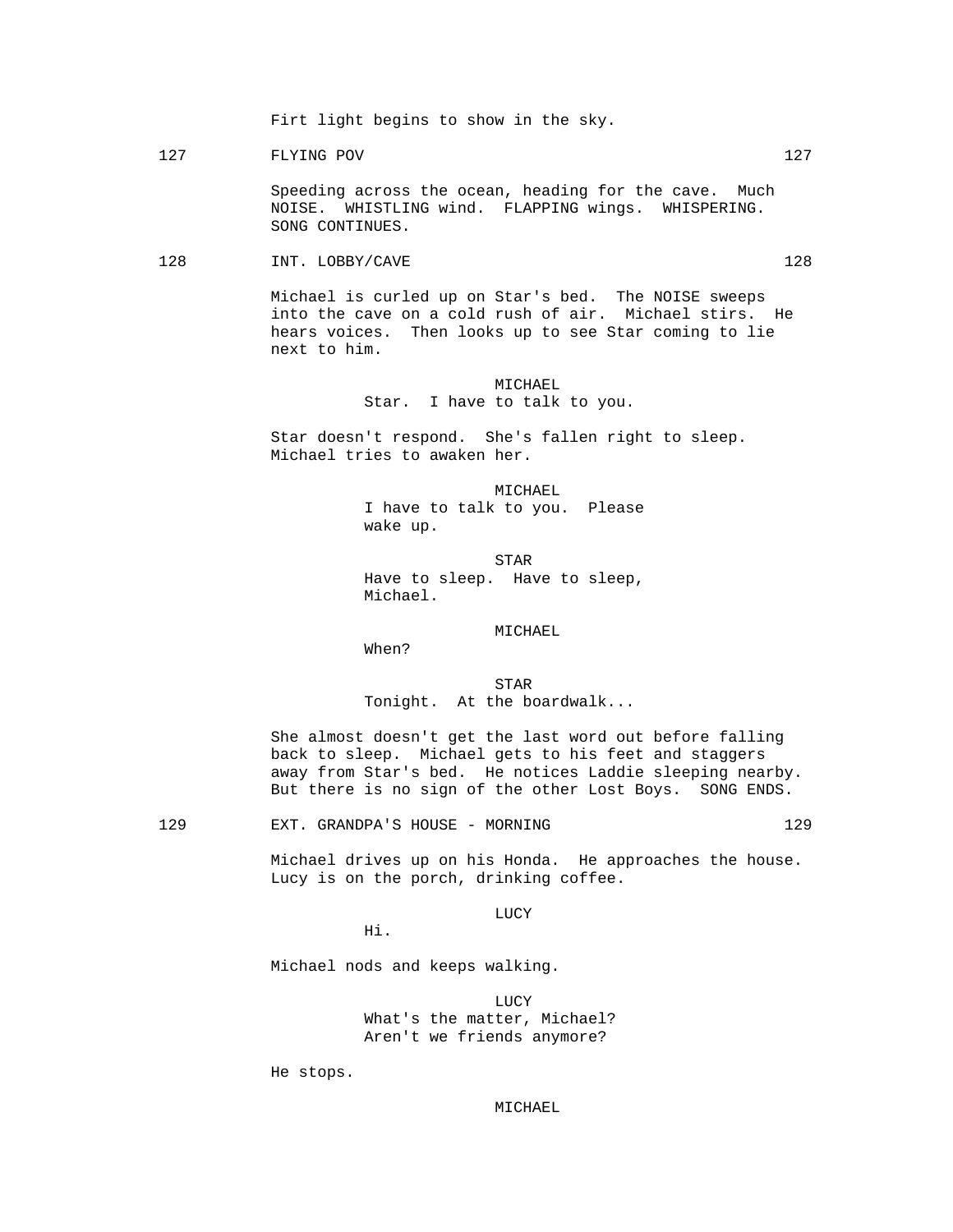Firt light begins to show in the sky.

127 FLYING POV 127

 Speeding across the ocean, heading for the cave. Much NOISE. WHISTLING wind. FLAPPING wings. WHISPERING. SONG CONTINUES.

128 INT. LOBBY/CAVE 228

 Michael is curled up on Star's bed. The NOISE sweeps into the cave on a cold rush of air. Michael stirs. He hears voices. Then looks up to see Star coming to lie next to him.

# MICHAEL Star. I have to talk to you.

 Star doesn't respond. She's fallen right to sleep. Michael tries to awaken her.

> MICHAEL I have to talk to you. Please wake up.

**STAR**  Have to sleep. Have to sleep, Michael.

MICHAEL

When?

**STAR** Tonight. At the boardwalk...

> She almost doesn't get the last word out before falling back to sleep. Michael gets to his feet and staggers away from Star's bed. He notices Laddie sleeping nearby. But there is no sign of the other Lost Boys. SONG ENDS.

129 EXT. GRANDPA'S HOUSE - MORNING 129

 Michael drives up on his Honda. He approaches the house. Lucy is on the porch, drinking coffee.

**LUCY** 

Hi.

Michael nods and keeps walking.

**LUCY**  What's the matter, Michael? Aren't we friends anymore?

He stops.

MICHAEL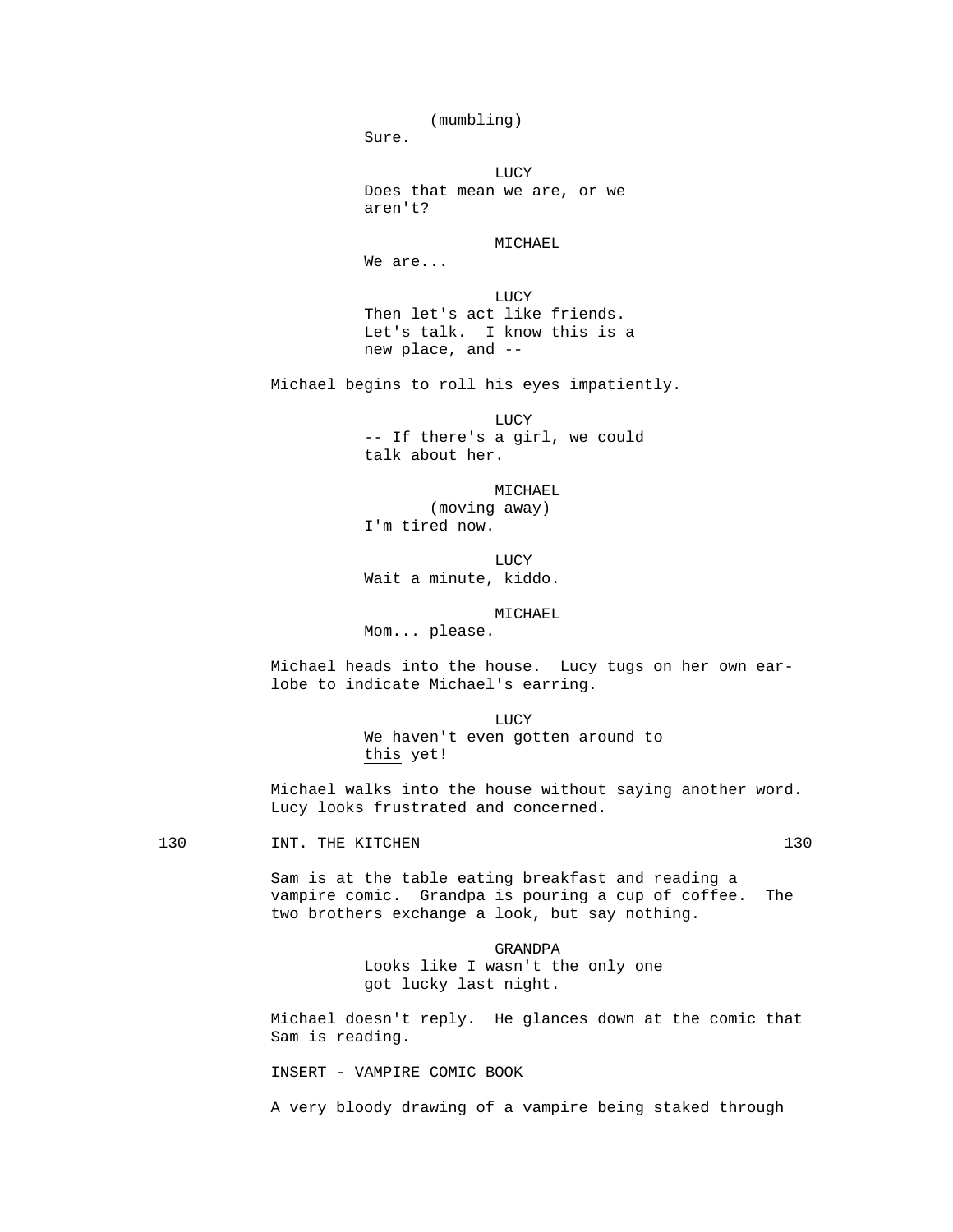(mumbling) Sure. **LUCY**  Does that mean we are, or we aren't? MICHAEL We are... LUCY Then let's act like friends. Let's talk. I know this is a new place, and -- Michael begins to roll his eyes impatiently. **LUCY**  -- If there's a girl, we could talk about her. MICHAEL (moving away) I'm tired now. LUCY Wait a minute, kiddo. MICHAEL Mom... please. Michael heads into the house. Lucy tugs on her own earlobe to indicate Michael's earring. LUCY We haven't even gotten around to this yet! Michael walks into the house without saying another word. Lucy looks frustrated and concerned. 130 INT. THE KITCHEN 230 Sam is at the table eating breakfast and reading a vampire comic. Grandpa is pouring a cup of coffee. The two brothers exchange a look, but say nothing. GRANDPA Looks like I wasn't the only one got lucky last night. Michael doesn't reply. He glances down at the comic that

Sam is reading.

INSERT - VAMPIRE COMIC BOOK

A very bloody drawing of a vampire being staked through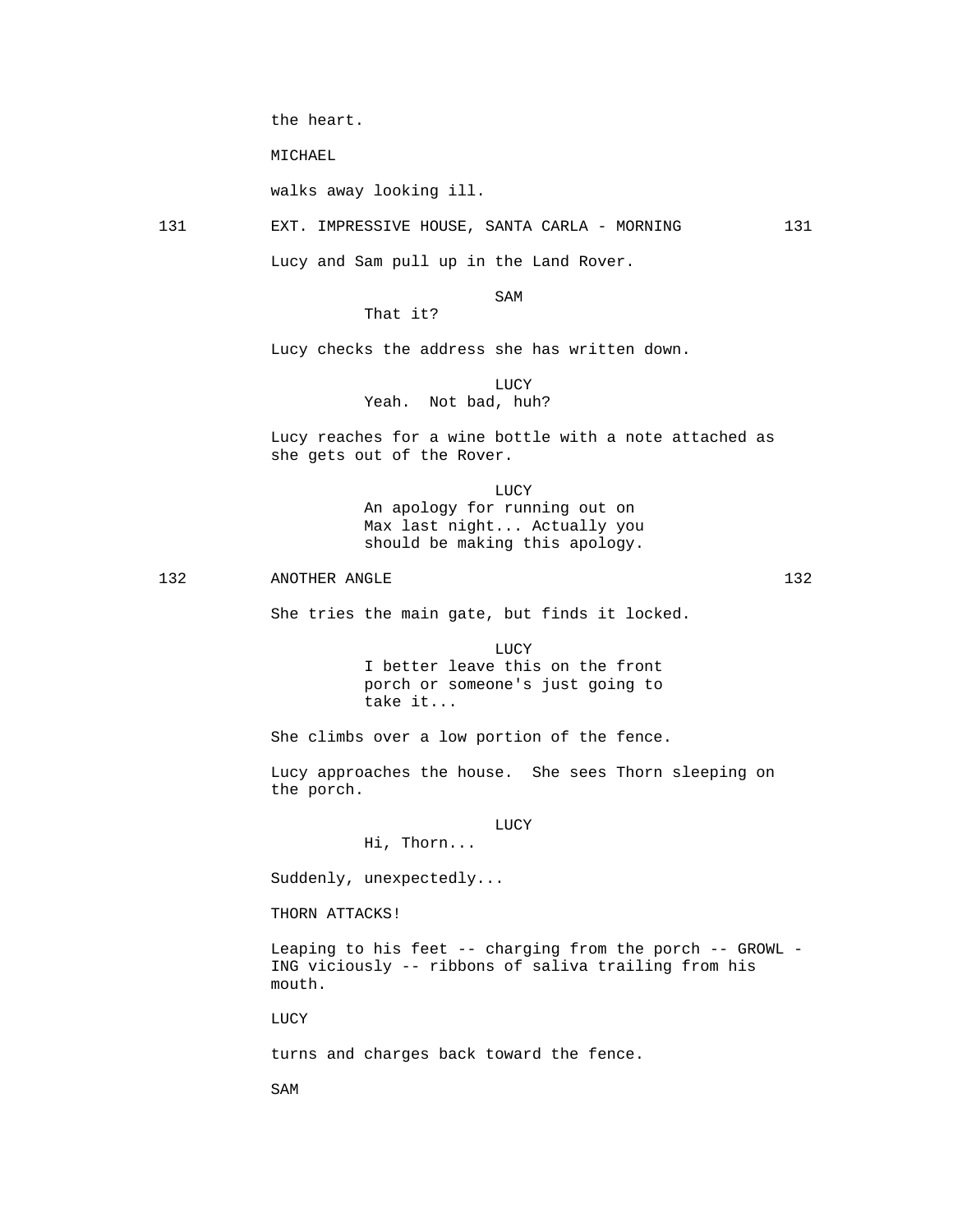the heart.

MICHAEL

walks away looking ill.

131 EXT. IMPRESSIVE HOUSE, SANTA CARLA - MORNING 131

Lucy and Sam pull up in the Land Rover.

### SAM SAME SAME SAME SAMPLE SAMPLE SAMPLE SAMPLE SAMPLE SAMPLE SAMPLE SAMPLE SAMPLE SAMPLE SAMPLE SAMPLE SAMPLE SAMPLE SAMPLE SAMPLE SAMPLE SAMPLE SAMPLE SAMPLE SAMPLE SAMPLE SAMPLE SAMPLE SAMPLE SAMPLE SAMPLE SAMPLE SAMPLE

# That it?

Lucy checks the address she has written down.

### LUCY

# Yeah. Not bad, huh?

 Lucy reaches for a wine bottle with a note attached as she gets out of the Rover.

 LUCY An apology for running out on Max last night... Actually you should be making this apology.

132 ANOTHER ANGLE 132

She tries the main gate, but finds it locked.

**LUCY**  I better leave this on the front porch or someone's just going to take it...

She climbs over a low portion of the fence.

 Lucy approaches the house. She sees Thorn sleeping on the porch.

### **LUCY**

Suddenly, unexpectedly...

Hi, Thorn...

THORN ATTACKS!

 Leaping to his feet -- charging from the porch -- GROWL - ING viciously -- ribbons of saliva trailing from his mouth.

LUCY

turns and charges back toward the fence.

SAM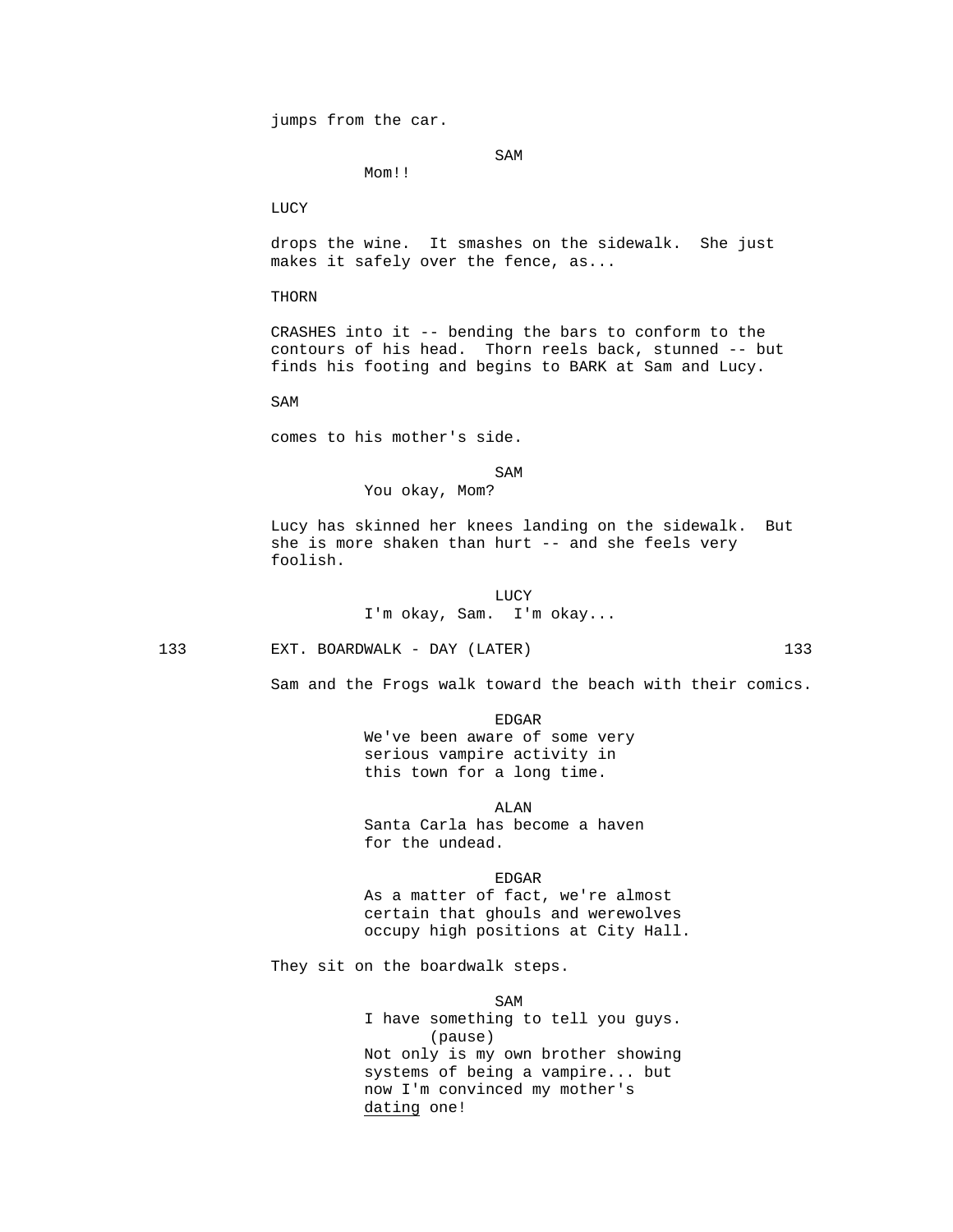jumps from the car.

Mom!!

SAM SAME SAME SAME SAMPLE SAMPLE SAMPLE SAMPLE SAMPLE SAMPLE SAMPLE SAMPLE SAMPLE SAMPLE SAMPLE SAMPLE SAMPLE

LUCY

 drops the wine. It smashes on the sidewalk. She just makes it safely over the fence, as...

THORN

 CRASHES into it -- bending the bars to conform to the contours of his head. Thorn reels back, stunned -- but finds his footing and begins to BARK at Sam and Lucy.

SAM

comes to his mother's side.

SAM SAME SAME SAME SAMPLE SAMPLE SAMPLE SAMPLE SAMPLE SAMPLE SAMPLE SAMPLE SAMPLE SAMPLE SAMPLE SAMPLE SAMPLE SAMPLE SAMPLE SAMPLE SAMPLE SAMPLE SAMPLE SAMPLE SAMPLE SAMPLE SAMPLE SAMPLE SAMPLE SAMPLE SAMPLE SAMPLE SAMPLE

You okay, Mom?

 Lucy has skinned her knees landing on the sidewalk. But she is more shaken than hurt -- and she feels very foolish.

**LUCY** I'm okay, Sam. I'm okay...

133 EXT. BOARDWALK - DAY (LATER) 133

Sam and the Frogs walk toward the beach with their comics.

en de la contradición de la contradición de la contradición de la contradición de la contradición de la contradición de la contradición de la contradición de la contradición de la contradición de la contradición de la cont

 We've been aware of some very serious vampire activity in this town for a long time.

 ALAN Santa Carla has become a haven for the undead.

en de la contradición de la contradición de la contradición de la contradición de la contradición de la contradición de la contradición de la contradición de la contradición de la contradición de la contradición de la cont As a matter of fact, we're almost certain that ghouls and werewolves occupy high positions at City Hall.

They sit on the boardwalk steps.

SAM SAME SAME SAME SAMPLE SAMPLE SAMPLE SAMPLE SAMPLE SAMPLE SAMPLE SAMPLE SAMPLE SAMPLE SAMPLE SAMPLE SAMPLE I have something to tell you guys. (pause) Not only is my own brother showing systems of being a vampire... but now I'm convinced my mother's dating one!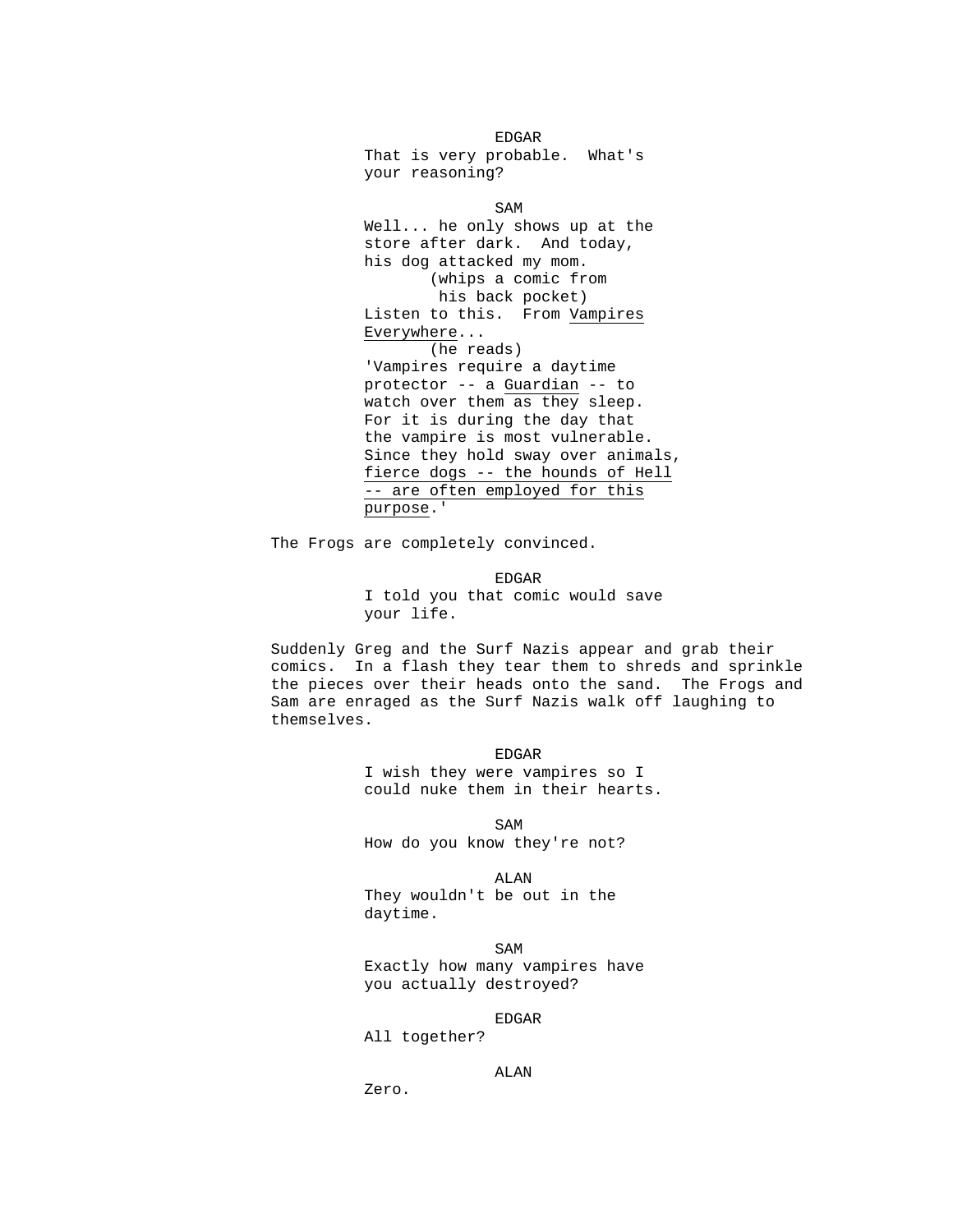en de la contradición de la contradición de la contradición de la contradición de la contradición de la contradición de la contradición de la contradición de la contradición de la contradición de la contradición de la cont That is very probable. What's your reasoning? SAM SAME SAME SAME SAMPLE SAMPLE SAMPLE SAMPLE SAMPLE SAMPLE SAMPLE SAMPLE SAMPLE SAMPLE SAMPLE SAMPLE SAMPLE SAMPLE SAMPLE SAMPLE SAMPLE SAMPLE SAMPLE SAMPLE SAMPLE SAMPLE SAMPLE SAMPLE SAMPLE SAMPLE SAMPLE SAMPLE SAMPLE Well... he only shows up at the store after dark. And today, his dog attacked my mom. (whips a comic from his back pocket) Listen to this. From Vampires Everywhere... (he reads) 'Vampires require a daytime protector -- a Guardian -- to watch over them as they sleep. For it is during the day that the vampire is most vulnerable.

Since they hold sway over animals, fierce dogs -- the hounds of Hell -- are often employed for this purpose.'

The Frogs are completely convinced.

en de la contradición de la contradición de la contradición de la contradición de la contradición de la contradición de la contradición de la contradición de la contradición de la contradición de la contradición de la cont I told you that comic would save your life.

> Suddenly Greg and the Surf Nazis appear and grab their comics. In a flash they tear them to shreds and sprinkle the pieces over their heads onto the sand. The Frogs and Sam are enraged as the Surf Nazis walk off laughing to themselves.

en de la contradición de la contradición de la contradición de la contradición de la contradición de la contradición de la contradición de la contradición de la contradición de la contradición de la contradición de la cont I wish they were vampires so I could nuke them in their hearts.

SAM SAME SAME SAME SAMPLE SAMPLE SAMPLE SAMPLE SAMPLE SAMPLE SAMPLE SAMPLE SAMPLE SAMPLE SAMPLE SAMPLE SAMPLE How do you know they're not?

 ALAN They wouldn't be out in the daytime.

SAM SAME SAME SAME SAMPLE SAMPLE SAMPLE SAMPLE SAMPLE SAMPLE SAMPLE SAMPLE SAMPLE SAMPLE SAMPLE SAMPLE SAMPLE SAMPLE SAMPLE SAMPLE SAMPLE SAMPLE SAMPLE SAMPLE SAMPLE SAMPLE SAMPLE SAMPLE SAMPLE SAMPLE SAMPLE SAMPLE SAMPLE Exactly how many vampires have you actually destroyed?

en de la contradición de la contradición de la contradición de la contradición de la contradición de la contradición de la contradición de la contradición de la contradición de la contradición de la contradición de la cont

All together?

ALAN

Zero.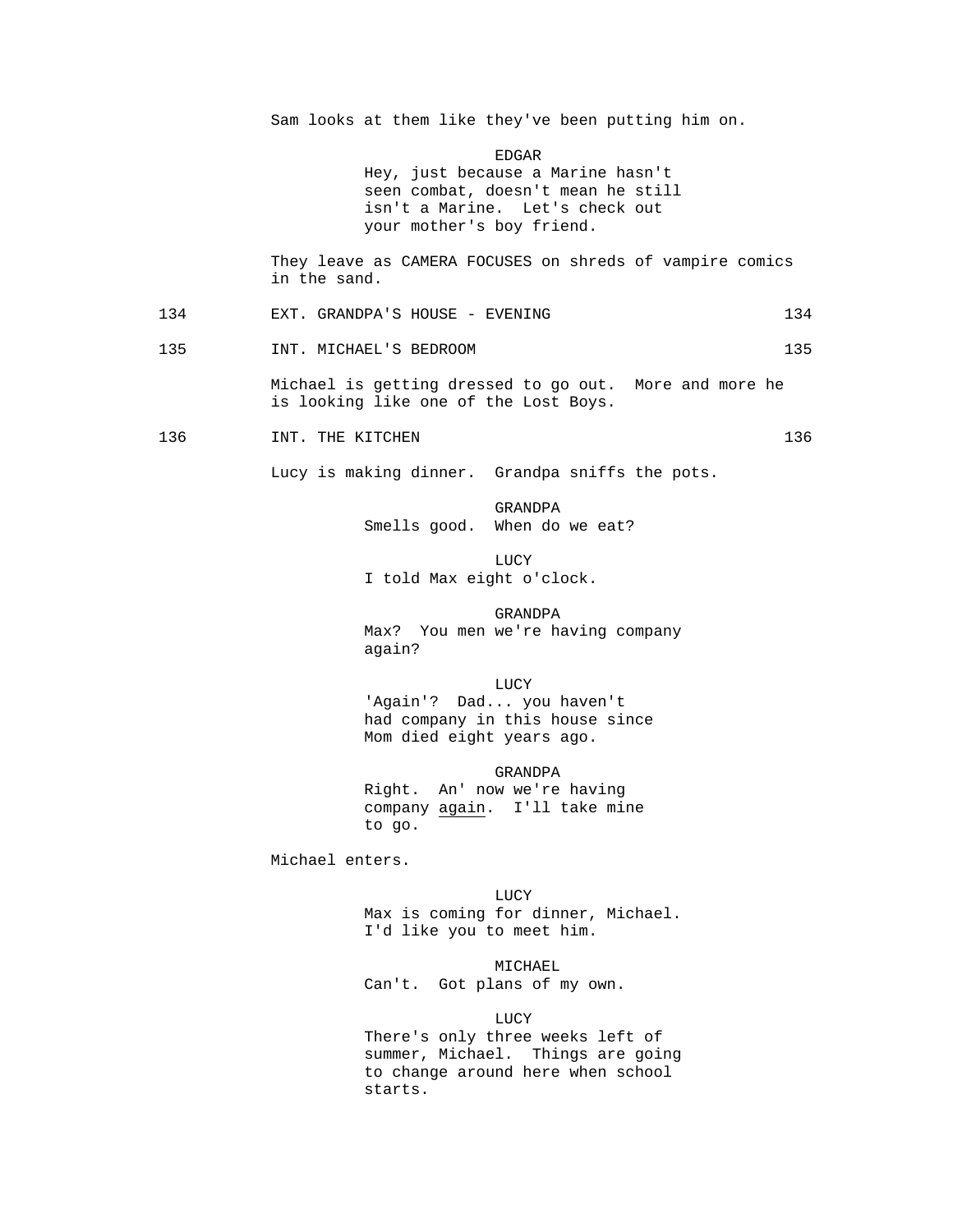Sam looks at them like they've been putting him on.

EDGAR

 Hey, just because a Marine hasn't seen combat, doesn't mean he still isn't a Marine. Let's check out your mother's boy friend.

 They leave as CAMERA FOCUSES on shreds of vampire comics in the sand.

134 EXT. GRANDPA'S HOUSE - EVENING 134

135 INT. MICHAEL'S BEDROOM 135

 Michael is getting dressed to go out. More and more he is looking like one of the Lost Boys.

136 INT. THE KITCHEN 136 2136

Lucy is making dinner. Grandpa sniffs the pots.

 GRANDPA Smells good. When do we eat?

 LUCY I told Max eight o'clock.

> GRANDPA Max? You men we're having company again?

**LUCY** 'Again'? Dad... you haven't

 had company in this house since Mom died eight years ago.

 GRANDPA Right. An' now we're having company again. I'll take mine to go.

Michael enters.

**LUCY**  Max is coming for dinner, Michael. I'd like you to meet him.

> MICHAEL Can't. Got plans of my own.

**LUCY**  There's only three weeks left of summer, Michael. Things are going to change around here when school starts.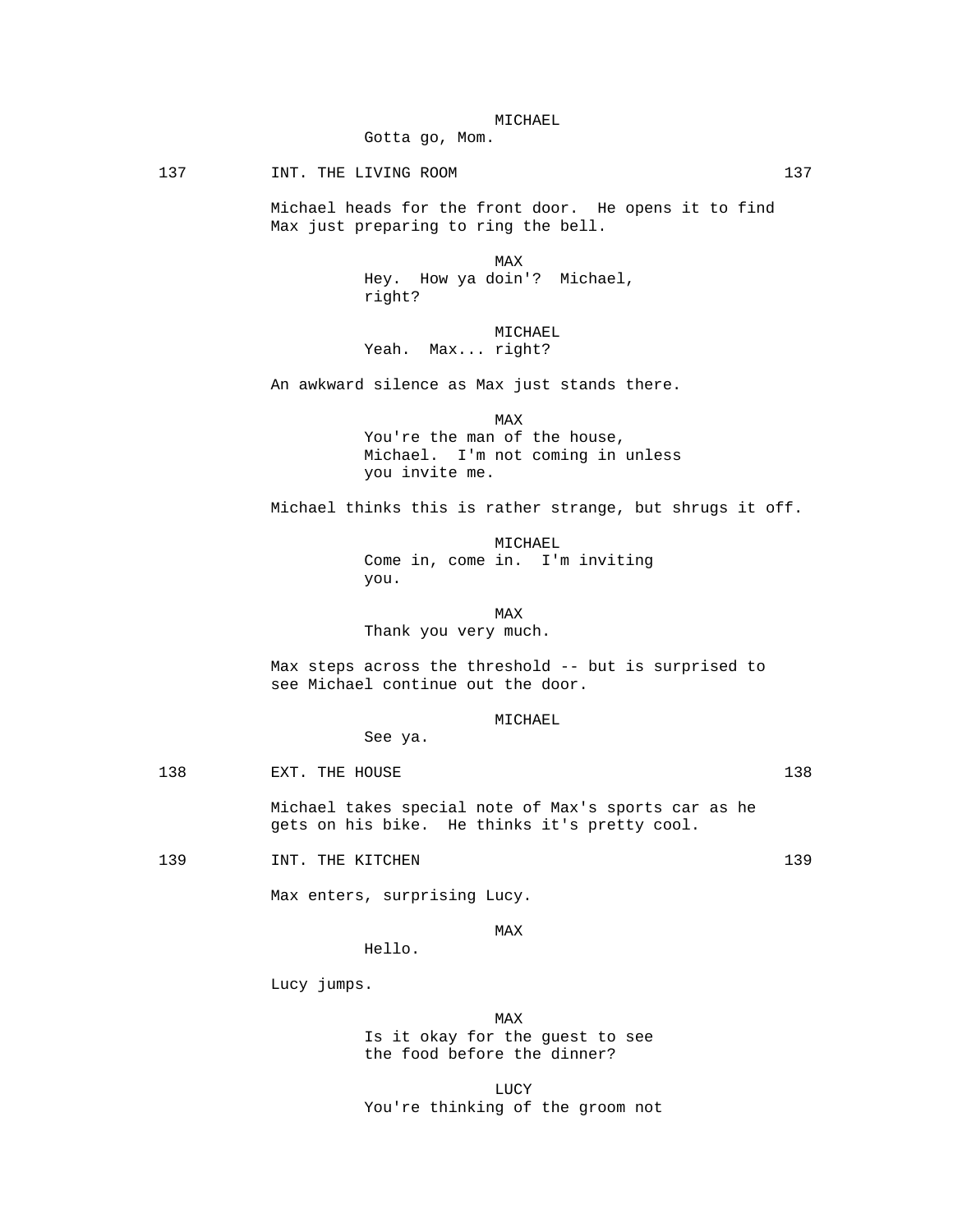Gotta go, Mom.

137 INT. THE LIVING ROOM 137

 Michael heads for the front door. He opens it to find Max just preparing to ring the bell.

**MAX**  Hey. How ya doin'? Michael, right?

> MICHAEL Yeah. Max... right?

An awkward silence as Max just stands there.

**MAX**  You're the man of the house, Michael. I'm not coming in unless you invite me.

Michael thinks this is rather strange, but shrugs it off.

 MICHAEL Come in, come in. I'm inviting you.

MAX NEWSFILM CONTROL IN THE MAX

Thank you very much.

 Max steps across the threshold -- but is surprised to see Michael continue out the door.

MICHAEL

138 EXT. THE HOUSE 2008 EXT. THE HOUSE

 Michael takes special note of Max's sports car as he gets on his bike. He thinks it's pretty cool.

139 INT. THE KITCHEN 139 239

Max enters, surprising Lucy.

See ya.

**MAX** 

Hello.

Lucy jumps.

**MAX**  Is it okay for the guest to see the food before the dinner?

**LUCY** You're thinking of the groom not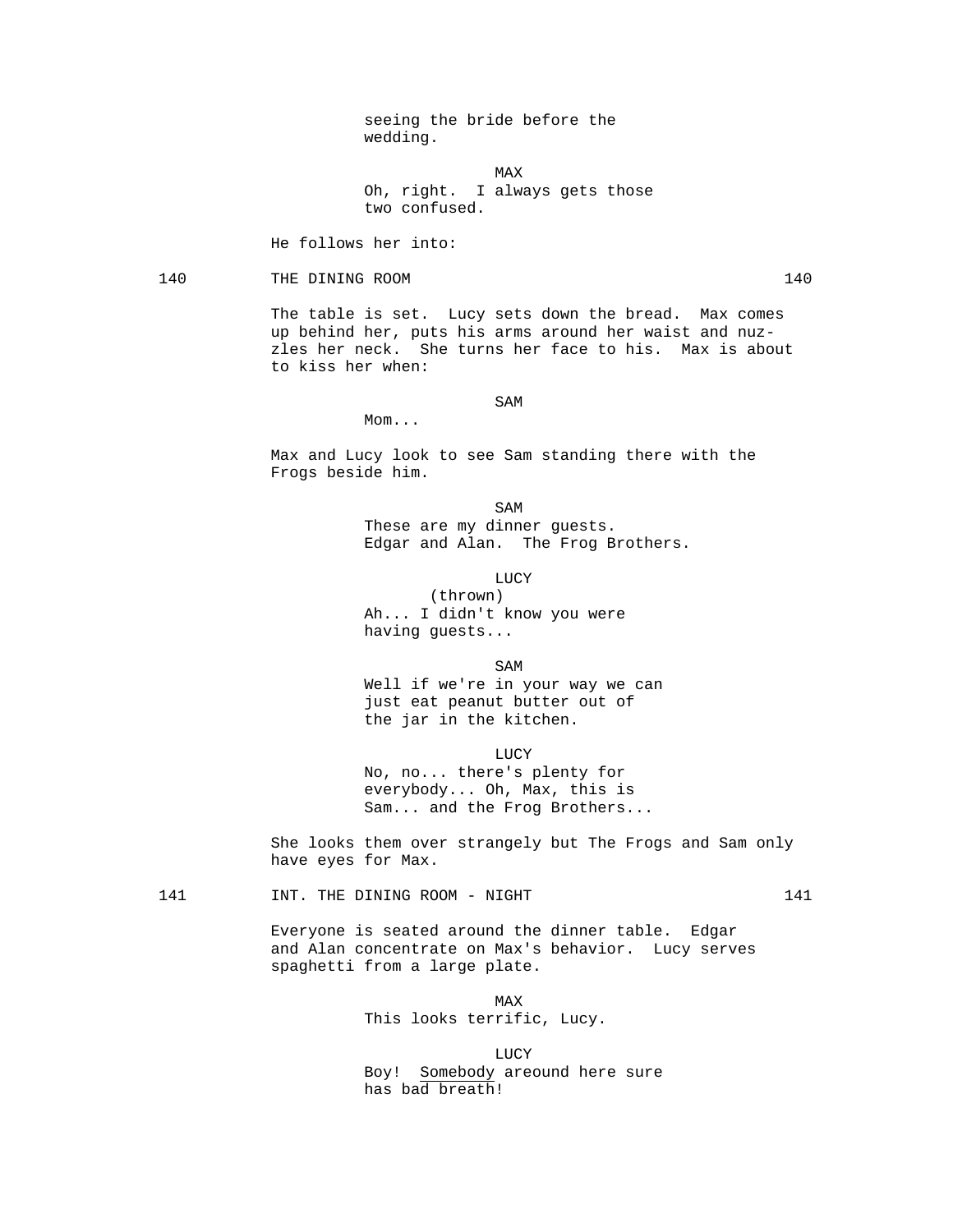seeing the bride before the wedding.

**MAX**  Oh, right. I always gets those two confused.

He follows her into:

140 THE DINING ROOM 140

 The table is set. Lucy sets down the bread. Max comes up behind her, puts his arms around her waist and nuzzles her neck. She turns her face to his. Max is about to kiss her when:

SAM SAME SAME SAME SAMPLE SAMPLE SAMPLE SAMPLE SAMPLE SAMPLE SAMPLE SAMPLE SAMPLE SAMPLE SAMPLE SAMPLE SAMPLE SAMPLE SAMPLE SAMPLE SAMPLE SAMPLE SAMPLE SAMPLE SAMPLE SAMPLE SAMPLE SAMPLE SAMPLE SAMPLE SAMPLE SAMPLE SAMPLE

Mom...

 Max and Lucy look to see Sam standing there with the Frogs beside him.

SAM SAME SAME SAME SAMPLE SAMPLE SAMPLE SAMPLE SAMPLE SAMPLE SAMPLE SAMPLE SAMPLE SAMPLE SAMPLE SAMPLE SAMPLE These are my dinner guests. Edgar and Alan. The Frog Brothers.

**LUCY** 

 (thrown) Ah... I didn't know you were having guests...

SAM SAME SAME SAME SAMPLE SAMPLE SAMPLE SAMPLE SAMPLE SAMPLE SAMPLE SAMPLE SAMPLE SAMPLE SAMPLE SAMPLE SAMPLE

 Well if we're in your way we can just eat peanut butter out of the jar in the kitchen.

**LUCY**  No, no... there's plenty for everybody... Oh, Max, this is Sam... and the Frog Brothers...

> She looks them over strangely but The Frogs and Sam only have eyes for Max.

141 INT. THE DINING ROOM - NIGHT 141

 Everyone is seated around the dinner table. Edgar and Alan concentrate on Max's behavior. Lucy serves spaghetti from a large plate.

**MAX** This looks terrific, Lucy.

 LUCY Boy! Somebody areound here sure has bad breath!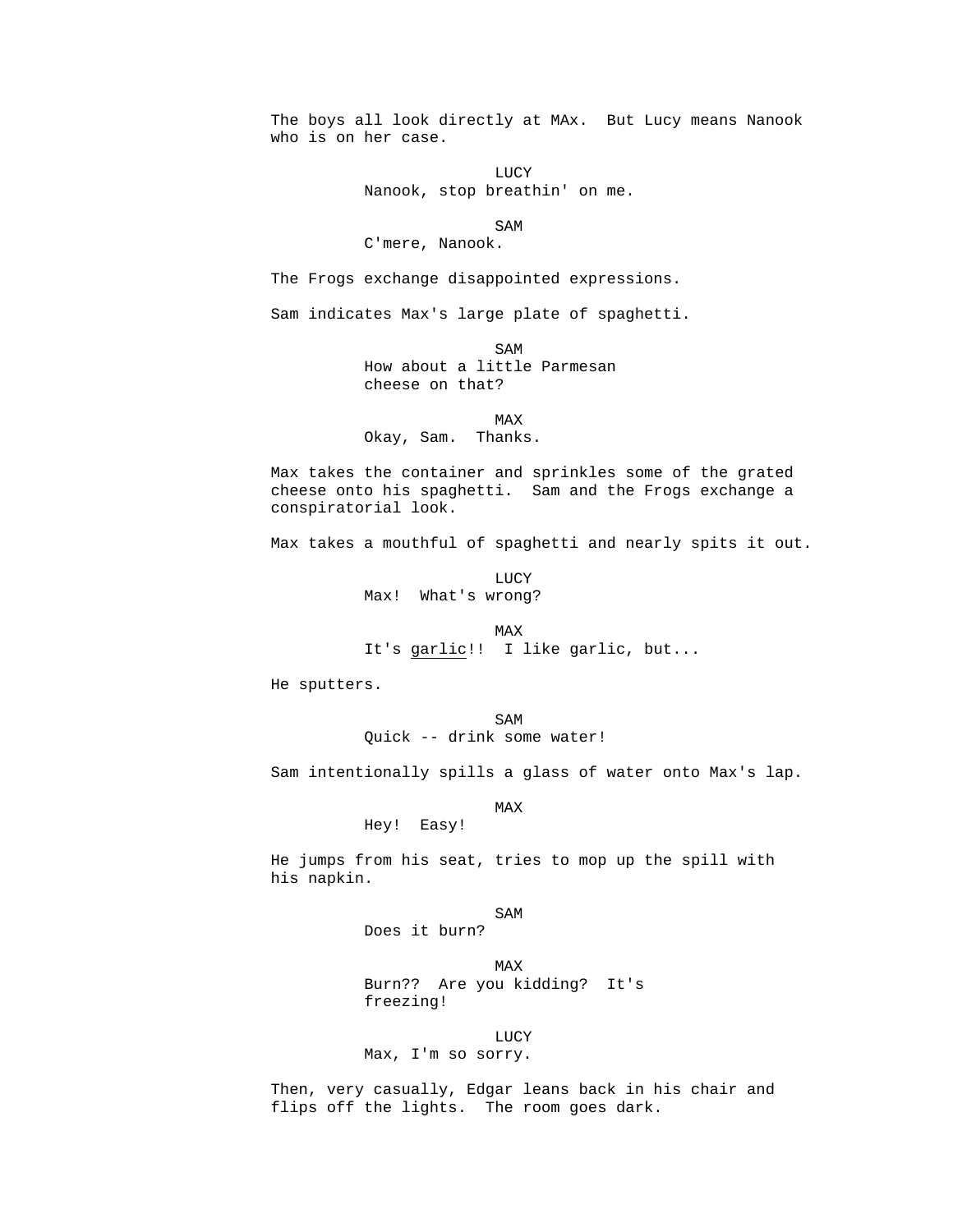The boys all look directly at MAx. But Lucy means Nanook who is on her case.

**LUCY** Nanook, stop breathin' on me.

SAM SAME SAME SAME SAMPLE SAMPLE SAMPLE SAMPLE SAMPLE SAMPLE SAMPLE SAMPLE SAMPLE SAMPLE SAMPLE SAMPLE SAMPLE SAMPLE SAMPLE SAMPLE SAMPLE SAMPLE SAMPLE SAMPLE SAMPLE SAMPLE SAMPLE SAMPLE SAMPLE SAMPLE SAMPLE SAMPLE SAMPLE

# C'mere, Nanook.

The Frogs exchange disappointed expressions.

Sam indicates Max's large plate of spaghetti.

SAM SAME SAME SAME SAMPLE SAMPLE SAMPLE SAMPLE SAMPLE SAMPLE SAMPLE SAMPLE SAMPLE SAMPLE SAMPLE SAMPLE SAMPLE How about a little Parmesan cheese on that?

**MAX** Okay, Sam. Thanks.

> Max takes the container and sprinkles some of the grated cheese onto his spaghetti. Sam and the Frogs exchange a conspiratorial look.

Max takes a mouthful of spaghetti and nearly spits it out.

**LUCY** Max! What's wrong?

**MAX** It's garlic!! I like garlic, but...

He sputters.

SAM SAME SAME SAME SAMPLE SAMPLE SAMPLE SAMPLE SAMPLE SAMPLE SAMPLE SAMPLE SAMPLE SAMPLE SAMPLE SAMPLE SAMPLE SAMPLE SAMPLE SAMPLE SAMPLE SAMPLE SAMPLE SAMPLE SAMPLE SAMPLE SAMPLE SAMPLE SAMPLE SAMPLE SAMPLE SAMPLE SAMPLE Quick -- drink some water!

Sam intentionally spills a glass of water onto Max's lap.

### **MAX**

Hey! Easy!

 He jumps from his seat, tries to mop up the spill with his napkin.

SAM SAME SAME SAME SAMPLE SAMPLE SAMPLE SAMPLE SAMPLE SAMPLE SAMPLE SAMPLE SAMPLE SAMPLE SAMPLE SAMPLE SAMPLE

Does it burn?

**MAX**  Burn?? Are you kidding? It's freezing!

LUCY

Max, I'm so sorry.

 Then, very casually, Edgar leans back in his chair and flips off the lights. The room goes dark.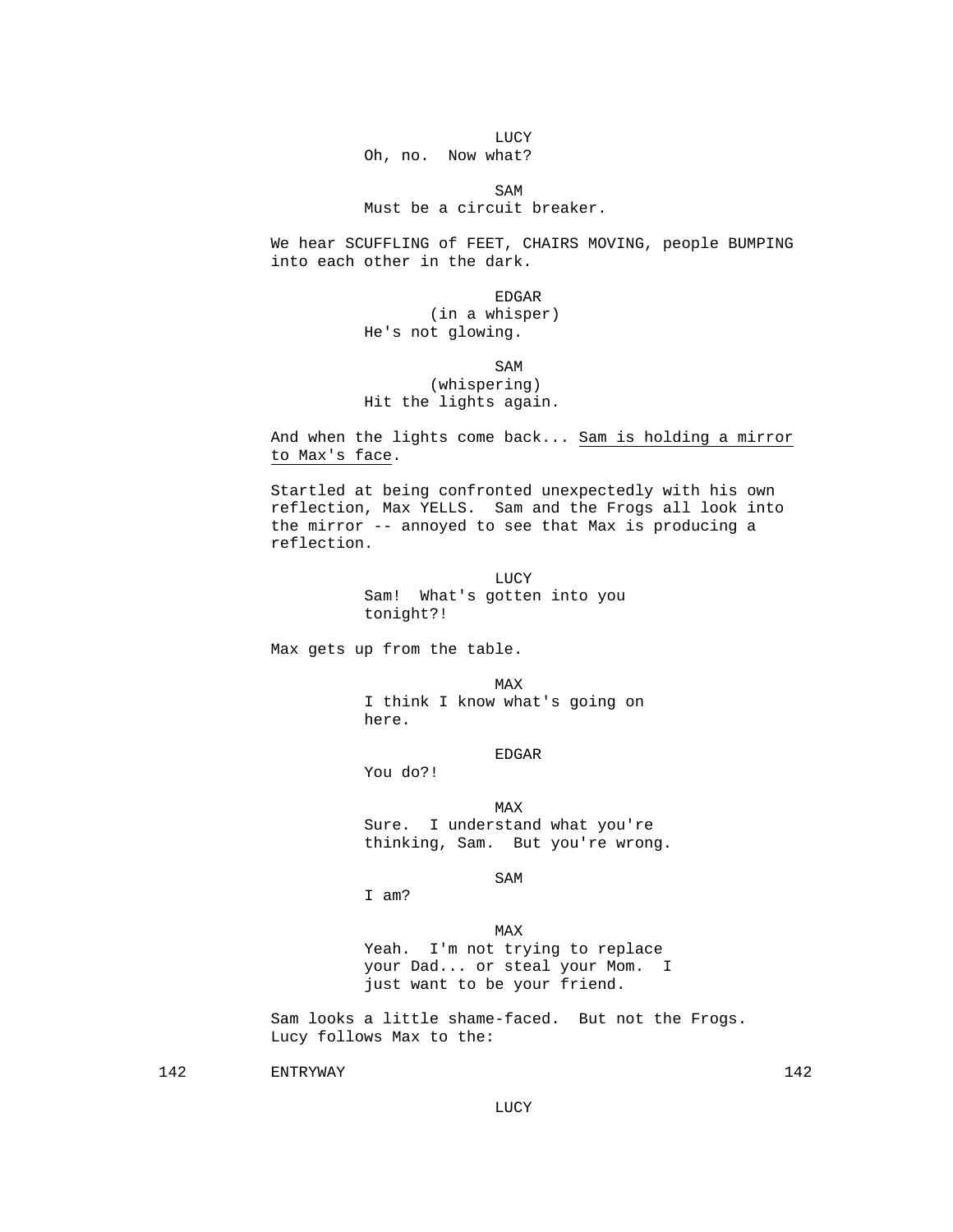LUCY Oh, no. Now what?

SAM SAME SAME SAME SAMPLE SAMPLE SAMPLE SAMPLE SAMPLE SAMPLE SAMPLE SAMPLE SAMPLE SAMPLE SAMPLE SAMPLE SAMPLE SAMPLE SAMPLE SAMPLE SAMPLE SAMPLE SAMPLE SAMPLE SAMPLE SAMPLE SAMPLE SAMPLE SAMPLE SAMPLE SAMPLE SAMPLE SAMPLE Must be a circuit breaker.

> We hear SCUFFLING of FEET, CHAIRS MOVING, people BUMPING into each other in the dark.

en de la contradición de la contradición de la contradición de la contradición de la contradición de la contradición de la contradición de la contradición de la contradición de la contradición de la contradición de la cont (in a whisper) He's not glowing.

SAM SAME SAME SAME SAMPLE SAMPLE SAMPLE SAMPLE SAMPLE SAMPLE SAMPLE SAMPLE SAMPLE SAMPLE SAMPLE SAMPLE SAMPLE SAMPLE SAMPLE SAMPLE SAMPLE SAMPLE SAMPLE SAMPLE SAMPLE SAMPLE SAMPLE SAMPLE SAMPLE SAMPLE SAMPLE SAMPLE SAMPLE (whispering) Hit the lights again.

> And when the lights come back... Sam is holding a mirror to Max's face.

 Startled at being confronted unexpectedly with his own reflection, Max YELLS. Sam and the Frogs all look into the mirror -- annoyed to see that Max is producing a reflection.

**LUCY**  Sam! What's gotten into you tonight?!

Max gets up from the table.

MAX NEWSFILM CONTROL IN THE MAX I think I know what's going on here.

EDGAR

You do?!

**MAX**  Sure. I understand what you're thinking, Sam. But you're wrong.

SAM SAME SAME SAME SAMPLE SAMPLE SAMPLE SAMPLE SAMPLE SAMPLE SAMPLE SAMPLE SAMPLE SAMPLE SAMPLE SAMPLE SAMPLE SAMPLE SAMPLE SAMPLE SAMPLE SAMPLE SAMPLE SAMPLE SAMPLE SAMPLE SAMPLE SAMPLE SAMPLE SAMPLE SAMPLE SAMPLE SAMPLE

I am?

**MAX**  Yeah. I'm not trying to replace your Dad... or steal your Mom. I just want to be your friend.

> Sam looks a little shame-faced. But not the Frogs. Lucy follows Max to the:

142 ENTRYWAY 142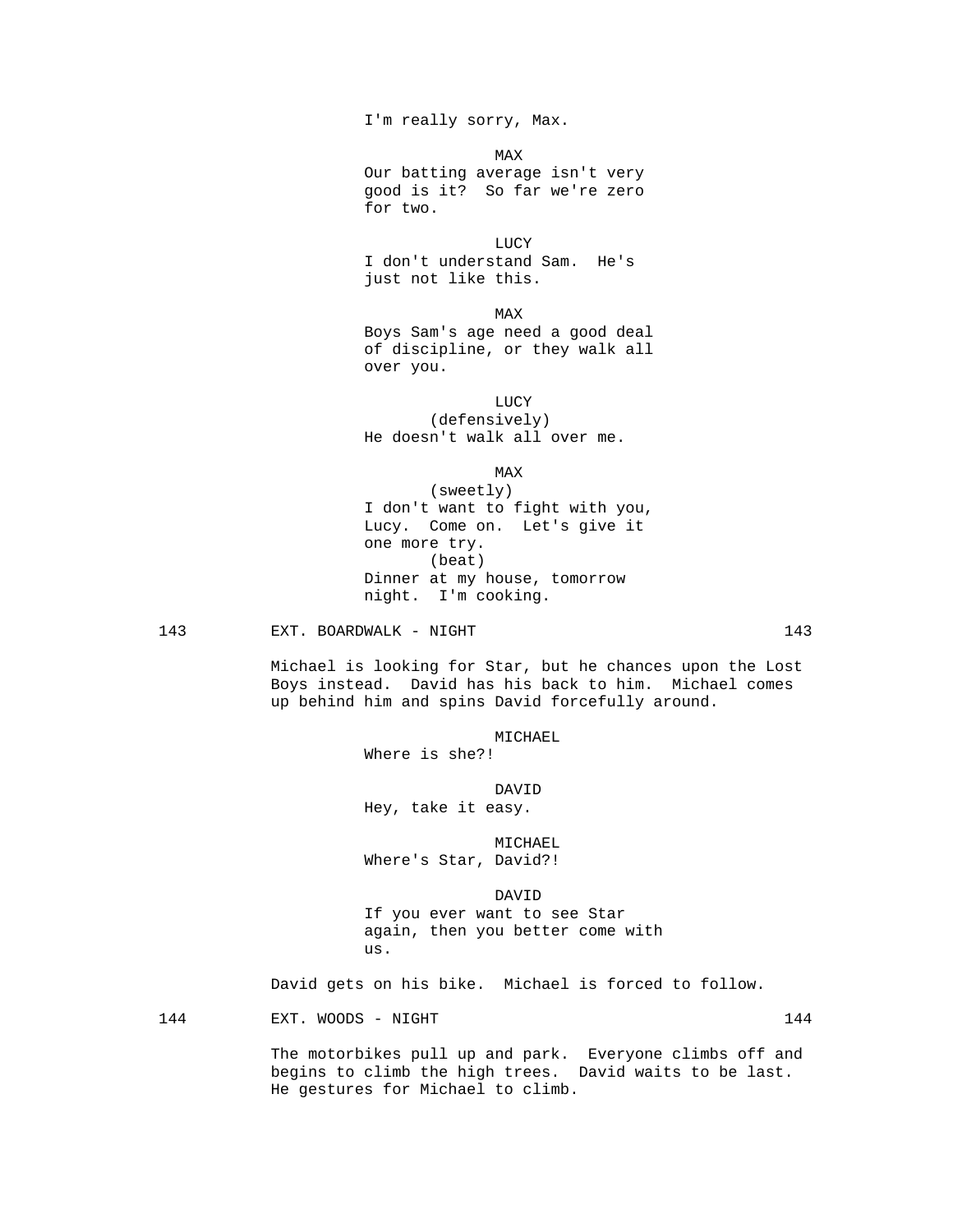I'm really sorry, Max.

for two.

**MAX**  Our batting average isn't very good is it? So far we're zero

**LUCY**  I don't understand Sam. He's just not like this.

**MAX**  Boys Sam's age need a good deal of discipline, or they walk all over you.

 LUCY (defensively) He doesn't walk all over me.

**MAX** 

 (sweetly) I don't want to fight with you, Lucy. Come on. Let's give it one more try. (beat) Dinner at my house, tomorrow night. I'm cooking.

143 EXT. BOARDWALK - NIGHT 143 143

 Michael is looking for Star, but he chances upon the Lost Boys instead. David has his back to him. Michael comes up behind him and spins David forcefully around.

MICHAEL

Where is she?!

DAVID

Hey, take it easy.

 MICHAEL Where's Star, David?!

 DAVID If you ever want to see Star again, then you better come with us.

David gets on his bike. Michael is forced to follow.

144 EXT. WOODS - NIGHT

 The motorbikes pull up and park. Everyone climbs off and begins to climb the high trees. David waits to be last. He gestures for Michael to climb.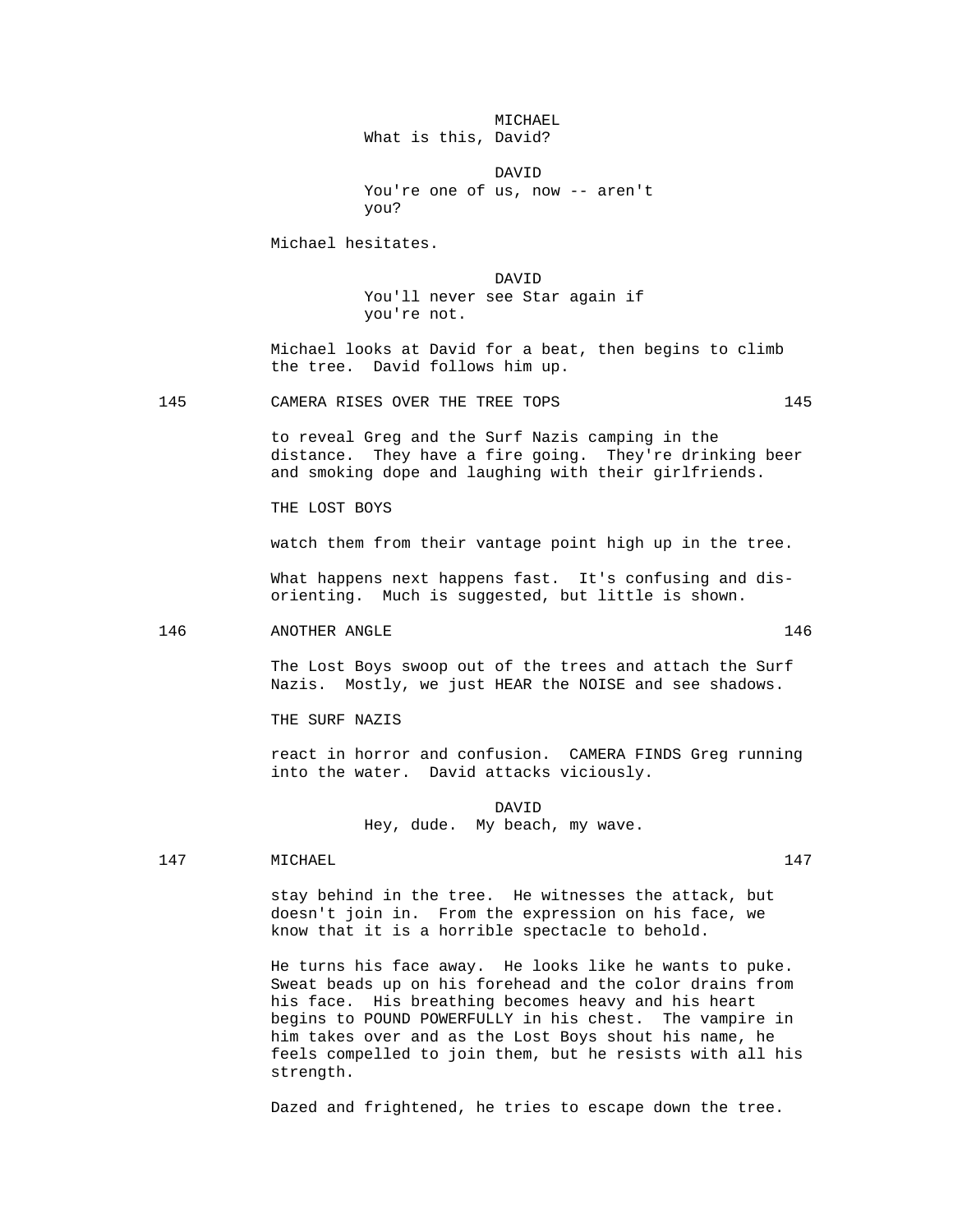# MICHAEL What is this, David?

 DAVID You're one of us, now -- aren't you?

Michael hesitates.

 DAVID You'll never see Star again if you're not.

> Michael looks at David for a beat, then begins to climb the tree. David follows him up.

145 CAMERA RISES OVER THE TREE TOPS 145

 to reveal Greg and the Surf Nazis camping in the distance. They have a fire going. They're drinking beer and smoking dope and laughing with their girlfriends.

THE LOST BOYS

watch them from their vantage point high up in the tree.

What happens next happens fast. It's confusing and disorienting. Much is suggested, but little is shown.

### 146 ANOTHER ANGLE 146

 The Lost Boys swoop out of the trees and attach the Surf Nazis. Mostly, we just HEAR the NOISE and see shadows.

THE SURF NAZIS

 react in horror and confusion. CAMERA FINDS Greg running into the water. David attacks viciously.

 DAVID Hey, dude. My beach, my wave.

147 MICHAEL 147

 stay behind in the tree. He witnesses the attack, but doesn't join in. From the expression on his face, we know that it is a horrible spectacle to behold.

 He turns his face away. He looks like he wants to puke. Sweat beads up on his forehead and the color drains from his face. His breathing becomes heavy and his heart begins to POUND POWERFULLY in his chest. The vampire in him takes over and as the Lost Boys shout his name, he feels compelled to join them, but he resists with all his strength.

Dazed and frightened, he tries to escape down the tree.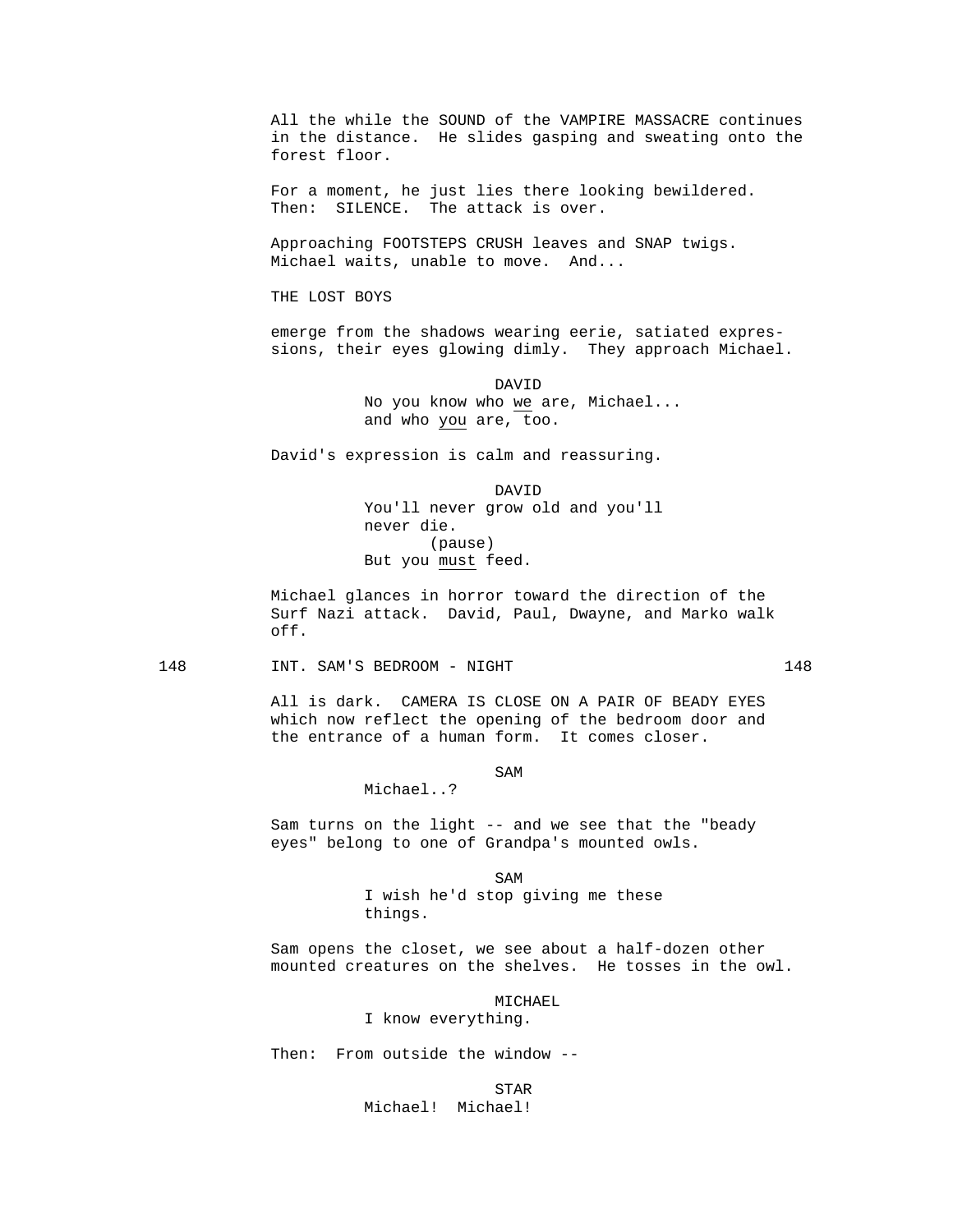All the while the SOUND of the VAMPIRE MASSACRE continues in the distance. He slides gasping and sweating onto the forest floor.

 For a moment, he just lies there looking bewildered. Then: SILENCE. The attack is over.

 Approaching FOOTSTEPS CRUSH leaves and SNAP twigs. Michael waits, unable to move. And...

THE LOST BOYS

 emerge from the shadows wearing eerie, satiated expressions, their eyes glowing dimly. They approach Michael.

> DAVID No you know who we are, Michael... and who you are, too.

David's expression is calm and reassuring.

 DAVID You'll never grow old and you'll never die. (pause) But you must feed.

> Michael glances in horror toward the direction of the Surf Nazi attack. David, Paul, Dwayne, and Marko walk off.

### 148 INT. SAM'S BEDROOM - NIGHT 148

Michael..?

 All is dark. CAMERA IS CLOSE ON A PAIR OF BEADY EYES which now reflect the opening of the bedroom door and the entrance of a human form. It comes closer.

### SAM SAME SAME SAMPLE SAMPLE SAMPLE SAMPLE SAMPLE SAMPLE SAMPLE SAMPLE SAMPLE SAMPLE SAMPLE SAMPLE SAMPLE SAMPL

 Sam turns on the light -- and we see that the "beady eyes" belong to one of Grandpa's mounted owls.

SAM SAME SAME SAME SAMPLE SAMPLE SAMPLE SAMPLE SAMPLE SAMPLE SAMPLE SAMPLE SAMPLE SAMPLE SAMPLE SAMPLE SAMPLE SAMPLE SAMPLE SAMPLE SAMPLE SAMPLE SAMPLE SAMPLE SAMPLE SAMPLE SAMPLE SAMPLE SAMPLE SAMPLE SAMPLE SAMPLE SAMPLE I wish he'd stop giving me these things.

> Sam opens the closet, we see about a half-dozen other mounted creatures on the shelves. He tosses in the owl.

> > MICHAEL

I know everything.

Then: From outside the window --

STAR

Michael! Michael!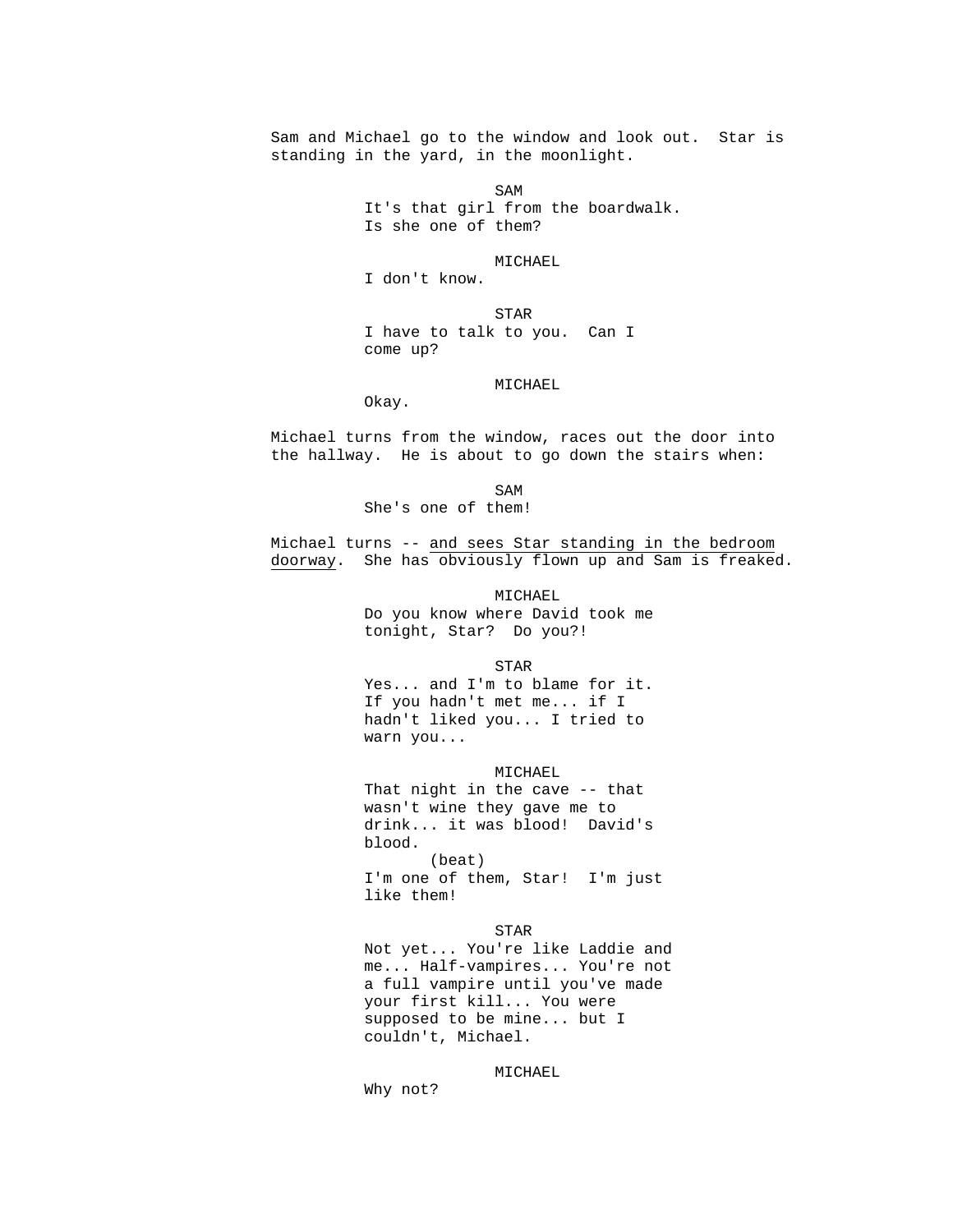Sam and Michael go to the window and look out. Star is standing in the yard, in the moonlight.

SAM SAME SAME SAME SAMPLE SAMPLE SAMPLE SAMPLE SAMPLE SAMPLE SAMPLE SAMPLE SAMPLE SAMPLE SAMPLE SAMPLE SAMPLE SAMPLE SAMPLE SAMPLE SAMPLE SAMPLE SAMPLE SAMPLE SAMPLE SAMPLE SAMPLE SAMPLE SAMPLE SAMPLE SAMPLE SAMPLE SAMPLE It's that girl from the boardwalk. Is she one of them?

MICHAEL

I don't know.

Okay.

**STAR**  I have to talk to you. Can I come up?

MICHAEL

Michael turns from the window, races out the door into

the hallway. He is about to go down the stairs when:

SAM SAME SAME SAME SAMPLE SAMPLE SAMPLE SAMPLE SAMPLE SAMPLE SAMPLE SAMPLE SAMPLE SAMPLE SAMPLE SAMPLE SAMPLE SAMPLE SAMPLE SAMPLE SAMPLE SAMPLE SAMPLE SAMPLE SAMPLE SAMPLE SAMPLE SAMPLE SAMPLE SAMPLE SAMPLE SAMPLE SAMPLE She's one of them!

> Michael turns -- and sees Star standing in the bedroom doorway. She has obviously flown up and Sam is freaked.

> > MICHAEL Do you know where David took me tonight, Star? Do you?!

STAR

 Yes... and I'm to blame for it. If you hadn't met me... if I hadn't liked you... I tried to warn you...

 MICHAEL That night in the cave -- that wasn't wine they gave me to drink... it was blood! David's blood. (beat) I'm one of them, Star! I'm just like them!

 STAR Not yet... You're like Laddie and me... Half-vampires... You're not a full vampire until you've made your first kill... You were supposed to be mine... but I couldn't, Michael.

MICHAEL

Why not?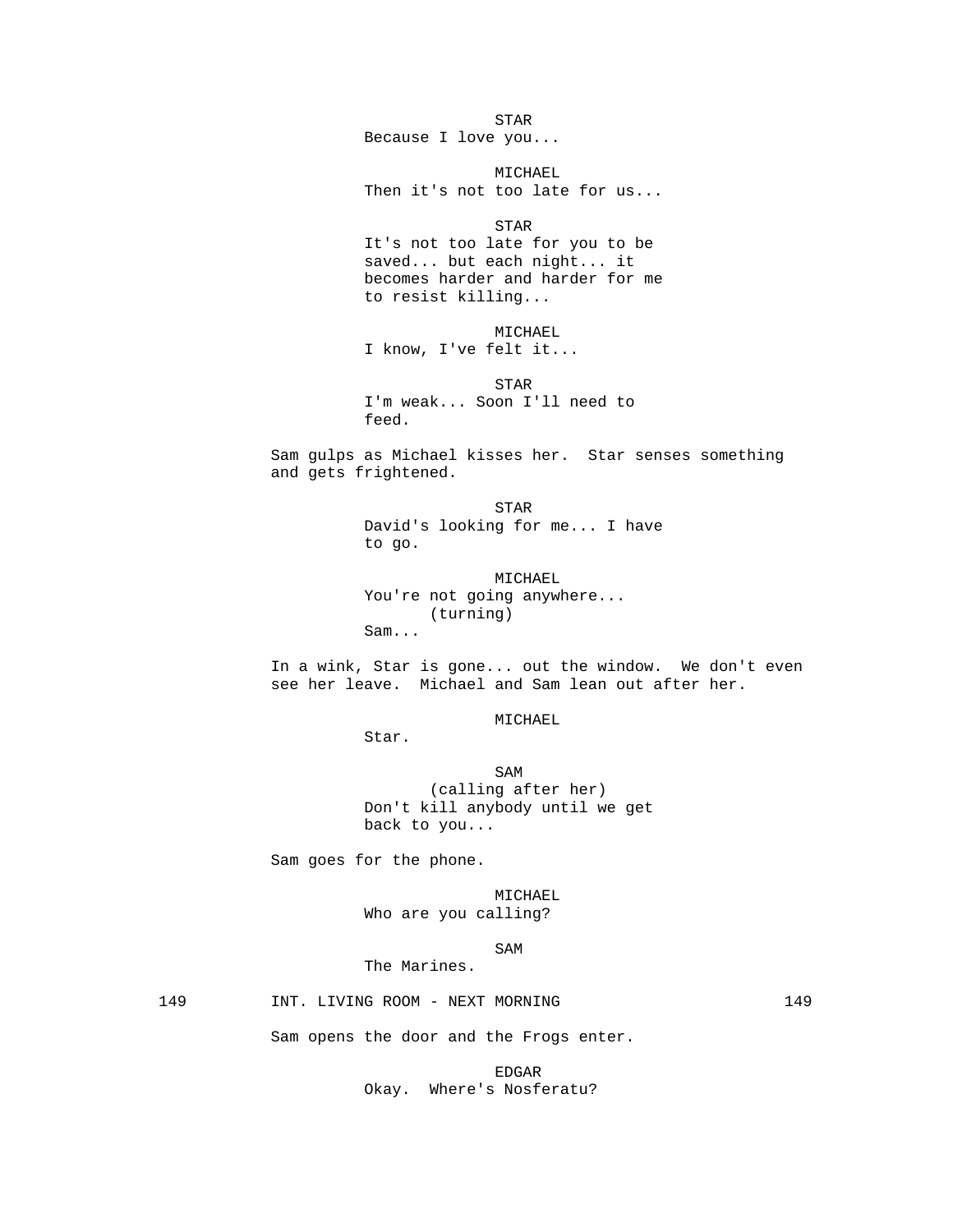**STAR**  Because I love you... MICHAEL Then it's not too late for us... **STAR**  It's not too late for you to be saved... but each night... it becomes harder and harder for me to resist killing... MICHAEL I know, I've felt it... **STAR**  I'm weak... Soon I'll need to feed. Sam gulps as Michael kisses her. Star senses something and gets frightened. STAR David's looking for me... I have to go. MICHAEL You're not going anywhere... (turning) Sam... In a wink, Star is gone... out the window. We don't even see her leave. Michael and Sam lean out after her. MICHAEL Star. SAM SAME SAME SAMPLE SAMPLE SAMPLE SAMPLE SAMPLE SAMPLE SAMPLE SAMPLE SAMPLE SAMPLE SAMPLE SAMPLE SAMPLE SAMPL (calling after her) Don't kill anybody until we get back to you... Sam goes for the phone. MICHAEL Who are you calling? SAM SAME SAME SAME SAMPLE SAMPLE SAMPLE SAMPLE SAMPLE SAMPLE SAMPLE SAMPLE SAMPLE SAMPLE SAMPLE SAMPLE SAMPLE SAMPLE SAMPLE SAMPLE SAMPLE SAMPLE SAMPLE SAMPLE SAMPLE SAMPLE SAMPLE SAMPLE SAMPLE SAMPLE SAMPLE SAMPLE SAMPLE The Marines. 149 INT. LIVING ROOM - NEXT MORNING 149 Sam opens the door and the Frogs enter.

> EDGAR Okay. Where's Nosferatu?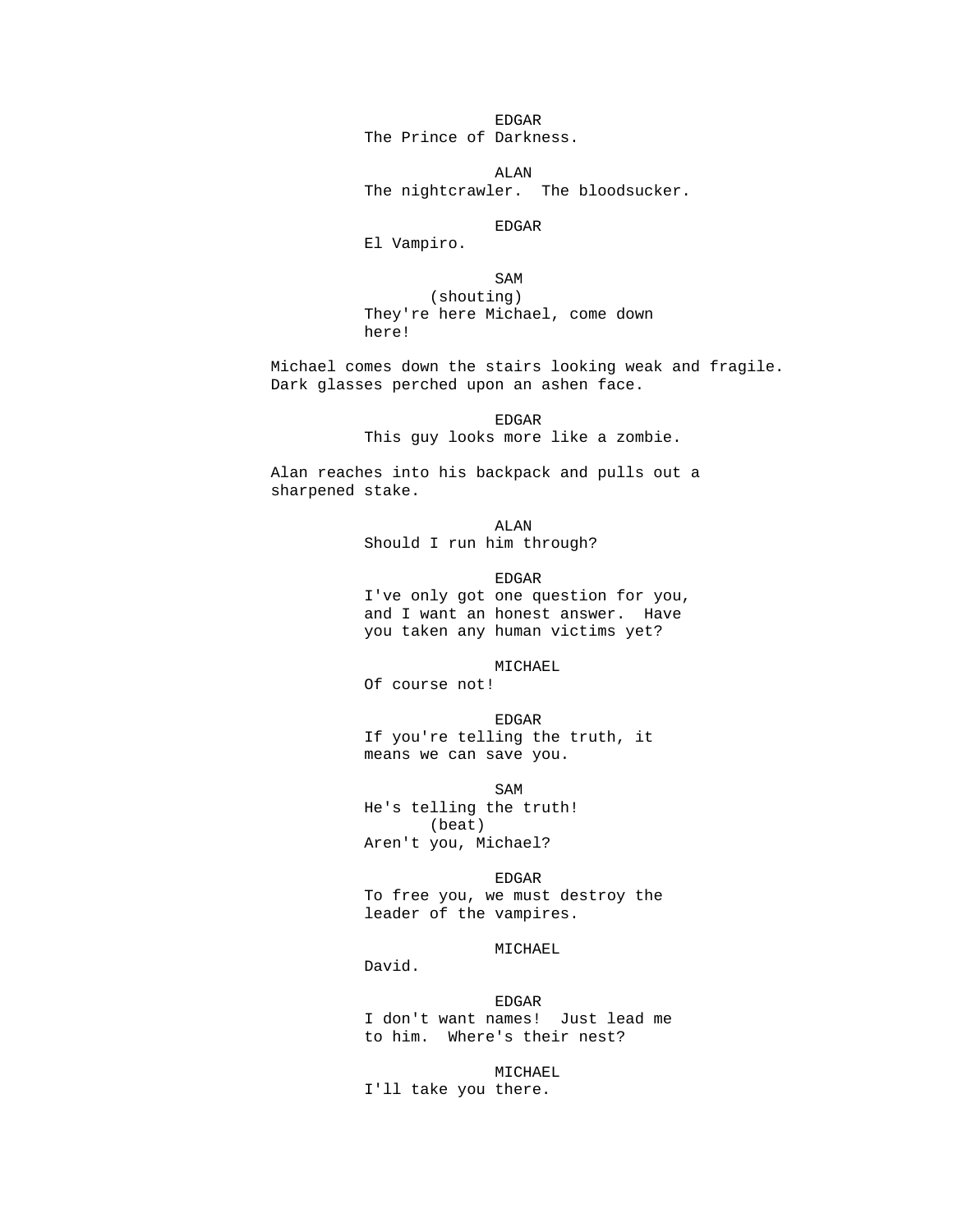en de la contradición de la contradición de la contradición de la contradición de la contradición de la contradición de la contradición de la contradición de la contradición de la contradición de la contradición de la cont The Prince of Darkness.

 ALAN The nightcrawler. The bloodsucker.

en de la contradición de la contradición de la contradición de la contradición de la contradición de la contradición de la contradición de la contradición de la contradición de la contradición de la contradición de la cont

El Vampiro.

SAM SAME SAME SAME SAMPLE SAMPLE SAMPLE SAMPLE SAMPLE SAMPLE SAMPLE SAMPLE SAMPLE SAMPLE SAMPLE SAMPLE SAMPLE SAMPLE SAMPLE SAMPLE SAMPLE SAMPLE SAMPLE SAMPLE SAMPLE SAMPLE SAMPLE SAMPLE SAMPLE SAMPLE SAMPLE SAMPLE SAMPLE

 (shouting) They're here Michael, come down here!

 Michael comes down the stairs looking weak and fragile. Dark glasses perched upon an ashen face.

> EDGAR This guy looks more like a zombie.

 Alan reaches into his backpack and pulls out a sharpened stake.

 ALAN Should I run him through?

en de la contradición de la contradición de la contradición de la contradición de la contradición de la contradición de la contradición de la contradición de la contradición de la contradición de la contradición de la cont I've only got one question for you, and I want an honest answer. Have you taken any human victims yet?

> MICHAEL Of course not!

 EDGAR If you're telling the truth, it means we can save you.

SAM SAME SAME SAME SAMPLE SAMPLE SAMPLE SAMPLE SAMPLE SAMPLE SAMPLE SAMPLE SAMPLE SAMPLE SAMPLE SAMPLE SAMPLE SAMPLE SAMPLE SAMPLE SAMPLE SAMPLE SAMPLE SAMPLE SAMPLE SAMPLE SAMPLE SAMPLE SAMPLE SAMPLE SAMPLE SAMPLE SAMPLE He's telling the truth! (beat)

Aren't you, Michael?

en de la contradición de la contradición de la contradición de la contradición de la contradición de la contradición de la contradición de la contradición de la contradición de la contradición de la contradición de la cont To free you, we must destroy the leader of the vampires.

David.

MICHAEL

 EDGAR I don't want names! Just lead me to him. Where's their nest?

 MICHAEL I'll take you there.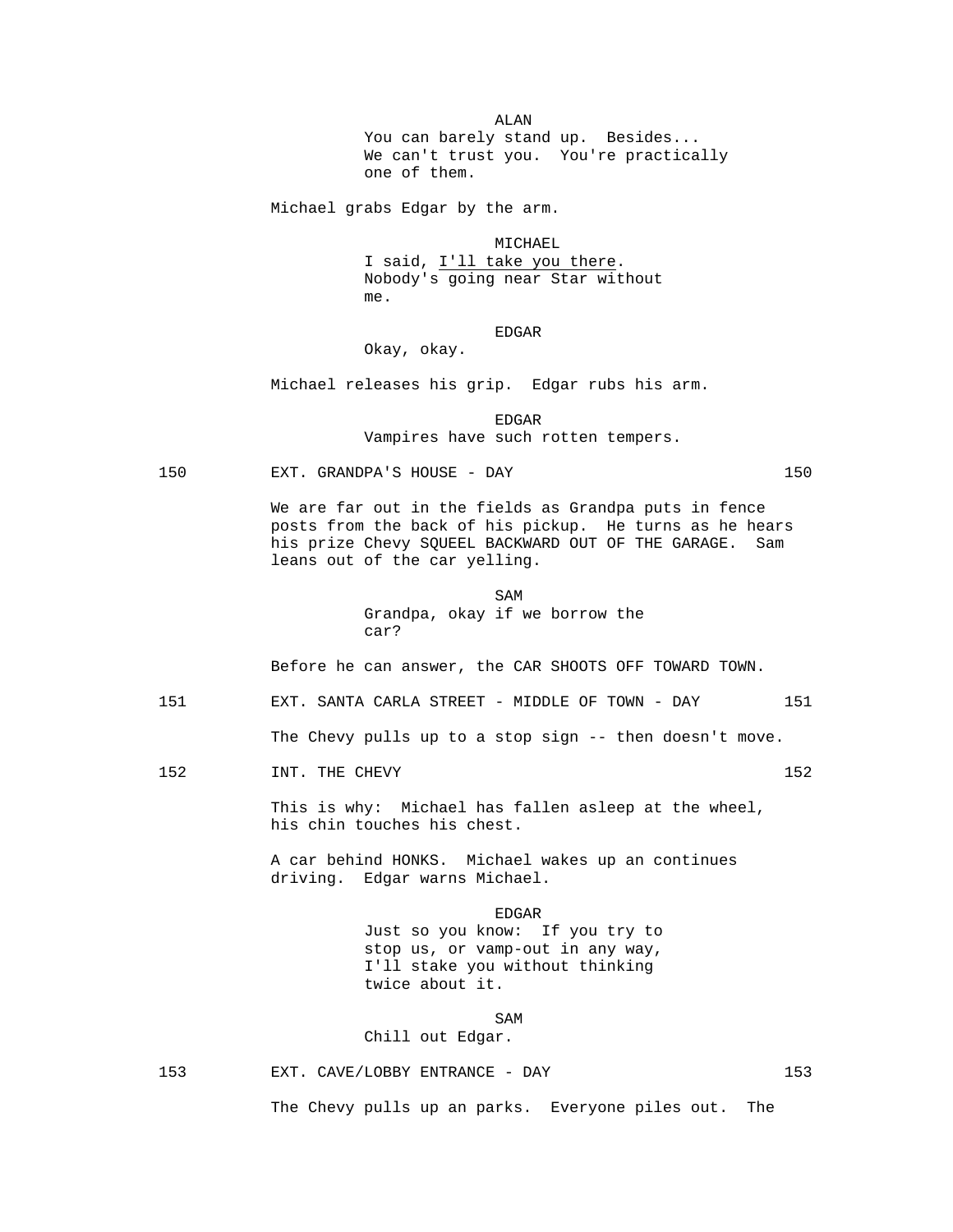ALAN You can barely stand up. Besides... We can't trust you. You're practically one of them.

Michael grabs Edgar by the arm.

 MICHAEL I said, I'll take you there. Nobody's going near Star without me.

 EDGAR Okay, okay.

Michael releases his grip. Edgar rubs his arm.

en de la contradición de la contradición de la contradición de la contradición de la contradición de la contradición de la contradición de la contradición de la contradición de la contradición de la contradición de la cont Vampires have such rotten tempers.

150 EXT. GRANDPA'S HOUSE - DAY 150

 We are far out in the fields as Grandpa puts in fence posts from the back of his pickup. He turns as he hears his prize Chevy SQUEEL BACKWARD OUT OF THE GARAGE. Sam leans out of the car yelling.

SAM SAME SAME SAMPLE SAMPLE SAMPLE SAMPLE SAMPLE SAMPLE SAMPLE SAMPLE SAMPLE SAMPLE SAMPLE SAMPLE SAMPLE SAMPL Grandpa, okay if we borrow the car?

Before he can answer, the CAR SHOOTS OFF TOWARD TOWN.

151 EXT. SANTA CARLA STREET - MIDDLE OF TOWN - DAY 151

The Chevy pulls up to a stop sign -- then doesn't move.

152 INT. THE CHEVY 152

 This is why: Michael has fallen asleep at the wheel, his chin touches his chest.

 A car behind HONKS. Michael wakes up an continues driving. Edgar warns Michael.

> EDGAR Just so you know: If you try to stop us, or vamp-out in any way, I'll stake you without thinking twice about it.

SAM SAME SAME SAME SAMPLE SAMPLE SAMPLE SAMPLE SAMPLE SAMPLE SAMPLE SAMPLE SAMPLE SAMPLE SAMPLE SAMPLE SAMPLE

Chill out Edgar.

153 EXT. CAVE/LOBBY ENTRANCE - DAY 153

The Chevy pulls up an parks. Everyone piles out. The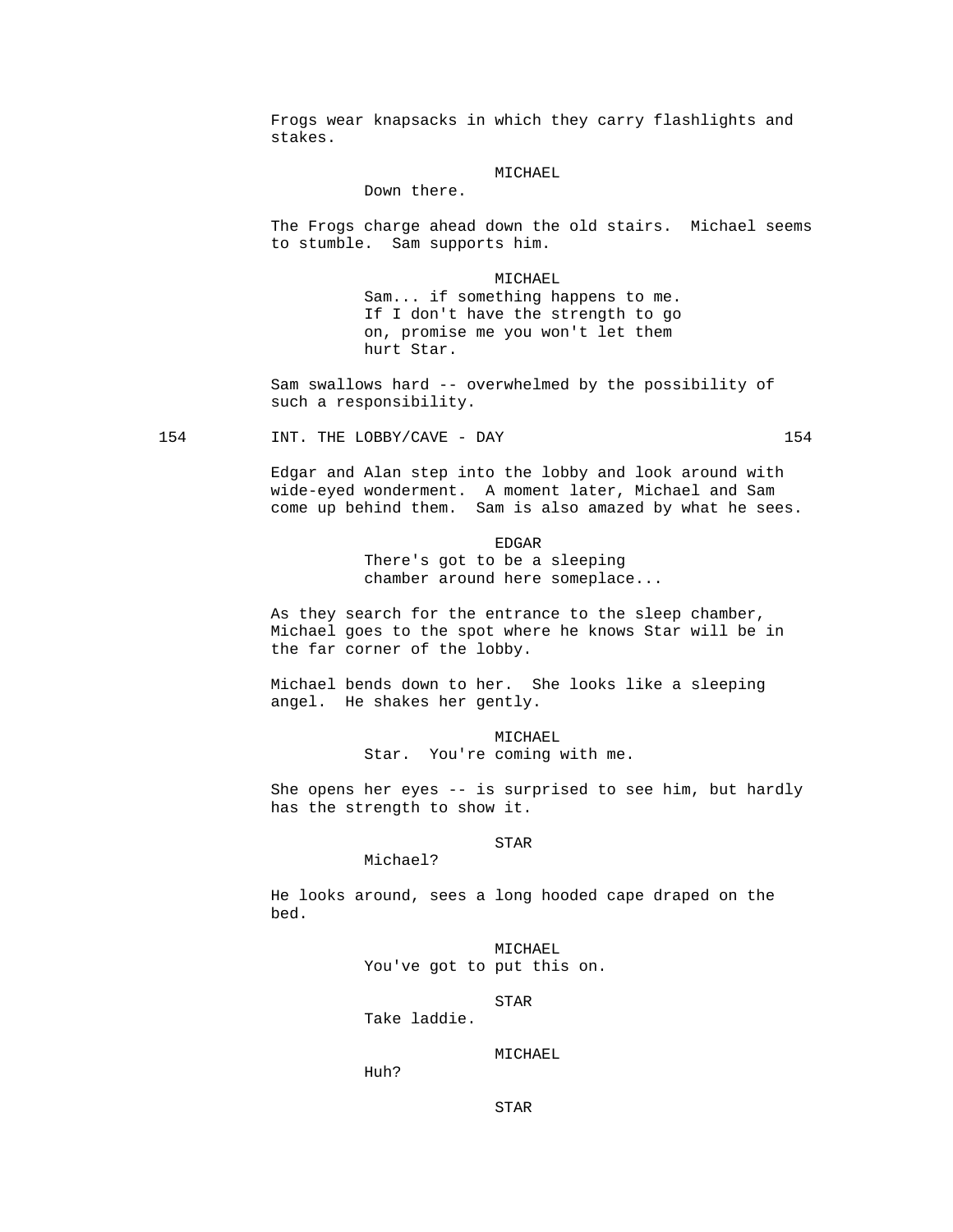Frogs wear knapsacks in which they carry flashlights and stakes.

### MICHAEL

Down there.

 The Frogs charge ahead down the old stairs. Michael seems to stumble. Sam supports him.

> MICHAEL Sam... if something happens to me. If I don't have the strength to go on, promise me you won't let them hurt Star.

 Sam swallows hard -- overwhelmed by the possibility of such a responsibility.

154 INT. THE LOBBY/CAVE - DAY 154

 Edgar and Alan step into the lobby and look around with wide-eyed wonderment. A moment later, Michael and Sam come up behind them. Sam is also amazed by what he sees.

en de la contradición de la contradición de la contradición de la contradición de la contradición de la contradición de la contradición de la contradición de la contradición de la contradición de la contradición de la cont There's got to be a sleeping chamber around here someplace...

> As they search for the entrance to the sleep chamber, Michael goes to the spot where he knows Star will be in the far corner of the lobby.

 Michael bends down to her. She looks like a sleeping angel. He shakes her gently.

> MICHAEL Star. You're coming with me.

 She opens her eyes -- is surprised to see him, but hardly has the strength to show it.

# STAR

 He looks around, sees a long hooded cape draped on the bed.

> MICHAEL You've got to put this on.

STAR

Take laddie.

Michael?

MICHAEL

Huh?

STAR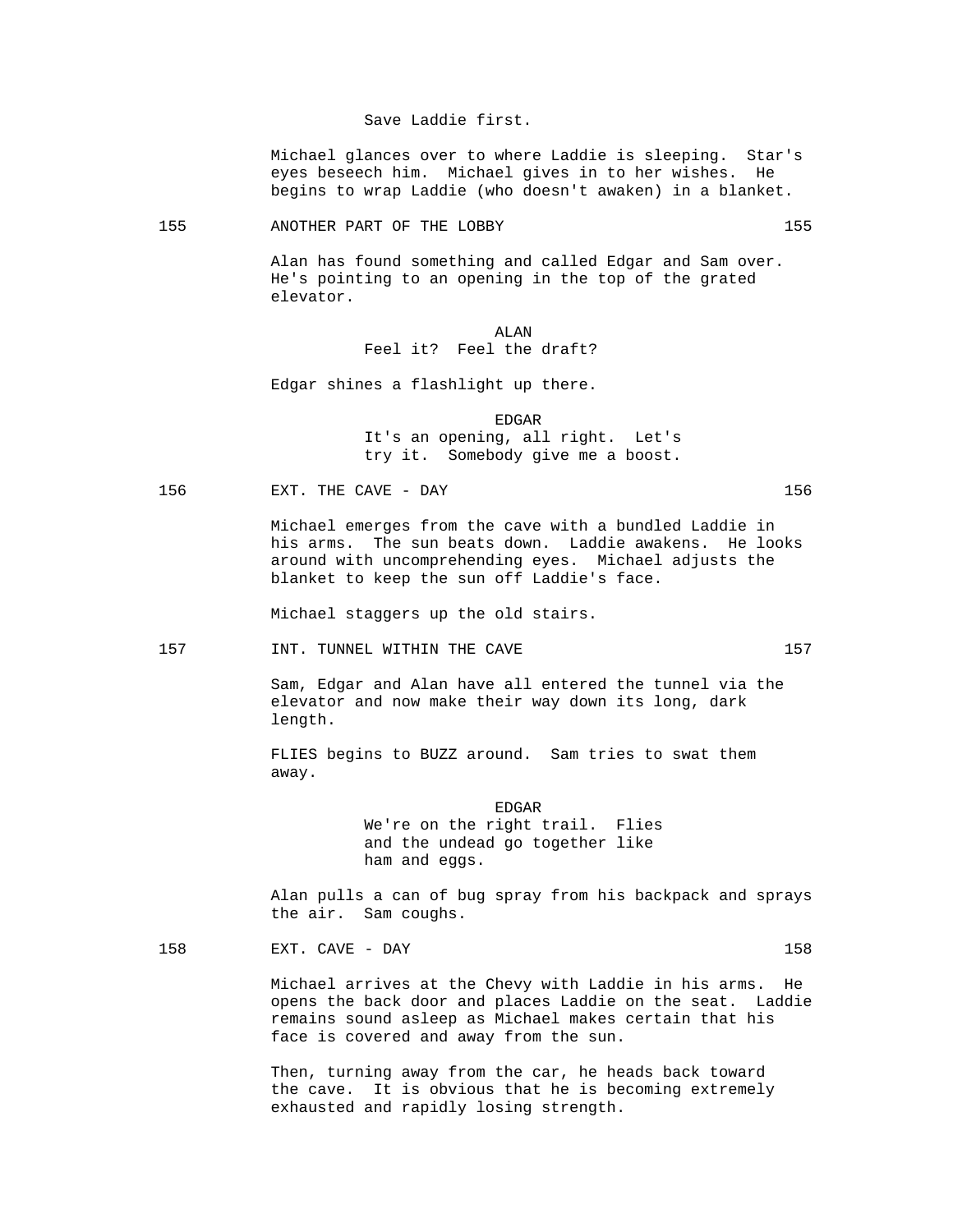### Save Laddie first.

 Michael glances over to where Laddie is sleeping. Star's eyes beseech him. Michael gives in to her wishes. He begins to wrap Laddie (who doesn't awaken) in a blanket.

#### 155 ANOTHER PART OF THE LOBBY 155

 Alan has found something and called Edgar and Sam over. He's pointing to an opening in the top of the grated elevator.

# ALAN Feel it? Feel the draft?

Edgar shines a flashlight up there.

en de la contradición de la contradición de la contradición de la contradición de la contradición de la contradición de la contradición de la contradición de la contradición de la contradición de la contradición de la cont It's an opening, all right. Let's try it. Somebody give me a boost.

156 EXT. THE CAVE - DAY 156

 Michael emerges from the cave with a bundled Laddie in his arms. The sun beats down. Laddie awakens. He looks around with uncomprehending eyes. Michael adjusts the blanket to keep the sun off Laddie's face.

Michael staggers up the old stairs.

# 157 157 INT. TUNNEL WITHIN THE CAVE

 Sam, Edgar and Alan have all entered the tunnel via the elevator and now make their way down its long, dark length.

 FLIES begins to BUZZ around. Sam tries to swat them away.

en de la contradición de la contradición de la contradición de la contradición de la contradición de la contradición de la contradición de la contradición de la contradición de la contradición de la contradición de la cont We're on the right trail. Flies and the undead go together like ham and eggs.

> Alan pulls a can of bug spray from his backpack and sprays the air. Sam coughs.

158 EXT. CAVE - DAY 158

 Michael arrives at the Chevy with Laddie in his arms. He opens the back door and places Laddie on the seat. Laddie remains sound asleep as Michael makes certain that his face is covered and away from the sun.

 Then, turning away from the car, he heads back toward the cave. It is obvious that he is becoming extremely exhausted and rapidly losing strength.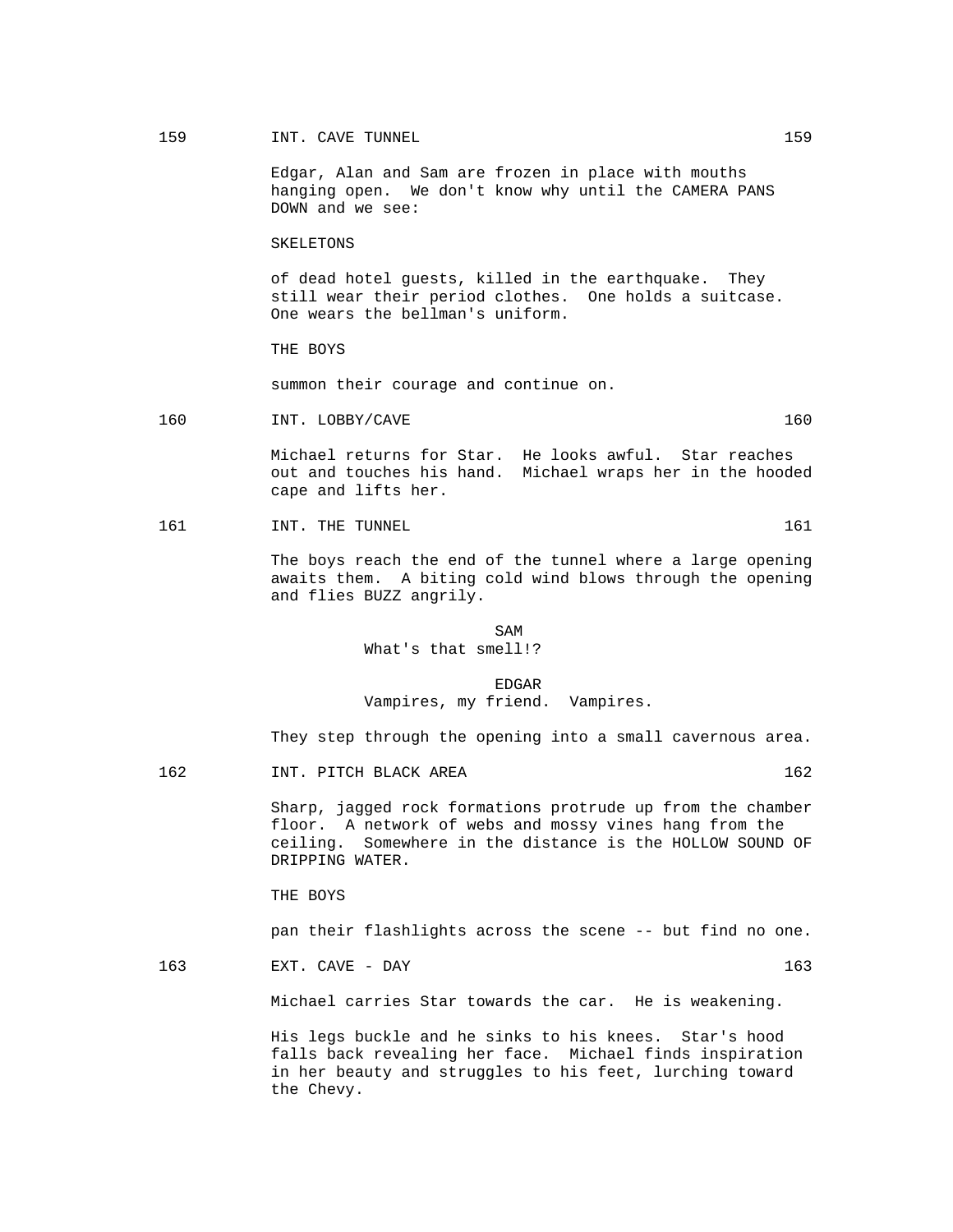# 159 INT. CAVE TUNNEL 2008 159

 Edgar, Alan and Sam are frozen in place with mouths hanging open. We don't know why until the CAMERA PANS DOWN and we see:

#### SKELETONS

 of dead hotel guests, killed in the earthquake. They still wear their period clothes. One holds a suitcase. One wears the bellman's uniform.

THE BOYS

summon their courage and continue on.

160 INT. LOBBY/CAVE 160

 Michael returns for Star. He looks awful. Star reaches out and touches his hand. Michael wraps her in the hooded cape and lifts her.

161 INT. THE TUNNEL 161 NOTE: 161

 The boys reach the end of the tunnel where a large opening awaits them. A biting cold wind blows through the opening and flies BUZZ angrily.

SAM SAME SAME SAME SAMPLE SAMPLE SAMPLE SAMPLE SAMPLE SAMPLE SAMPLE SAMPLE SAMPLE SAMPLE SAMPLE SAMPLE SAMPLE SAMPLE SAMPLE SAMPLE SAMPLE SAMPLE SAMPLE SAMPLE SAMPLE SAMPLE SAMPLE SAMPLE SAMPLE SAMPLE SAMPLE SAMPLE SAMPLE What's that smell!?

en de la contradición de la contradición de la contradición de la contradición de la contradición de la contradición de la contradición de la contradición de la contradición de la contradición de la contradición de la cont Vampires, my friend. Vampires.

They step through the opening into a small cavernous area.

162 INT. PITCH BLACK AREA 162

 Sharp, jagged rock formations protrude up from the chamber floor. A network of webs and mossy vines hang from the ceiling. Somewhere in the distance is the HOLLOW SOUND OF DRIPPING WATER.

THE BOYS

pan their flashlights across the scene -- but find no one.

163 EXT. CAVE - DAY 163

Michael carries Star towards the car. He is weakening.

 His legs buckle and he sinks to his knees. Star's hood falls back revealing her face. Michael finds inspiration in her beauty and struggles to his feet, lurching toward the Chevy.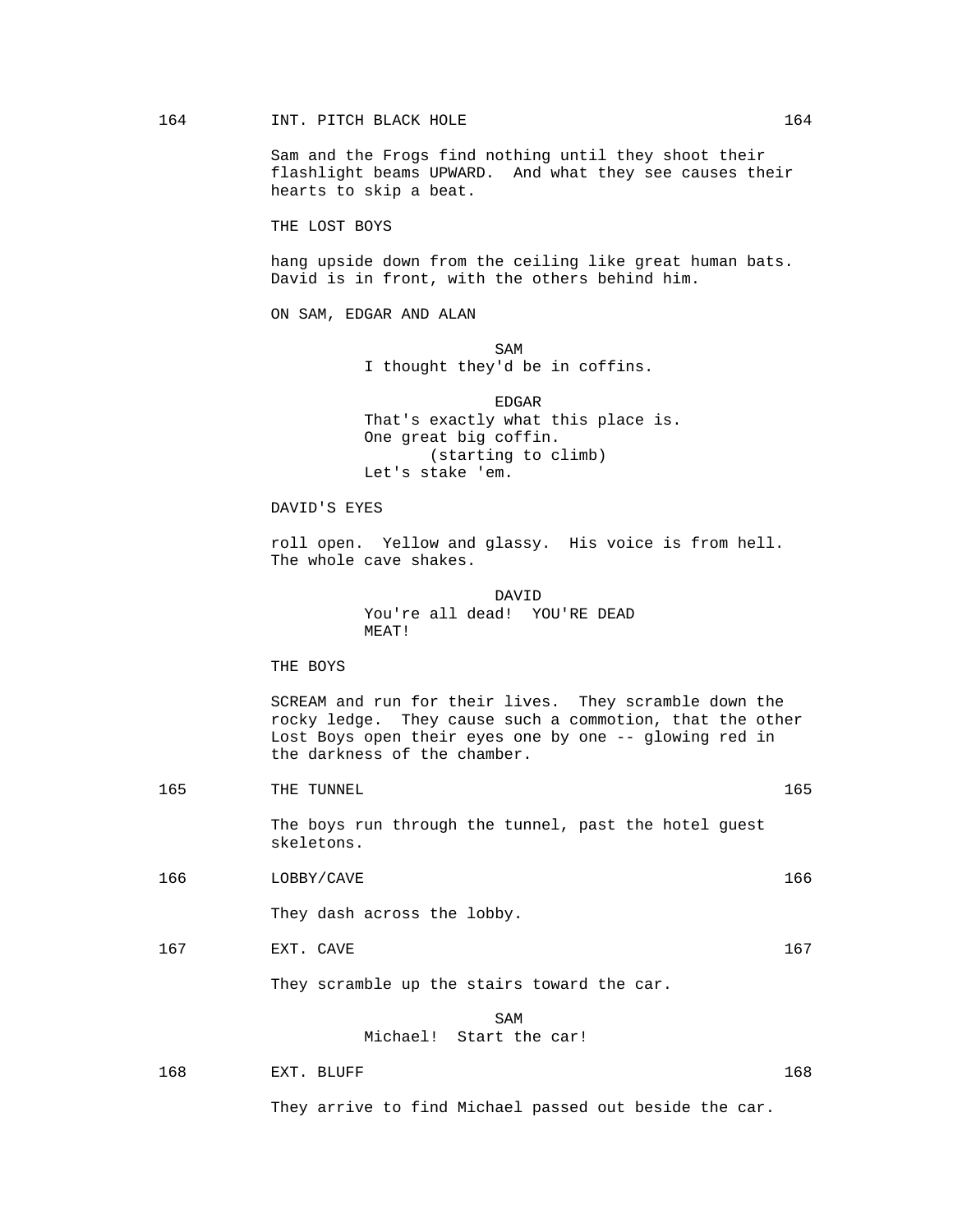Sam and the Frogs find nothing until they shoot their flashlight beams UPWARD. And what they see causes their hearts to skip a beat.

THE LOST BOYS

 hang upside down from the ceiling like great human bats. David is in front, with the others behind him.

ON SAM, EDGAR AND ALAN

SAM SAME SAME SAME SAMPLE SAMPLE SAMPLE SAMPLE SAMPLE SAMPLE SAMPLE SAMPLE SAMPLE SAMPLE SAMPLE SAMPLE SAMPLE I thought they'd be in coffins.

> EDGAR That's exactly what this place is. One great big coffin. (starting to climb) Let's stake 'em.

DAVID'S EYES

 roll open. Yellow and glassy. His voice is from hell. The whole cave shakes.

 DAVID You're all dead! YOU'RE DEAD MEAT!

THE BOYS

 SCREAM and run for their lives. They scramble down the rocky ledge. They cause such a commotion, that the other Lost Boys open their eyes one by one -- glowing red in the darkness of the chamber.

165 THE TUNNEL 2008 THE TUNNEL

 The boys run through the tunnel, past the hotel guest skeletons.

166 LOBBY/CAVE 166

They dash across the lobby.

167 EXT. CAVE 2002 EXT. CAVE

They scramble up the stairs toward the car.

### SAM SAME SAME SAME SAMPLE SAMPLE SAMPLE SAMPLE SAMPLE SAMPLE SAMPLE SAMPLE SAMPLE SAMPLE SAMPLE SAMPLE SAMPLE Michael! Start the car!

168 EXT. BLUFF 2008 EXT. BLUFF 2008 EXT. 2008 EXT. 2008 EXT. 2008 2012 2013

They arrive to find Michael passed out beside the car.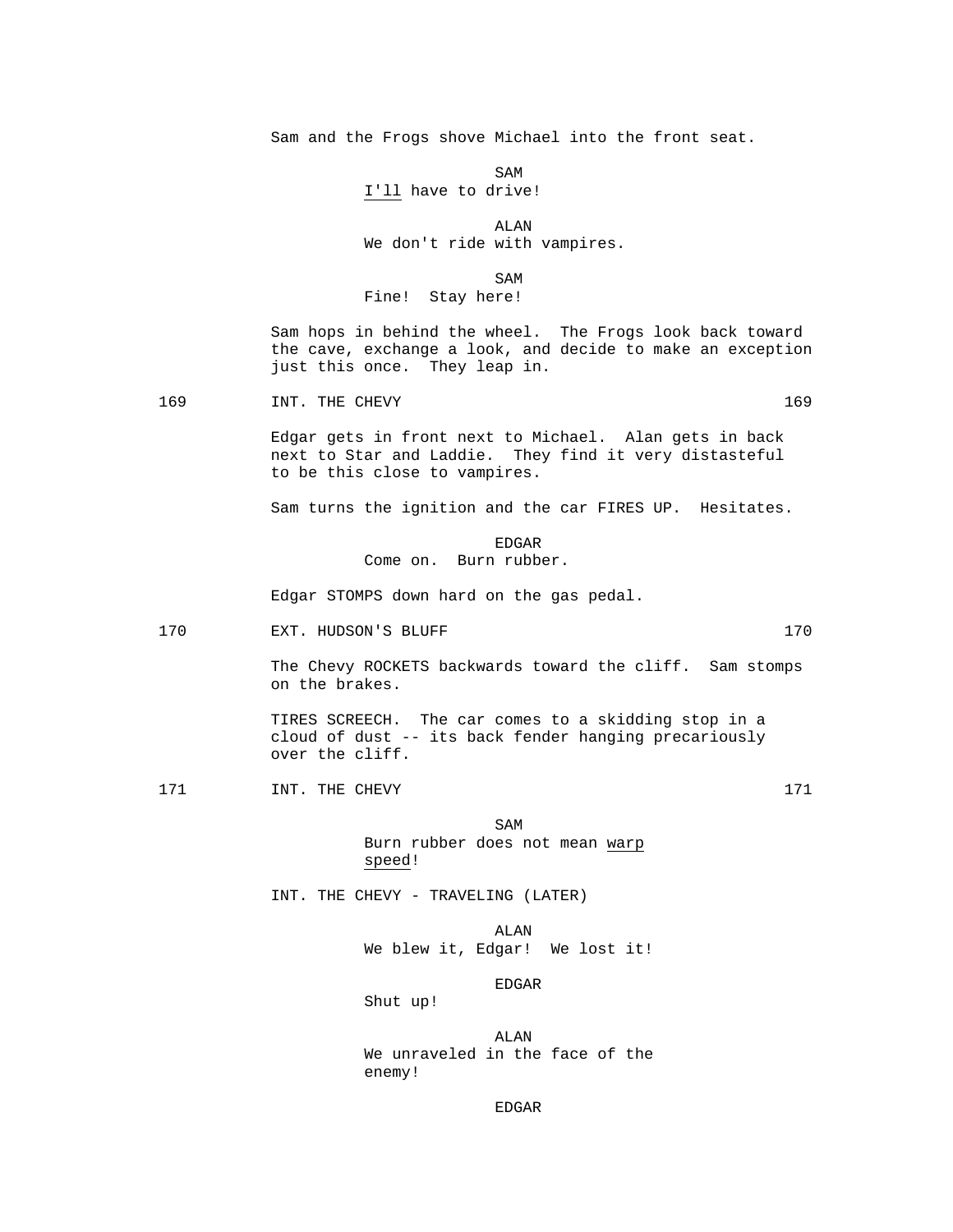Sam and the Frogs shove Michael into the front seat.

SAM SAME SAME SAME SAMPLE SAMPLE SAMPLE SAMPLE SAMPLE SAMPLE SAMPLE SAMPLE SAMPLE SAMPLE SAMPLE SAMPLE SAMPLE I'll have to drive!

 ALAN We don't ride with vampires.

SAM SAME SAME SAME SAMPLE SAMPLE SAMPLE SAMPLE SAMPLE SAMPLE SAMPLE SAMPLE SAMPLE SAMPLE SAMPLE SAMPLE SAMPLE SAMPLE SAMPLE SAMPLE SAMPLE SAMPLE SAMPLE SAMPLE SAMPLE SAMPLE SAMPLE SAMPLE SAMPLE SAMPLE SAMPLE SAMPLE SAMPLE Fine! Stay here!

> Sam hops in behind the wheel. The Frogs look back toward the cave, exchange a look, and decide to make an exception just this once. They leap in.

169 1NT. THE CHEVY 169

 Edgar gets in front next to Michael. Alan gets in back next to Star and Laddie. They find it very distasteful to be this close to vampires.

Sam turns the ignition and the car FIRES UP. Hesitates.

en de la contradición de la contradición de la contradición de la contradición de la contradición de la contradición de la contradición de la contradición de la contradición de la contradición de la contradición de la cont Come on. Burn rubber.

Edgar STOMPS down hard on the gas pedal.

170 EXT. HUDSON'S BLUFF 170 2001 170

 The Chevy ROCKETS backwards toward the cliff. Sam stomps on the brakes.

 TIRES SCREECH. The car comes to a skidding stop in a cloud of dust -- its back fender hanging precariously over the cliff.

171 171 INT. THE CHEVY 171

SAM SAME SAME SAME SAMPLE SAMPLE SAMPLE SAMPLE SAMPLE SAMPLE SAMPLE SAMPLE SAMPLE SAMPLE SAMPLE SAMPLE SAMPLE Burn rubber does not mean warp speed!

INT. THE CHEVY - TRAVELING (LATER)

 ALAN We blew it, Edgar! We lost it!

EDGAR

Shut up!

 ALAN We unraveled in the face of the enemy!

en de la contradición de la contradición de la contradición de la contradición de la contradición de la contradición de la contradición de la contradición de la contradición de la contradición de la contradición de la cont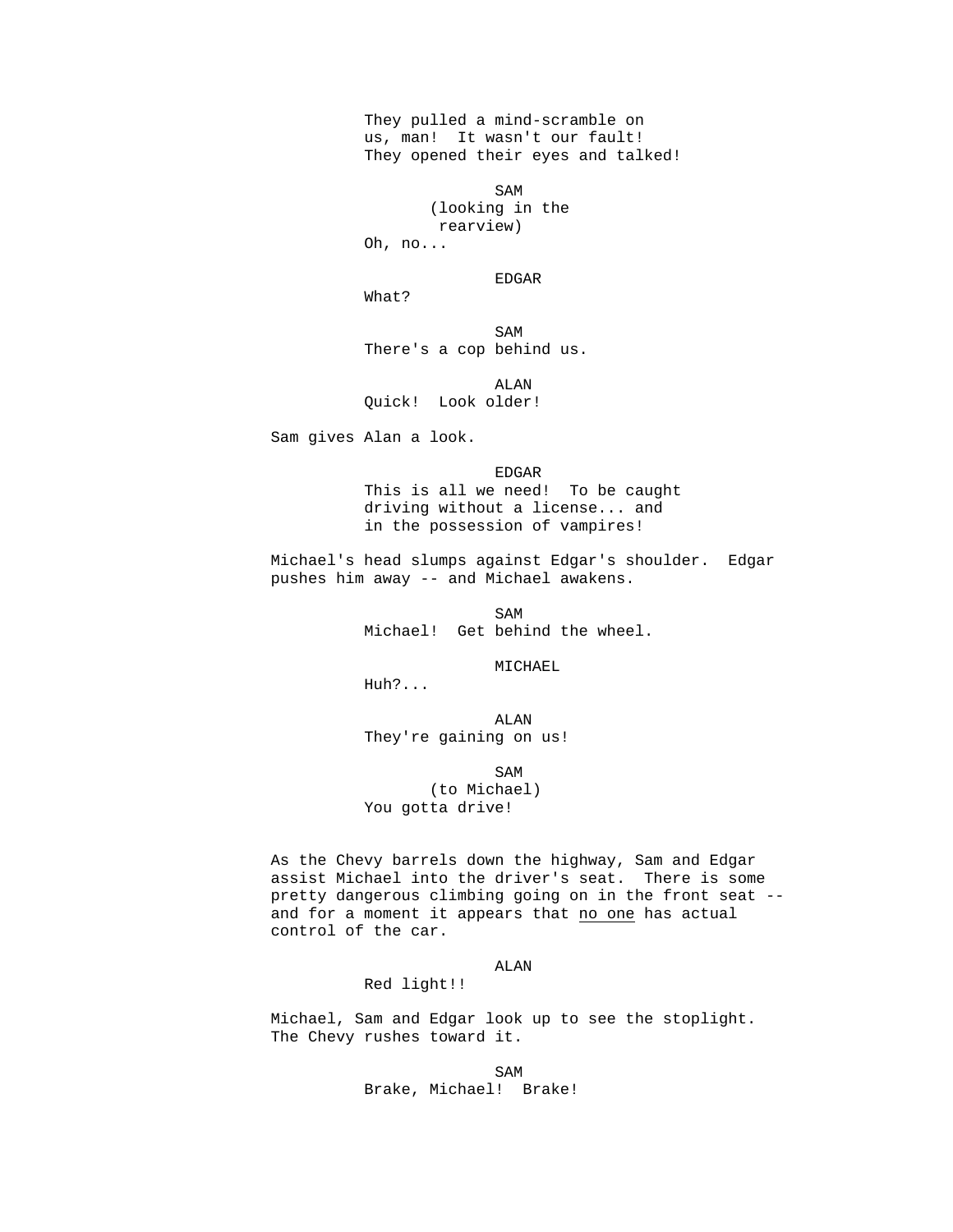They pulled a mind-scramble on us, man! It wasn't our fault! They opened their eyes and talked!

SAM SAME SAME SAME SAMPLE SAMPLE SAMPLE SAMPLE SAMPLE SAMPLE SAMPLE SAMPLE SAMPLE SAMPLE SAMPLE SAMPLE SAMPLE SAMPLE SAMPLE SAMPLE SAMPLE SAMPLE SAMPLE SAMPLE SAMPLE SAMPLE SAMPLE SAMPLE SAMPLE SAMPLE SAMPLE SAMPLE SAMPLE (looking in the rearview) Oh, no...

en de la contradición de la contradición de la contradición de la contradición de la contradición de la contradición de la contradición de la contradición de la contradición de la contradición de la contradición de la cont

What?

SAM SAME SAME SAME SAMPLE SAMPLE SAMPLE SAMPLE SAMPLE SAMPLE SAMPLE SAMPLE SAMPLE SAMPLE SAMPLE SAMPLE SAMPLE There's a cop behind us.

 ALAN Quick! Look older!

Sam gives Alan a look.

 EDGAR This is all we need! To be caught driving without a license... and in the possession of vampires!

 Michael's head slumps against Edgar's shoulder. Edgar pushes him away -- and Michael awakens.

SAM SAME SAME SAMPLE SAMPLE SAMPLE SAMPLE SAMPLE SAMPLE SAMPLE SAMPLE SAMPLE SAMPLE SAMPLE SAMPLE SAMPLE SAMPL Michael! Get behind the wheel.

MICHAEL

Huh?...

 ALAN They're gaining on us!

SAM SAME SAME SAMPLE SAMPLE SAMPLE SAMPLE SAMPLE SAMPLE SAMPLE SAMPLE SAMPLE SAMPLE SAMPLE SAMPLE SAMPLE SAMPL (to Michael) You gotta drive!

> As the Chevy barrels down the highway, Sam and Edgar assist Michael into the driver's seat. There is some pretty dangerous climbing going on in the front seat - and for a moment it appears that no one has actual control of the car.

#### ALAN

Red light!!

 Michael, Sam and Edgar look up to see the stoplight. The Chevy rushes toward it.

SAM SAME SAME SAME SAMPLE SAMPLE SAMPLE SAMPLE SAMPLE SAMPLE SAMPLE SAMPLE SAMPLE SAMPLE SAMPLE SAMPLE SAMPLE Brake, Michael! Brake!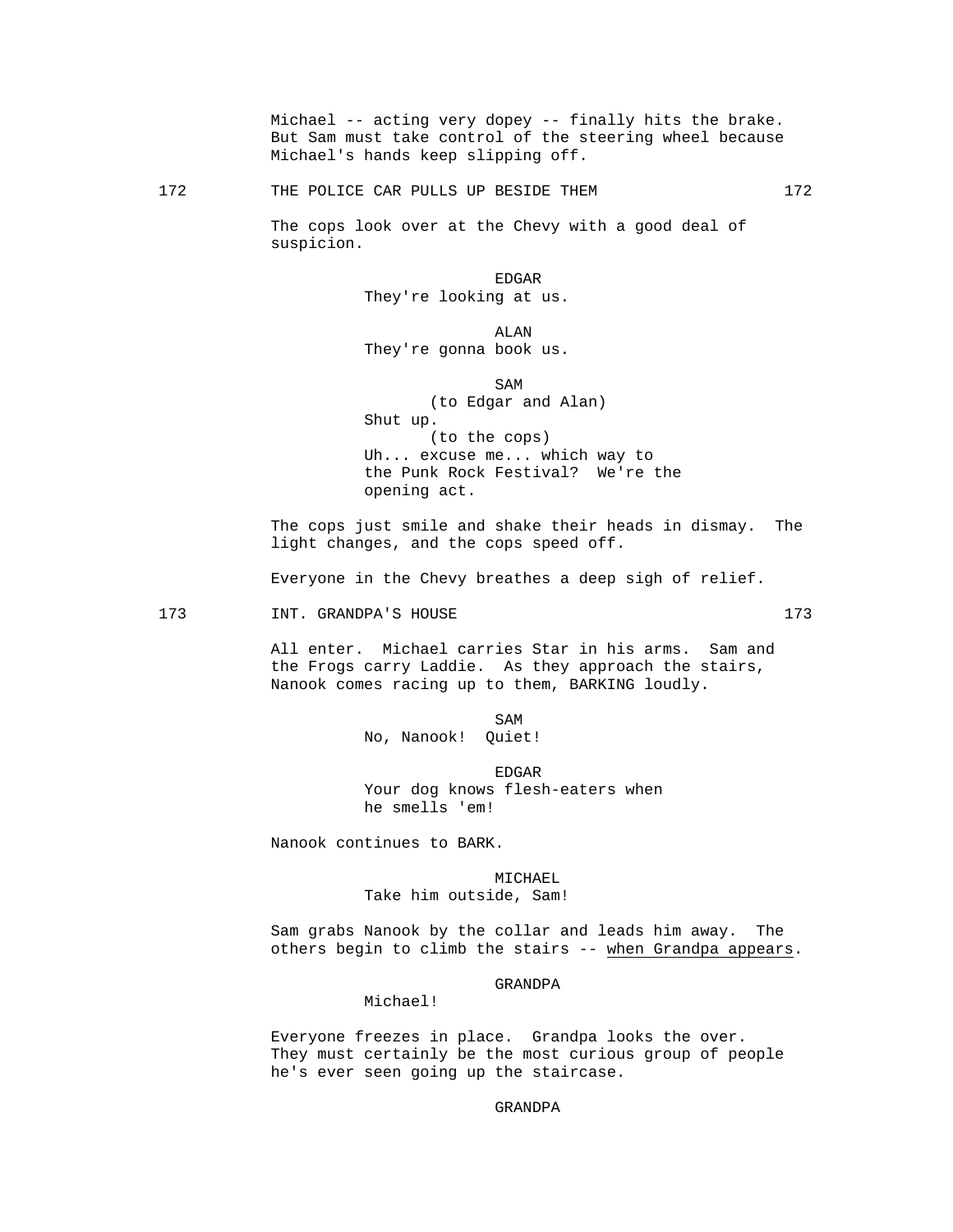Michael -- acting very dopey -- finally hits the brake. But Sam must take control of the steering wheel because Michael's hands keep slipping off.

# 172 THE POLICE CAR PULLS UP BESIDE THEM 172

 The cops look over at the Chevy with a good deal of suspicion.

en de la contradición de la contradición de la contradición de la contradición de la contradición de la contradición de la contradición de la contradición de la contradición de la contradición de la contradición de la cont They're looking at us.

 ALAN They're gonna book us.

#### SAM SAME SAME SAME SAMPLE SAMPLE SAMPLE SAMPLE SAMPLE SAMPLE SAMPLE SAMPLE SAMPLE SAMPLE SAMPLE SAMPLE SAMPLE SAMPLE SAMPLE SAMPLE SAMPLE SAMPLE SAMPLE SAMPLE SAMPLE SAMPLE SAMPLE SAMPLE SAMPLE SAMPLE SAMPLE SAMPLE SAMPLE

 (to Edgar and Alan) Shut up. (to the cops) Uh... excuse me... which way to the Punk Rock Festival? We're the opening act.

 The cops just smile and shake their heads in dismay. The light changes, and the cops speed off.

Everyone in the Chevy breathes a deep sigh of relief.

#### 173 INT. GRANDPA'S HOUSE 173

 All enter. Michael carries Star in his arms. Sam and the Frogs carry Laddie. As they approach the stairs, Nanook comes racing up to them, BARKING loudly.

SAM SAME SAME SAME SAMPLE SAMPLE SAMPLE SAMPLE SAMPLE SAMPLE SAMPLE SAMPLE SAMPLE SAMPLE SAMPLE SAMPLE SAMPLE SAMPLE SAMPLE SAMPLE SAMPLE SAMPLE SAMPLE SAMPLE SAMPLE SAMPLE SAMPLE SAMPLE SAMPLE SAMPLE SAMPLE SAMPLE SAMPLE No, Nanook! Quiet!

> EDGAR Your dog knows flesh-eaters when he smells 'em!

Nanook continues to BARK.

## MICHAEL

Take him outside, Sam!

 Sam grabs Nanook by the collar and leads him away. The others begin to climb the stairs -- when Grandpa appears.

#### GRANDPA

## Michael!

 Everyone freezes in place. Grandpa looks the over. They must certainly be the most curious group of people he's ever seen going up the staircase.

GRANDPA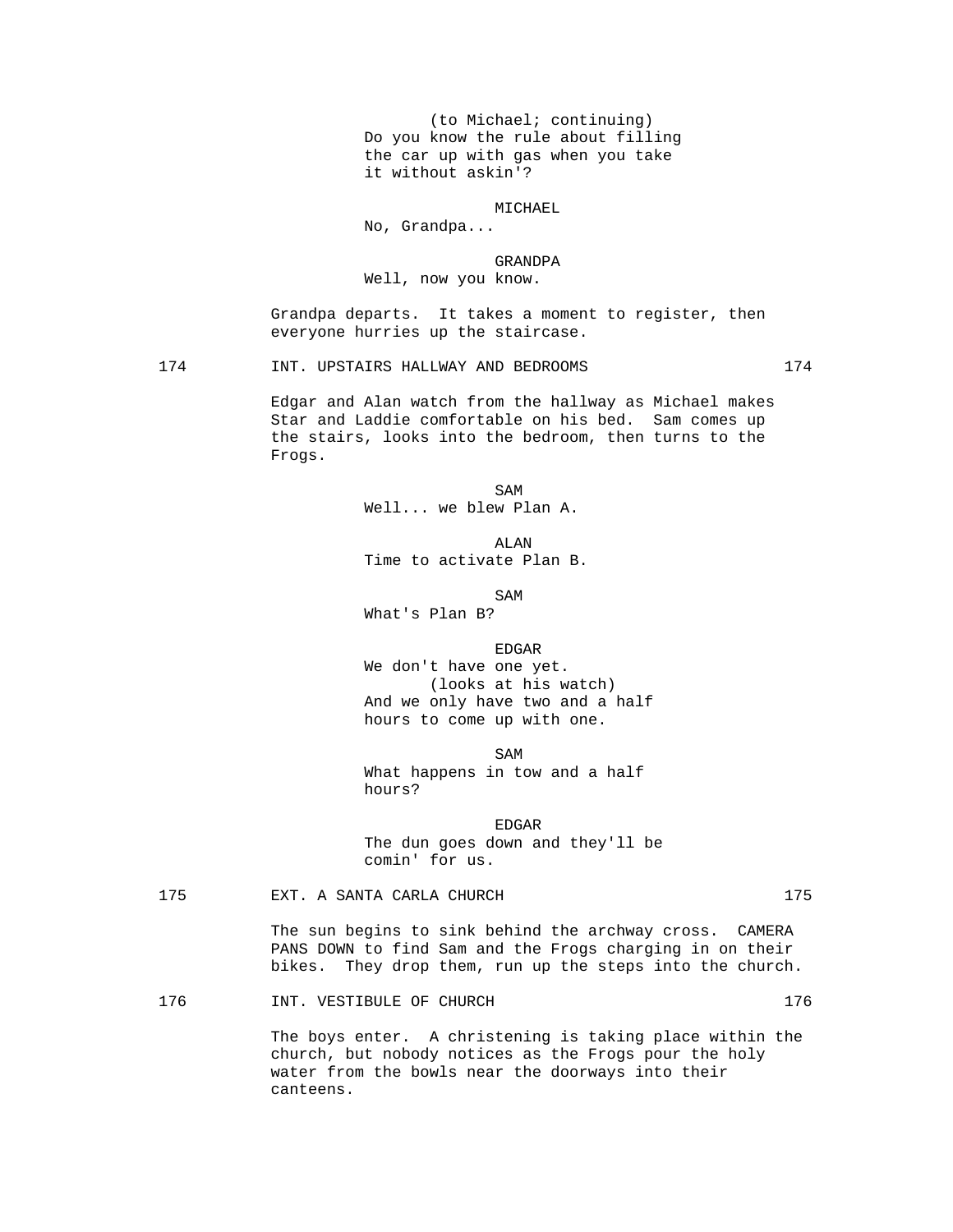(to Michael; continuing) Do you know the rule about filling the car up with gas when you take it without askin'?

MICHAEL

No, Grandpa...

 GRANDPA Well, now you know.

 Grandpa departs. It takes a moment to register, then everyone hurries up the staircase.

174 INT. UPSTAIRS HALLWAY AND BEDROOMS 174

 Edgar and Alan watch from the hallway as Michael makes Star and Laddie comfortable on his bed. Sam comes up the stairs, looks into the bedroom, then turns to the Frogs.

SAM SAME SAME SAME SAMPLE SAMPLE SAMPLE SAMPLE SAMPLE SAMPLE SAMPLE SAMPLE SAMPLE SAMPLE SAMPLE SAMPLE SAMPLE SAMPLE SAMPLE SAMPLE SAMPLE SAMPLE SAMPLE SAMPLE SAMPLE SAMPLE SAMPLE SAMPLE SAMPLE SAMPLE SAMPLE SAMPLE SAMPLE Well... we blew Plan A.

 ALAN Time to activate Plan B.

SAM SAME SAME SAMPLE SAMPLE SAMPLE SAMPLE SAMPLE SAMPLE SAMPLE SAMPLE SAMPLE SAMPLE SAMPLE SAMPLE SAMPLE SAMPL What's Plan B?

en de la contradición de la contradición de la contradición de la contradición de la contradición de la contradición de la contradición de la contradición de la contradición de la contradición de la contradición de la cont We don't have one yet. (looks at his watch) And we only have two and a half hours to come up with one.

SAM SAME SAME SAME SAMPLE SAMPLE SAMPLE SAMPLE SAMPLE SAMPLE SAMPLE SAMPLE SAMPLE SAMPLE SAMPLE SAMPLE SAMPLE What happens in tow and a half hours?

en de la contradición de la contradición de la contradición de la contradición de la contradición de la contradición de la contradición de la contradición de la contradición de la contradición de la contradición de la cont The dun goes down and they'll be comin' for us.

175 EXT. A SANTA CARLA CHURCH 175

 The sun begins to sink behind the archway cross. CAMERA PANS DOWN to find Sam and the Frogs charging in on their bikes. They drop them, run up the steps into the church.

176 1NT. VESTIBULE OF CHURCH 176

 The boys enter. A christening is taking place within the church, but nobody notices as the Frogs pour the holy water from the bowls near the doorways into their canteens.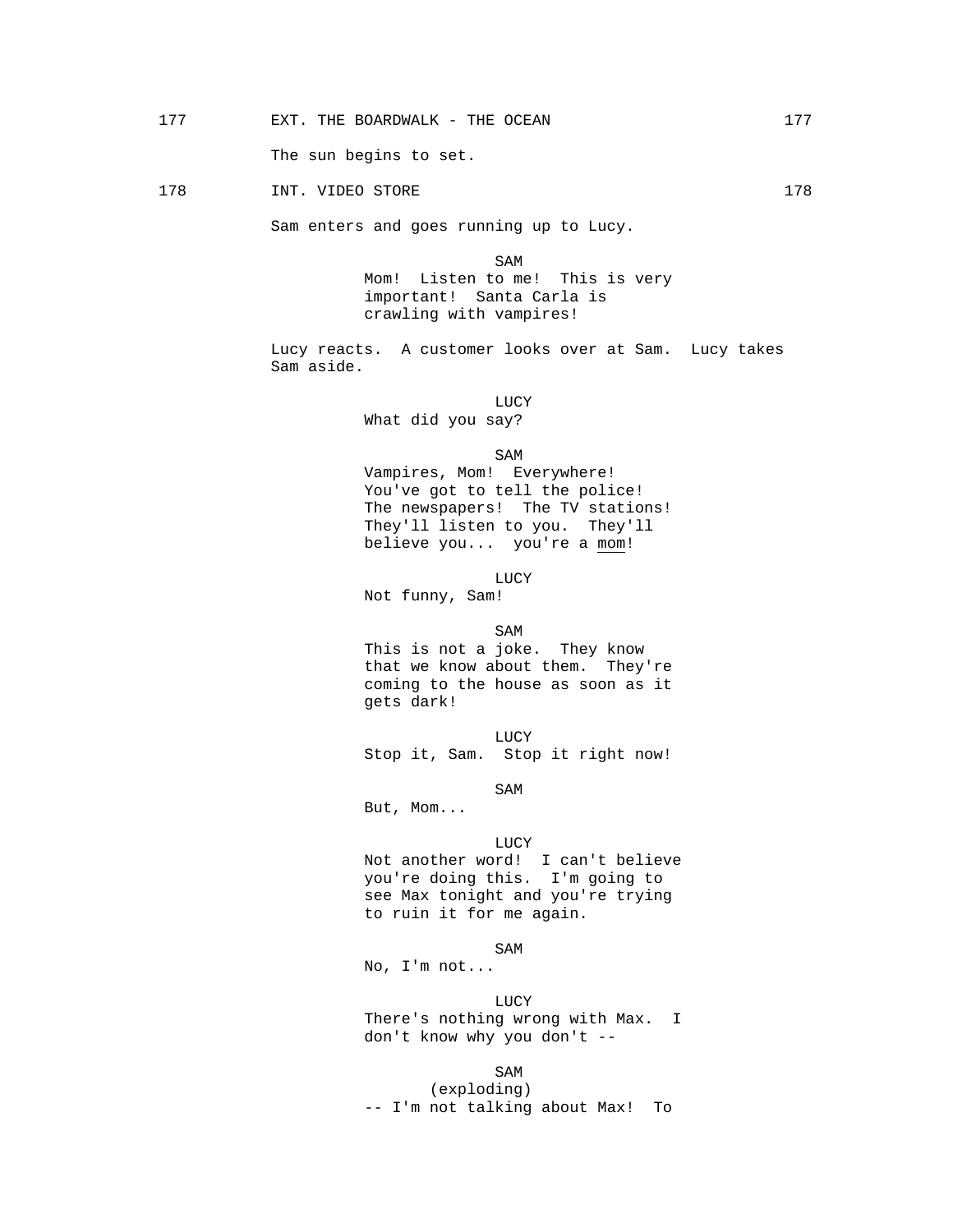The sun begins to set.

## 178 1NT. VIDEO STORE 178

Sam enters and goes running up to Lucy.

SAM SAME SAME SAME SAMPLE SAMPLE SAMPLE SAMPLE SAMPLE SAMPLE SAMPLE SAMPLE SAMPLE SAMPLE SAMPLE SAMPLE SAMPLE Mom! Listen to me! This is very important! Santa Carla is crawling with vampires!

> Lucy reacts. A customer looks over at Sam. Lucy takes Sam aside.

 LUCY What did you say?

SAM SAME SAME SAME SAMPLE SAMPLE SAMPLE SAMPLE SAMPLE SAMPLE SAMPLE SAMPLE SAMPLE SAMPLE SAMPLE SAMPLE SAMPLE SAMPLE SAMPLE SAMPLE SAMPLE SAMPLE SAMPLE SAMPLE SAMPLE SAMPLE SAMPLE SAMPLE SAMPLE SAMPLE SAMPLE SAMPLE SAMPLE

 Vampires, Mom! Everywhere! You've got to tell the police! The newspapers! The TV stations! They'll listen to you. They'll believe you... you're a mom!

**LUCY** 

Not funny, Sam!

SAM SAME SAME SAME SAMPLE SAMPLE SAMPLE SAMPLE SAMPLE SAMPLE SAMPLE SAMPLE SAMPLE SAMPLE SAMPLE SAMPLE SAMPLE SAMPLE SAMPLE SAMPLE SAMPLE SAMPLE SAMPLE SAMPLE SAMPLE SAMPLE SAMPLE SAMPLE SAMPLE SAMPLE SAMPLE SAMPLE SAMPLE This is not a joke. They know that we know about them. They're coming to the house as soon as it gets dark!

**LUCY** Stop it, Sam. Stop it right now!

SAM SAME SAME SAME SAMPLE SAMPLE SAMPLE SAMPLE SAMPLE SAMPLE SAMPLE SAMPLE SAMPLE SAMPLE SAMPLE SAMPLE SAMPLE SAMPLE SAMPLE SAMPLE SAMPLE SAMPLE SAMPLE SAMPLE SAMPLE SAMPLE SAMPLE SAMPLE SAMPLE SAMPLE SAMPLE SAMPLE SAMPLE

But, Mom...

**LUCY** 

 Not another word! I can't believe you're doing this. I'm going to see Max tonight and you're trying to ruin it for me again.

SAM SAME SAME SAME SAMPLE SAMPLE SAMPLE SAMPLE SAMPLE SAMPLE SAMPLE SAMPLE SAMPLE SAMPLE SAMPLE SAMPLE SAMPLE SAMPLE SAMPLE SAMPLE SAMPLE SAMPLE SAMPLE SAMPLE SAMPLE SAMPLE SAMPLE SAMPLE SAMPLE SAMPLE SAMPLE SAMPLE SAMPLE

No, I'm not...

**LUCY**  There's nothing wrong with Max. I don't know why you don't --

SAM SAME SAME SAME SAMPLE SAMPLE SAMPLE SAMPLE SAMPLE SAMPLE SAMPLE SAMPLE SAMPLE SAMPLE SAMPLE SAMPLE SAMPLE (exploding) -- I'm not talking about Max! To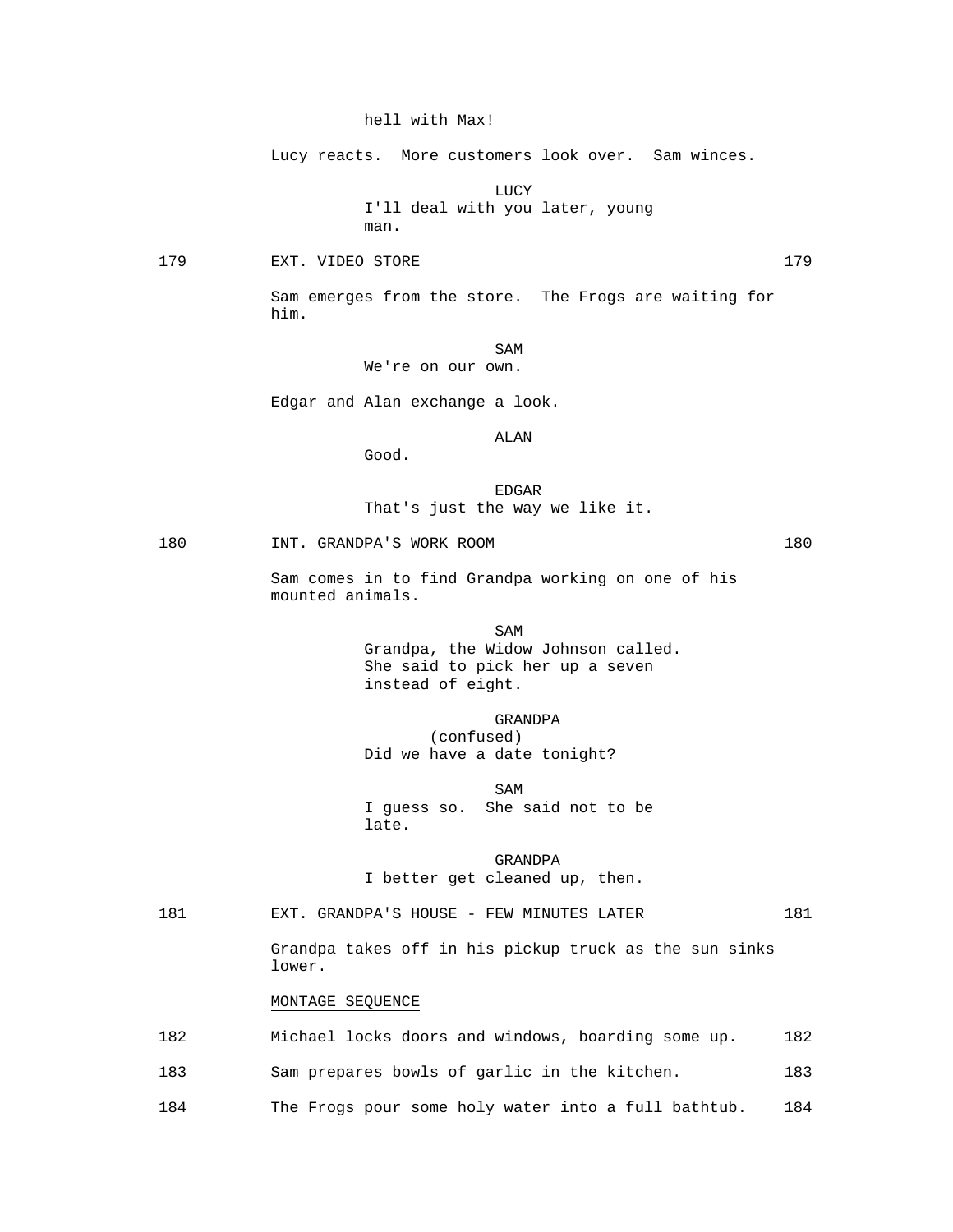## hell with Max!

Lucy reacts. More customers look over. Sam winces.

 LUCY I'll deal with you later, young man.

179 EXT. VIDEO STORE 2008 2009 179

 Sam emerges from the store. The Frogs are waiting for him.

SAM SAME SAME SAME SAMPLE SAMPLE SAMPLE SAMPLE SAMPLE SAMPLE SAMPLE SAMPLE SAMPLE SAMPLE SAMPLE SAMPLE SAMPLE We're on our own.

Edgar and Alan exchange a look.

ALAN

en de la contradición de la contradición de la contradición de la contradición de la contradición de la contradición de la contradición de la contradición de la contradición de la contradición de la contradición de la cont

That's just the way we like it.

# 180 INT. GRANDPA'S WORK ROOM 180

Good.

 Sam comes in to find Grandpa working on one of his mounted animals.

SAM SAME SAME SAME SAMPLE SAMPLE SAMPLE SAMPLE SAMPLE SAMPLE SAMPLE SAMPLE SAMPLE SAMPLE SAMPLE SAMPLE SAMPLE SAMPLE SAMPLE SAMPLE SAMPLE SAMPLE SAMPLE SAMPLE SAMPLE SAMPLE SAMPLE SAMPLE SAMPLE SAMPLE SAMPLE SAMPLE SAMPLE Grandpa, the Widow Johnson called. She said to pick her up a seven instead of eight.

> GRANDPA (confused) Did we have a date tonight?

SAM SAME SAME SAME SAMPLE SAMPLE SAMPLE SAMPLE SAMPLE SAMPLE SAMPLE SAMPLE SAMPLE SAMPLE SAMPLE SAMPLE SAMPLE SAMPLE SAMPLE SAMPLE SAMPLE SAMPLE SAMPLE SAMPLE SAMPLE SAMPLE SAMPLE SAMPLE SAMPLE SAMPLE SAMPLE SAMPLE SAMPLE I guess so. She said not to be late.

> GRANDPA I better get cleaned up, then.

181 **EXT. GRANDPA'S HOUSE - FEW MINUTES LATER** 181

 Grandpa takes off in his pickup truck as the sun sinks lower.

## MONTAGE SEQUENCE

| 182 | Michael locks doors and windows, boarding some up.  | 182 |
|-----|-----------------------------------------------------|-----|
| 183 | Sam prepares bowls of garlic in the kitchen.        | 183 |
| 184 | The Frogs pour some holy water into a full bathtub. | 184 |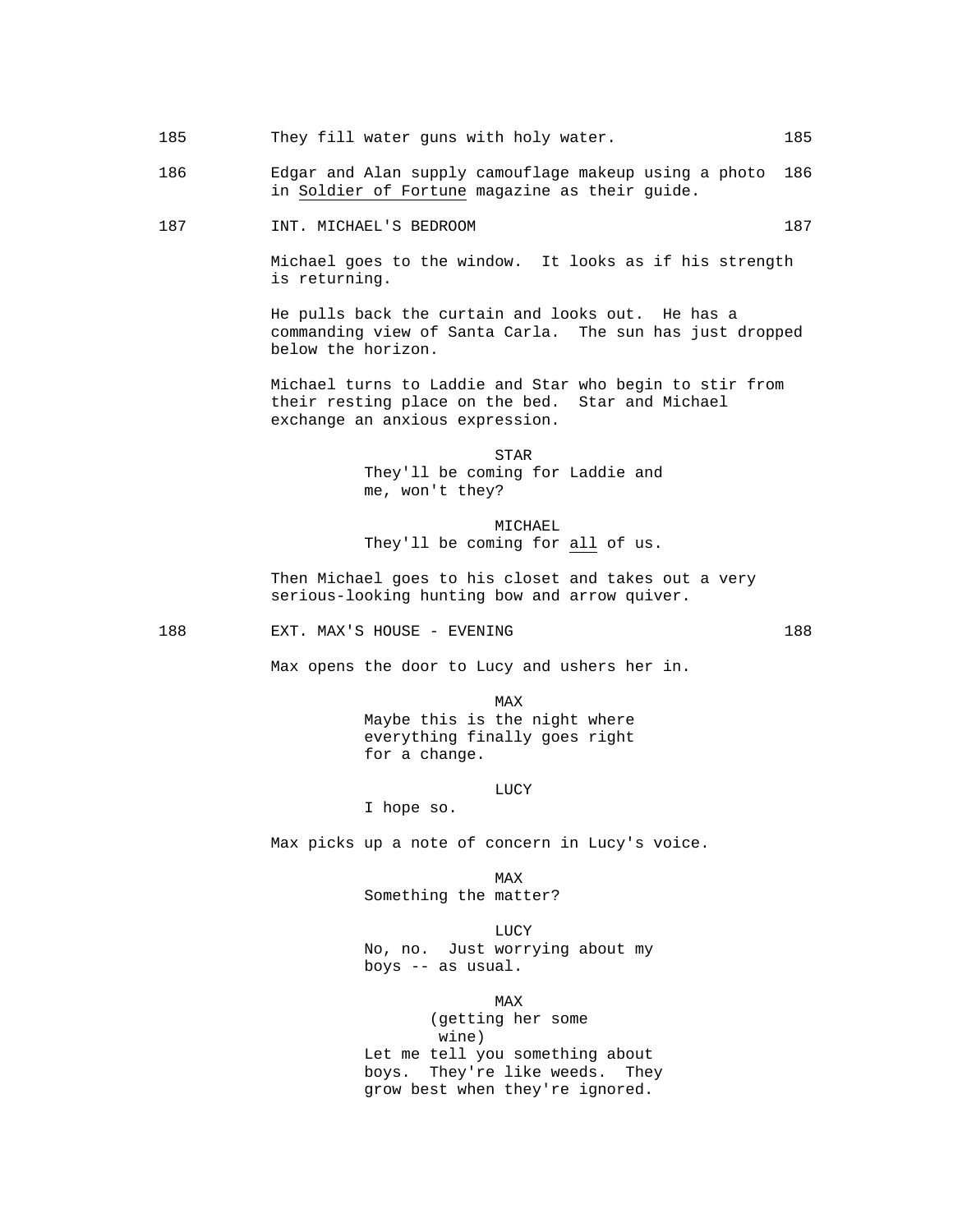- 185 They fill water guns with holy water. 185
- 186 Edgar and Alan supply camouflage makeup using a photo 186 in Soldier of Fortune magazine as their guide.
- 187 INT. MICHAEL'S BEDROOM 187

 Michael goes to the window. It looks as if his strength is returning.

 He pulls back the curtain and looks out. He has a commanding view of Santa Carla. The sun has just dropped below the horizon.

 Michael turns to Laddie and Star who begin to stir from their resting place on the bed. Star and Michael exchange an anxious expression.

**STAR**  They'll be coming for Laddie and me, won't they?

> MICHAEL They'll be coming for all of us.

 Then Michael goes to his closet and takes out a very serious-looking hunting bow and arrow quiver.

188 EXT. MAX'S HOUSE - EVENING 188

Max opens the door to Lucy and ushers her in.

**MAX**  Maybe this is the night where everything finally goes right for a change.

LUCY

I hope so.

Max picks up a note of concern in Lucy's voice.

**MAX** Something the matter?

**LUCY**  No, no. Just worrying about my boys -- as usual.

**MAX**  (getting her some wine) Let me tell you something about boys. They're like weeds. They grow best when they're ignored.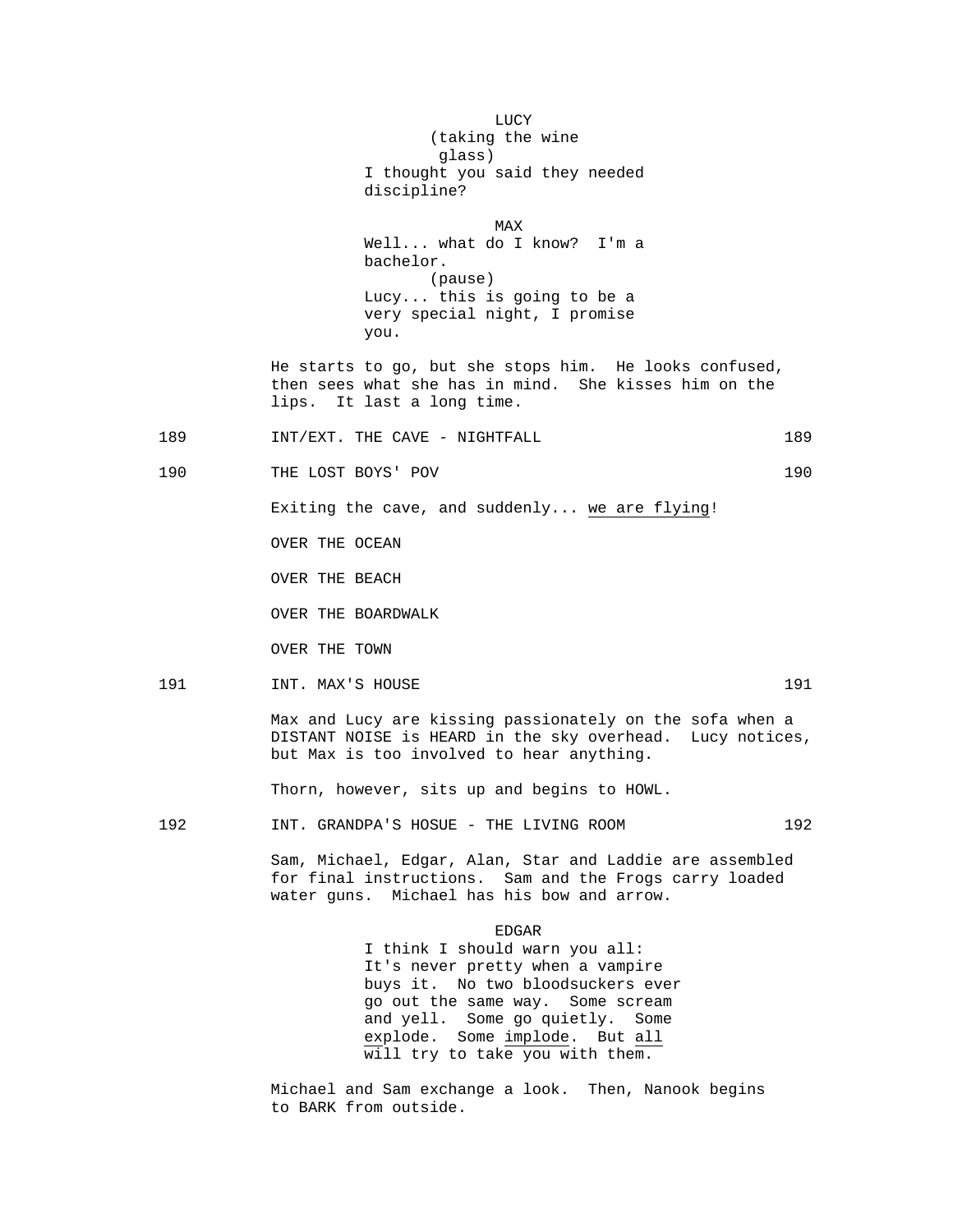LUCY (taking the wine glass) I thought you said they needed discipline? **MAX**  Well... what do I know? I'm a bachelor. (pause) Lucy... this is going to be a very special night, I promise you. He starts to go, but she stops him. He looks confused, then sees what she has in mind. She kisses him on the lips. It last a long time. 189 INT/EXT. THE CAVE - NIGHTFALL 189 190 THE LOST BOYS' POV 190 Exiting the cave, and suddenly... we are flying! OVER THE OCEAN OVER THE BEACH OVER THE BOARDWALK OVER THE TOWN 191 INT. MAX'S HOUSE 191 Max and Lucy are kissing passionately on the sofa when a DISTANT NOISE is HEARD in the sky overhead. Lucy notices, but Max is too involved to hear anything. Thorn, however, sits up and begins to HOWL. 192 INT. GRANDPA'S HOSUE - THE LIVING ROOM 192 Sam, Michael, Edgar, Alan, Star and Laddie are assembled for final instructions. Sam and the Frogs carry loaded water guns. Michael has his bow and arrow. en de la contradición de la contradición de la contradición de la contradición de la contradición de la contradición de la contradición de la contradición de la contradición de la contradición de la contradición de la cont I think I should warn you all: It's never pretty when a vampire buys it. No two bloodsuckers ever go out the same way. Some scream and yell. Some go quietly. Some explode. Some implode. But all

> Michael and Sam exchange a look. Then, Nanook begins to BARK from outside.

will try to take you with them.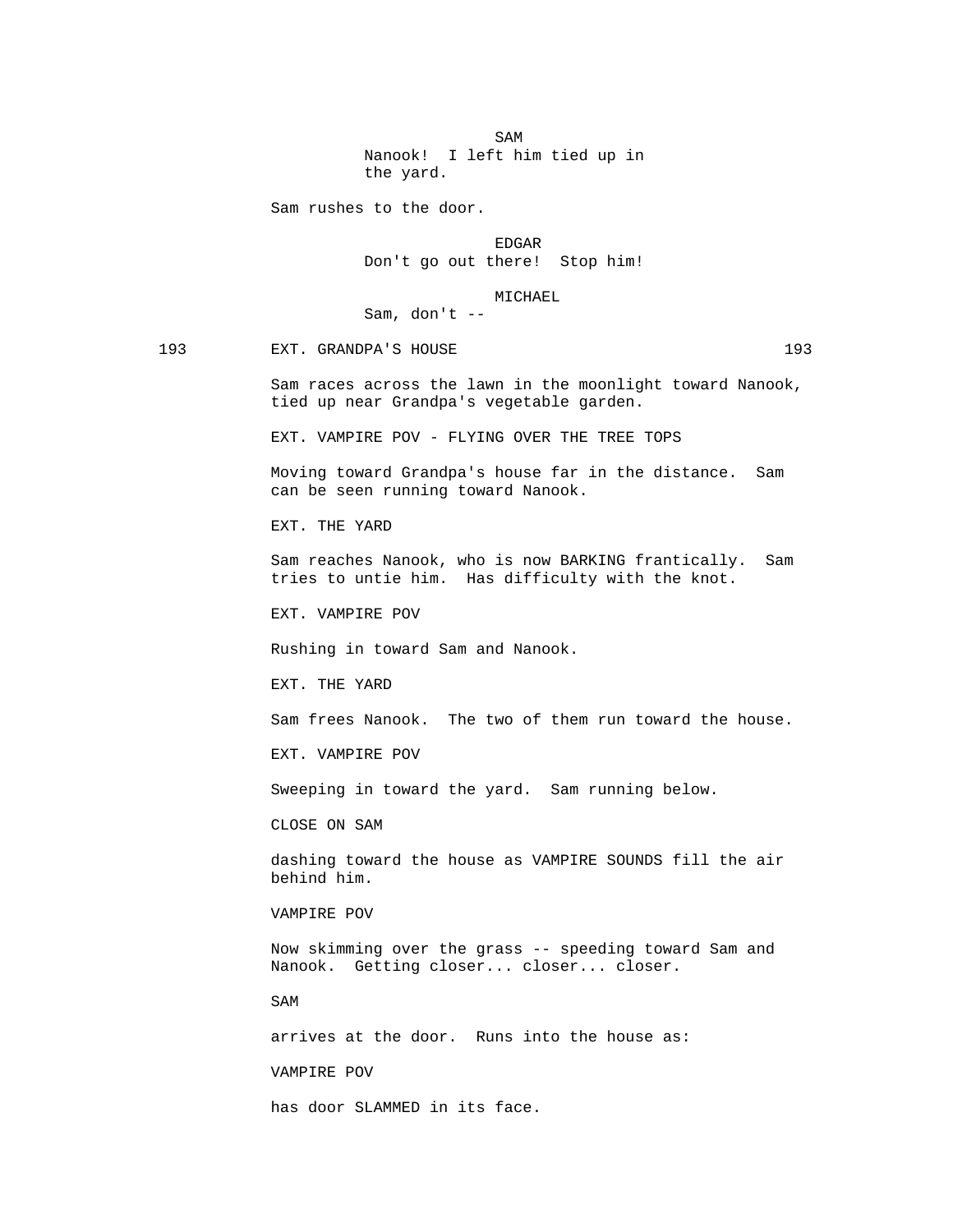SAM SAME SAME SAME SAMPLE SAMPLE SAMPLE SAMPLE SAMPLE SAMPLE SAMPLE SAMPLE SAMPLE SAMPLE SAMPLE SAMPLE SAMPLE SAMPLE SAMPLE SAMPLE SAMPLE SAMPLE SAMPLE SAMPLE SAMPLE SAMPLE SAMPLE SAMPLE SAMPLE SAMPLE SAMPLE SAMPLE SAMPLE Nanook! I left him tied up in the yard.

Sam rushes to the door.

en de la contradición de la contradición de la contradición de la contradición de la contradición de la contradición de la contradición de la contradición de la contradición de la contradición de la contradición de la cont Don't go out there! Stop him!

#### MICHAEL

Sam, don't --

193 EXT. GRANDPA'S HOUSE 193

 Sam races across the lawn in the moonlight toward Nanook, tied up near Grandpa's vegetable garden.

EXT. VAMPIRE POV - FLYING OVER THE TREE TOPS

 Moving toward Grandpa's house far in the distance. Sam can be seen running toward Nanook.

EXT. THE YARD

 Sam reaches Nanook, who is now BARKING frantically. Sam tries to untie him. Has difficulty with the knot.

EXT. VAMPIRE POV

Rushing in toward Sam and Nanook.

EXT. THE YARD

Sam frees Nanook. The two of them run toward the house.

EXT. VAMPIRE POV

Sweeping in toward the yard. Sam running below.

CLOSE ON SAM

 dashing toward the house as VAMPIRE SOUNDS fill the air behind him.

VAMPIRE POV

 Now skimming over the grass -- speeding toward Sam and Nanook. Getting closer... closer... closer.

SAM

arrives at the door. Runs into the house as:

VAMPIRE POV

has door SLAMMED in its face.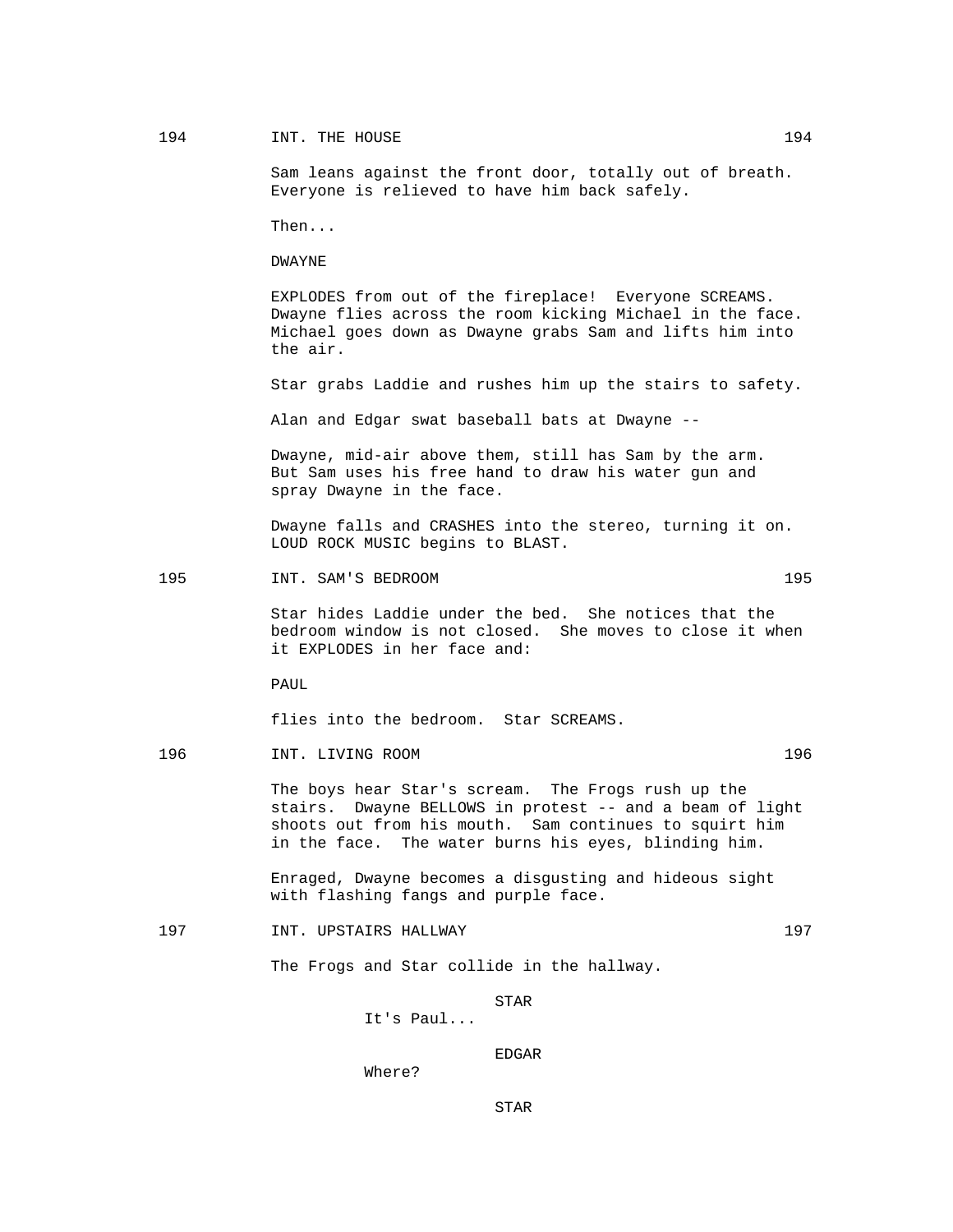# 194 INT. THE HOUSE 2012 194

 Sam leans against the front door, totally out of breath. Everyone is relieved to have him back safely.

Then...

DWAYNE

 EXPLODES from out of the fireplace! Everyone SCREAMS. Dwayne flies across the room kicking Michael in the face. Michael goes down as Dwayne grabs Sam and lifts him into the air.

Star grabs Laddie and rushes him up the stairs to safety.

Alan and Edgar swat baseball bats at Dwayne --

 Dwayne, mid-air above them, still has Sam by the arm. But Sam uses his free hand to draw his water gun and spray Dwayne in the face.

 Dwayne falls and CRASHES into the stereo, turning it on. LOUD ROCK MUSIC begins to BLAST.

195 195 INT. SAM'S BEDROOM

 Star hides Laddie under the bed. She notices that the bedroom window is not closed. She moves to close it when it EXPLODES in her face and:

PAUL

flies into the bedroom. Star SCREAMS.

196 INT. LIVING ROOM 196

 The boys hear Star's scream. The Frogs rush up the stairs. Dwayne BELLOWS in protest -- and a beam of light shoots out from his mouth. Sam continues to squirt him in the face. The water burns his eyes, blinding him.

 Enraged, Dwayne becomes a disgusting and hideous sight with flashing fangs and purple face.

197 197 INT. UPSTAIRS HALLWAY 197

The Frogs and Star collide in the hallway.

STAR

It's Paul...

en de la contradición de la contradición de la contradición de la contradición de la contradición de la contradición de la contradición de la contradición de la contradición de la contradición de la contradición de la cont

STAR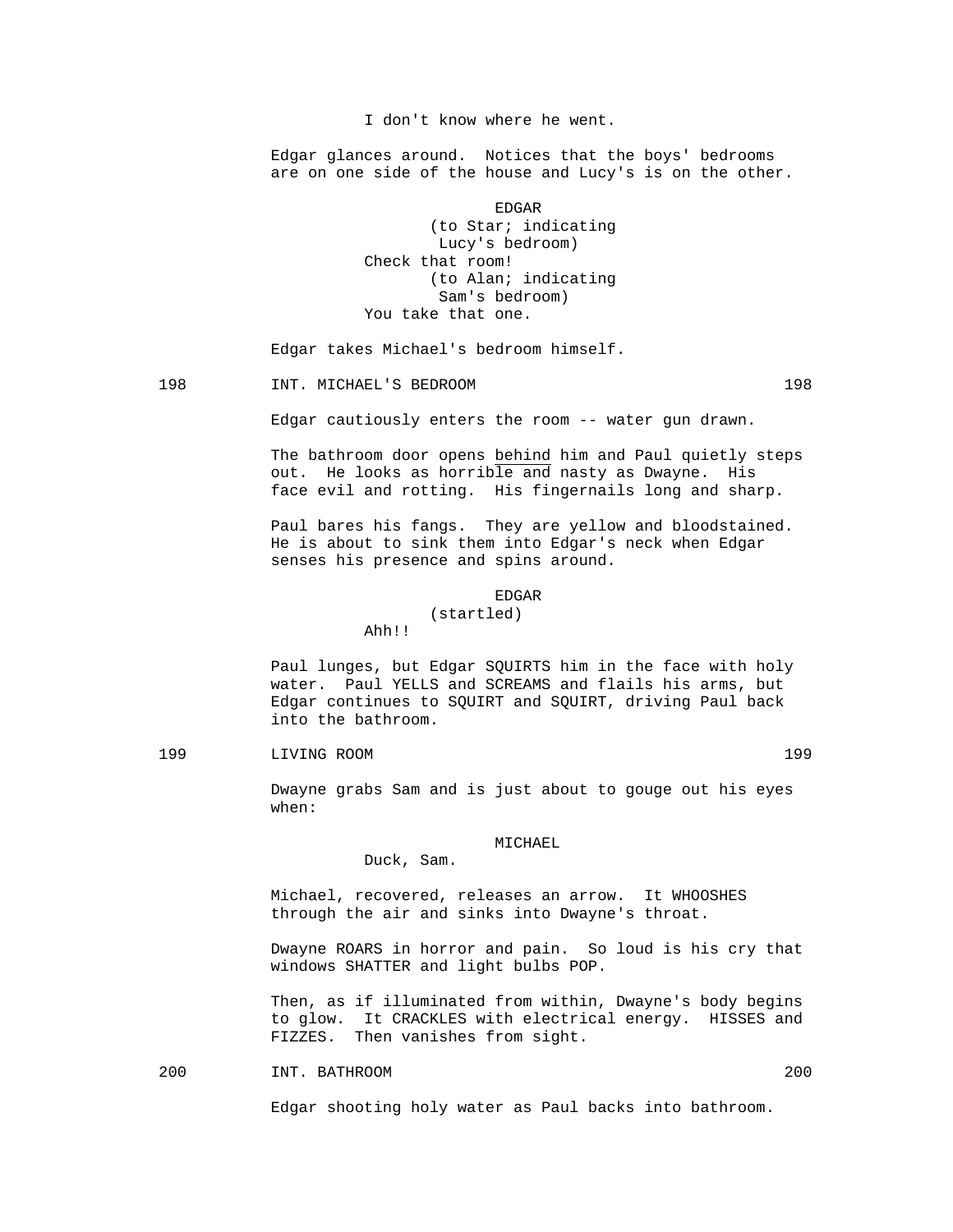I don't know where he went.

 Edgar glances around. Notices that the boys' bedrooms are on one side of the house and Lucy's is on the other.

en de la contradición de la contradición de la contradición de la contradición de la contradición de la contradición de la contradición de la contradición de la contradición de la contradición de la contradición de la cont (to Star; indicating Lucy's bedroom) Check that room! (to Alan; indicating Sam's bedroom) You take that one.

Edgar takes Michael's bedroom himself.

## 198 INT. MICHAEL'S BEDROOM 198

Edgar cautiously enters the room -- water gun drawn.

 The bathroom door opens behind him and Paul quietly steps out. He looks as horrible and nasty as Dwayne. His face evil and rotting. His fingernails long and sharp.

 Paul bares his fangs. They are yellow and bloodstained. He is about to sink them into Edgar's neck when Edgar senses his presence and spins around.

#### en de la contradición de la contradición de la contradición de la contradición de la contradición de la contradición de la contradición de la contradición de la contradición de la contradición de la contradición de la cont (startled)

Ahh!!

Duck, Sam.

 Paul lunges, but Edgar SQUIRTS him in the face with holy water. Paul YELLS and SCREAMS and flails his arms, but Edgar continues to SQUIRT and SQUIRT, driving Paul back into the bathroom.

199 LIVING ROOM 199

 Dwayne grabs Sam and is just about to gouge out his eyes when:

MICHAEL

 Michael, recovered, releases an arrow. It WHOOSHES through the air and sinks into Dwayne's throat.

 Dwayne ROARS in horror and pain. So loud is his cry that windows SHATTER and light bulbs POP.

 Then, as if illuminated from within, Dwayne's body begins to glow. It CRACKLES with electrical energy. HISSES and FIZZES. Then vanishes from sight.

200 INT. BATHROOM 200

Edgar shooting holy water as Paul backs into bathroom.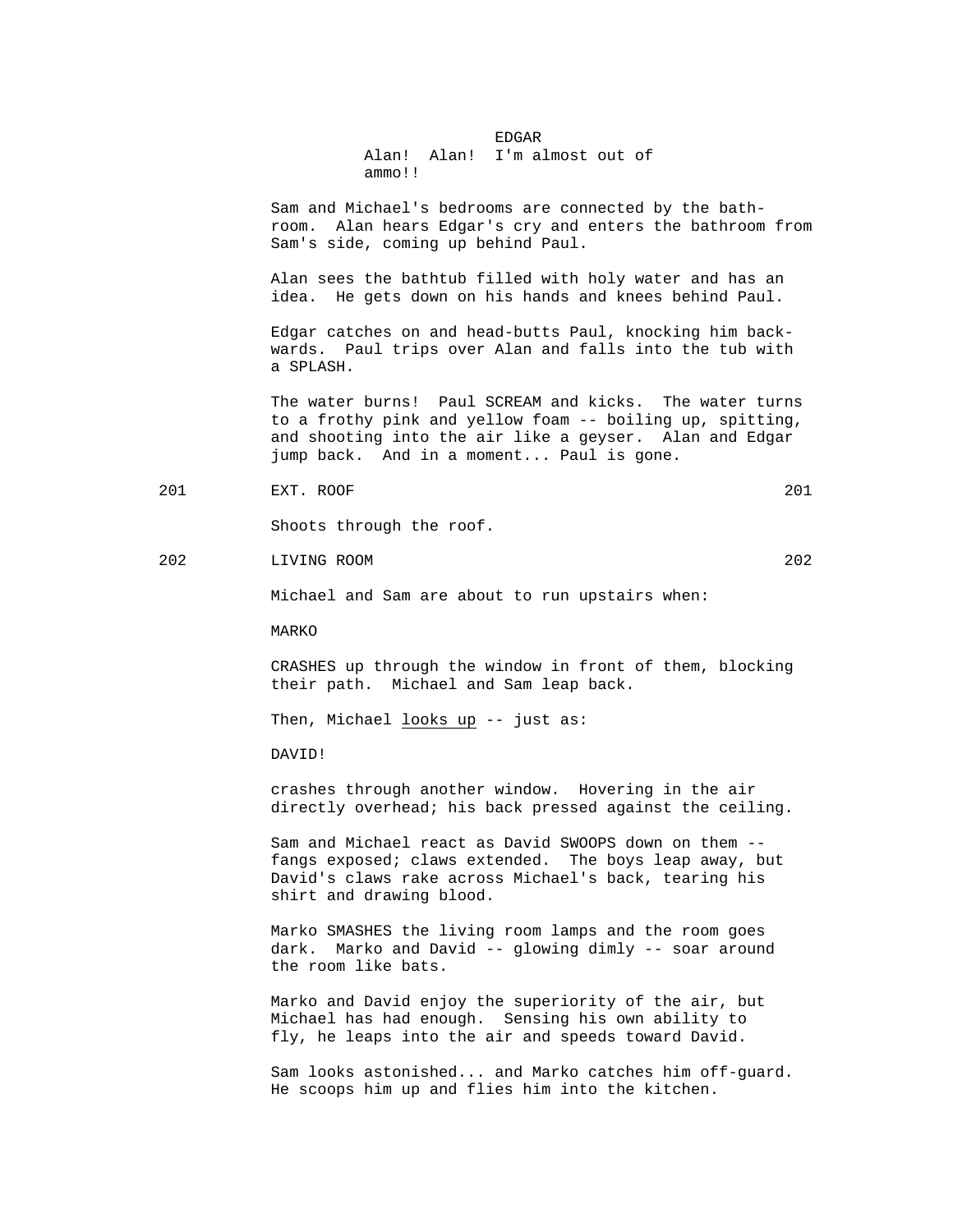## en de la contradición de la contradición de la contradición de la contradición de la contradición de la contradición de la contradición de la contradición de la contradición de la contradición de la contradición de la cont Alan! Alan! I'm almost out of ammo!!

 Sam and Michael's bedrooms are connected by the bathroom. Alan hears Edgar's cry and enters the bathroom from Sam's side, coming up behind Paul.

 Alan sees the bathtub filled with holy water and has an idea. He gets down on his hands and knees behind Paul.

 Edgar catches on and head-butts Paul, knocking him back wards. Paul trips over Alan and falls into the tub with a SPLASH.

 The water burns! Paul SCREAM and kicks. The water turns to a frothy pink and yellow foam -- boiling up, spitting, and shooting into the air like a geyser. Alan and Edgar jump back. And in a moment... Paul is gone.

201 EXT. ROOF 201

Shoots through the roof.

202 LIVING ROOM 202

Michael and Sam are about to run upstairs when:

MARKO

 CRASHES up through the window in front of them, blocking their path. Michael and Sam leap back.

Then, Michael looks up -- just as:

DAVID!

 crashes through another window. Hovering in the air directly overhead; his back pressed against the ceiling.

 Sam and Michael react as David SWOOPS down on them - fangs exposed; claws extended. The boys leap away, but David's claws rake across Michael's back, tearing his shirt and drawing blood.

 Marko SMASHES the living room lamps and the room goes dark. Marko and David -- glowing dimly -- soar around the room like bats.

 Marko and David enjoy the superiority of the air, but Michael has had enough. Sensing his own ability to fly, he leaps into the air and speeds toward David.

 Sam looks astonished... and Marko catches him off-guard. He scoops him up and flies him into the kitchen.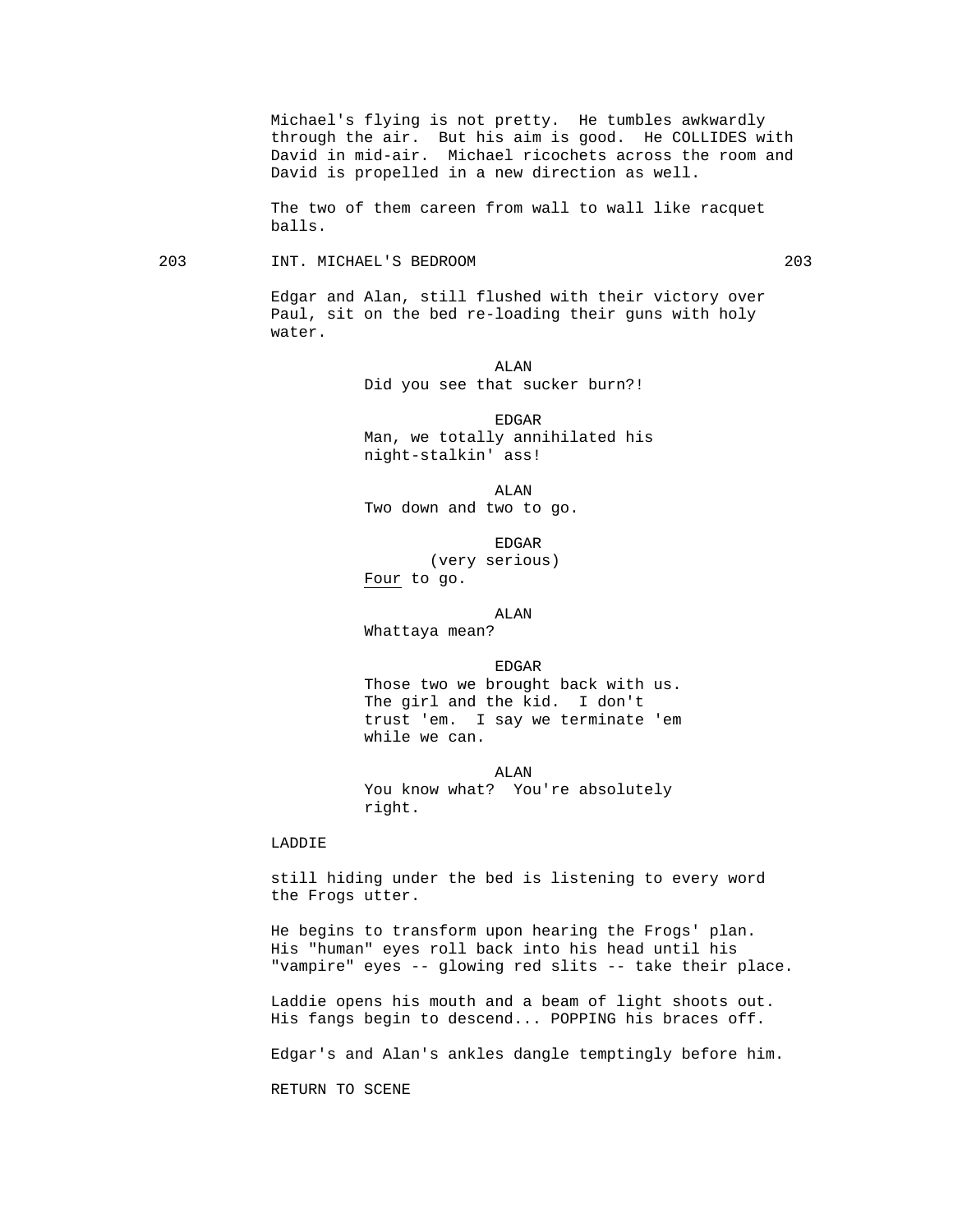Michael's flying is not pretty. He tumbles awkwardly through the air. But his aim is good. He COLLIDES with David in mid-air. Michael ricochets across the room and David is propelled in a new direction as well.

 The two of them careen from wall to wall like racquet balls.

203 INT. MICHAEL'S BEDROOM 203

 Edgar and Alan, still flushed with their victory over Paul, sit on the bed re-loading their guns with holy water.

 ALAN Did you see that sucker burn?!

> EDGAR Man, we totally annihilated his night-stalkin' ass!

 ALAN Two down and two to go.

en de la contradición de la contradición de la contradición de la contradición de la contradición de la contradición de la contradición de la contradición de la contradición de la contradición de la contradición de la cont (very serious) Four to go.

ALAN

Whattaya mean?

en de la contradición de la contradición de la contradición de la contradición de la contradición de la contradición de la contradición de la contradición de la contradición de la contradición de la contradición de la cont

 Those two we brought back with us. The girl and the kid. I don't trust 'em. I say we terminate 'em while we can.

 ALAN You know what? You're absolutely right.

## LADDIE

 still hiding under the bed is listening to every word the Frogs utter.

 He begins to transform upon hearing the Frogs' plan. His "human" eyes roll back into his head until his "vampire" eyes -- glowing red slits -- take their place.

 Laddie opens his mouth and a beam of light shoots out. His fangs begin to descend... POPPING his braces off.

Edgar's and Alan's ankles dangle temptingly before him.

RETURN TO SCENE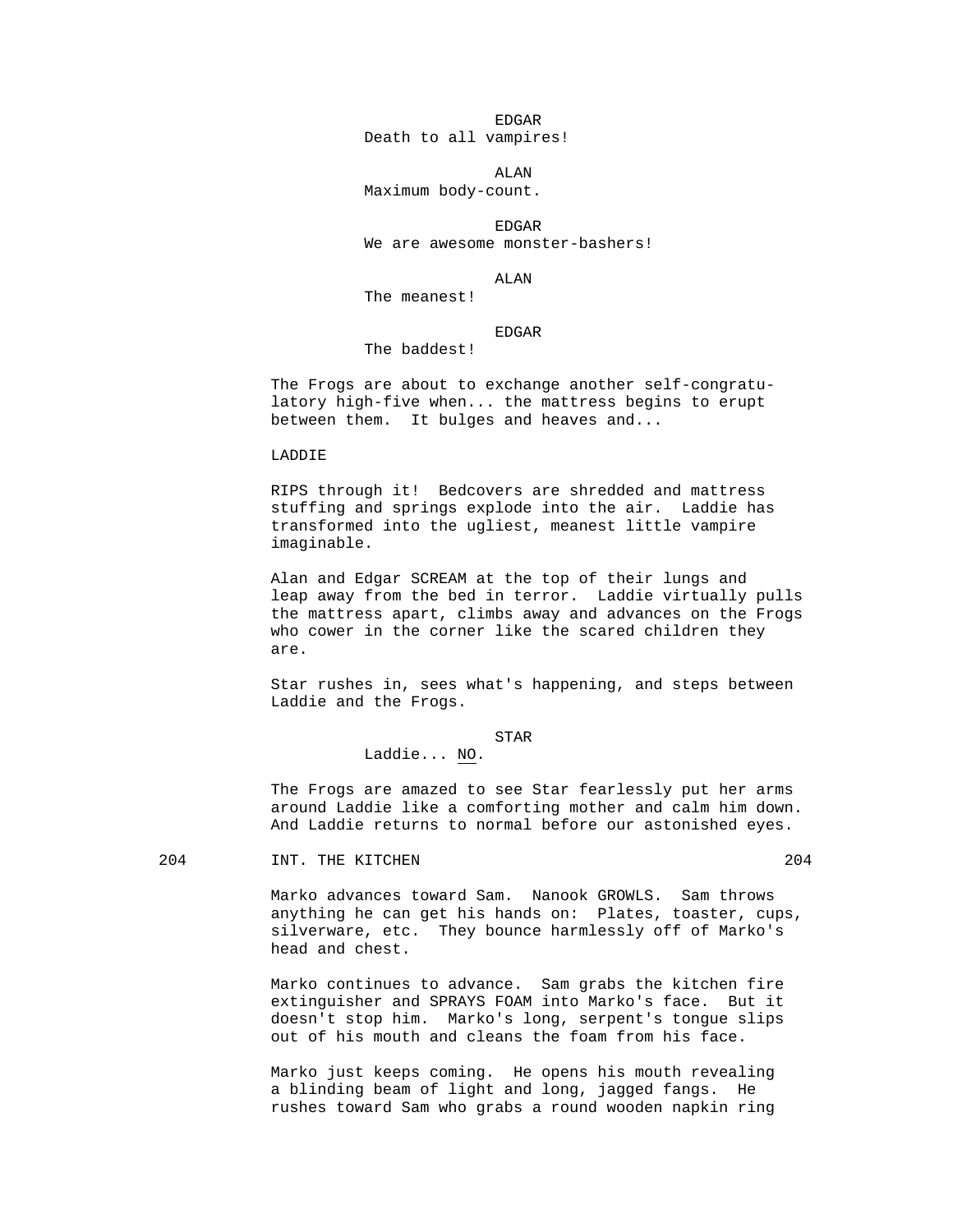en de la contradición de la contradición de la contradición de la contradición de la contradición de la contradición de la contradición de la contradición de la contradición de la contradición de la contradición de la cont

Death to all vampires!

ALAN

Maximum body-count.

en de la contradición de la contradición de la contradición de la contradición de la contradición de la contradición de la contradición de la contradición de la contradición de la contradición de la contradición de la cont We are awesome monster-bashers!

ALAN

The meanest!

en de la contradición de la contradición de la contradición de la contradición de la contradición de la contradición de la contradición de la contradición de la contradición de la contradición de la contradición de la cont

The baddest!

 The Frogs are about to exchange another self-congratu latory high-five when... the mattress begins to erupt between them. It bulges and heaves and...

LADDIE

 RIPS through it! Bedcovers are shredded and mattress stuffing and springs explode into the air. Laddie has transformed into the ugliest, meanest little vampire imaginable.

 Alan and Edgar SCREAM at the top of their lungs and leap away from the bed in terror. Laddie virtually pulls the mattress apart, climbs away and advances on the Frogs who cower in the corner like the scared children they are.

 Star rushes in, sees what's happening, and steps between Laddie and the Frogs.

STAR

Laddie... NO.

 The Frogs are amazed to see Star fearlessly put her arms around Laddie like a comforting mother and calm him down. And Laddie returns to normal before our astonished eyes.

204 INT. THE KITCHEN 204 204

 Marko advances toward Sam. Nanook GROWLS. Sam throws anything he can get his hands on: Plates, toaster, cups, silverware, etc. They bounce harmlessly off of Marko's head and chest.

 Marko continues to advance. Sam grabs the kitchen fire extinguisher and SPRAYS FOAM into Marko's face. But it doesn't stop him. Marko's long, serpent's tongue slips out of his mouth and cleans the foam from his face.

 Marko just keeps coming. He opens his mouth revealing a blinding beam of light and long, jagged fangs. He rushes toward Sam who grabs a round wooden napkin ring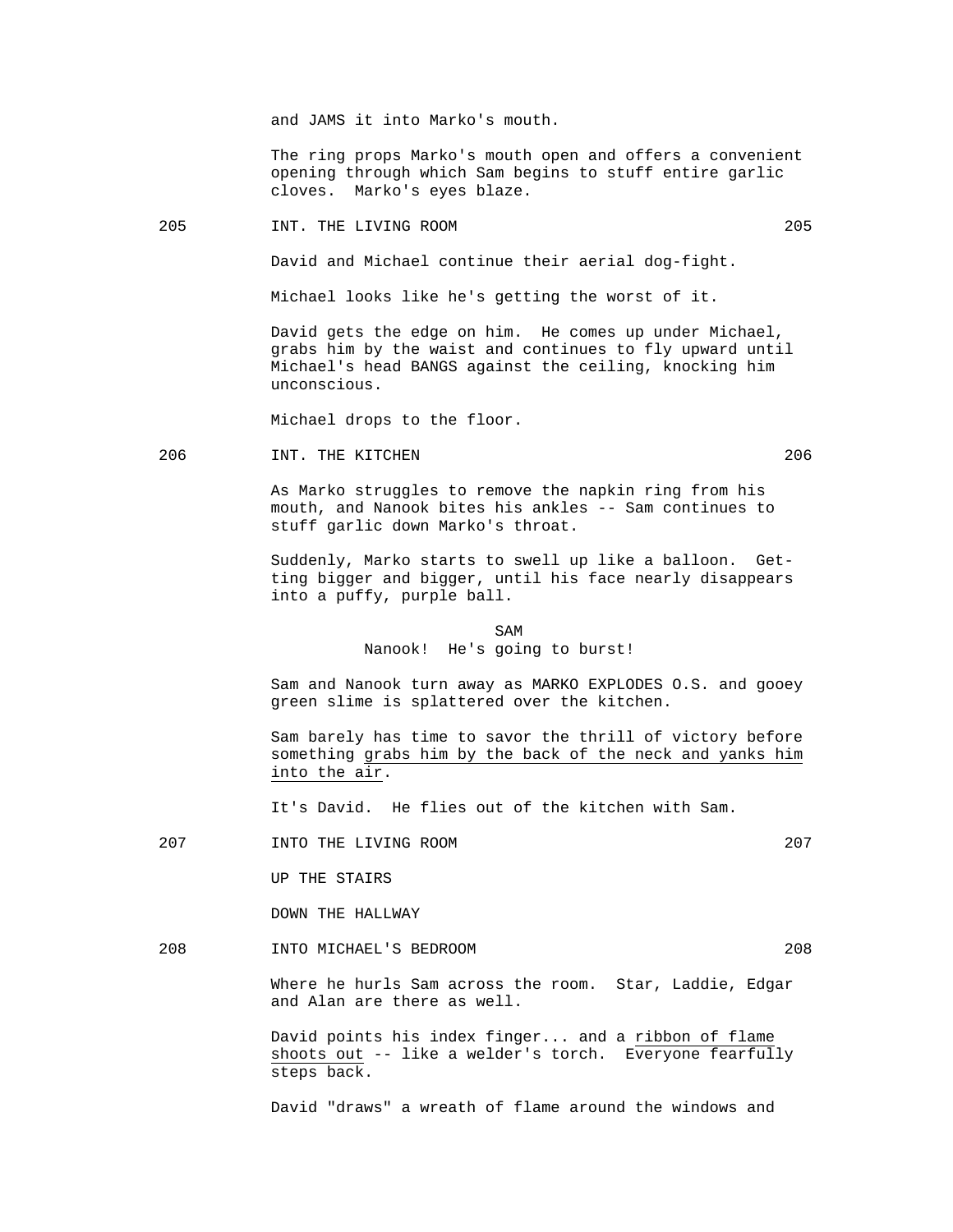and JAMS it into Marko's mouth.

 The ring props Marko's mouth open and offers a convenient opening through which Sam begins to stuff entire garlic cloves. Marko's eyes blaze.

205 INT. THE LIVING ROOM 205

David and Michael continue their aerial dog-fight.

Michael looks like he's getting the worst of it.

 David gets the edge on him. He comes up under Michael, grabs him by the waist and continues to fly upward until Michael's head BANGS against the ceiling, knocking him unconscious.

Michael drops to the floor.

206 INT. THE KITCHEN 206

 As Marko struggles to remove the napkin ring from his mouth, and Nanook bites his ankles -- Sam continues to stuff garlic down Marko's throat.

 Suddenly, Marko starts to swell up like a balloon. Getting bigger and bigger, until his face nearly disappears into a puffy, purple ball.

SAM SAME SAME SAME SAMPLE SAMPLE SAMPLE SAMPLE SAMPLE SAMPLE SAMPLE SAMPLE SAMPLE SAMPLE SAMPLE SAMPLE SAMPLE SAMPLE SAMPLE SAMPLE SAMPLE SAMPLE SAMPLE SAMPLE SAMPLE SAMPLE SAMPLE SAMPLE SAMPLE SAMPLE SAMPLE SAMPLE SAMPLE Nanook! He's going to burst!

> Sam and Nanook turn away as MARKO EXPLODES O.S. and gooey green slime is splattered over the kitchen.

> Sam barely has time to savor the thrill of victory before something grabs him by the back of the neck and yanks him into the air.

It's David. He flies out of the kitchen with Sam.

207 INTO THE LIVING ROOM 207

UP THE STAIRS

DOWN THE HALLWAY

208 INTO MICHAEL'S BEDROOM 208

 Where he hurls Sam across the room. Star, Laddie, Edgar and Alan are there as well.

 David points his index finger... and a ribbon of flame shoots out -- like a welder's torch. Everyone fearfully steps back.

David "draws" a wreath of flame around the windows and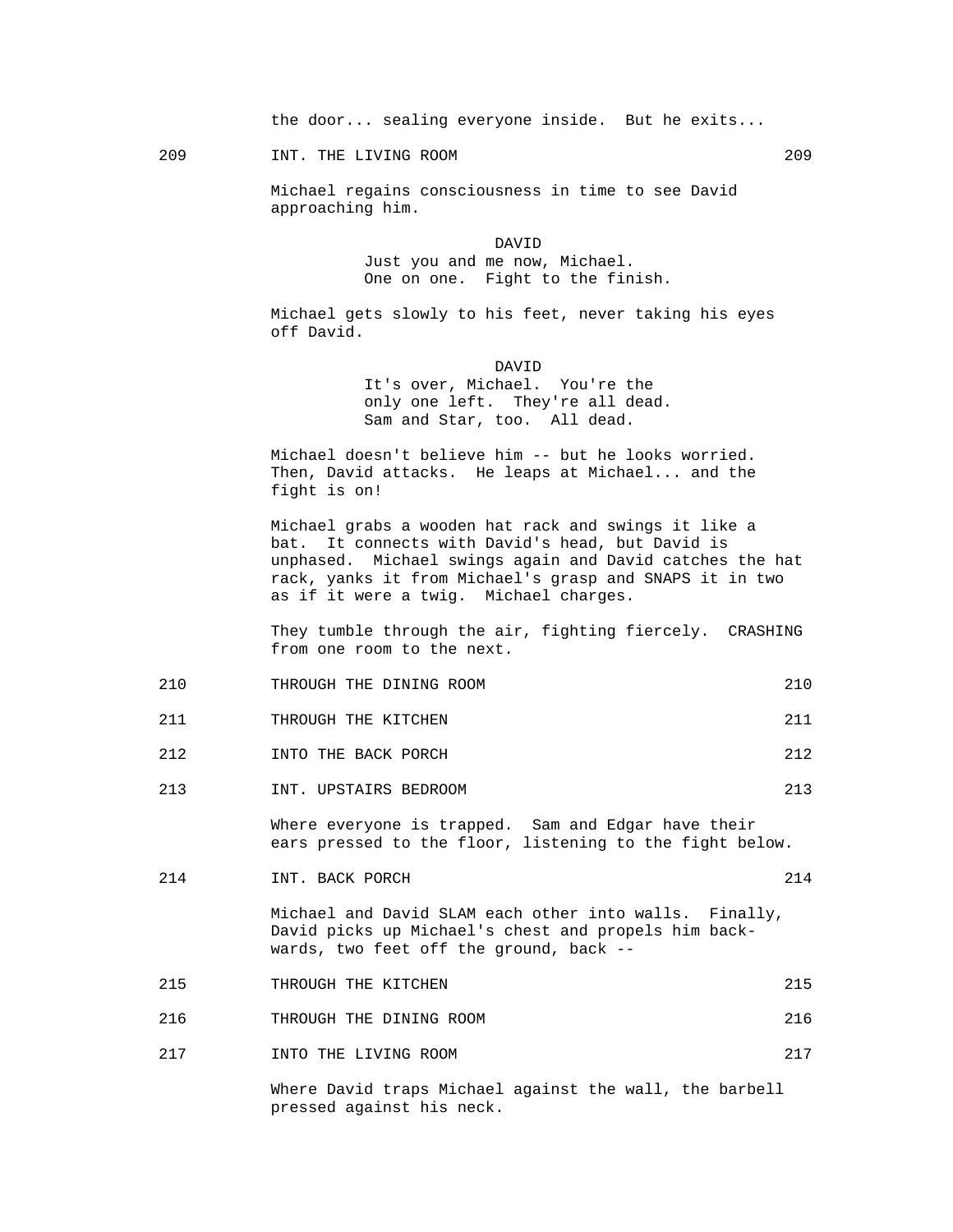the door... sealing everyone inside. But he exits...

209 INT. THE LIVING ROOM 209

 Michael regains consciousness in time to see David approaching him.

 DAVID Just you and me now, Michael. One on one. Fight to the finish.

> Michael gets slowly to his feet, never taking his eyes off David.

 DAVID It's over, Michael. You're the only one left. They're all dead. Sam and Star, too. All dead.

> Michael doesn't believe him -- but he looks worried. Then, David attacks. He leaps at Michael... and the fight is on!

 Michael grabs a wooden hat rack and swings it like a bat. It connects with David's head, but David is unphased. Michael swings again and David catches the hat rack, yanks it from Michael's grasp and SNAPS it in two as if it were a twig. Michael charges.

 They tumble through the air, fighting fiercely. CRASHING from one room to the next.

| THROUGH<br>DINING<br>ROOM<br>THE<br>∠⊥∪<br>____ |  |
|-------------------------------------------------|--|
|-------------------------------------------------|--|

- 211 THROUGH THE KITCHEN 211
- 212 INTO THE BACK PORCH 212
- 213 INT. UPSTAIRS BEDROOM 213

 Where everyone is trapped. Sam and Edgar have their ears pressed to the floor, listening to the fight below.

214 INT. BACK PORCH 214

 Michael and David SLAM each other into walls. Finally, David picks up Michael's chest and propels him backwards, two feet off the ground, back --

215 THROUGH THE KITCHEN 215

216 THROUGH THE DINING ROOM 216

217 INTO THE LIVING ROOM 217

 Where David traps Michael against the wall, the barbell pressed against his neck.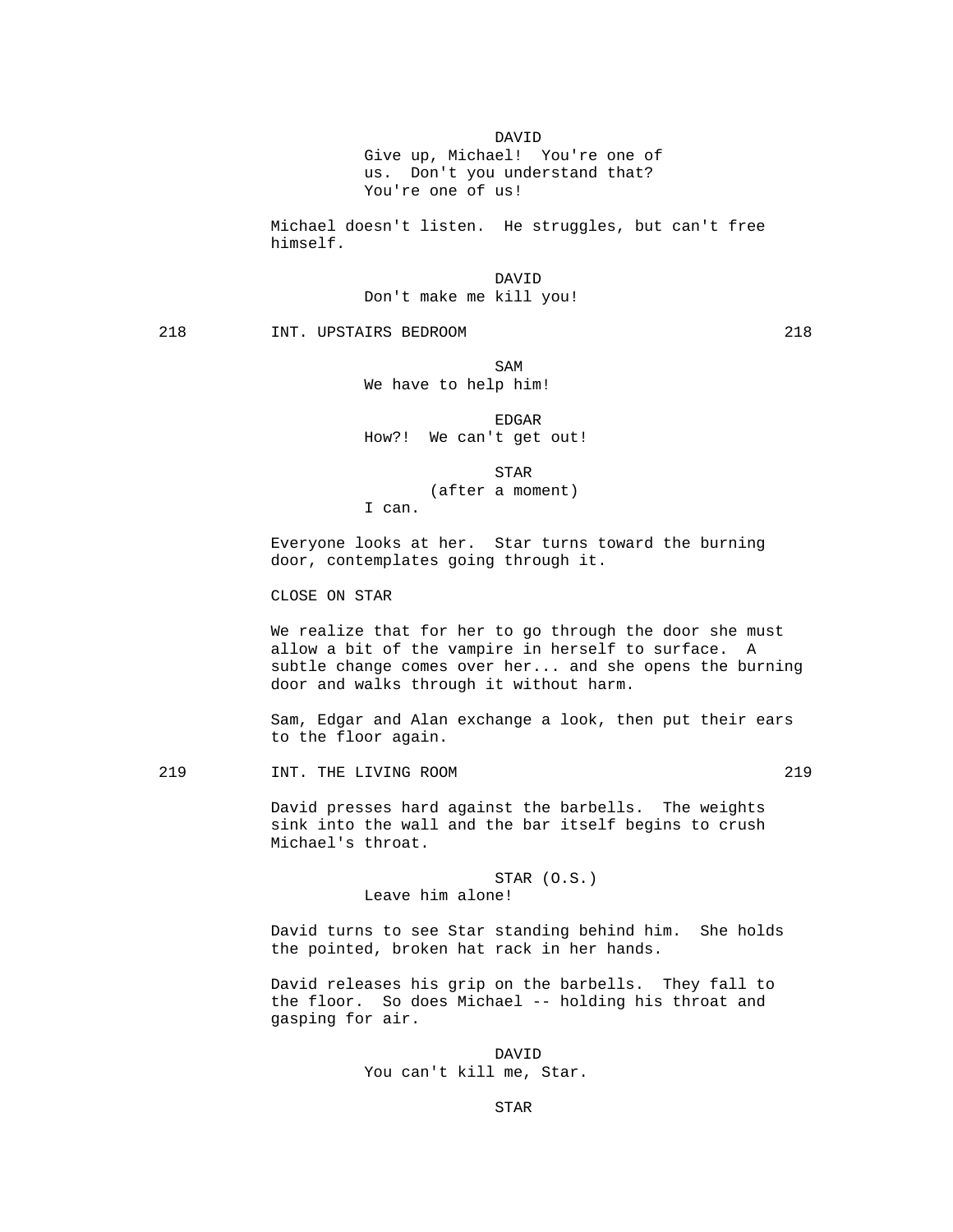DAVID

 Give up, Michael! You're one of us. Don't you understand that? You're one of us!

 Michael doesn't listen. He struggles, but can't free himself.

 DAVID Don't make me kill you!

218 INT. UPSTAIRS BEDROOM 218

SAM SAME SAME SAME SAMPLE SAMPLE SAMPLE SAMPLE SAMPLE SAMPLE SAMPLE SAMPLE SAMPLE SAMPLE SAMPLE SAMPLE SAMPLE SAMPLE SAMPLE SAMPLE SAMPLE SAMPLE SAMPLE SAMPLE SAMPLE SAMPLE SAMPLE SAMPLE SAMPLE SAMPLE SAMPLE SAMPLE SAMPLE We have to help him!

en de la contradición de la contradición de la contradición de la contradición de la contradición de la contradición de la contradición de la contradición de la contradición de la contradición de la contradición de la cont

How?! We can't get out!

**STAR** 

(after a moment)

I can.

 Everyone looks at her. Star turns toward the burning door, contemplates going through it.

CLOSE ON STAR

 We realize that for her to go through the door she must allow a bit of the vampire in herself to surface. A subtle change comes over her... and she opens the burning door and walks through it without harm.

 Sam, Edgar and Alan exchange a look, then put their ears to the floor again.

219 **INT. THE LIVING ROOM** 219

 David presses hard against the barbells. The weights sink into the wall and the bar itself begins to crush Michael's throat.

> STAR (O.S.) Leave him alone!

 David turns to see Star standing behind him. She holds the pointed, broken hat rack in her hands.

 David releases his grip on the barbells. They fall to the floor. So does Michael -- holding his throat and gasping for air.

 DAVID You can't kill me, Star.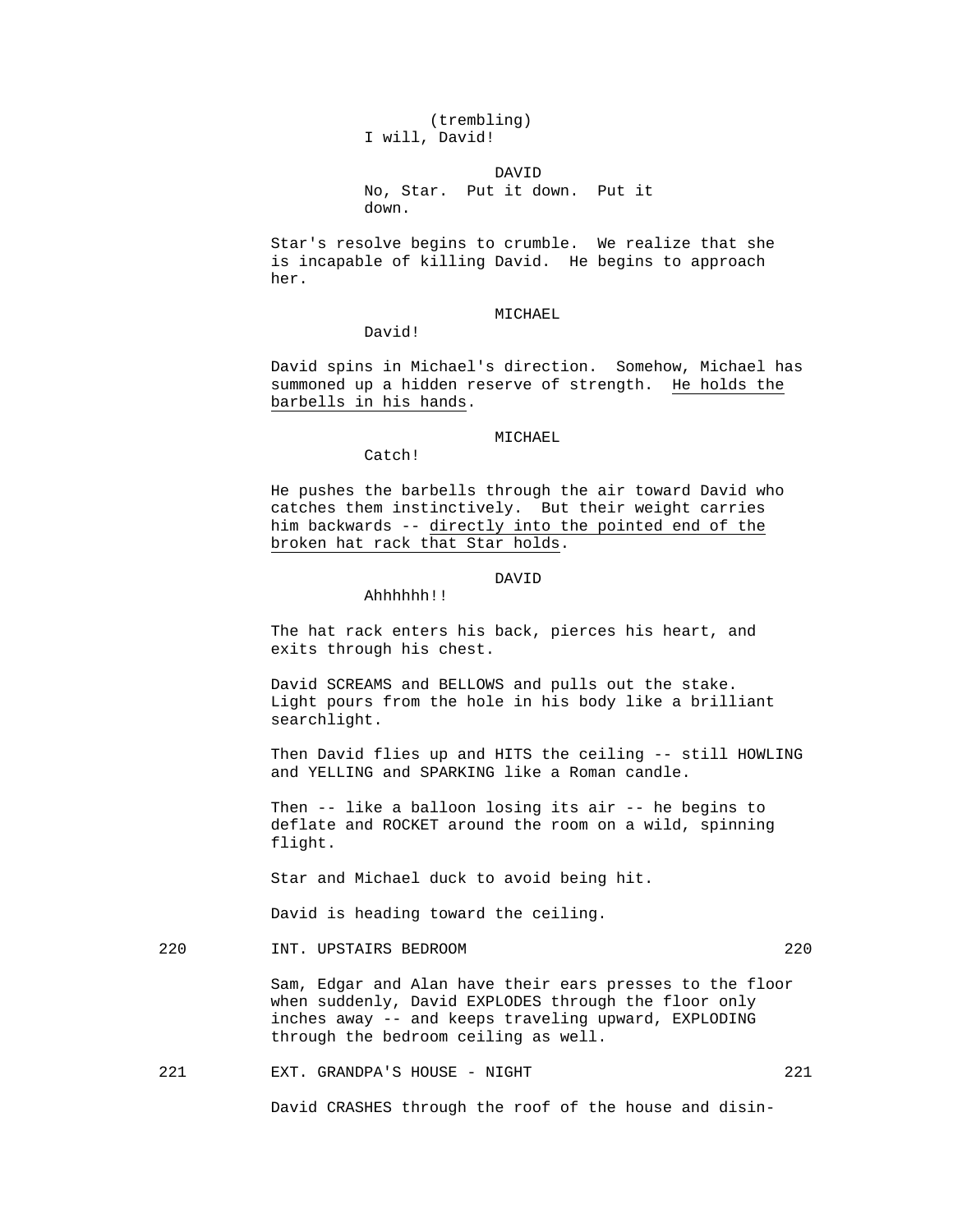(trembling) I will, David!

 DAVID No, Star. Put it down. Put it down.

> Star's resolve begins to crumble. We realize that she is incapable of killing David. He begins to approach her.

## MICHAEL.

David!

 David spins in Michael's direction. Somehow, Michael has summoned up a hidden reserve of strength. He holds the barbells in his hands.

Catch!

Ahhhhhh!!

MICHAEL

 He pushes the barbells through the air toward David who catches them instinctively. But their weight carries him backwards -- directly into the pointed end of the broken hat rack that Star holds.

## DAVID

 The hat rack enters his back, pierces his heart, and exits through his chest.

 David SCREAMS and BELLOWS and pulls out the stake. Light pours from the hole in his body like a brilliant searchlight.

 Then David flies up and HITS the ceiling -- still HOWLING and YELLING and SPARKING like a Roman candle.

 Then -- like a balloon losing its air -- he begins to deflate and ROCKET around the room on a wild, spinning flight.

Star and Michael duck to avoid being hit.

David is heading toward the ceiling.

220 INT. UPSTAIRS BEDROOM 220

 Sam, Edgar and Alan have their ears presses to the floor when suddenly, David EXPLODES through the floor only inches away -- and keeps traveling upward, EXPLODING through the bedroom ceiling as well.

221 EXT. GRANDPA'S HOUSE - NIGHT 221

David CRASHES through the roof of the house and disin-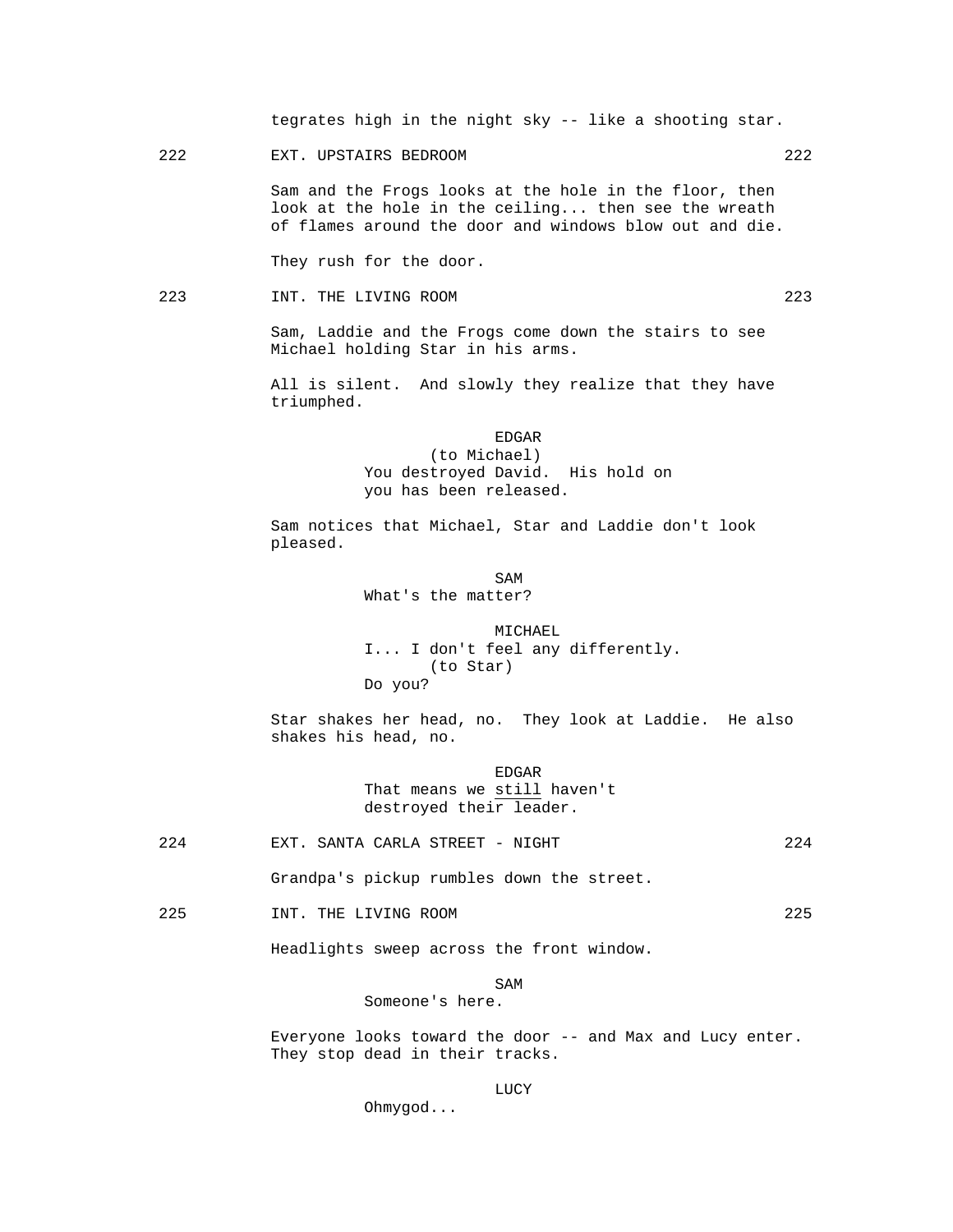tegrates high in the night sky -- like a shooting star.

222 EXT. UPSTAIRS BEDROOM 222

 Sam and the Frogs looks at the hole in the floor, then look at the hole in the ceiling... then see the wreath of flames around the door and windows blow out and die.

They rush for the door.

223 INT. THE LIVING ROOM 223

 Sam, Laddie and the Frogs come down the stairs to see Michael holding Star in his arms.

 All is silent. And slowly they realize that they have triumphed.

en de la contradición de la contradición de la contradición de la contradición de la contradición de la contradición de la contradición de la contradición de la contradición de la contradición de la contradición de la cont (to Michael) You destroyed David. His hold on you has been released.

> Sam notices that Michael, Star and Laddie don't look pleased.

SAM SAME SAME SAME SAMPLE SAMPLE SAMPLE SAMPLE SAMPLE SAMPLE SAMPLE SAMPLE SAMPLE SAMPLE SAMPLE SAMPLE SAMPLE What's the matter?

> MICHAEL I... I don't feel any differently. (to Star) Do you?

 Star shakes her head, no. They look at Laddie. He also shakes his head, no.

> EDGAR That means we still haven't destroyed their leader.

224 EXT. SANTA CARLA STREET - NIGHT 224

Grandpa's pickup rumbles down the street.

225 INT. THE LIVING ROOM 225

Headlights sweep across the front window.

SAM SAME SAME SAME SAMPLE SAMPLE SAMPLE SAMPLE SAMPLE SAMPLE SAMPLE SAMPLE SAMPLE SAMPLE SAMPLE SAMPLE SAMPLE

Someone's here.

 Everyone looks toward the door -- and Max and Lucy enter. They stop dead in their tracks.

## **LUCY**

Ohmygod...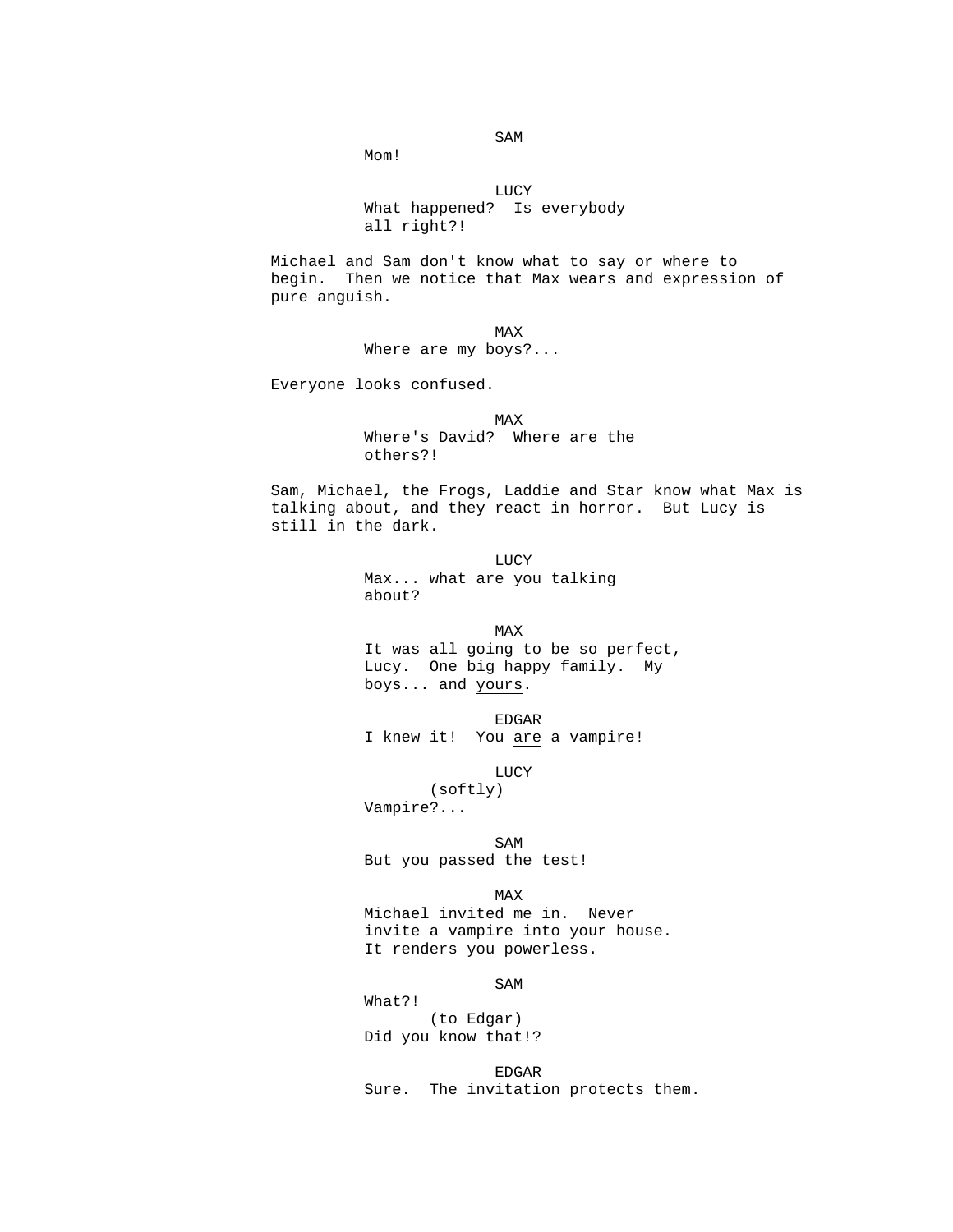Mom!

 LUCY What happened? Is everybody all right?!

> Michael and Sam don't know what to say or where to begin. Then we notice that Max wears and expression of pure anguish.

**MAX** Where are my boys?...

Everyone looks confused.

**MAX**  Where's David? Where are the others?!

> Sam, Michael, the Frogs, Laddie and Star know what Max is talking about, and they react in horror. But Lucy is still in the dark.

 LUCY Max... what are you talking about?

**MAX**  It was all going to be so perfect, Lucy. One big happy family. My boys... and yours.

> EDGAR I knew it! You are a vampire!

**LUCY** (softly)

Vampire?...

SAM SAME SAME SAME SAMPLE SAMPLE SAMPLE SAMPLE SAMPLE SAMPLE SAMPLE SAMPLE SAMPLE SAMPLE SAMPLE SAMPLE SAMPLE But you passed the test!

**MAX**  Michael invited me in. Never invite a vampire into your house. It renders you powerless.

SAM SAME SAME SAME SAMPLE SAMPLE SAMPLE SAMPLE SAMPLE SAMPLE SAMPLE SAMPLE SAMPLE SAMPLE SAMPLE SAMPLE SAMPLE

 What?! (to Edgar) Did you know that!?

 EDGAR Sure. The invitation protects them.

SAM SAME SAME SAME SAMPLE SAMPLE SAMPLE SAMPLE SAMPLE SAMPLE SAMPLE SAMPLE SAMPLE SAMPLE SAMPLE SAMPLE SAMPLE SAMPLE SAMPLE SAMPLE SAMPLE SAMPLE SAMPLE SAMPLE SAMPLE SAMPLE SAMPLE SAMPLE SAMPLE SAMPLE SAMPLE SAMPLE SAMPLE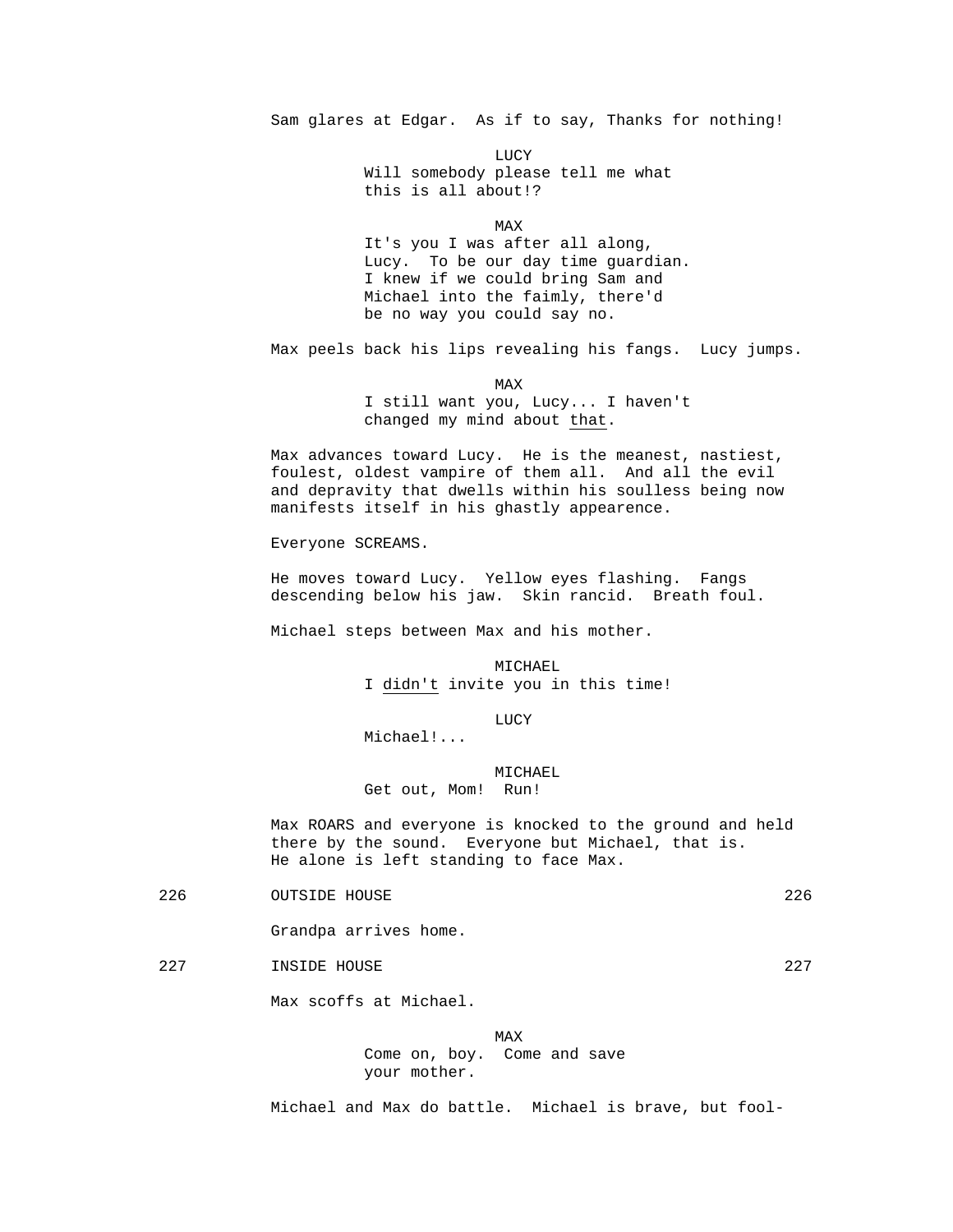Sam glares at Edgar. As if to say, Thanks for nothing!

**LUCY** 

 Will somebody please tell me what this is all about!?

**MAX** 

 It's you I was after all along, Lucy. To be our day time guardian. I knew if we could bring Sam and Michael into the faimly, there'd be no way you could say no.

Max peels back his lips revealing his fangs. Lucy jumps.

**MAX** 

 I still want you, Lucy... I haven't changed my mind about that.

 Max advances toward Lucy. He is the meanest, nastiest, foulest, oldest vampire of them all. And all the evil and depravity that dwells within his soulless being now manifests itself in his ghastly appearence.

Everyone SCREAMS.

 He moves toward Lucy. Yellow eyes flashing. Fangs descending below his jaw. Skin rancid. Breath foul.

Michael steps between Max and his mother.

 MICHAEL I didn't invite you in this time!

LUCY

Michael!...

 MICHAEL Get out, Mom! Run!

 Max ROARS and everyone is knocked to the ground and held there by the sound. Everyone but Michael, that is. He alone is left standing to face Max.

226 OUTSIDE HOUSE 226

Grandpa arrives home.

227 INSIDE HOUSE 227

Max scoffs at Michael.

**MAX**  Come on, boy. Come and save your mother.

Michael and Max do battle. Michael is brave, but fool-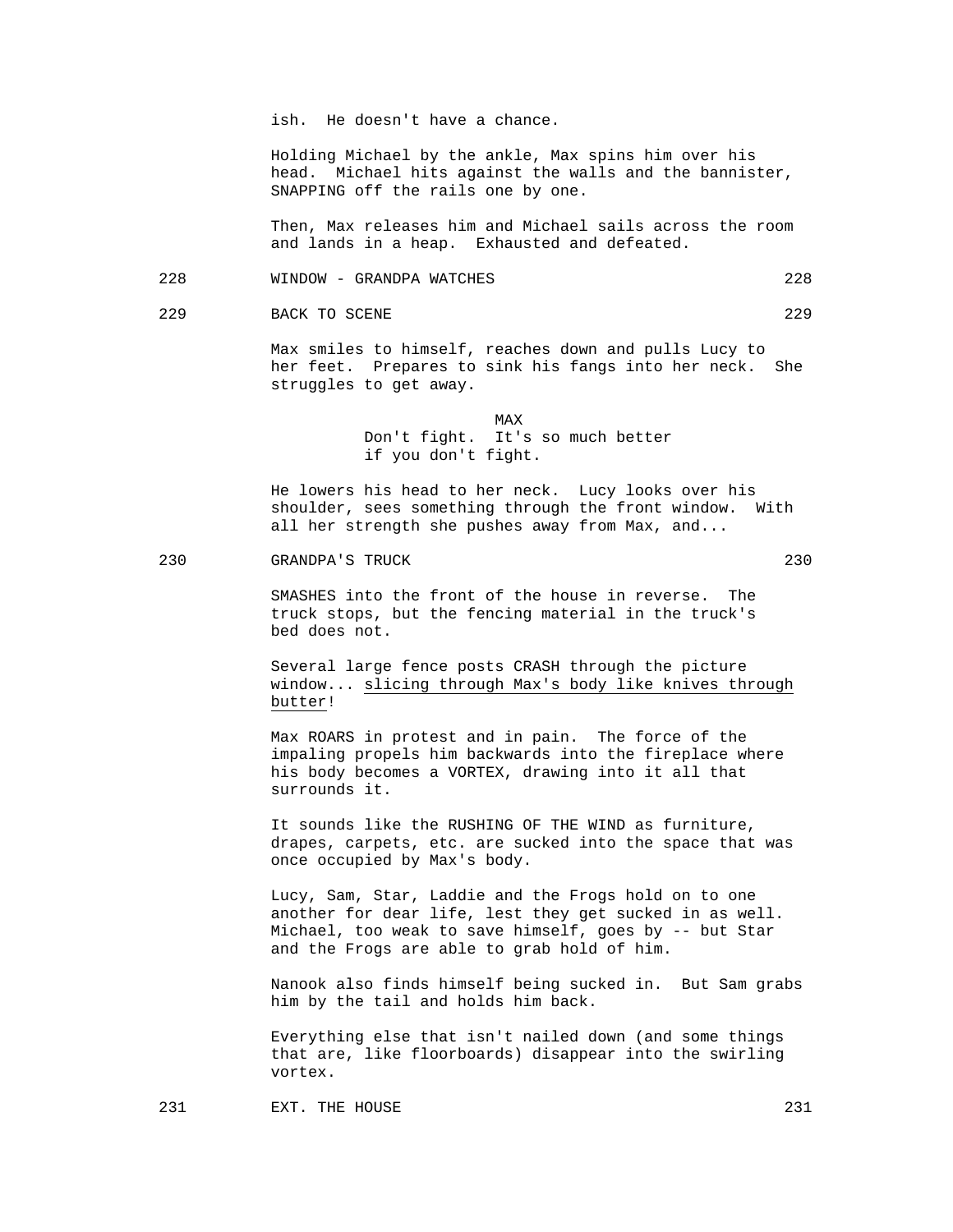ish. He doesn't have a chance.

 Holding Michael by the ankle, Max spins him over his head. Michael hits against the walls and the bannister, SNAPPING off the rails one by one.

 Then, Max releases him and Michael sails across the room and lands in a heap. Exhausted and defeated.

228 WINDOW - GRANDPA WATCHES 228

229 BACK TO SCENE 229

 Max smiles to himself, reaches down and pulls Lucy to her feet. Prepares to sink his fangs into her neck. She struggles to get away.

**MAX**  Don't fight. It's so much better if you don't fight.

> He lowers his head to her neck. Lucy looks over his shoulder, sees something through the front window. With all her strength she pushes away from Max, and...

#### 230 GRANDPA'S TRUCK 230

 SMASHES into the front of the house in reverse. The truck stops, but the fencing material in the truck's bed does not.

 Several large fence posts CRASH through the picture window... slicing through Max's body like knives through butter!

 Max ROARS in protest and in pain. The force of the impaling propels him backwards into the fireplace where his body becomes a VORTEX, drawing into it all that surrounds it.

 It sounds like the RUSHING OF THE WIND as furniture, drapes, carpets, etc. are sucked into the space that was once occupied by Max's body.

 Lucy, Sam, Star, Laddie and the Frogs hold on to one another for dear life, lest they get sucked in as well. Michael, too weak to save himself, goes by -- but Star and the Frogs are able to grab hold of him.

 Nanook also finds himself being sucked in. But Sam grabs him by the tail and holds him back.

 Everything else that isn't nailed down (and some things that are, like floorboards) disappear into the swirling vortex.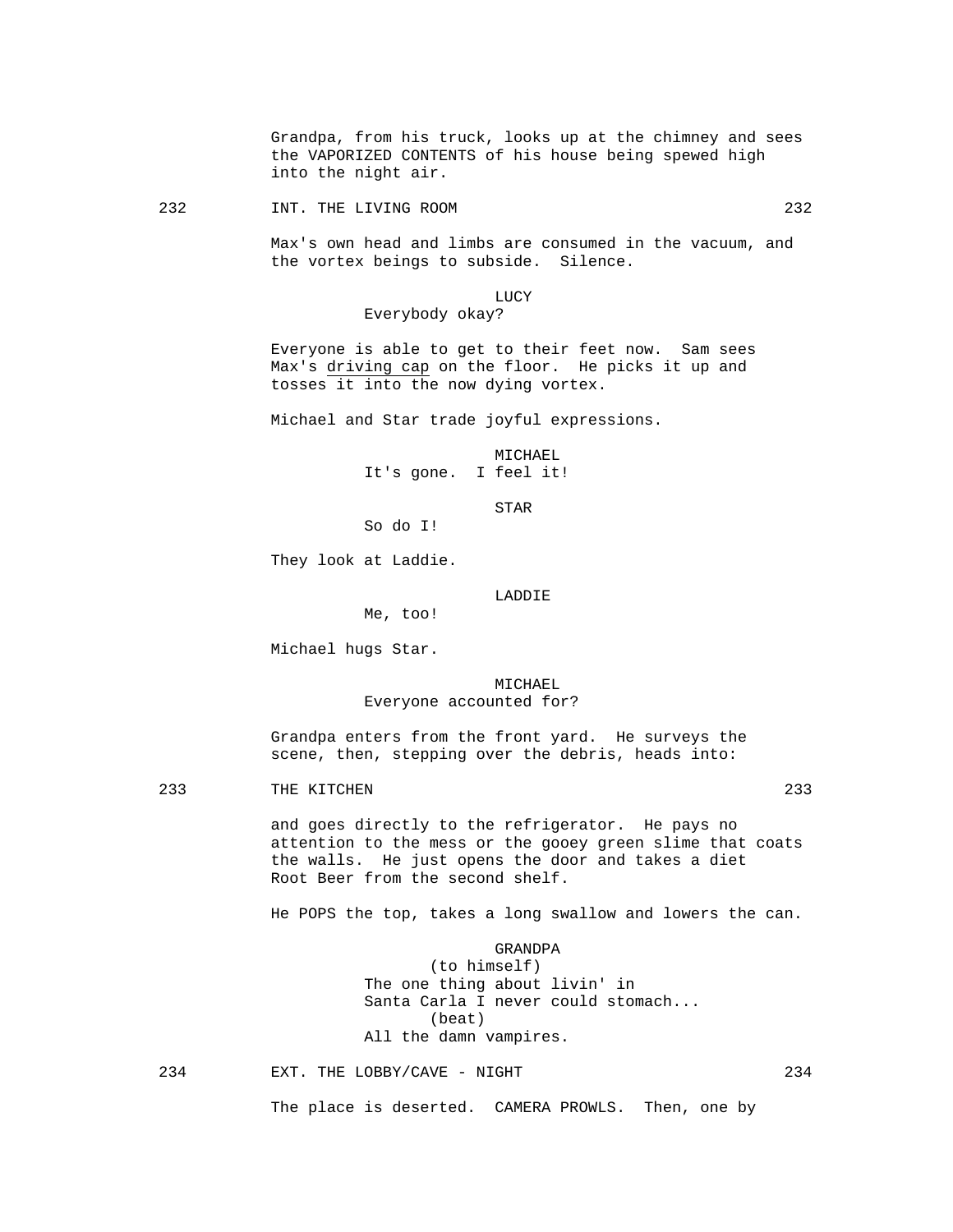Grandpa, from his truck, looks up at the chimney and sees the VAPORIZED CONTENTS of his house being spewed high into the night air.

232 INT. THE LIVING ROOM 232

 Max's own head and limbs are consumed in the vacuum, and the vortex beings to subside. Silence.

#### LUCY

Everybody okay?

 Everyone is able to get to their feet now. Sam sees Max's driving cap on the floor. He picks it up and tosses it into the now dying vortex.

Michael and Star trade joyful expressions.

 MICHAEL It's gone. I feel it!

STAR

So do I!

Me, too!

They look at Laddie.

LADDIE

Michael hugs Star.

 MICHAEL Everyone accounted for?

 Grandpa enters from the front yard. He surveys the scene, then, stepping over the debris, heads into:

233 THE KITCHEN 233

 and goes directly to the refrigerator. He pays no attention to the mess or the gooey green slime that coats the walls. He just opens the door and takes a diet Root Beer from the second shelf.

He POPS the top, takes a long swallow and lowers the can.

 GRANDPA (to himself) The one thing about livin' in Santa Carla I never could stomach... (beat) All the damn vampires.

234 EXT. THE LOBBY/CAVE - NIGHT 234

The place is deserted. CAMERA PROWLS. Then, one by